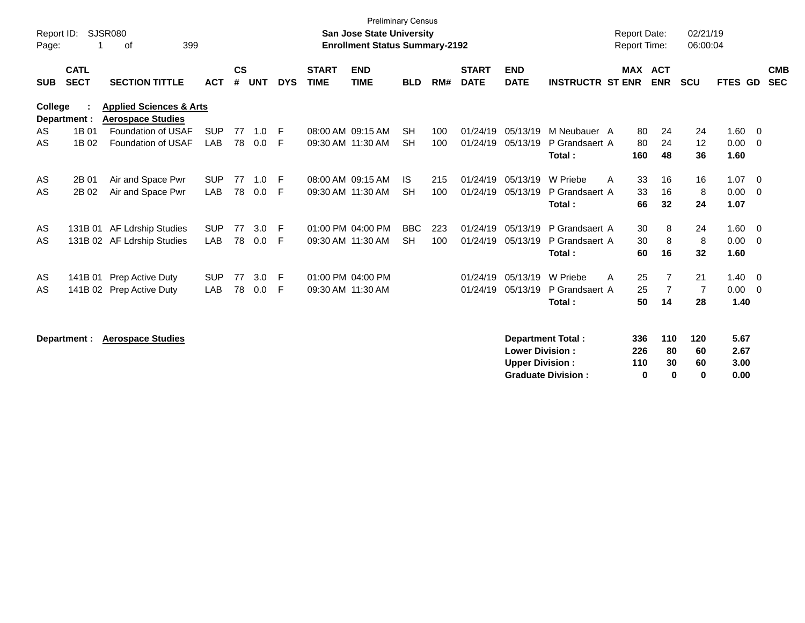| Report ID:<br>Page: | 1                          | SJSR080<br>399<br>оf                           |            |                    |            |            |                             | <b>Preliminary Census</b><br><b>San Jose State University</b><br><b>Enrollment Status Summary-2192</b> |            |     |                             |                           |                          | <b>Report Date:</b><br><b>Report Time:</b> |                          | 02/21/19<br>06:00:04 |         |          |                          |
|---------------------|----------------------------|------------------------------------------------|------------|--------------------|------------|------------|-----------------------------|--------------------------------------------------------------------------------------------------------|------------|-----|-----------------------------|---------------------------|--------------------------|--------------------------------------------|--------------------------|----------------------|---------|----------|--------------------------|
| <b>SUB</b>          | <b>CATL</b><br><b>SECT</b> | <b>SECTION TITTLE</b>                          | <b>ACT</b> | $\mathsf{cs}$<br># | <b>UNT</b> | <b>DYS</b> | <b>START</b><br><b>TIME</b> | <b>END</b><br><b>TIME</b>                                                                              | <b>BLD</b> | RM# | <b>START</b><br><b>DATE</b> | <b>END</b><br><b>DATE</b> | <b>INSTRUCTR ST ENR</b>  | MAX                                        | <b>ACT</b><br><b>ENR</b> | <b>SCU</b>           | FTES GD |          | <b>CMB</b><br><b>SEC</b> |
| College             |                            | <b>Applied Sciences &amp; Arts</b>             |            |                    |            |            |                             |                                                                                                        |            |     |                             |                           |                          |                                            |                          |                      |         |          |                          |
| AS.                 | Department :<br>1B 01      | <b>Aerospace Studies</b><br>Foundation of USAF | <b>SUP</b> | 77                 | 1.0        | -F         |                             | 08:00 AM 09:15 AM                                                                                      | <b>SH</b>  | 100 | 01/24/19                    | 05/13/19                  | M Neubauer A             | 80                                         | 24                       | 24                   | 1.60    | - 0      |                          |
| AS                  | 1B 02                      | Foundation of USAF                             | LAB        | 78                 | 0.0        | F          |                             | 09:30 AM 11:30 AM                                                                                      | <b>SH</b>  | 100 | 01/24/19                    | 05/13/19                  | P Grandsaert A           | 80                                         | 24                       | 12                   | 0.00    | - 0      |                          |
|                     |                            |                                                |            |                    |            |            |                             |                                                                                                        |            |     |                             |                           | Total:                   | 160                                        | 48                       | 36                   | 1.60    |          |                          |
|                     |                            |                                                |            |                    |            |            |                             |                                                                                                        |            |     |                             |                           |                          |                                            |                          |                      |         |          |                          |
| AS                  | 2B 01                      | Air and Space Pwr                              | <b>SUP</b> | 77                 | 1.0        | E          |                             | 08:00 AM 09:15 AM                                                                                      | IS.        | 215 | 01/24/19                    | 05/13/19                  | W Priebe                 | 33<br>A                                    | 16                       | 16                   | 1.07    | - 0      |                          |
| AS                  | 2B 02                      | Air and Space Pwr                              | LAB        | 78                 | 0.0        | F          |                             | 09:30 AM 11:30 AM                                                                                      | <b>SH</b>  | 100 | 01/24/19                    | 05/13/19                  | P Grandsaert A           | 33                                         | 16                       | 8                    | 0.00    | - 0      |                          |
|                     |                            |                                                |            |                    |            |            |                             |                                                                                                        |            |     |                             |                           | Total:                   | 66                                         | 32                       | 24                   | 1.07    |          |                          |
|                     |                            |                                                |            |                    |            |            |                             |                                                                                                        |            |     |                             |                           |                          |                                            |                          |                      |         |          |                          |
| AS                  | 131B 01                    | <b>AF Ldrship Studies</b>                      | <b>SUP</b> | 77                 | 3.0        | F          |                             | 01:00 PM 04:00 PM                                                                                      | <b>BBC</b> | 223 | 01/24/19                    | 05/13/19                  | P Grandsaert A           | 30                                         | 8                        | 24                   | 1.60    | - 0      |                          |
| AS                  | 131B 02                    | AF Ldrship Studies                             | LAB        | 78                 | 0.0        | F          | 09:30 AM 11:30 AM           |                                                                                                        | <b>SH</b>  | 100 | 01/24/19                    | 05/13/19                  | P Grandsaert A           | 30                                         | 8                        | 8                    | 0.00    | - 0      |                          |
|                     |                            |                                                |            |                    |            |            |                             |                                                                                                        |            |     |                             |                           | Total:                   | 60                                         | 16                       | 32                   | 1.60    |          |                          |
| AS                  | 141B 01                    | Prep Active Duty                               | <b>SUP</b> | 77                 | 3.0        | -F         |                             | 01:00 PM 04:00 PM                                                                                      |            |     | 01/24/19                    | 05/13/19                  | W Priebe                 | 25<br>A                                    | $\overline{7}$           | 21                   | 1.40    | - 0      |                          |
| AS                  | 141B 02                    | Prep Active Duty                               | <b>LAB</b> | 78                 | 0.0        | F.         | 09:30 AM 11:30 AM           |                                                                                                        |            |     | 01/24/19                    | 05/13/19                  | P Grandsaert A           | 25                                         | $\overline{7}$           | $\overline{7}$       | 0.00    | $\Omega$ |                          |
|                     |                            |                                                |            |                    |            |            |                             |                                                                                                        |            |     |                             |                           | Total:                   | 50                                         | 14                       | 28                   | 1.40    |          |                          |
|                     |                            |                                                |            |                    |            |            |                             |                                                                                                        |            |     |                             |                           |                          |                                            |                          |                      |         |          |                          |
|                     | Department :               | <b>Aerospace Studies</b>                       |            |                    |            |            |                             |                                                                                                        |            |     |                             |                           | <b>Department Total:</b> | 336                                        | 110                      | 120                  | 5.67    |          |                          |
|                     |                            |                                                |            |                    |            |            |                             |                                                                                                        |            |     |                             | <b>Lower Division:</b>    |                          | 226                                        | 80                       | 60                   | 2.67    |          |                          |
|                     |                            |                                                |            |                    |            |            |                             |                                                                                                        |            |     |                             | <b>Upper Division:</b>    |                          | 110                                        | 30                       | 60                   | 3.00    |          |                          |

**Graduate Division : 0 0 0 0.00**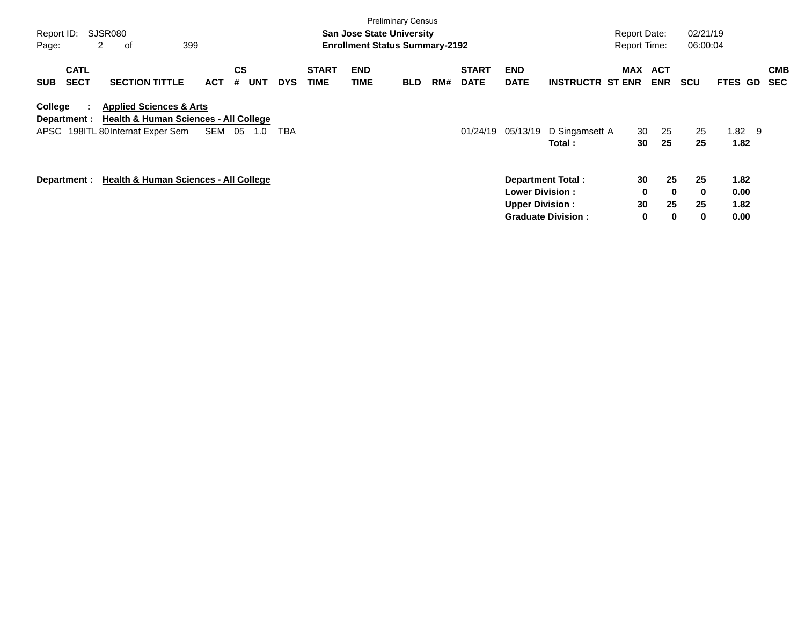| Report ID: |                                | SJSR080 |                                                                                                                            |            |                |            |            |                             |                           | <b>Preliminary Census</b><br><b>San Jose State University</b> |     |                             |                                                   |                                                       | <b>Report Date:</b> |                                  | 02/21/19           |                              |                          |
|------------|--------------------------------|---------|----------------------------------------------------------------------------------------------------------------------------|------------|----------------|------------|------------|-----------------------------|---------------------------|---------------------------------------------------------------|-----|-----------------------------|---------------------------------------------------|-------------------------------------------------------|---------------------|----------------------------------|--------------------|------------------------------|--------------------------|
| Page:      |                                | 2       | 0f                                                                                                                         | 399        |                |            |            |                             |                           | <b>Enrollment Status Summary-2192</b>                         |     |                             |                                                   |                                                       | <b>Report Time:</b> |                                  | 06:00:04           |                              |                          |
| <b>SUB</b> | <b>CATL</b><br><b>SECT</b>     |         | <b>SECTION TITTLE</b>                                                                                                      | <b>ACT</b> | <b>CS</b><br># | <b>UNT</b> | <b>DYS</b> | <b>START</b><br><b>TIME</b> | <b>END</b><br><b>TIME</b> | <b>BLD</b>                                                    | RM# | <b>START</b><br><b>DATE</b> | <b>END</b><br><b>DATE</b>                         | <b>INSTRUCTR ST ENR</b>                               | <b>MAX</b>          | <b>ACT</b><br><b>ENR</b>         | <b>SCU</b>         | FTES GD                      | <b>CMB</b><br><b>SEC</b> |
| College    | $\mathbb{R}^n$<br>Department : |         | <b>Applied Sciences &amp; Arts</b><br><b>Health &amp; Human Sciences - All College</b><br>APSC 198ITL 80Internat Exper Sem | SEM 05     |                | 1.0        | <b>TBA</b> |                             |                           |                                                               |     | 01/24/19                    | 05/13/19                                          | D Singamsett A<br>Total :                             | 30<br>30            | 25<br>25                         | 25<br>25           | $1.82$ 9<br>1.82             |                          |
|            |                                |         | Department: Health & Human Sciences - All College                                                                          |            |                |            |            |                             |                           |                                                               |     |                             | <b>Lower Division :</b><br><b>Upper Division:</b> | <b>Department Total:</b><br><b>Graduate Division:</b> | 30<br>0<br>30<br>0  | 25<br>$\bf{0}$<br>25<br>$\bf{0}$ | 25<br>0<br>25<br>0 | 1.82<br>0.00<br>1.82<br>0.00 |                          |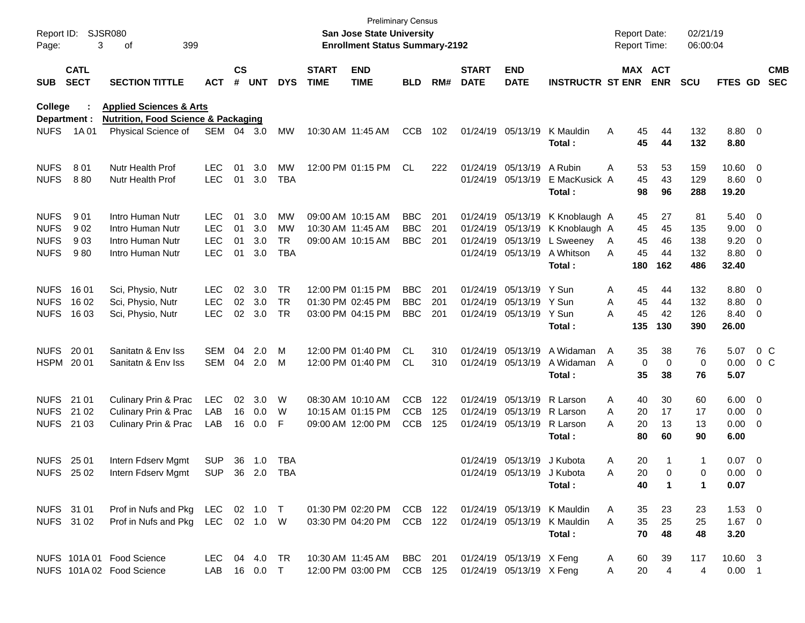| Page:            | Report ID: SJSR080<br>3    | 399<br>of                                      |                |               |        |            |                             | <b>Preliminary Census</b><br><b>San Jose State University</b><br><b>Enrollment Status Summary-2192</b> |            |     |                             |                            |                             | <b>Report Date:</b><br><b>Report Time:</b> |             |                       | 02/21/19<br>06:00:04 |                |                         |                          |
|------------------|----------------------------|------------------------------------------------|----------------|---------------|--------|------------|-----------------------------|--------------------------------------------------------------------------------------------------------|------------|-----|-----------------------------|----------------------------|-----------------------------|--------------------------------------------|-------------|-----------------------|----------------------|----------------|-------------------------|--------------------------|
| <b>SUB</b>       | <b>CATL</b><br><b>SECT</b> | <b>SECTION TITTLE</b>                          | <b>ACT</b>     | $\mathsf{cs}$ | # UNT  | <b>DYS</b> | <b>START</b><br><b>TIME</b> | <b>END</b><br><b>TIME</b>                                                                              | <b>BLD</b> | RM# | <b>START</b><br><b>DATE</b> | <b>END</b><br><b>DATE</b>  | <b>INSTRUCTR ST ENR</b>     |                                            |             | MAX ACT<br><b>ENR</b> | <b>SCU</b>           | FTES GD        |                         | <b>CMB</b><br><b>SEC</b> |
| College          |                            | <b>Applied Sciences &amp; Arts</b>             |                |               |        |            |                             |                                                                                                        |            |     |                             |                            |                             |                                            |             |                       |                      |                |                         |                          |
|                  | Department :               | <b>Nutrition, Food Science &amp; Packaging</b> |                |               |        |            |                             |                                                                                                        |            |     |                             |                            |                             |                                            |             |                       |                      |                |                         |                          |
| <b>NUFS</b>      | 1A 01                      | Physical Science of                            | SEM 04 3.0     |               |        | MW         |                             | 10:30 AM 11:45 AM                                                                                      | <b>CCB</b> | 102 |                             | 01/24/19 05/13/19          | K Mauldin<br>Total:         | A                                          | 45<br>45    | 44<br>44              | 132<br>132           | 8.80 0<br>8.80 |                         |                          |
| <b>NUFS</b>      | 801                        | Nutr Health Prof                               | <b>LEC</b>     | 01            | 3.0    | MW         |                             | 12:00 PM 01:15 PM                                                                                      | CL         | 222 |                             | 01/24/19 05/13/19          | A Rubin                     | A                                          | 53          | 53                    | 159                  | 10.60          | $\overline{0}$          |                          |
| <b>NUFS</b>      | 880                        | <b>Nutr Health Prof</b>                        | <b>LEC</b>     | 01            | 3.0    | <b>TBA</b> |                             |                                                                                                        |            |     |                             | 01/24/19 05/13/19          | E MacKusick A               |                                            | 45          | 43                    | 129                  | 8.60           | $\overline{0}$          |                          |
|                  |                            |                                                |                |               |        |            |                             |                                                                                                        |            |     |                             |                            | Total:                      |                                            | 98          | 96                    | 288                  | 19.20          |                         |                          |
| <b>NUFS</b>      | 901                        | Intro Human Nutr                               | <b>LEC</b>     | 01            | 3.0    | MW         |                             | 09:00 AM 10:15 AM                                                                                      | <b>BBC</b> | 201 |                             | 01/24/19 05/13/19          | K Knoblaugh A               |                                            | 45          | 27                    | 81                   | 5.40           | $\overline{\mathbf{0}}$ |                          |
| <b>NUFS</b>      | 902                        | Intro Human Nutr                               | <b>LEC</b>     | 01            | 3.0    | MW         |                             | 10:30 AM 11:45 AM                                                                                      | <b>BBC</b> | 201 |                             | 01/24/19 05/13/19          | K Knoblaugh A               |                                            | 45          | 45                    | 135                  | 9.00           | $\overline{0}$          |                          |
| <b>NUFS</b>      | 903                        | Intro Human Nutr                               | <b>LEC</b>     | 01            | 3.0    | <b>TR</b>  |                             | 09:00 AM 10:15 AM                                                                                      | <b>BBC</b> | 201 |                             | 01/24/19 05/13/19          | L Sweeney                   | A                                          | 45          | 46                    | 138                  | 9.20           | 0                       |                          |
| <b>NUFS</b>      | 980                        | Intro Human Nutr                               | <b>LEC</b>     | 01            | 3.0    | <b>TBA</b> |                             |                                                                                                        |            |     |                             | 01/24/19 05/13/19          | A Whitson                   | A                                          | 45          | 44                    | 132                  | 8.80           | 0                       |                          |
|                  |                            |                                                |                |               |        |            |                             |                                                                                                        |            |     |                             |                            | Total:                      |                                            | 180         | 162                   | 486                  | 32.40          |                         |                          |
| <b>NUFS</b>      | 16 01                      | Sci, Physio, Nutr                              | <b>LEC</b>     | 02            | 3.0    | <b>TR</b>  |                             | 12:00 PM 01:15 PM                                                                                      | <b>BBC</b> | 201 |                             | 01/24/19 05/13/19          | Y Sun                       | A                                          | 45          | 44                    | 132                  | 8.80           | $\overline{0}$          |                          |
| <b>NUFS</b>      | 16 02                      | Sci, Physio, Nutr                              | <b>LEC</b>     | 02            | 3.0    | <b>TR</b>  |                             | 01:30 PM 02:45 PM                                                                                      | <b>BBC</b> | 201 |                             | 01/24/19 05/13/19          | Y Sun                       | A                                          | 45          | 44                    | 132                  | 8.80           | $\overline{0}$          |                          |
| <b>NUFS</b>      | 16 03                      | Sci, Physio, Nutr                              | <b>LEC</b>     | 02            | 3.0    | TR         |                             | 03:00 PM 04:15 PM                                                                                      | <b>BBC</b> | 201 |                             | 01/24/19 05/13/19          | Y Sun                       | Α                                          | 45          | 42                    | 126                  | 8.40           | 0                       |                          |
|                  |                            |                                                |                |               |        |            |                             |                                                                                                        |            |     |                             |                            | Total:                      |                                            | 135         | 130                   | 390                  | 26.00          |                         |                          |
| <b>NUFS</b>      | 20 01                      | Sanitatn & Env Iss                             | SEM            | 04            | 2.0    | M          |                             | 12:00 PM 01:40 PM                                                                                      | CL         | 310 |                             | 01/24/19 05/13/19          | A Widaman                   | A                                          | 35          | 38                    | 76                   | 5.07           |                         | 0 <sup>o</sup>           |
|                  | HSPM 2001                  | Sanitatn & Env Iss                             | SEM            |               | 04 2.0 | M          |                             | 12:00 PM 01:40 PM                                                                                      | CL.        | 310 |                             | 01/24/19 05/13/19          | A Widaman                   | A                                          | $\mathbf 0$ | 0                     | 0                    | 0.00           |                         | $0\,C$                   |
|                  |                            |                                                |                |               |        |            |                             |                                                                                                        |            |     |                             |                            | Total:                      |                                            | 35          | 38                    | 76                   | 5.07           |                         |                          |
| <b>NUFS</b>      | 21 01                      | Culinary Prin & Prac                           | <b>LEC</b>     | 02            | 3.0    | W          |                             | 08:30 AM 10:10 AM                                                                                      | <b>CCB</b> | 122 |                             | 01/24/19 05/13/19          | R Larson                    | A                                          | 40          | 30                    | 60                   | 6.00           | $\overline{\mathbf{0}}$ |                          |
| <b>NUFS</b>      | 21 02                      | Culinary Prin & Prac                           | LAB            | 16            | 0.0    | W          |                             | 10:15 AM 01:15 PM                                                                                      | <b>CCB</b> | 125 |                             | 01/24/19 05/13/19          | R Larson                    | Α                                          | 20          | 17                    | 17                   | 0.00           | $\overline{0}$          |                          |
|                  | NUFS 21 03                 | <b>Culinary Prin &amp; Prac</b>                | LAB            | 16            | 0.0    | F          |                             | 09:00 AM 12:00 PM                                                                                      | <b>CCB</b> | 125 |                             | 01/24/19 05/13/19          | R Larson                    | Α                                          | 20          | 13                    | 13                   | 0.00           | $\overline{0}$          |                          |
|                  |                            |                                                |                |               |        |            |                             |                                                                                                        |            |     |                             |                            | Total:                      |                                            | 80          | 60                    | 90                   | 6.00           |                         |                          |
| <b>NUFS 2501</b> |                            | Intern Fdserv Mgmt                             | <b>SUP</b>     | 36            | 1.0    | TBA        |                             |                                                                                                        |            |     |                             | 01/24/19 05/13/19          | J Kubota                    | A                                          | 20          |                       | $\mathbf 1$          | 0.07           | $\overline{\mathbf{0}}$ |                          |
|                  | NUFS 25 02                 | Intern Fdserv Mgmt                             | SUP 36 2.0 TBA |               |        |            |                             |                                                                                                        |            |     |                             | 01/24/19 05/13/19 J Kubota |                             | Α                                          | 20          | $\Omega$              | $\Omega$             | $0.00 \t 0$    |                         |                          |
|                  |                            |                                                |                |               |        |            |                             |                                                                                                        |            |     |                             |                            | Total:                      |                                            | 40          | -1                    | -1                   | 0.07           |                         |                          |
|                  | NUFS 31 01                 | Prof in Nufs and Pkg LEC 02 1.0 T              |                |               |        |            |                             | 01:30 PM 02:20 PM CCB 122                                                                              |            |     |                             |                            | 01/24/19 05/13/19 K Mauldin | A                                          | 35          | 23                    | 23                   | $1.53 \t 0$    |                         |                          |
|                  | NUFS 31 02                 | Prof in Nufs and Pkg LEC 02 1.0 W              |                |               |        |            |                             | 03:30 PM 04:20 PM CCB 122                                                                              |            |     |                             |                            | 01/24/19 05/13/19 K Mauldin | A                                          | 35          | 25                    | 25                   | $1.67 \t 0$    |                         |                          |
|                  |                            |                                                |                |               |        |            |                             |                                                                                                        |            |     |                             |                            | Total:                      |                                            | 70          | 48                    | 48                   | 3.20           |                         |                          |
|                  |                            | NUFS 101A 01 Food Science                      | LEC 04 4.0 TR  |               |        |            |                             | 10:30 AM 11:45 AM                                                                                      | BBC 201    |     |                             | 01/24/19 05/13/19 X Feng   |                             | A                                          | 60          | 39                    | 117                  | 10.60 3        |                         |                          |
|                  |                            | NUFS 101A 02 Food Science                      | LAB 16 0.0 T   |               |        |            |                             | 12:00 PM 03:00 PM CCB 125                                                                              |            |     |                             | 01/24/19 05/13/19 X Feng   |                             | A                                          | 20          | $\overline{4}$        | 4                    | $0.00$ 1       |                         |                          |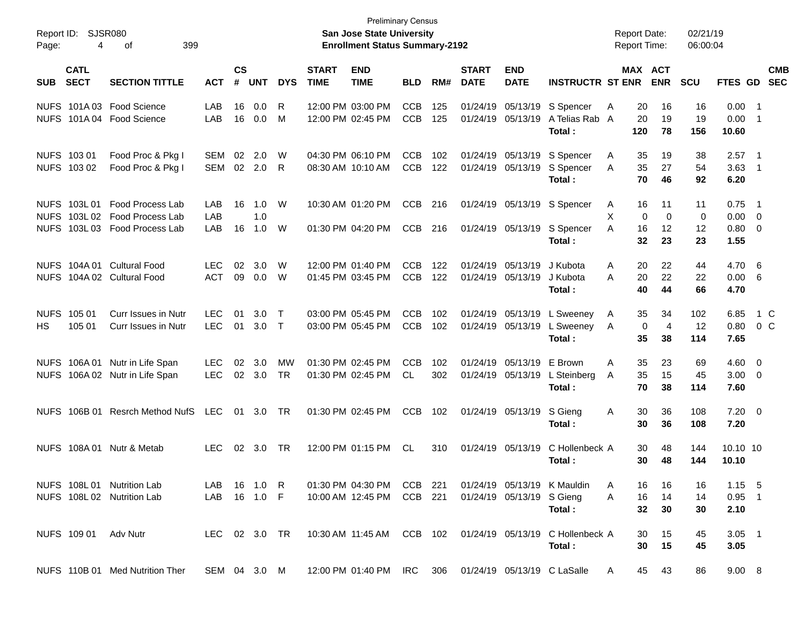| Report ID:<br>Page: | 4                                         | SJSR080<br>399<br>οf                                                   |                          |                    |                   |                  |                             | <b>Preliminary Census</b><br><b>San Jose State University</b><br><b>Enrollment Status Summary-2192</b> |                          |            |                             |                                        |                                                                      | <b>Report Date:</b><br><b>Report Time:</b> |                               |                               | 02/21/19<br>06:00:04 |                                     |                                                      |                          |
|---------------------|-------------------------------------------|------------------------------------------------------------------------|--------------------------|--------------------|-------------------|------------------|-----------------------------|--------------------------------------------------------------------------------------------------------|--------------------------|------------|-----------------------------|----------------------------------------|----------------------------------------------------------------------|--------------------------------------------|-------------------------------|-------------------------------|----------------------|-------------------------------------|------------------------------------------------------|--------------------------|
| <b>SUB</b>          | <b>CATL</b><br><b>SECT</b>                | <b>SECTION TITTLE</b>                                                  | <b>ACT</b>               | $\mathsf{cs}$<br># | <b>UNT</b>        | <b>DYS</b>       | <b>START</b><br><b>TIME</b> | <b>END</b><br><b>TIME</b>                                                                              | <b>BLD</b>               | RM#        | <b>START</b><br><b>DATE</b> | <b>END</b><br><b>DATE</b>              | <b>INSTRUCTR ST ENR</b>                                              |                                            | MAX ACT                       | <b>ENR</b>                    | <b>SCU</b>           | <b>FTES GD</b>                      |                                                      | <b>CMB</b><br><b>SEC</b> |
|                     |                                           | NUFS 101A 03 Food Science<br>NUFS 101A 04 Food Science                 | LAB<br>LAB               | 16<br>16           | 0.0<br>0.0        | R<br>M           |                             | 12:00 PM 03:00 PM<br>12:00 PM 02:45 PM                                                                 | <b>CCB</b><br><b>CCB</b> | 125<br>125 |                             | 01/24/19 05/13/19<br>01/24/19 05/13/19 | S Spencer<br>A Telias Rab A<br>Total :                               | Α                                          | 20<br>20<br>120               | 16<br>19<br>78                | 16<br>19<br>156      | $0.00$ 1<br>0.00<br>10.60           | - 1                                                  |                          |
|                     | NUFS 103 01<br>NUFS 103 02                | Food Proc & Pkg I<br>Food Proc & Pkg I                                 | SEM<br><b>SEM</b>        | 02                 | 2.0<br>02 2.0     | W<br>R.          |                             | 04:30 PM 06:10 PM<br>08:30 AM 10:10 AM                                                                 | <b>CCB</b><br><b>CCB</b> | 102<br>122 |                             | 01/24/19 05/13/19<br>01/24/19 05/13/19 | S Spencer<br>S Spencer<br>Total :                                    | A<br>A                                     | 35<br>35<br>70                | 19<br>27<br>46                | 38<br>54<br>92       | 2.57<br>$3.63$ 1<br>6.20            | $\overline{\phantom{1}}$                             |                          |
|                     | NUFS 103L01<br>NUFS 103L02<br>NUFS 103L03 | <b>Food Process Lab</b><br><b>Food Process Lab</b><br>Food Process Lab | LAB<br>LAB<br>LAB        | 16<br>16           | 1.0<br>1.0<br>1.0 | W<br>W           |                             | 10:30 AM 01:20 PM<br>01:30 PM 04:20 PM                                                                 | <b>CCB</b><br><b>CCB</b> | 216<br>216 |                             | 01/24/19 05/13/19<br>01/24/19 05/13/19 | S Spencer<br>S Spencer<br>Total :                                    | A<br>X<br>A                                | 16<br>$\mathbf 0$<br>16<br>32 | 11<br>$\mathbf 0$<br>12<br>23 | 11<br>0<br>12<br>23  | 0.75<br>$0.00 \t 0$<br>0.80<br>1.55 | $\overline{\phantom{1}}$<br>$\overline{\phantom{0}}$ |                          |
|                     |                                           | NUFS 104A 01 Cultural Food<br>NUFS 104A 02 Cultural Food               | <b>LEC</b><br><b>ACT</b> | 02<br>09           | 3.0<br>0.0        | W<br>W           |                             | 12:00 PM 01:40 PM<br>01:45 PM 03:45 PM                                                                 | <b>CCB</b><br><b>CCB</b> | 122<br>122 |                             | 01/24/19 05/13/19<br>01/24/19 05/13/19 | J Kubota<br>J Kubota<br>Total :                                      | Α<br>А                                     | 20<br>20<br>40                | 22<br>22<br>44                | 44<br>22<br>66       | 4.70<br>0.00<br>4.70                | - 6<br>- 6                                           |                          |
| HS.                 | NUFS 105 01<br>105 01                     | <b>Curr Issues in Nutr</b><br>Curr Issues in Nutr                      | <b>LEC</b><br><b>LEC</b> | 01<br>01           | 3.0<br>3.0        | $\top$<br>$\top$ |                             | 03:00 PM 05:45 PM<br>03:00 PM 05:45 PM                                                                 | <b>CCB</b><br><b>CCB</b> | 102<br>102 |                             | 01/24/19 05/13/19<br>01/24/19 05/13/19 | L Sweeney<br>L Sweeney<br>Total :                                    | A<br>A                                     | 35<br>$\mathbf 0$<br>35       | 34<br>$\overline{4}$<br>38    | 102<br>12<br>114     | 6.85<br>0.80<br>7.65                | 1 C<br>$0\,C$                                        |                          |
|                     |                                           | NUFS 106A 01 Nutr in Life Span<br>NUFS 106A 02 Nutr in Life Span       | <b>LEC</b><br><b>LEC</b> | 02                 | 3.0<br>02 3.0     | <b>MW</b><br>TR  |                             | 01:30 PM 02:45 PM<br>01:30 PM 02:45 PM                                                                 | <b>CCB</b><br><b>CL</b>  | 102<br>302 |                             | 01/24/19 05/13/19<br>01/24/19 05/13/19 | E Brown<br>L Steinberg<br>Total :                                    | Α<br>A                                     | 35<br>35<br>70                | 23<br>15<br>38                | 69<br>45<br>114      | $4.60 \quad 0$<br>3.00<br>7.60      | $\overline{\mathbf{0}}$                              |                          |
|                     | NUFS 106B 01                              | <b>Resrch Method NufS</b>                                              | LEC                      |                    | 01 3.0            | TR               |                             | 01:30 PM 02:45 PM                                                                                      | <b>CCB</b>               | 102        |                             | 01/24/19 05/13/19                      | S Gieng<br>Total :                                                   | A                                          | 30<br>30                      | 36<br>36                      | 108<br>108           | $7.20 \t 0$<br>7.20                 |                                                      |                          |
|                     |                                           | NUFS 108A 01 Nutr & Metab                                              | <b>LEC</b>               |                    | 02 3.0            | TR               |                             | 12:00 PM 01:15 PM                                                                                      | <b>CL</b>                | 310        |                             | 01/24/19 05/13/19                      | C Hollenbeck A<br>Total :                                            |                                            | 30<br>30                      | 48<br>48                      | 144<br>144           | 10.10 10<br>10.10                   |                                                      |                          |
|                     |                                           | NUFS 108L 01 Nutrition Lab<br>NUFS 108L 02 Nutrition Lab               | LAB 16 1.0 R<br>LAB      |                    | 16 1.0 F          |                  |                             | 01:30 PM 04:30 PM CCB 221<br>10:00 AM 12:45 PM CCB 221                                                 |                          |            |                             | 01/24/19 05/13/19 S Gieng              | 01/24/19 05/13/19 K Mauldin<br>Total:                                | A<br>A                                     | 16<br>16<br>32                | 16<br>14<br>30                | 16<br>14<br>30       | $1.15$ 5<br>$0.95$ 1<br>2.10        |                                                      |                          |
|                     |                                           | NUFS 109 01 Adv Nutr                                                   | LEC 02 3.0 TR            |                    |                   |                  |                             |                                                                                                        |                          |            |                             |                                        | 10:30 AM 11:45 AM CCB 102 01/24/19 05/13/19 C Hollenbeck A<br>Total: |                                            | 30<br>30                      | 15<br>15                      | 45<br>45             | $3.05$ 1<br>3.05                    |                                                      |                          |
|                     |                                           | NUFS 110B 01 Med Nutrition Ther                                        |                          |                    |                   |                  |                             | SEM 04 3.0 M 12:00 PM 01:40 PM IRC 306 01/24/19 05/13/19 C LaSalle                                     |                          |            |                             |                                        |                                                                      | A                                          | 45 43                         |                               | 86                   | 9.00 8                              |                                                      |                          |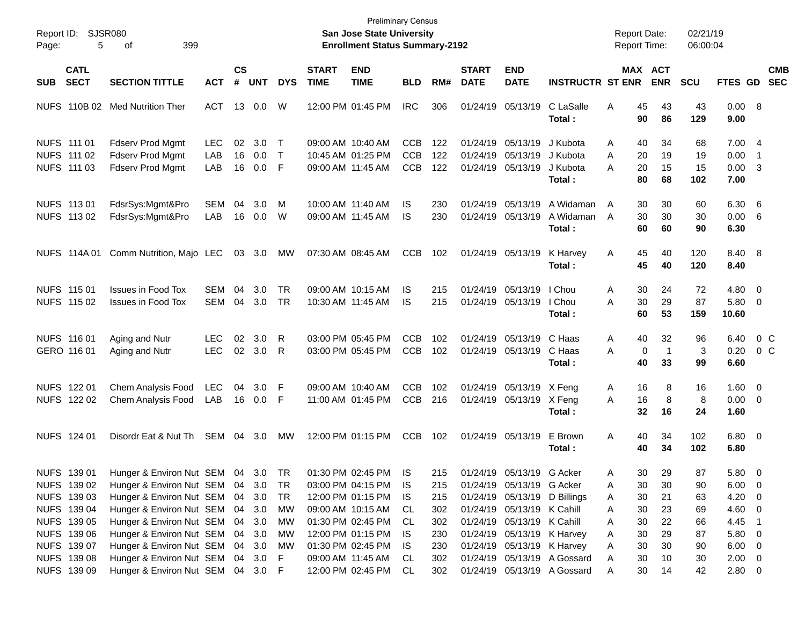| Report ID:<br>Page: | 5                                                        | SJSR080<br>399<br>of                                                                                                       |                          |                             |                                      |                             |                                        | <b>Preliminary Census</b><br>San Jose State University<br><b>Enrollment Status Summary-2192</b> |                                        |                          |                                                             |                                                                                                           |                                            | <b>Report Date:</b><br>Report Time: |                                              | 02/21/19<br>06:00:04  |                                   |                                                                                        |                          |
|---------------------|----------------------------------------------------------|----------------------------------------------------------------------------------------------------------------------------|--------------------------|-----------------------------|--------------------------------------|-----------------------------|----------------------------------------|-------------------------------------------------------------------------------------------------|----------------------------------------|--------------------------|-------------------------------------------------------------|-----------------------------------------------------------------------------------------------------------|--------------------------------------------|-------------------------------------|----------------------------------------------|-----------------------|-----------------------------------|----------------------------------------------------------------------------------------|--------------------------|
| <b>SUB</b>          | <b>CATL</b><br><b>SECT</b>                               | <b>SECTION TITTLE</b>                                                                                                      | <b>ACT</b>               | $\mathsf{cs}$<br>$\pmb{\#}$ | <b>UNT</b>                           | <b>DYS</b>                  | <b>START</b><br><b>TIME</b>            | <b>END</b><br><b>TIME</b>                                                                       | <b>BLD</b>                             | RM#                      | <b>START</b><br><b>DATE</b>                                 | <b>END</b><br><b>DATE</b>                                                                                 | <b>INSTRUCTR ST ENR</b>                    |                                     | MAX ACT<br><b>ENR</b>                        | <b>SCU</b>            | <b>FTES GD</b>                    |                                                                                        | <b>CMB</b><br><b>SEC</b> |
| <b>NUFS</b>         | 110B 02                                                  | <b>Med Nutrition Ther</b>                                                                                                  | <b>ACT</b>               |                             | 13 0.0                               | W                           |                                        | 12:00 PM 01:45 PM                                                                               | <b>IRC</b>                             | 306                      | 01/24/19 05/13/19                                           |                                                                                                           | C LaSalle<br>Total:                        | Α                                   | 45<br>43<br>90<br>86                         | 43<br>129             | 0.00 8<br>9.00                    |                                                                                        |                          |
|                     | NUFS 111 01<br>NUFS 111 02<br>NUFS 111 03                | <b>Fdserv Prod Mgmt</b><br>Fdserv Prod Mgmt<br>Fdserv Prod Mgmt                                                            | <b>LEC</b><br>LAB<br>LAB | 02<br>16<br>16              | 3.0<br>0.0<br>0.0                    | Τ<br>T<br>F                 | 09:00 AM 11:45 AM                      | 09:00 AM 10:40 AM<br>10:45 AM 01:25 PM                                                          | <b>CCB</b><br><b>CCB</b><br><b>CCB</b> | 122<br>122<br>122        | 01/24/19 05/13/19<br>01/24/19 05/13/19<br>01/24/19 05/13/19 |                                                                                                           | J Kubota<br>J Kubota<br>J Kubota<br>Total: | A<br>A<br>А                         | 34<br>40<br>20<br>19<br>20<br>15<br>80<br>68 | 68<br>19<br>15<br>102 | 7.004<br>0.00<br>0.00<br>7.00     | -1<br>$\overline{\mathbf{3}}$                                                          |                          |
|                     | NUFS 113 01<br>NUFS 113 02                               | FdsrSys:Mgmt&Pro<br>FdsrSys:Mgmt&Pro                                                                                       | <b>SEM</b><br>LAB        | 04<br>16                    | 3.0<br>0.0                           | M<br>W                      | 10:00 AM 11:40 AM<br>09:00 AM 11:45 AM |                                                                                                 | IS.<br>IS                              | 230<br>230               | 01/24/19 05/13/19<br>01/24/19 05/13/19                      |                                                                                                           | A Widaman<br>A Widaman<br>Total:           | A<br>A                              | 30<br>30<br>30<br>30<br>60<br>60             | 60<br>30<br>90        | 6.30<br>0.00<br>6.30              | - 6<br>- 6                                                                             |                          |
| <b>NUFS</b>         | 114A 01                                                  | Comm Nutrition, Majo LEC                                                                                                   |                          | 03                          | 3.0                                  | МW                          |                                        | 07:30 AM 08:45 AM                                                                               | <b>CCB</b>                             | 102                      | 01/24/19 05/13/19                                           |                                                                                                           | K Harvey<br>Total:                         | Α                                   | 45<br>40<br>45<br>40                         | 120<br>120            | 8.40 8<br>8.40                    |                                                                                        |                          |
|                     | NUFS 115 01<br>NUFS 115 02                               | <b>Issues in Food Tox</b><br><b>Issues in Food Tox</b>                                                                     | <b>SEM</b><br>SEM        | 04<br>04                    | 3.0<br>3.0                           | TR<br>TR                    |                                        | 09:00 AM 10:15 AM<br>10:30 AM 11:45 AM                                                          | IS.<br>IS                              | 215<br>215               |                                                             | 01/24/19 05/13/19<br>01/24/19 05/13/19                                                                    | I Chou<br>I Chou<br>Total:                 | A<br>Α                              | 24<br>30<br>30<br>29<br>60<br>53             | 72<br>87<br>159       | 4.80<br>5.80<br>10.60             | $\overline{\mathbf{0}}$<br>$\overline{\mathbf{0}}$                                     |                          |
|                     | NUFS 116 01<br>GERO 116 01                               | Aging and Nutr<br>Aging and Nutr                                                                                           | <b>LEC</b><br><b>LEC</b> | 02<br>02                    | 3.0<br>3.0                           | R<br>R                      |                                        | 03:00 PM 05:45 PM<br>03:00 PM 05:45 PM                                                          | <b>CCB</b><br><b>CCB</b>               | 102<br>102               |                                                             | 01/24/19 05/13/19<br>01/24/19 05/13/19                                                                    | C Haas<br>C Haas<br>Total:                 | A<br>Α                              | 40<br>32<br>0<br>$\overline{1}$<br>40<br>33  | 96<br>3<br>99         | 6.40<br>0.20<br>6.60              | $0\,$ C<br>$0\,$ C                                                                     |                          |
|                     | NUFS 122 01<br>NUFS 122 02                               | Chem Analysis Food<br>Chem Analysis Food                                                                                   | <b>LEC</b><br>LAB        | 04                          | 3.0<br>16  0.0                       | F<br>F                      |                                        | 09:00 AM 10:40 AM<br>11:00 AM 01:45 PM                                                          | <b>CCB</b><br><b>CCB</b>               | 102<br>216               |                                                             | 01/24/19 05/13/19<br>01/24/19 05/13/19                                                                    | X Feng<br>X Feng<br>Total:                 | A<br>A                              | 8<br>16<br>16<br>8<br>32<br>16               | 16<br>8<br>24         | 1.60<br>0.00<br>1.60              | $\overline{\mathbf{0}}$<br>$\overline{\phantom{0}}$                                    |                          |
|                     | NUFS 124 01                                              | Disordr Eat & Nut Th                                                                                                       | SEM                      |                             | 04 3.0                               | MW                          |                                        | 12:00 PM 01:15 PM                                                                               | <b>CCB</b>                             | 102                      | 01/24/19 05/13/19                                           |                                                                                                           | E Brown<br>Total :                         | Α                                   | 40<br>34<br>40<br>34                         | 102<br>102            | $6.80$ 0<br>6.80                  |                                                                                        |                          |
|                     | NUFS 139 01<br>NUFS 139 02<br>NUFS 139 03<br>NUFS 139 04 | Hunger & Environ Nut SEM 04 3.0<br>Hunger & Environ Nut SEM 04 3.0<br>Hunger & Environ Nut SEM<br>Hunger & Environ Nut SEM |                          |                             | 04 3.0<br>04 3.0                     | TR<br>TR<br><b>TR</b><br>MW |                                        | 01:30 PM 02:45 PM<br>03:00 PM 04:15 PM<br>12:00 PM 01:15 PM<br>09:00 AM 10:15 AM                | IS.<br>IS.<br>IS.<br>CL.               | 215<br>215<br>215<br>302 |                                                             | 01/24/19 05/13/19 G Acker<br>01/24/19 05/13/19 G Acker<br>01/24/19 05/13/19<br>01/24/19 05/13/19 K Cahill | D Billings                                 | А<br>A<br>A<br>A                    | 30<br>29<br>30<br>30<br>30<br>21<br>30<br>23 | 87<br>90<br>63<br>69  | $5.80\ 0$<br>6.00<br>4.20<br>4.60 | $\overline{\mathbf{0}}$<br>$\overline{\mathbf{0}}$<br>$\overline{\mathbf{0}}$          |                          |
|                     | NUFS 139 05<br>NUFS 139 06<br>NUFS 139 07<br>NUFS 139 08 | Hunger & Environ Nut SEM<br>Hunger & Environ Nut SEM<br>Hunger & Environ Nut SEM<br>Hunger & Environ Nut SEM               |                          |                             | 04 3.0<br>04 3.0<br>04 3.0<br>04 3.0 | MW<br>MW<br>МW<br>F         |                                        | 01:30 PM 02:45 PM<br>12:00 PM 01:15 PM<br>01:30 PM 02:45 PM<br>09:00 AM 11:45 AM                | CL<br>IS.<br>IS.<br>CL                 | 302<br>230<br>230<br>302 |                                                             | 01/24/19 05/13/19 K Cahill<br>01/24/19 05/13/19 K Harvey<br>01/24/19 05/13/19 K Harvey                    | 01/24/19 05/13/19 A Gossard                | Α<br>A<br>Α<br>A                    | 30<br>22<br>30<br>29<br>30<br>30<br>30<br>10 | 66<br>87<br>90<br>30  | 4.45<br>5.80<br>6.00<br>2.00      | - 1<br>$\overline{\mathbf{0}}$<br>$\overline{\phantom{0}}$<br>$\overline{\phantom{0}}$ |                          |
|                     | NUFS 139 09                                              | Hunger & Environ Nut SEM                                                                                                   |                          |                             | 04 3.0                               | F                           |                                        | 12:00 PM 02:45 PM                                                                               | CL                                     | 302                      |                                                             |                                                                                                           | 01/24/19 05/13/19 A Gossard                | A                                   | 30<br>14                                     | 42                    | $2.80\ 0$                         |                                                                                        |                          |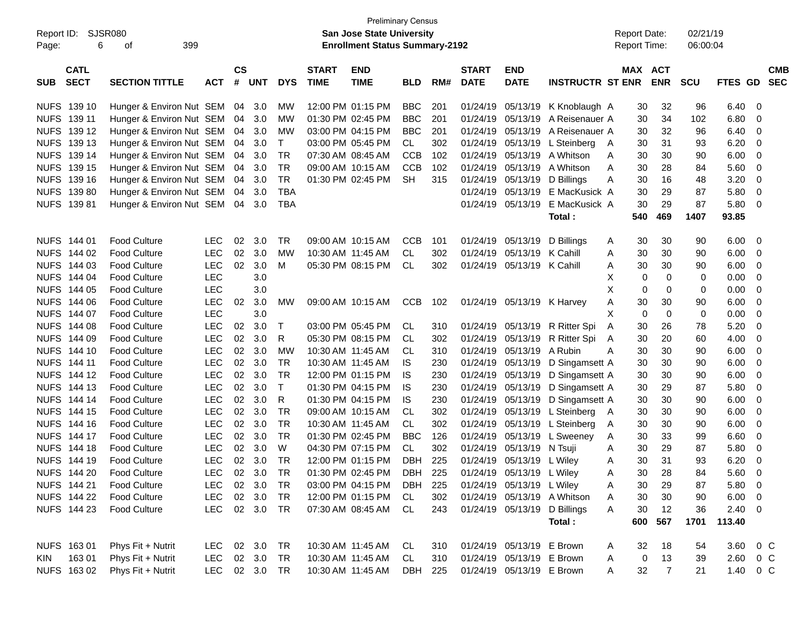| <b>Preliminary Census</b><br>SJSR080<br>Report ID:<br><b>San Jose State University</b><br><b>Report Date:</b> |             |                                 |            |               |            |            |                   |                                       |            |     |              |                              |                                |   | 02/21/19            |                |            |         |                         |
|---------------------------------------------------------------------------------------------------------------|-------------|---------------------------------|------------|---------------|------------|------------|-------------------|---------------------------------------|------------|-----|--------------|------------------------------|--------------------------------|---|---------------------|----------------|------------|---------|-------------------------|
| Page:                                                                                                         | 6           | 399<br>оf                       |            |               |            |            |                   | <b>Enrollment Status Summary-2192</b> |            |     |              |                              |                                |   | <b>Report Time:</b> |                | 06:00:04   |         |                         |
|                                                                                                               | <b>CATL</b> |                                 |            | $\mathsf{cs}$ |            |            | <b>START</b>      | <b>END</b>                            |            |     | <b>START</b> | <b>END</b>                   |                                |   |                     | MAX ACT        |            |         | <b>CMB</b>              |
| <b>SUB</b>                                                                                                    | <b>SECT</b> | <b>SECTION TITTLE</b>           | <b>ACT</b> | #             | <b>UNT</b> | <b>DYS</b> | <b>TIME</b>       | <b>TIME</b>                           | <b>BLD</b> | RM# | <b>DATE</b>  | <b>DATE</b>                  | <b>INSTRUCTR ST ENR</b>        |   |                     | <b>ENR</b>     | <b>SCU</b> | FTES GD | <b>SEC</b>              |
|                                                                                                               | NUFS 139 10 | Hunger & Environ Nut SEM        |            | 04            | 3.0        | <b>MW</b>  |                   | 12:00 PM 01:15 PM                     | <b>BBC</b> | 201 | 01/24/19     | 05/13/19                     | K Knoblaugh A                  |   | 30                  | 32             | 96         | 6.40    | - 0                     |
|                                                                                                               | NUFS 139 11 | Hunger & Environ Nut SEM        |            | 04            | 3.0        | <b>MW</b>  |                   | 01:30 PM 02:45 PM                     | <b>BBC</b> | 201 | 01/24/19     | 05/13/19                     | A Reisenauer A                 |   | 30                  | 34             | 102        | 6.80    | 0                       |
| <b>NUFS</b>                                                                                                   | 139 12      | Hunger & Environ Nut SEM        |            | 04            | 3.0        | <b>MW</b>  |                   | 03:00 PM 04:15 PM                     | <b>BBC</b> | 201 | 01/24/19     | 05/13/19                     | A Reisenauer A                 |   | 30                  | 32             | 96         | 6.40    | 0                       |
| <b>NUFS</b>                                                                                                   | 139 13      | Hunger & Environ Nut SEM        |            | 04            | 3.0        | Т          |                   | 03:00 PM 05:45 PM                     | CL.        | 302 | 01/24/19     | 05/13/19                     | L Steinberg                    | A | 30                  | 31             | 93         | 6.20    | 0                       |
| <b>NUFS</b>                                                                                                   | 139 14      | Hunger & Environ Nut SEM        |            | 04            | 3.0        | TR         | 07:30 AM 08:45 AM |                                       | <b>CCB</b> | 102 | 01/24/19     | 05/13/19                     | A Whitson                      | Α | 30                  | 30             | 90         | 6.00    | 0                       |
| <b>NUFS</b>                                                                                                   | 139 15      | Hunger & Environ Nut SEM        |            | 04            | 3.0        | TR         | 09:00 AM 10:15 AM |                                       | <b>CCB</b> | 102 | 01/24/19     | 05/13/19                     | A Whitson                      | Α | 30                  | 28             | 84         | 5.60    | 0                       |
| <b>NUFS</b>                                                                                                   | 139 16      | Hunger & Environ Nut SEM        |            | 04            | 3.0        | <b>TR</b>  |                   | 01:30 PM 02:45 PM                     | <b>SH</b>  | 315 | 01/24/19     | 05/13/19                     | D Billings                     | Α | 30                  | 16             | 48         | 3.20    | 0                       |
| <b>NUFS</b>                                                                                                   | 13980       | Hunger & Environ Nut SEM        |            | 04            | 3.0        | <b>TBA</b> |                   |                                       |            |     | 01/24/19     | 05/13/19                     | E MacKusick A                  |   | 30                  | 29             | 87         | 5.80    | 0                       |
|                                                                                                               | NUFS 139 81 | Hunger & Environ Nut SEM 04 3.0 |            |               |            | <b>TBA</b> |                   |                                       |            |     | 01/24/19     | 05/13/19                     | E MacKusick A                  |   | 30                  | 29             | 87         | 5.80    | - 0                     |
|                                                                                                               |             |                                 |            |               |            |            |                   |                                       |            |     |              |                              | Total:                         |   | 540                 | 469            | 1407       | 93.85   |                         |
|                                                                                                               | NUFS 144 01 | <b>Food Culture</b>             | <b>LEC</b> | 02            | 3.0        | TR         | 09:00 AM 10:15 AM |                                       | <b>CCB</b> | 101 | 01/24/19     | 05/13/19                     | D Billings                     | A | 30                  | 30             | 90         | 6.00    | - 0                     |
|                                                                                                               | NUFS 144 02 | <b>Food Culture</b>             | <b>LEC</b> | 02            | 3.0        | <b>MW</b>  | 10:30 AM 11:45 AM |                                       | CL         | 302 | 01/24/19     | 05/13/19                     | K Cahill                       | Α | 30                  | 30             | 90         | 6.00    | $\overline{0}$          |
|                                                                                                               | NUFS 144 03 | <b>Food Culture</b>             | <b>LEC</b> | 02            | 3.0        | M          |                   | 05:30 PM 08:15 PM                     | CL         | 302 |              | 01/24/19 05/13/19 K Cahill   |                                | A | 30                  | 30             | 90         | 6.00    | - 0                     |
|                                                                                                               | NUFS 144 04 | <b>Food Culture</b>             | <b>LEC</b> |               | 3.0        |            |                   |                                       |            |     |              |                              |                                | Х | 0                   | $\mathbf 0$    | 0          | 0.00    | 0                       |
|                                                                                                               | NUFS 144 05 | <b>Food Culture</b>             | <b>LEC</b> |               | 3.0        |            |                   |                                       |            |     |              |                              |                                | X | 0                   | 0              | 0          | 0.00    | 0                       |
|                                                                                                               | NUFS 144 06 | <b>Food Culture</b>             | <b>LEC</b> | 02            | 3.0        | МW         |                   | 09:00 AM 10:15 AM                     | CCB        | 102 |              | 01/24/19 05/13/19 K Harvey   |                                | Α | 30                  | 30             | 90         | 6.00    | 0                       |
|                                                                                                               | NUFS 144 07 | <b>Food Culture</b>             | <b>LEC</b> |               | 3.0        |            |                   |                                       |            |     |              |                              |                                | X | $\mathbf 0$         | $\mathbf 0$    | 0          | 0.00    | 0                       |
|                                                                                                               | NUFS 144 08 | <b>Food Culture</b>             | <b>LEC</b> | 02            | 3.0        | Т          |                   | 03:00 PM 05:45 PM                     | CL.        | 310 |              |                              | 01/24/19 05/13/19 R Ritter Spi | A | 30                  | 26             | 78         | 5.20    | 0                       |
|                                                                                                               | NUFS 144 09 | <b>Food Culture</b>             | <b>LEC</b> | 02            | 3.0        | R          |                   | 05:30 PM 08:15 PM                     | CL         | 302 | 01/24/19     | 05/13/19                     | R Ritter Spi                   | A | 30                  | 20             | 60         | 4.00    | 0                       |
|                                                                                                               | NUFS 144 10 | <b>Food Culture</b>             | <b>LEC</b> | 02            | 3.0        | <b>MW</b>  | 10:30 AM 11:45 AM |                                       | CL         | 310 | 01/24/19     | 05/13/19                     | A Rubin                        | A | 30                  | 30             | 90         | 6.00    | - 0                     |
|                                                                                                               | NUFS 144 11 | <b>Food Culture</b>             | <b>LEC</b> | 02            | 3.0        | <b>TR</b>  | 10:30 AM 11:45 AM |                                       | IS.        | 230 | 01/24/19     |                              | 05/13/19 D Singamsett A        |   | 30                  | 30             | 90         | 6.00    | 0                       |
|                                                                                                               | NUFS 144 12 | <b>Food Culture</b>             | <b>LEC</b> | 02            | 3.0        | TR.        |                   | 12:00 PM 01:15 PM                     | IS.        | 230 | 01/24/19     |                              | 05/13/19 D Singamsett A        |   | 30                  | 30             | 90         | 6.00    | 0                       |
| <b>NUFS</b>                                                                                                   | 144 13      | <b>Food Culture</b>             | <b>LEC</b> | 02            | 3.0        | Т          |                   | 01:30 PM 04:15 PM                     | IS.        | 230 | 01/24/19     |                              | 05/13/19 D Singamsett A        |   | 30                  | 29             | 87         | 5.80    | 0                       |
| <b>NUFS</b>                                                                                                   | 144 14      | <b>Food Culture</b>             | <b>LEC</b> | 02            | 3.0        | R          |                   | 01:30 PM 04:15 PM                     | IS.        | 230 | 01/24/19     |                              | 05/13/19 D Singamsett A        |   | 30                  | 30             | 90         | 6.00    | 0                       |
| <b>NUFS</b>                                                                                                   | 144 15      | <b>Food Culture</b>             | <b>LEC</b> | 02            | 3.0        | TR         | 09:00 AM 10:15 AM |                                       | CL         | 302 | 01/24/19     |                              | 05/13/19 L Steinberg           | A | 30                  | 30             | 90         | 6.00    | 0                       |
| <b>NUFS</b>                                                                                                   | 144 16      | <b>Food Culture</b>             | <b>LEC</b> | 02            | 3.0        | TR         | 10:30 AM 11:45 AM |                                       | CL.        | 302 | 01/24/19     | 05/13/19                     | L Steinberg                    | A | 30                  | 30             | 90         | 6.00    | 0                       |
| <b>NUFS</b>                                                                                                   | 144 17      | <b>Food Culture</b>             | <b>LEC</b> | 02            | 3.0        | TR         | 01:30 PM 02:45 PM |                                       | <b>BBC</b> | 126 | 01/24/19     | 05/13/19                     | L Sweeney                      | A | 30                  | 33             | 99         | 6.60    | 0                       |
| <b>NUFS</b>                                                                                                   | 144 18      | <b>Food Culture</b>             | <b>LEC</b> | 02            | 3.0        | W          |                   | 04:30 PM 07:15 PM                     | CL         | 302 | 01/24/19     | 05/13/19                     | N Tsuji                        | A | 30                  | 29             | 87         | 5.80    | 0                       |
|                                                                                                               | NUFS 144 19 | <b>Food Culture</b>             | <b>LEC</b> |               | 02 3.0     | TR         |                   | 12:00 PM 01:15 PM                     | DBH        | 225 |              | 01/24/19 05/13/19 L Wiley    |                                | A | 30                  | 31             | 93         | 6.20    | 0                       |
|                                                                                                               | NUFS 144 20 | Food Culture                    | LEC        |               | 02 3.0     | <b>TR</b>  |                   | 01:30 PM 02:45 PM                     | DBH        | 225 |              | 01/24/19 05/13/19 L Wiley    |                                | Α | $30\,$              | 28             | 84         | 5.60    | $\overline{0}$          |
|                                                                                                               | NUFS 144 21 | Food Culture                    | <b>LEC</b> |               | 02 3.0     | TR         |                   | 03:00 PM 04:15 PM                     | DBH        | 225 |              | 01/24/19 05/13/19 L Wiley    |                                | Α | 30                  | 29             | 87         | 5.80    | - 0                     |
|                                                                                                               | NUFS 144 22 | Food Culture                    | <b>LEC</b> |               | 02 3.0     | TR         |                   | 12:00 PM 01:15 PM                     | CL         | 302 |              |                              | 01/24/19 05/13/19 A Whitson    | Α | 30                  | 30             | 90         | 6.00    | - 0                     |
|                                                                                                               | NUFS 144 23 | Food Culture                    | <b>LEC</b> |               | 02 3.0     | TR         |                   | 07:30 AM 08:45 AM                     | CL         | 243 |              | 01/24/19 05/13/19 D Billings |                                | Α | 30                  | 12             | 36         | 2.40    | $\overline{\mathbf{0}}$ |
|                                                                                                               |             |                                 |            |               |            |            |                   |                                       |            |     |              |                              | Total:                         |   | 600                 | 567            | 1701       | 113.40  |                         |
|                                                                                                               | NUFS 163 01 | Phys Fit + Nutrit               | LEC        |               | 02 3.0     | TR         | 10:30 AM 11:45 AM |                                       | CL.        | 310 |              | 01/24/19 05/13/19 E Brown    |                                | A | 32                  | 18             | 54         | 3.60    | 0 C                     |
| KIN                                                                                                           | 16301       | Phys Fit + Nutrit               | LEC        |               | 02 3.0     | TR         | 10:30 AM 11:45 AM |                                       | CL.        | 310 |              | 01/24/19 05/13/19 E Brown    |                                | Α | 0                   | 13             | 39         | 2.60    | 0 C                     |
|                                                                                                               | NUFS 163 02 | Phys Fit + Nutrit               | LEC        |               | 02 3.0     | TR         | 10:30 AM 11:45 AM |                                       | DBH        | 225 |              | 01/24/19 05/13/19 E Brown    |                                | Α | 32                  | $\overline{7}$ | 21         | 1.40    | $0\,C$                  |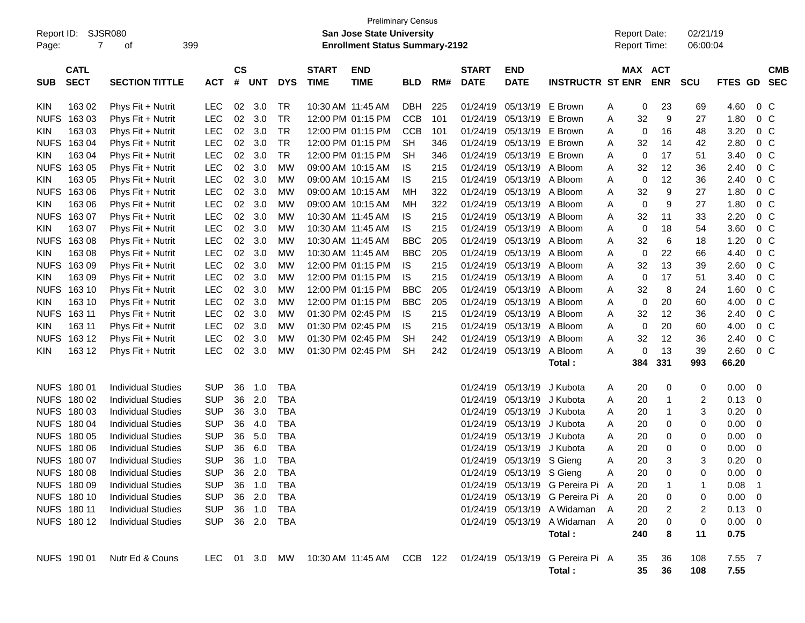| Report ID:<br>Page: | SJSR080<br>$\overline{7}$  | of                        | 399           |                    |            |            |                             | <b>Preliminary Census</b><br>San Jose State University<br><b>Enrollment Status Summary-2192</b> |            |     |                             |                           |                                                                       |   | <b>Report Date:</b><br>Report Time: |            | 02/21/19<br>06:00:04 |                |                         |                          |
|---------------------|----------------------------|---------------------------|---------------|--------------------|------------|------------|-----------------------------|-------------------------------------------------------------------------------------------------|------------|-----|-----------------------------|---------------------------|-----------------------------------------------------------------------|---|-------------------------------------|------------|----------------------|----------------|-------------------------|--------------------------|
| <b>SUB</b>          | <b>CATL</b><br><b>SECT</b> | <b>SECTION TITTLE</b>     | <b>ACT</b>    | $\mathsf{cs}$<br># | <b>UNT</b> | <b>DYS</b> | <b>START</b><br><b>TIME</b> | <b>END</b><br><b>TIME</b>                                                                       | <b>BLD</b> | RM# | <b>START</b><br><b>DATE</b> | <b>END</b><br><b>DATE</b> | <b>INSTRUCTR ST ENR</b>                                               |   | MAX ACT                             | <b>ENR</b> | <b>SCU</b>           | <b>FTES GD</b> |                         | <b>CMB</b><br><b>SEC</b> |
| <b>KIN</b>          | 163 02                     | Phys Fit + Nutrit         | <b>LEC</b>    | 02                 | 3.0        | TR         | 10:30 AM 11:45 AM           |                                                                                                 | <b>DBH</b> | 225 | 01/24/19                    | 05/13/19 E Brown          |                                                                       | A | 0                                   | 23         | 69                   | 4.60           | 0 <sup>C</sup>          |                          |
| <b>NUFS</b>         | 16303                      | Phys Fit + Nutrit         | <b>LEC</b>    | 02                 | 3.0        | <b>TR</b>  |                             | 12:00 PM 01:15 PM                                                                               | <b>CCB</b> | 101 | 01/24/19                    | 05/13/19                  | E Brown                                                               | A | 32                                  | 9          | 27                   | 1.80           | $0\,C$                  |                          |
| <b>KIN</b>          | 163 03                     | Phys Fit + Nutrit         | <b>LEC</b>    | 02                 | 3.0        | <b>TR</b>  |                             | 12:00 PM 01:15 PM                                                                               | <b>CCB</b> | 101 | 01/24/19                    | 05/13/19                  | E Brown                                                               | A | 0                                   | 16         | 48                   | 3.20           | $0\,C$                  |                          |
| <b>NUFS</b>         | 163 04                     | Phys Fit + Nutrit         | <b>LEC</b>    | 02                 | 3.0        | <b>TR</b>  |                             | 12:00 PM 01:15 PM                                                                               | <b>SH</b>  | 346 | 01/24/19                    | 05/13/19                  | E Brown                                                               | A | 32                                  | 14         | 42                   | 2.80           | $0\,C$                  |                          |
| <b>KIN</b>          | 163 04                     | Phys Fit + Nutrit         | <b>LEC</b>    | 02                 | 3.0        | <b>TR</b>  |                             | 12:00 PM 01:15 PM                                                                               | <b>SH</b>  | 346 | 01/24/19                    | 05/13/19 E Brown          |                                                                       | A | 0                                   | 17         | 51                   | 3.40           | $0\,C$                  |                          |
| <b>NUFS</b>         | 16305                      | Phys Fit + Nutrit         | <b>LEC</b>    | 02                 | 3.0        | МW         |                             | 09:00 AM 10:15 AM                                                                               | IS         | 215 | 01/24/19                    | 05/13/19 A Bloom          |                                                                       | A | 32                                  | 12         | 36                   | 2.40           | $0\,C$                  |                          |
| <b>KIN</b>          | 163 05                     | Phys Fit + Nutrit         | <b>LEC</b>    | 02                 | 3.0        | <b>MW</b>  |                             | 09:00 AM 10:15 AM                                                                               | IS         | 215 | 01/24/19                    | 05/13/19 A Bloom          |                                                                       | A | 0                                   | 12         | 36                   | 2.40           | $0\,C$                  |                          |
| <b>NUFS</b>         | 16306                      | Phys Fit + Nutrit         | <b>LEC</b>    | 02                 | 3.0        | <b>MW</b>  |                             | 09:00 AM 10:15 AM                                                                               | MН         | 322 | 01/24/19                    | 05/13/19 A Bloom          |                                                                       | A | 32                                  | 9          | 27                   | 1.80           | $0\,C$                  |                          |
| <b>KIN</b>          | 163 06                     | Phys Fit + Nutrit         | <b>LEC</b>    | 02                 | 3.0        | <b>MW</b>  |                             | 09:00 AM 10:15 AM                                                                               | MН         | 322 | 01/24/19                    | 05/13/19 A Bloom          |                                                                       | A | 0                                   | 9          | 27                   | 1.80           | $0\,C$                  |                          |
| <b>NUFS</b>         | 163 07                     | Phys Fit + Nutrit         | <b>LEC</b>    | 02                 | 3.0        | <b>MW</b>  |                             | 10:30 AM 11:45 AM                                                                               | IS         | 215 | 01/24/19                    | 05/13/19 A Bloom          |                                                                       | A | 32                                  | 11         | 33                   | 2.20           | $0\,C$                  |                          |
| <b>KIN</b>          | 163 07                     | Phys Fit + Nutrit         | <b>LEC</b>    | 02                 | 3.0        | МW         |                             | 10:30 AM 11:45 AM                                                                               | IS         | 215 | 01/24/19                    | 05/13/19 A Bloom          |                                                                       | A | $\mathbf 0$                         | 18         | 54                   | 3.60           | $0\,C$                  |                          |
| <b>NUFS</b>         | 16308                      | Phys Fit + Nutrit         | <b>LEC</b>    | 02                 | 3.0        | МW         |                             | 10:30 AM 11:45 AM                                                                               | <b>BBC</b> | 205 | 01/24/19                    | 05/13/19 A Bloom          |                                                                       | A | 32                                  | 6          | 18                   | 1.20           | $0\,C$                  |                          |
| <b>KIN</b>          | 163 08                     | Phys Fit + Nutrit         | <b>LEC</b>    | 02                 | 3.0        | <b>MW</b>  |                             | 10:30 AM 11:45 AM                                                                               | <b>BBC</b> | 205 | 01/24/19                    | 05/13/19 A Bloom          |                                                                       | A | 0                                   | 22         | 66                   | 4.40           | $0\,C$                  |                          |
| <b>NUFS</b>         | 16309                      | Phys Fit + Nutrit         | <b>LEC</b>    | 02                 | 3.0        | МW         |                             | 12:00 PM 01:15 PM                                                                               | IS         | 215 | 01/24/19                    | 05/13/19 A Bloom          |                                                                       | A | 32                                  | 13         | 39                   | 2.60           | $0\,C$                  |                          |
| KIN.                | 163 09                     | Phys Fit + Nutrit         | <b>LEC</b>    | 02                 | 3.0        | МW         |                             | 12:00 PM 01:15 PM                                                                               | IS         | 215 | 01/24/19                    | 05/13/19 A Bloom          |                                                                       | A | 0                                   | 17         | 51                   | 3.40           | $0\,C$                  |                          |
| <b>NUFS</b>         | 163 10                     | Phys Fit + Nutrit         | <b>LEC</b>    | 02                 | 3.0        | МW         |                             | 12:00 PM 01:15 PM                                                                               | <b>BBC</b> | 205 | 01/24/19                    | 05/13/19 A Bloom          |                                                                       | A | 32                                  | 8          | 24                   | 1.60           | $0\,C$                  |                          |
| <b>KIN</b>          | 163 10                     | Phys Fit + Nutrit         | <b>LEC</b>    | 02                 | 3.0        | МW         |                             | 12:00 PM 01:15 PM                                                                               | <b>BBC</b> | 205 | 01/24/19                    | 05/13/19 A Bloom          |                                                                       | A | $\mathbf 0$                         | 20         | 60                   | 4.00           | $0\,C$                  |                          |
| <b>NUFS</b>         | 163 11                     | Phys Fit + Nutrit         | <b>LEC</b>    | 02                 | 3.0        | МW         |                             | 01:30 PM 02:45 PM                                                                               | IS         | 215 | 01/24/19                    | 05/13/19                  | A Bloom                                                               | A | 32                                  | 12         | 36                   | 2.40           | $0\,C$                  |                          |
| <b>KIN</b>          | 163 11                     | Phys Fit + Nutrit         | <b>LEC</b>    | 02                 | 3.0        | МW         |                             | 01:30 PM 02:45 PM                                                                               | IS         | 215 | 01/24/19                    | 05/13/19 A Bloom          |                                                                       | A | $\mathbf 0$                         | 20         | 60                   | 4.00           | $0\,C$                  |                          |
| <b>NUFS</b>         | 163 12                     | Phys Fit + Nutrit         | <b>LEC</b>    | 02                 | 3.0        | МW         |                             | 01:30 PM 02:45 PM                                                                               | <b>SH</b>  | 242 | 01/24/19                    | 05/13/19                  | A Bloom                                                               | A | 32                                  | 12         | 36                   | 2.40           | $0\,C$                  |                          |
| <b>KIN</b>          | 163 12                     | Phys Fit + Nutrit         | LEC           | 02                 | 3.0        | <b>MW</b>  |                             | 01:30 PM 02:45 PM                                                                               | <b>SH</b>  | 242 | 01/24/19                    | 05/13/19                  | A Bloom                                                               | A | 0                                   | 13         | 39                   | 2.60           | 0 <sup>C</sup>          |                          |
|                     |                            |                           |               |                    |            |            |                             |                                                                                                 |            |     |                             |                           | Total:                                                                |   | 384                                 | 331        | 993                  | 66.20          |                         |                          |
|                     | NUFS 180 01                | <b>Individual Studies</b> | <b>SUP</b>    | 36                 | 1.0        | <b>TBA</b> |                             |                                                                                                 |            |     | 01/24/19                    | 05/13/19                  | J Kubota                                                              | A | 20                                  | 0          | 0                    | 0.00           | $\overline{\mathbf{0}}$ |                          |
| <b>NUFS</b>         | 180 02                     | <b>Individual Studies</b> | <b>SUP</b>    | 36                 | 2.0        | <b>TBA</b> |                             |                                                                                                 |            |     | 01/24/19                    | 05/13/19                  | J Kubota                                                              | A | 20                                  | -1         | 2                    | 0.13           | 0                       |                          |
| <b>NUFS</b>         | 180 03                     | <b>Individual Studies</b> | <b>SUP</b>    | 36                 | 3.0        | <b>TBA</b> |                             |                                                                                                 |            |     | 01/24/19                    | 05/13/19                  | J Kubota                                                              | A | 20                                  | -1         | 3                    | 0.20           | 0                       |                          |
| <b>NUFS</b>         | 18004                      | <b>Individual Studies</b> | <b>SUP</b>    | 36                 | 4.0        | <b>TBA</b> |                             |                                                                                                 |            |     | 01/24/19                    | 05/13/19                  | J Kubota                                                              | A | 20                                  | 0          | 0                    | 0.00           | 0                       |                          |
| <b>NUFS</b>         | 180 05                     | <b>Individual Studies</b> | <b>SUP</b>    | 36                 | 5.0        | <b>TBA</b> |                             |                                                                                                 |            |     | 01/24/19                    | 05/13/19                  | J Kubota                                                              | A | 20                                  | 0          | 0                    | 0.00           | 0                       |                          |
| <b>NUFS</b>         | 180 06                     | <b>Individual Studies</b> | <b>SUP</b>    | 36                 | 6.0        | <b>TBA</b> |                             |                                                                                                 |            |     | 01/24/19                    | 05/13/19                  | J Kubota                                                              | A | 20                                  | 0          | 0                    | 0.00           | 0                       |                          |
|                     | NUFS 180 07                | <b>Individual Studies</b> | <b>SUP</b>    | 36                 | 1.0        | <b>TBA</b> |                             |                                                                                                 |            |     |                             | 01/24/19 05/13/19 S Gieng |                                                                       | A | 20                                  | 3          | 3                    | 0.20           | $\boldsymbol{0}$        |                          |
|                     | NUFS 180 08                | <b>Individual Studies</b> | <b>SUP</b>    |                    | 36 2.0     | TBA        |                             |                                                                                                 |            |     |                             | 01/24/19 05/13/19 S Gieng |                                                                       | Α | 20                                  | 0          | 0                    | $0.00 \t 0$    |                         |                          |
|                     | NUFS 180 09                | <b>Individual Studies</b> | <b>SUP</b>    |                    | 36 1.0     | TBA        |                             |                                                                                                 |            |     |                             |                           | 01/24/19 05/13/19 G Pereira Pi A                                      |   | 20                                  |            | 1                    | $0.08$ 1       |                         |                          |
|                     | NUFS 180 10                | <b>Individual Studies</b> | <b>SUP</b>    |                    | 36 2.0     | TBA        |                             |                                                                                                 |            |     |                             |                           | 01/24/19 05/13/19 G Pereira Pi A                                      |   | 20                                  | 0          | 0                    | $0.00 \t 0$    |                         |                          |
|                     | NUFS 180 11                | <b>Individual Studies</b> | <b>SUP</b>    |                    | 36 1.0     | TBA        |                             |                                                                                                 |            |     |                             |                           | 01/24/19 05/13/19 A Widaman                                           | A | 20                                  | 2          | 2                    | $0.13 \ 0$     |                         |                          |
|                     | NUFS 180 12                | <b>Individual Studies</b> | <b>SUP</b>    |                    | 36 2.0     | TBA        |                             |                                                                                                 |            |     |                             |                           | 01/24/19 05/13/19 A Widaman                                           | A | 20                                  | 0          | 0                    | $0.00 \t 0$    |                         |                          |
|                     |                            |                           |               |                    |            |            |                             |                                                                                                 |            |     |                             |                           | Total:                                                                |   | 240                                 | 8          | 11                   | 0.75           |                         |                          |
|                     | NUFS 190 01                | Nutr Ed & Couns           | LEC 01 3.0 MW |                    |            |            |                             |                                                                                                 |            |     |                             |                           | 10:30 AM 11:45 AM CCB 122 01/24/19 05/13/19 G Pereira Pi A<br>Total : |   | 35<br>35                            | 36<br>36   | 108<br>108           | 7.55 7<br>7.55 |                         |                          |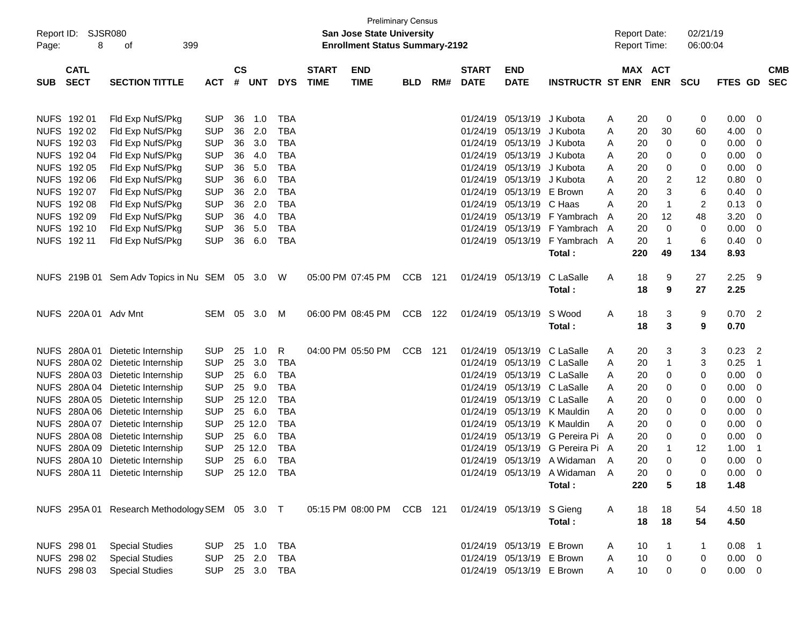| Page:      | Report ID: SJSR080<br>8 | 399<br>οf                                                                |                |           |            |            |              | <b>Preliminary Census</b><br>San Jose State University<br><b>Enrollment Status Summary-2192</b> |            |     |              |                           |                                  |   | <b>Report Date:</b><br><b>Report Time:</b> |            | 02/21/19<br>06:00:04 |             |                          |            |
|------------|-------------------------|--------------------------------------------------------------------------|----------------|-----------|------------|------------|--------------|-------------------------------------------------------------------------------------------------|------------|-----|--------------|---------------------------|----------------------------------|---|--------------------------------------------|------------|----------------------|-------------|--------------------------|------------|
|            | <b>CATL</b>             |                                                                          |                | <b>CS</b> |            |            | <b>START</b> | <b>END</b>                                                                                      |            |     | <b>START</b> | <b>END</b>                |                                  |   | MAX ACT                                    |            |                      |             |                          | <b>CMB</b> |
| <b>SUB</b> | <b>SECT</b>             | <b>SECTION TITTLE</b>                                                    | <b>ACT</b>     | #         | <b>UNT</b> | <b>DYS</b> | <b>TIME</b>  | <b>TIME</b>                                                                                     | <b>BLD</b> | RM# | <b>DATE</b>  | <b>DATE</b>               | <b>INSTRUCTR ST ENR</b>          |   |                                            | <b>ENR</b> | <b>SCU</b>           | FTES GD     |                          | <b>SEC</b> |
|            |                         |                                                                          |                |           |            |            |              |                                                                                                 |            |     |              |                           |                                  |   |                                            |            |                      |             |                          |            |
|            | NUFS 192 01             | Fld Exp NufS/Pkg                                                         | <b>SUP</b>     | 36        | 1.0        | TBA        |              |                                                                                                 |            |     |              | 01/24/19 05/13/19         | J Kubota                         | Α | 20                                         | 0          | 0                    | 0.00        | $\overline{\mathbf{0}}$  |            |
|            | NUFS 192 02             | Fld Exp NufS/Pkg                                                         | <b>SUP</b>     | 36        | 2.0        | <b>TBA</b> |              |                                                                                                 |            |     |              | 01/24/19 05/13/19         | J Kubota                         | Α | 20                                         | 30         | 60                   | 4.00        | 0                        |            |
|            | NUFS 192 03             | Fld Exp NufS/Pkg                                                         | <b>SUP</b>     | 36        | 3.0        | TBA        |              |                                                                                                 |            |     |              | 01/24/19 05/13/19         | J Kubota                         | A | 20                                         | 0          | 0                    | 0.00        | 0                        |            |
|            | NUFS 192 04             | Fld Exp NufS/Pkg                                                         | <b>SUP</b>     | 36        | 4.0        | <b>TBA</b> |              |                                                                                                 |            |     |              | 01/24/19 05/13/19         | J Kubota                         | A | 20                                         | 0          | 0                    | 0.00        | 0                        |            |
|            | NUFS 192 05             | Fld Exp NufS/Pkg                                                         | <b>SUP</b>     | 36        | 5.0        | <b>TBA</b> |              |                                                                                                 |            |     |              | 01/24/19 05/13/19         | J Kubota                         | A | 20                                         | 0          | 0                    | 0.00        | 0                        |            |
|            | NUFS 192 06             | Fld Exp NufS/Pkg                                                         | <b>SUP</b>     | 36        | 6.0        | <b>TBA</b> |              |                                                                                                 |            |     |              | 01/24/19 05/13/19         | J Kubota                         | A | 20                                         | 2          | 12                   | 0.80        | 0                        |            |
|            | NUFS 192 07             | Fld Exp NufS/Pkg                                                         | <b>SUP</b>     | 36        | 2.0        | <b>TBA</b> |              |                                                                                                 |            |     |              | 01/24/19 05/13/19 E Brown |                                  | A | 20                                         | 3          | 6                    | 0.40        | 0                        |            |
|            | NUFS 192 08             | Fld Exp NufS/Pkg                                                         | <b>SUP</b>     | 36        | 2.0        | <b>TBA</b> |              |                                                                                                 |            |     |              | 01/24/19 05/13/19 C Haas  |                                  | A | 20                                         | -1         | 2                    | 0.13        | 0                        |            |
|            | NUFS 192 09             | Fld Exp NufS/Pkg                                                         | <b>SUP</b>     | 36        | 4.0        | <b>TBA</b> |              |                                                                                                 |            |     |              |                           | 01/24/19 05/13/19 F Yambrach     | A | 20                                         | 12         | 48                   | 3.20        | 0                        |            |
|            | NUFS 192 10             | Fld Exp NufS/Pkg                                                         | <b>SUP</b>     | 36        | 5.0        | <b>TBA</b> |              |                                                                                                 |            |     |              |                           | 01/24/19 05/13/19 F Yambrach     | A | 20                                         | $\Omega$   | 0                    | 0.00        | 0                        |            |
|            | NUFS 192 11             | Fld Exp NufS/Pkg                                                         | <b>SUP</b>     | 36        | 6.0        | <b>TBA</b> |              |                                                                                                 |            |     |              | 01/24/19 05/13/19         | F Yambrach A                     |   | 20                                         | -1         | 6                    | 0.40        | 0                        |            |
|            |                         |                                                                          |                |           |            |            |              |                                                                                                 |            |     |              |                           | Total:                           |   | 220                                        | 49         | 134                  | 8.93        |                          |            |
|            |                         |                                                                          |                |           |            |            |              |                                                                                                 |            |     |              |                           |                                  |   |                                            |            |                      |             |                          |            |
|            |                         | NUFS 219B 01 Sem Adv Topics in Nu SEM 05 3.0                             |                |           |            | W          |              | 05:00 PM 07:45 PM                                                                               | <b>CCB</b> | 121 |              | 01/24/19 05/13/19         | C LaSalle                        | Α | 18                                         | 9          | 27                   | $2.25$ 9    |                          |            |
|            |                         |                                                                          |                |           |            |            |              |                                                                                                 |            |     |              |                           | Total :                          |   | 18                                         | 9          | 27                   | 2.25        |                          |            |
|            |                         |                                                                          |                |           |            |            |              |                                                                                                 |            |     |              |                           |                                  |   |                                            |            |                      |             |                          |            |
|            | NUFS 220A 01 Adv Mnt    |                                                                          | SEM 05         |           | 3.0        | M          |              | 06:00 PM 08:45 PM                                                                               | <b>CCB</b> | 122 |              | 01/24/19 05/13/19         | S Wood                           | Α | 18                                         | 3          | 9                    | $0.70$ 2    |                          |            |
|            |                         |                                                                          |                |           |            |            |              |                                                                                                 |            |     |              |                           | Total :                          |   | 18                                         | 3          | 9                    | 0.70        |                          |            |
|            |                         |                                                                          |                |           |            |            |              |                                                                                                 |            |     |              |                           |                                  |   |                                            |            |                      |             |                          |            |
|            | NUFS 280A 01            | Dietetic Internship                                                      | <b>SUP</b>     | 25        | 1.0        | R          |              | 04:00 PM 05:50 PM                                                                               | <b>CCB</b> | 121 |              | 01/24/19 05/13/19         | C LaSalle                        | A | 20                                         | 3          | 3                    | 0.23        | $\overline{\phantom{a}}$ |            |
|            |                         | NUFS 280A 02 Dietetic Internship                                         | <b>SUP</b>     | 25        | 3.0        | TBA        |              |                                                                                                 |            |     |              |                           | 01/24/19 05/13/19 C LaSalle      | A | 20                                         | 1          | 3                    | 0.25        | -1                       |            |
|            |                         | NUFS 280A 03 Dietetic Internship                                         | <b>SUP</b>     | 25        | 6.0        | <b>TBA</b> |              |                                                                                                 |            |     |              |                           | 01/24/19 05/13/19 C LaSalle      | A | 20                                         | 0          | 0                    | 0.00        | $\overline{0}$           |            |
|            |                         | NUFS 280A 04 Dietetic Internship                                         | <b>SUP</b>     | 25        | 9.0        | <b>TBA</b> |              |                                                                                                 |            |     |              |                           | 01/24/19 05/13/19 C LaSalle      | A | 20                                         | 0          | 0                    | 0.00        | 0                        |            |
|            |                         | NUFS 280A 05 Dietetic Internship                                         | <b>SUP</b>     |           | 25 12.0    | <b>TBA</b> |              |                                                                                                 |            |     |              |                           | 01/24/19 05/13/19 C LaSalle      | A | 20                                         | 0          | 0                    | 0.00        | 0                        |            |
|            |                         | NUFS 280A 06 Dietetic Internship                                         | <b>SUP</b>     |           | 25 6.0     | <b>TBA</b> |              |                                                                                                 |            |     |              |                           | 01/24/19 05/13/19 K Mauldin      | A | 20                                         | 0          | 0                    | 0.00        | 0                        |            |
|            |                         | NUFS 280A 07 Dietetic Internship                                         | <b>SUP</b>     |           | 25 12.0    | <b>TBA</b> |              |                                                                                                 |            |     |              |                           | 01/24/19 05/13/19 K Mauldin      | A | 20                                         | 0          | 0                    | 0.00        | 0                        |            |
|            |                         | NUFS 280A 08 Dietetic Internship                                         | <b>SUP</b>     |           | 25 6.0     | <b>TBA</b> |              |                                                                                                 |            |     |              | 01/24/19 05/13/19         | G Pereira Pi A                   |   | 20                                         | 0          | 0                    | 0.00        | 0                        |            |
|            |                         | NUFS 280A 09 Dietetic Internship                                         | <b>SUP</b>     |           | 25 12.0    | TBA        |              |                                                                                                 |            |     |              |                           | 01/24/19 05/13/19 G Pereira Pi A |   | 20                                         |            | 12                   | 1.00        | -1                       |            |
|            |                         | NUFS 280A 10 Dietetic Internship                                         | <b>SUP</b>     |           | 25 6.0     | <b>TBA</b> |              |                                                                                                 |            |     |              |                           | 01/24/19 05/13/19 A Widaman      | A | 20                                         | 0          | 0                    | 0.00        | 0                        |            |
|            |                         | NUFS 280A 11 Dietetic Internship                                         | <b>SUP</b>     |           | 25 12.0    | <b>TBA</b> |              |                                                                                                 |            |     |              |                           | 01/24/19 05/13/19 A Widaman      | Α | 20                                         | 0          | 0                    | 0.00        | 0                        |            |
|            |                         |                                                                          |                |           |            |            |              |                                                                                                 |            |     |              |                           | Total:                           |   | 220                                        | 5          | 18                   | 1.48        |                          |            |
|            |                         |                                                                          |                |           |            |            |              |                                                                                                 |            |     |              |                           |                                  |   |                                            |            |                      |             |                          |            |
|            |                         | NUFS 295A 01 Research Methodology SEM 05 3.0 T 05:15 PM 08:00 PM CCB 121 |                |           |            |            |              |                                                                                                 |            |     |              | 01/24/19 05/13/19 S Gieng |                                  | A | 18                                         | 18         | 54                   | 4.50 18     |                          |            |
|            |                         |                                                                          |                |           |            |            |              |                                                                                                 |            |     |              |                           | Total:                           |   | 18                                         | 18         | 54                   | 4.50        |                          |            |
|            |                         |                                                                          |                |           |            |            |              |                                                                                                 |            |     |              |                           |                                  |   |                                            |            |                      |             |                          |            |
|            | NUFS 298 01             | <b>Special Studies</b>                                                   | <b>SUP</b>     |           | 25 1.0     | <b>TBA</b> |              |                                                                                                 |            |     |              | 01/24/19 05/13/19 E Brown |                                  | A | 10                                         |            | 1                    | $0.08$ 1    |                          |            |
|            | NUFS 298 02             | <b>Special Studies</b>                                                   | <b>SUP</b>     |           | 25 2.0     | TBA        |              |                                                                                                 |            |     |              | 01/24/19 05/13/19 E Brown |                                  | A | 10                                         | 0          | 0                    | $0.00 \t 0$ |                          |            |
|            | NUFS 298 03             | <b>Special Studies</b>                                                   | SUP 25 3.0 TBA |           |            |            |              |                                                                                                 |            |     |              | 01/24/19 05/13/19 E Brown |                                  | A | 10                                         | 0          | 0                    | $0.00 \t 0$ |                          |            |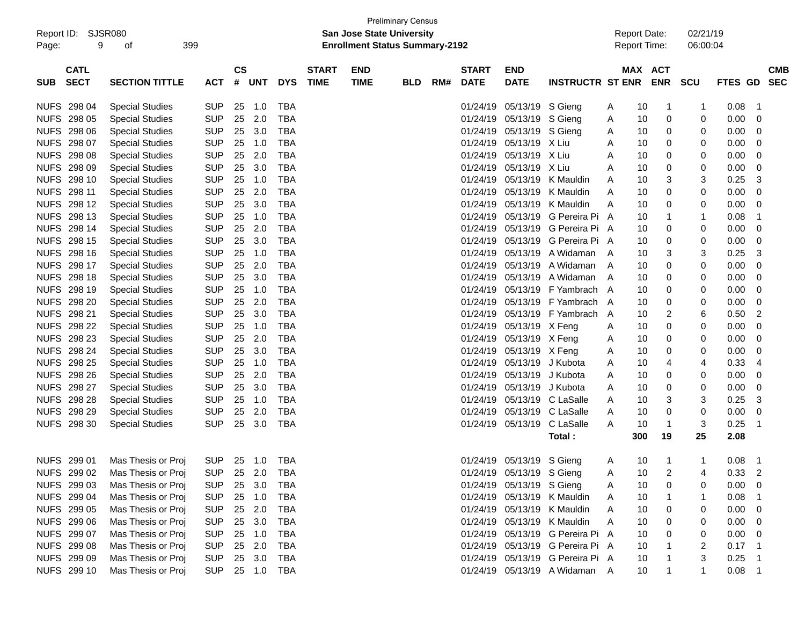|            | <b>Preliminary Census</b><br>SJSR080<br>San Jose State University<br>Report ID: |                        |            |                |            |            |                             |                                       |            |     |                             |                           |                               | <b>Report Date:</b> |      | 02/21/19                 |             |                |                          |
|------------|---------------------------------------------------------------------------------|------------------------|------------|----------------|------------|------------|-----------------------------|---------------------------------------|------------|-----|-----------------------------|---------------------------|-------------------------------|---------------------|------|--------------------------|-------------|----------------|--------------------------|
| Page:      | 9                                                                               | 399                    |            |                |            |            |                             | <b>Enrollment Status Summary-2192</b> |            |     |                             |                           |                               | <b>Report Time:</b> |      | 06:00:04                 |             |                |                          |
| <b>SUB</b> | <b>CATL</b><br><b>SECT</b>                                                      | <b>SECTION TITTLE</b>  | <b>ACT</b> | <b>CS</b><br># | <b>UNT</b> | <b>DYS</b> | <b>START</b><br><b>TIME</b> | <b>END</b><br><b>TIME</b>             | <b>BLD</b> | RM# | <b>START</b><br><b>DATE</b> | <b>END</b><br><b>DATE</b> | <b>INSTRUCTR ST ENR</b>       |                     | MAX  | <b>ACT</b><br><b>ENR</b> | <b>SCU</b>  | <b>FTES GD</b> | <b>CMB</b><br><b>SEC</b> |
|            | NUFS 298 04                                                                     | <b>Special Studies</b> | <b>SUP</b> | 25             | 1.0        | <b>TBA</b> |                             |                                       |            |     | 01/24/19                    | 05/13/19 S Gieng          |                               | A                   | 10   | 1                        | $\mathbf 1$ | 0.08           | -1                       |
|            | NUFS 298 05                                                                     | <b>Special Studies</b> | <b>SUP</b> | 25             | 2.0        | <b>TBA</b> |                             |                                       |            |     | 01/24/19                    | 05/13/19 S Gieng          |                               | A                   | 10   | 0                        | 0           | 0.00           | 0                        |
|            | NUFS 298 06                                                                     | <b>Special Studies</b> | <b>SUP</b> | 25             | 3.0        | <b>TBA</b> |                             |                                       |            |     | 01/24/19                    | 05/13/19 S Gieng          |                               | A                   | 10   | 0                        | 0           | 0.00           | 0                        |
|            | NUFS 298 07                                                                     | <b>Special Studies</b> | <b>SUP</b> | 25             | 1.0        | <b>TBA</b> |                             |                                       |            |     | 01/24/19                    | 05/13/19                  | X Liu                         | Α                   | 10   | 0                        | 0           | 0.00           | 0                        |
|            | NUFS 298 08                                                                     | <b>Special Studies</b> | <b>SUP</b> | 25             | 2.0        | <b>TBA</b> |                             |                                       |            |     | 01/24/19                    | 05/13/19                  | X Liu                         | Α                   | 10   | 0                        | 0           | 0.00           | 0                        |
|            | NUFS 298 09                                                                     | <b>Special Studies</b> | <b>SUP</b> | 25             | 3.0        | <b>TBA</b> |                             |                                       |            |     | 01/24/19                    | 05/13/19 X Liu            |                               | A                   | 10   | 0                        | 0           | 0.00           | 0                        |
|            | NUFS 298 10                                                                     | <b>Special Studies</b> | <b>SUP</b> | 25             | 1.0        | <b>TBA</b> |                             |                                       |            |     | 01/24/19                    | 05/13/19                  | K Mauldin                     | A                   | 10   | 3                        | 3           | 0.25           | 3                        |
|            | NUFS 298 11                                                                     | <b>Special Studies</b> | <b>SUP</b> | 25             | 2.0        | <b>TBA</b> |                             |                                       |            |     | 01/24/19                    | 05/13/19                  | K Mauldin                     | Α                   | 10   | 0                        | 0           | 0.00           | 0                        |
|            | NUFS 298 12                                                                     | <b>Special Studies</b> | <b>SUP</b> | 25             | 3.0        | <b>TBA</b> |                             |                                       |            |     | 01/24/19                    | 05/13/19                  | K Mauldin                     | Α                   | 10   | 0                        | 0           | 0.00           | 0                        |
|            | NUFS 298 13                                                                     | <b>Special Studies</b> | <b>SUP</b> | 25             | 1.0        | <b>TBA</b> |                             |                                       |            |     | 01/24/19                    | 05/13/19                  | G Pereira Pi                  | A                   | 10   | 1                        | -1          | 0.08           | 1                        |
|            | NUFS 298 14                                                                     | <b>Special Studies</b> | <b>SUP</b> | 25             | 2.0        | <b>TBA</b> |                             |                                       |            |     | 01/24/19                    | 05/13/19                  | G Pereira Pi A                |                     | 10   | 0                        | 0           | 0.00           | 0                        |
|            | NUFS 298 15                                                                     | <b>Special Studies</b> | <b>SUP</b> | 25             | 3.0        | <b>TBA</b> |                             |                                       |            |     | 01/24/19                    | 05/13/19                  | G Pereira Pi A                |                     | 10   | 0                        | 0           | 0.00           | 0                        |
|            | NUFS 298 16                                                                     | <b>Special Studies</b> | <b>SUP</b> | 25             | 1.0        | <b>TBA</b> |                             |                                       |            |     | 01/24/19                    | 05/13/19                  | A Widaman                     | A                   | 10   | 3                        | 3           | 0.25           | 3                        |
|            | NUFS 298 17                                                                     | <b>Special Studies</b> | <b>SUP</b> | 25             | 2.0        | <b>TBA</b> |                             |                                       |            |     | 01/24/19                    | 05/13/19                  | A Widaman                     | A                   | 10   | 0                        | 0           | 0.00           | 0                        |
|            | NUFS 298 18                                                                     | <b>Special Studies</b> | <b>SUP</b> | 25             | 3.0        | <b>TBA</b> |                             |                                       |            |     | 01/24/19                    | 05/13/19                  | A Widaman                     | A                   | 10   | 0                        | 0           | 0.00           | 0                        |
|            | NUFS 298 19                                                                     | <b>Special Studies</b> | <b>SUP</b> | 25             | 1.0        | <b>TBA</b> |                             |                                       |            |     | 01/24/19                    |                           | 05/13/19 F Yambrach A         |                     | 10   | 0                        | 0           | 0.00           | 0                        |
|            | NUFS 298 20                                                                     | <b>Special Studies</b> | <b>SUP</b> | 25             | 2.0        | <b>TBA</b> |                             |                                       |            |     | 01/24/19                    |                           | 05/13/19 F Yambrach A         |                     | 10   | 0                        | 0           | 0.00           | 0                        |
|            | NUFS 298 21                                                                     | <b>Special Studies</b> | <b>SUP</b> | 25             | 3.0        | <b>TBA</b> |                             |                                       |            |     | 01/24/19                    |                           | 05/13/19 F Yambrach           | A                   | 10   | 2                        | 6           | 0.50           | 2                        |
|            | <b>NUFS 298 22</b>                                                              | <b>Special Studies</b> | <b>SUP</b> | 25             | 1.0        | <b>TBA</b> |                             |                                       |            |     | 01/24/19                    | 05/13/19 X Feng           |                               | A                   | 10   | 0                        | 0           | 0.00           | 0                        |
|            | NUFS 298 23                                                                     | <b>Special Studies</b> | <b>SUP</b> | 25             | 2.0        | <b>TBA</b> |                             |                                       |            |     | 01/24/19                    | 05/13/19 X Feng           |                               | Α                   | 10   | 0                        | 0           | 0.00           | 0                        |
|            | NUFS 298 24                                                                     | <b>Special Studies</b> | <b>SUP</b> | 25             | 3.0        | <b>TBA</b> |                             |                                       |            |     | 01/24/19                    | 05/13/19 X Feng           |                               | Α                   | 10   | 0                        | 0           | 0.00           | 0                        |
|            | <b>NUFS 298 25</b>                                                              | <b>Special Studies</b> | <b>SUP</b> | 25             | 1.0        | <b>TBA</b> |                             |                                       |            |     | 01/24/19                    | 05/13/19                  | J Kubota                      | Α                   | 10   | 4                        | 4           | 0.33           | 4                        |
|            | NUFS 298 26                                                                     | <b>Special Studies</b> | <b>SUP</b> | 25             | 2.0        | <b>TBA</b> |                             |                                       |            |     | 01/24/19                    | 05/13/19                  | J Kubota                      | Α                   | 10   | 0                        | 0           | 0.00           | 0                        |
|            | NUFS 298 27                                                                     | <b>Special Studies</b> | <b>SUP</b> | 25             | 3.0        | <b>TBA</b> |                             |                                       |            |     | 01/24/19                    | 05/13/19                  | J Kubota                      | A                   | 10   | 0                        | 0           | 0.00           | 0                        |
|            | <b>NUFS 298 28</b>                                                              | <b>Special Studies</b> | <b>SUP</b> | 25             | 1.0        | <b>TBA</b> |                             |                                       |            |     | 01/24/19                    | 05/13/19                  | C LaSalle                     | A                   | 10   | 3                        | 3           | 0.25           | 3                        |
|            | NUFS 298 29                                                                     | <b>Special Studies</b> | <b>SUP</b> | 25             | 2.0        | <b>TBA</b> |                             |                                       |            |     | 01/24/19                    | 05/13/19                  | C LaSalle                     | A                   | 10   | 0                        | 0           | 0.00           | 0                        |
|            | NUFS 298 30                                                                     | <b>Special Studies</b> | <b>SUP</b> | 25             | 3.0        | <b>TBA</b> |                             |                                       |            |     | 01/24/19                    | 05/13/19                  | C LaSalle                     | Α                   | 10   | 1                        | 3           | 0.25           | 1                        |
|            |                                                                                 |                        |            |                |            |            |                             |                                       |            |     |                             |                           | Total:                        |                     | 300  | 19                       | 25          | 2.08           |                          |
|            | NUFS 299 01                                                                     | Mas Thesis or Proj     | <b>SUP</b> |                | 25 1.0     | TBA        |                             |                                       |            |     |                             | 01/24/19 05/13/19 S Gieng |                               | A                   | 10   | 1                        | 1           | 0.08           | -1                       |
|            | NUFS 299 02                                                                     | Mas Thesis or Proj     | SUP 25 2.0 |                |            | <b>TBA</b> |                             |                                       |            |     |                             | 01/24/19 05/13/19 S Gieng |                               | A                   | $10$ | $\overline{2}$           | 4           | 0.33           | $\overline{2}$           |
|            | NUFS 299 03                                                                     | Mas Thesis or Proj     | <b>SUP</b> | 25             | 3.0        | <b>TBA</b> |                             |                                       |            |     |                             | 01/24/19 05/13/19 S Gieng |                               | A                   | 10   | 0                        | 0           | 0.00           | 0                        |
|            | NUFS 299 04                                                                     | Mas Thesis or Proj     | <b>SUP</b> | 25             | 1.0        | <b>TBA</b> |                             |                                       |            |     |                             |                           | 01/24/19 05/13/19 K Mauldin   | A                   | 10   |                          |             | 0.08           | -1                       |
|            | NUFS 299 05                                                                     | Mas Thesis or Proj     | <b>SUP</b> | 25             | 2.0        | <b>TBA</b> |                             |                                       |            |     | 01/24/19                    |                           | 05/13/19 K Mauldin            | Α                   | 10   | 0                        | 0           | 0.00           | 0                        |
|            | NUFS 299 06                                                                     | Mas Thesis or Proj     | <b>SUP</b> |                | 25 3.0     | <b>TBA</b> |                             |                                       |            |     | 01/24/19                    |                           | 05/13/19 K Mauldin            | Α                   | 10   | 0                        | 0           | 0.00           | 0                        |
|            | NUFS 299 07                                                                     | Mas Thesis or Proj     | <b>SUP</b> | 25             | 1.0        | <b>TBA</b> |                             |                                       |            |     | 01/24/19                    |                           | 05/13/19 G Pereira Pi A       |                     | 10   | 0                        | 0           | 0.00           | 0                        |
|            | NUFS 299 08                                                                     | Mas Thesis or Proj     | <b>SUP</b> |                | 25 2.0     | <b>TBA</b> |                             |                                       |            |     | 01/24/19                    |                           | 05/13/19 G Pereira Pi A       |                     | 10   |                          | 2           | 0.17           |                          |
|            | NUFS 299 09                                                                     | Mas Thesis or Proj     | <b>SUP</b> |                | 25 3.0     | TBA        |                             |                                       |            |     | 01/24/19                    |                           | 05/13/19 G Pereira Pi A       |                     | 10   |                          | 3           | 0.25           |                          |
|            | NUFS 299 10                                                                     | Mas Thesis or Proj     | <b>SUP</b> |                | 25 1.0     | <b>TBA</b> |                             |                                       |            |     |                             |                           | 01/24/19 05/13/19 A Widaman A |                     | 10   |                          |             | 0.08           | $\mathbf 1$              |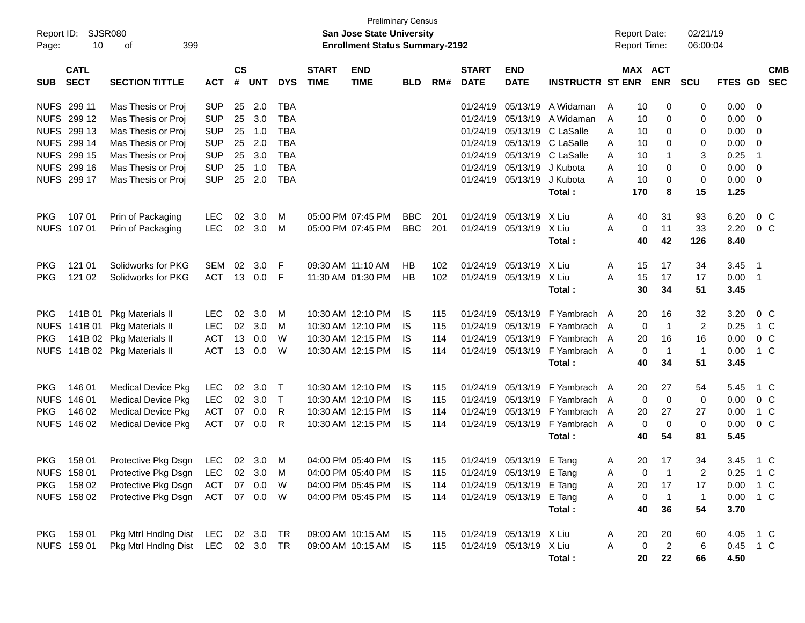| Report ID:<br>Page: | 10                         | SJSR080<br>399<br>оf                                 |              |                    |            |            |                             | <b>Preliminary Census</b><br><b>San Jose State University</b><br><b>Enrollment Status Summary-2192</b> |            |            |                              |                           |                         |   | <b>Report Date:</b><br>Report Time: |                       | 02/21/19<br>06:00:04 |              |                          |                          |
|---------------------|----------------------------|------------------------------------------------------|--------------|--------------------|------------|------------|-----------------------------|--------------------------------------------------------------------------------------------------------|------------|------------|------------------------------|---------------------------|-------------------------|---|-------------------------------------|-----------------------|----------------------|--------------|--------------------------|--------------------------|
| <b>SUB</b>          | <b>CATL</b><br><b>SECT</b> | <b>SECTION TITTLE</b>                                | <b>ACT</b>   | $\mathsf{cs}$<br># | <b>UNT</b> | <b>DYS</b> | <b>START</b><br><b>TIME</b> | <b>END</b><br><b>TIME</b>                                                                              | <b>BLD</b> | RM#        | <b>START</b><br><b>DATE</b>  | <b>END</b><br><b>DATE</b> | <b>INSTRUCTR ST ENR</b> |   |                                     | MAX ACT<br><b>ENR</b> | <b>SCU</b>           | FTES GD      |                          | <b>CMB</b><br><b>SEC</b> |
|                     | NUFS 299 11                | Mas Thesis or Proj                                   | <b>SUP</b>   | 25                 | 2.0        | TBA        |                             |                                                                                                        |            |            | 01/24/19                     | 05/13/19                  | A Widaman               | A | 10                                  | 0                     | 0                    | 0.00         | - 0                      |                          |
|                     | NUFS 299 12                | Mas Thesis or Proj                                   | <b>SUP</b>   | 25                 | 3.0        | <b>TBA</b> |                             |                                                                                                        |            |            | 01/24/19                     |                           | 05/13/19 A Widaman      | A | 10                                  | 0                     | 0                    | 0.00         | - 0                      |                          |
|                     | NUFS 299 13                | Mas Thesis or Proj                                   | <b>SUP</b>   | 25                 | 1.0        | <b>TBA</b> |                             |                                                                                                        |            |            | 01/24/19                     | 05/13/19                  | C LaSalle               | A | 10                                  | 0                     | 0                    | 0.00         | $\overline{0}$           |                          |
|                     | NUFS 299 14                | Mas Thesis or Proj                                   | <b>SUP</b>   | 25                 | 2.0        | <b>TBA</b> |                             |                                                                                                        |            |            | 01/24/19                     | 05/13/19                  | C LaSalle               | A | 10                                  | 0                     | 0                    | 0.00         | - 0                      |                          |
|                     | NUFS 299 15                | Mas Thesis or Proj                                   | <b>SUP</b>   | 25                 | 3.0        | <b>TBA</b> |                             |                                                                                                        |            |            | 01/24/19                     | 05/13/19                  | C LaSalle               | A | 10                                  | $\mathbf 1$           | 3                    | 0.25         | - 1                      |                          |
|                     | NUFS 299 16                | Mas Thesis or Proj                                   | <b>SUP</b>   | 25                 | 1.0        | <b>TBA</b> |                             |                                                                                                        |            |            | 01/24/19                     | 05/13/19                  | J Kubota                | A | 10                                  | 0                     | 0                    | 0.00         | - 0                      |                          |
|                     | NUFS 299 17                | Mas Thesis or Proj                                   | <b>SUP</b>   | 25                 | 2.0        | <b>TBA</b> |                             |                                                                                                        |            |            | 01/24/19                     | 05/13/19 J Kubota         |                         | A | 10                                  | 0                     | 0                    | 0.00         | $\overline{\mathbf{0}}$  |                          |
|                     |                            |                                                      |              |                    |            |            |                             |                                                                                                        |            |            |                              |                           | Total:                  |   | 170                                 | 8                     | 15                   | 1.25         |                          |                          |
| <b>PKG</b>          | 107 01                     | Prin of Packaging                                    | <b>LEC</b>   | 02                 | 3.0        | M          |                             | 05:00 PM 07:45 PM                                                                                      | <b>BBC</b> | 201        | 01/24/19                     | 05/13/19                  | X Liu                   | A | 40                                  | 31                    | 93                   | 6.20         | $0\,$ C                  |                          |
|                     | NUFS 107 01                | Prin of Packaging                                    | <b>LEC</b>   | 02                 | 3.0        | M          |                             | 05:00 PM 07:45 PM                                                                                      | <b>BBC</b> | 201        | 01/24/19                     | 05/13/19 X Liu            |                         | A | 0                                   | 11                    | 33                   | 2.20         | 0 <sup>C</sup>           |                          |
|                     |                            |                                                      |              |                    |            |            |                             |                                                                                                        |            |            |                              |                           | Total:                  |   | 40                                  | 42                    | 126                  | 8.40         |                          |                          |
|                     |                            |                                                      |              |                    |            |            |                             |                                                                                                        |            |            |                              |                           |                         |   |                                     |                       |                      |              |                          |                          |
| <b>PKG</b>          | 121 01                     | Solidworks for PKG                                   | <b>SEM</b>   | 02                 | 3.0        | F          |                             | 09:30 AM 11:10 AM                                                                                      | HB         | 102        | 01/24/19                     | 05/13/19                  | X Liu                   | A | 15                                  | 17                    | 34                   | 3.45         | - 1                      |                          |
| <b>PKG</b>          | 121 02                     | Solidworks for PKG                                   | ACT          | 13                 | 0.0        | F          |                             | 11:30 AM 01:30 PM                                                                                      | HB         | 102        | 01/24/19                     | 05/13/19 X Liu            |                         | A | 15                                  | 17                    | 17                   | 0.00         | $\overline{\phantom{1}}$ |                          |
|                     |                            |                                                      |              |                    |            |            |                             |                                                                                                        |            |            |                              |                           | Total:                  |   | 30                                  | 34                    | 51                   | 3.45         |                          |                          |
|                     |                            |                                                      | <b>LEC</b>   | 02                 | 3.0        |            |                             | 10:30 AM 12:10 PM                                                                                      |            |            | 01/24/19                     | 05/13/19                  | F Yambrach A            |   |                                     |                       |                      |              | $0\,$ C                  |                          |
| PKG.<br><b>NUFS</b> |                            | 141B 01 Pkg Materials II<br>141B 01 Pkg Materials II | <b>LEC</b>   | 02                 | 3.0        | M<br>M     |                             | 10:30 AM 12:10 PM                                                                                      | IS         | 115<br>115 | 01/24/19                     | 05/13/19                  | F Yambrach A            |   | 20<br>0                             | 16<br>$\overline{1}$  | 32<br>$\overline{2}$ | 3.20<br>0.25 | 1 C                      |                          |
| PKG.                |                            | 141B 02 Pkg Materials II                             | <b>ACT</b>   | 13                 | 0.0        | W          |                             | 10:30 AM 12:15 PM                                                                                      | IS<br>IS   | 114        | 01/24/19                     | 05/13/19                  | F Yambrach              | A | 20                                  | 16                    | 16                   | 0.00         | 0 <sup>C</sup>           |                          |
|                     |                            | NUFS 141B 02 Pkg Materials II                        | <b>ACT</b>   | 13                 | 0.0        | W          |                             | 10:30 AM 12:15 PM                                                                                      | IS         | 114        | 01/24/19                     | 05/13/19                  | F Yambrach A            |   | 0                                   | $\overline{1}$        | $\overline{1}$       | 0.00         | 1 C                      |                          |
|                     |                            |                                                      |              |                    |            |            |                             |                                                                                                        |            |            |                              |                           | Total:                  |   | 40                                  | 34                    | 51                   | 3.45         |                          |                          |
|                     |                            |                                                      |              |                    |            |            |                             |                                                                                                        |            |            |                              |                           |                         |   |                                     |                       |                      |              |                          |                          |
| <b>PKG</b>          | 146 01                     | <b>Medical Device Pkg</b>                            | <b>LEC</b>   | 02                 | 3.0        | $\top$     |                             | 10:30 AM 12:10 PM                                                                                      | IS         | 115        | 01/24/19                     | 05/13/19                  | F Yambrach A            |   | 20                                  | 27                    | 54                   | 5.45         | 1 C                      |                          |
| <b>NUFS</b>         | 146 01                     | <b>Medical Device Pkg</b>                            | <b>LEC</b>   | 02                 | 3.0        | $\top$     |                             | 10:30 AM 12:10 PM                                                                                      | IS         | 115        | 01/24/19                     | 05/13/19                  | F Yambrach A            |   | 0                                   | 0                     | 0                    | 0.00         | 0 <sup>o</sup>           |                          |
| <b>PKG</b>          | 146 02                     | <b>Medical Device Pkg</b>                            | <b>ACT</b>   | 07                 | 0.0        | R          |                             | 10:30 AM 12:15 PM                                                                                      | IS         | 114        | 01/24/19                     | 05/13/19                  | F Yambrach              | A | 20                                  | 27                    | 27                   | 0.00         | 1 C                      |                          |
|                     | NUFS 146 02                | <b>Medical Device Pkg</b>                            | <b>ACT</b>   | 07                 | 0.0        | R          |                             | 10:30 AM 12:15 PM                                                                                      | IS         | 114        | 01/24/19                     | 05/13/19                  | F Yambrach A            |   | 0                                   | $\mathbf 0$           | 0                    | 0.00         | 0 <sup>o</sup>           |                          |
|                     |                            |                                                      |              |                    |            |            |                             |                                                                                                        |            |            |                              |                           | Total:                  |   | 40                                  | 54                    | 81                   | 5.45         |                          |                          |
| PKG.                | 158 01                     | Protective Pkg Dsgn                                  | LEC 02 3.0 M |                    |            |            |                             | 04:00 PM 05:40 PM                                                                                      | - IS       | 115        |                              | 01/24/19 05/13/19 E Tang  |                         | A | 20                                  | 17                    | 34                   | 3.45         | 1 C                      |                          |
|                     |                            | NUFS 158 01 Protective Pkg Dsgn LEC 02 3.0 M         |              |                    |            |            |                             | 04:00 PM 05:40 PM IS                                                                                   |            |            | 115 01/24/19 05/13/19 E Tang |                           |                         | Α | $\overline{0}$                      | $\overline{1}$        | $\overline{c}$       | 0.25 1 C     |                          |                          |
| PKG                 | 158 02                     | Protective Pkg Dsgn                                  | ACT          |                    | 07 0.0     | W          |                             | 04:00 PM 05:45 PM                                                                                      | - IS       | 114        |                              | 01/24/19 05/13/19 E Tang  |                         | A | 20                                  | 17                    | 17                   | 0.00         | 1 C                      |                          |
|                     | NUFS 158 02                | Protective Pkg Dsgn                                  | ACT 07 0.0 W |                    |            |            |                             | 04:00 PM 05:45 PM IS                                                                                   |            | 114        |                              | 01/24/19 05/13/19 E Tang  |                         | A | 0                                   | $\overline{1}$        | $\mathbf{1}$         | 0.00 1 C     |                          |                          |
|                     |                            |                                                      |              |                    |            |            |                             |                                                                                                        |            |            |                              |                           | Total:                  |   | 40                                  | 36                    | 54                   | 3.70         |                          |                          |
|                     |                            |                                                      |              |                    |            |            |                             |                                                                                                        |            |            |                              |                           |                         |   |                                     |                       |                      |              |                          |                          |
| <b>PKG</b>          | 159 01                     | Pkg Mtrl Hndlng Dist LEC 02 3.0 TR                   |              |                    |            |            |                             | 09:00 AM 10:15 AM IS                                                                                   |            | 115        |                              | 01/24/19 05/13/19 X Liu   |                         | A | 20                                  | 20                    | 60                   | 4.05 1 C     |                          |                          |
|                     | NUFS 159 01                | Pkg Mtrl Hndlng Dist LEC 02 3.0 TR                   |              |                    |            |            |                             | 09:00 AM 10:15 AM IS                                                                                   |            | 115        |                              | 01/24/19 05/13/19 X Liu   |                         | A | 0                                   | $\overline{2}$        | 6                    | 0.45 1 C     |                          |                          |
|                     |                            |                                                      |              |                    |            |            |                             |                                                                                                        |            |            |                              |                           | Total:                  |   | 20                                  | 22                    | 66                   | 4.50         |                          |                          |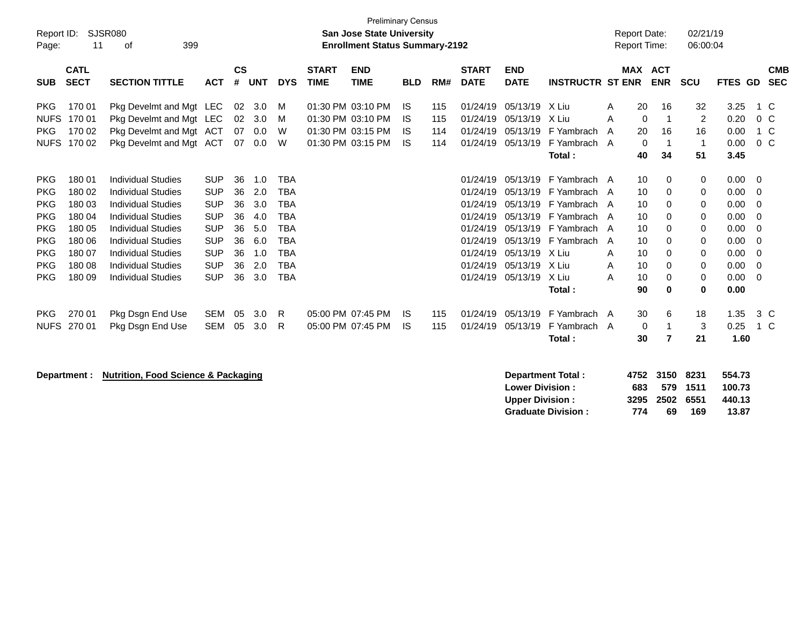| <b>Preliminary Census</b><br><b>SJSR080</b><br>Report ID:<br><b>San Jose State University</b><br>11<br>399<br><b>Enrollment Status Summary-2192</b><br>οf<br>Page: |                                                                                       |                                                                                                                                                                                                                                                                   |                                                                                                                            |                                                    |                                                             |                                                                                                                            |                             |                                                                                  |                                      |                          |                                                                                                          |                                                                                                          | <b>Report Date:</b><br><b>Report Time:</b>                                                                                    |                       | 02/21/19<br>06:00:04                                     |                                                                     |                                                    |                                                                              |                                                                                     |                          |
|--------------------------------------------------------------------------------------------------------------------------------------------------------------------|---------------------------------------------------------------------------------------|-------------------------------------------------------------------------------------------------------------------------------------------------------------------------------------------------------------------------------------------------------------------|----------------------------------------------------------------------------------------------------------------------------|----------------------------------------------------|-------------------------------------------------------------|----------------------------------------------------------------------------------------------------------------------------|-----------------------------|----------------------------------------------------------------------------------|--------------------------------------|--------------------------|----------------------------------------------------------------------------------------------------------|----------------------------------------------------------------------------------------------------------|-------------------------------------------------------------------------------------------------------------------------------|-----------------------|----------------------------------------------------------|---------------------------------------------------------------------|----------------------------------------------------|------------------------------------------------------------------------------|-------------------------------------------------------------------------------------|--------------------------|
| <b>SUB</b>                                                                                                                                                         | <b>CATL</b><br><b>SECT</b>                                                            | <b>SECTION TITTLE</b>                                                                                                                                                                                                                                             | <b>ACT</b>                                                                                                                 | $\mathsf{cs}$<br>#                                 | <b>UNT</b>                                                  | <b>DYS</b>                                                                                                                 | <b>START</b><br><b>TIME</b> | <b>END</b><br><b>TIME</b>                                                        | <b>BLD</b>                           | RM#                      | <b>START</b><br><b>DATE</b>                                                                              | <b>END</b><br><b>DATE</b>                                                                                | <b>INSTRUCTR ST ENR</b>                                                                                                       |                       | <b>MAX</b>                                               | <b>ACT</b><br><b>ENR</b>                                            | <b>SCU</b>                                         | FTES GD                                                                      |                                                                                     | <b>CMB</b><br><b>SEC</b> |
| <b>PKG</b><br><b>NUFS</b><br><b>PKG</b><br><b>NUFS</b>                                                                                                             | 170 01<br>170 01<br>170 02<br>170 02                                                  | Pkg Develmt and Mgt LEC<br>Pkg Develmt and Mgt LEC<br>Pkg Develmt and Mgt ACT<br>Pkg Develmt and Mgt ACT                                                                                                                                                          |                                                                                                                            | 02<br>02<br>07<br>07                               | 3.0<br>3.0<br>0.0<br>0.0                                    | м<br>м<br>W<br>W                                                                                                           |                             | 01:30 PM 03:10 PM<br>01:30 PM 03:10 PM<br>01:30 PM 03:15 PM<br>01:30 PM 03:15 PM | <b>IS</b><br><b>IS</b><br>IS.<br>IS. | 115<br>115<br>114<br>114 | 01/24/19<br>01/24/19<br>01/24/19<br>01/24/19                                                             | 05/13/19<br>05/13/19<br>05/13/19<br>05/13/19                                                             | X Liu<br>X Liu<br>F Yambrach<br>F Yambrach A<br>Total:                                                                        | A<br>A<br>A           | 20<br>0<br>20<br>$\mathbf 0$<br>40                       | 16<br>$\mathbf 1$<br>16<br>$\mathbf 1$<br>34                        | 32<br>$\overline{c}$<br>16<br>$\overline{1}$<br>51 | 3.25<br>0.20<br>0.00<br>0.00<br>3.45                                         | 1 C<br>$0\,C$<br>1 C<br>$0\,C$                                                      |                          |
| <b>PKG</b><br><b>PKG</b><br><b>PKG</b><br><b>PKG</b><br><b>PKG</b><br><b>PKG</b><br><b>PKG</b><br><b>PKG</b><br><b>PKG</b>                                         | 180 01<br>180 02<br>180 03<br>180 04<br>180 05<br>180 06<br>180 07<br>180 08<br>18009 | <b>Individual Studies</b><br><b>Individual Studies</b><br><b>Individual Studies</b><br><b>Individual Studies</b><br><b>Individual Studies</b><br><b>Individual Studies</b><br><b>Individual Studies</b><br><b>Individual Studies</b><br><b>Individual Studies</b> | <b>SUP</b><br><b>SUP</b><br><b>SUP</b><br><b>SUP</b><br><b>SUP</b><br><b>SUP</b><br><b>SUP</b><br><b>SUP</b><br><b>SUP</b> | 36<br>36<br>36<br>36<br>36<br>36<br>36<br>36<br>36 | 1.0<br>2.0<br>3.0<br>4.0<br>5.0<br>6.0<br>1.0<br>2.0<br>3.0 | <b>TBA</b><br><b>TBA</b><br><b>TBA</b><br><b>TBA</b><br><b>TBA</b><br><b>TBA</b><br><b>TBA</b><br><b>TBA</b><br><b>TBA</b> |                             |                                                                                  |                                      |                          | 01/24/19<br>01/24/19<br>01/24/19<br>01/24/19<br>01/24/19<br>01/24/19<br>01/24/19<br>01/24/19<br>01/24/19 | 05/13/19<br>05/13/19<br>05/13/19<br>05/13/19<br>05/13/19<br>05/13/19<br>05/13/19<br>05/13/19<br>05/13/19 | F Yambrach A<br>F Yambrach A<br>F Yambrach A<br>F Yambrach<br>F Yambrach A<br>F Yambrach<br>X Liu<br>X Liu<br>X Liu<br>Total: | A<br>A<br>A<br>A<br>Α | 10<br>10<br>10<br>10<br>10<br>10<br>10<br>10<br>10<br>90 | 0<br>$\Omega$<br>0<br>0<br>0<br>0<br>$\Omega$<br>0<br>0<br>$\bf{0}$ | 0<br>0<br>0<br>0<br>0<br>0<br>0<br>0<br>0<br>0     | 0.00<br>0.00<br>0.00<br>0.00<br>0.00<br>0.00<br>0.00<br>0.00<br>0.00<br>0.00 | 0<br>$\Omega$<br>0<br>$\Omega$<br>$\Omega$<br>$\Omega$<br>$\Omega$<br>0<br>$\Omega$ |                          |
| <b>PKG</b><br><b>NUFS</b>                                                                                                                                          | 270 01<br>270 01                                                                      | Pkg Dsgn End Use<br>Pkg Dsgn End Use                                                                                                                                                                                                                              | <b>SEM</b><br><b>SEM</b>                                                                                                   | 05<br>05                                           | 3.0<br>3.0                                                  | R<br>R                                                                                                                     |                             | 05:00 PM 07:45 PM<br>05:00 PM 07:45 PM                                           | <b>IS</b><br><b>IS</b>               | 115<br>115               | 01/24/19<br>01/24/19                                                                                     | 05/13/19<br>05/13/19                                                                                     | F Yambrach<br>F Yambrach A<br>Total:                                                                                          | A                     | 30<br>0<br>30                                            | 6<br>$\mathbf 1$<br>$\overline{7}$                                  | 18<br>3<br>21                                      | 1.35<br>0.25<br>1.60                                                         | $3\,C$<br>1 C                                                                       |                          |
|                                                                                                                                                                    | Department :                                                                          | <b>Nutrition, Food Science &amp; Packaging</b>                                                                                                                                                                                                                    |                                                                                                                            |                                                    |                                                             |                                                                                                                            |                             |                                                                                  |                                      |                          |                                                                                                          | <b>Lower Division:</b>                                                                                   | <b>Department Total:</b>                                                                                                      |                       | 4752<br>683                                              | 3150<br>579                                                         | 8231<br>1511                                       | 554.73<br>100.73                                                             |                                                                                     |                          |

**Upper Division : 3295 2502 6551 440.13 Graduate Division : 774 69 169 13.87**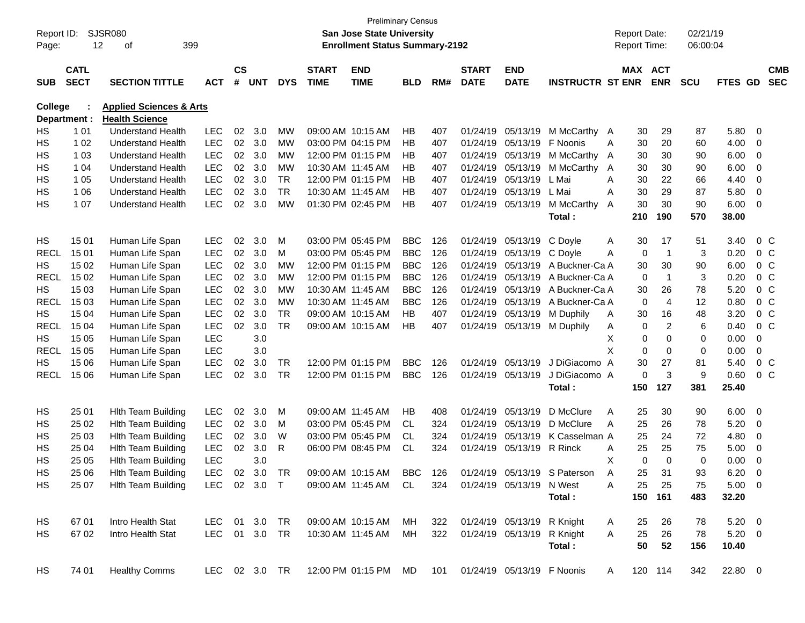| Report ID:<br>Page: |              | SJSR080<br>12<br>399<br>οf         |               |                 |            |            |              | <b>San Jose State University</b><br><b>Enrollment Status Summary-2192</b> | <b>Preliminary Census</b> |     |                            |                            |                              |   | <b>Report Date:</b><br><b>Report Time:</b> |                         | 02/21/19<br>06:00:04 |             |                         |                |
|---------------------|--------------|------------------------------------|---------------|-----------------|------------|------------|--------------|---------------------------------------------------------------------------|---------------------------|-----|----------------------------|----------------------------|------------------------------|---|--------------------------------------------|-------------------------|----------------------|-------------|-------------------------|----------------|
|                     | <b>CATL</b>  |                                    |               | $\mathsf{cs}$   |            |            | <b>START</b> | <b>END</b>                                                                |                           |     | <b>START</b>               | <b>END</b>                 |                              |   | <b>MAX ACT</b>                             |                         |                      |             |                         | <b>CMB</b>     |
| <b>SUB</b>          | <b>SECT</b>  | <b>SECTION TITTLE</b>              | ACT           | #               | <b>UNT</b> | <b>DYS</b> | <b>TIME</b>  | <b>TIME</b>                                                               | <b>BLD</b>                | RM# | <b>DATE</b>                | <b>DATE</b>                | <b>INSTRUCTR ST ENR</b>      |   |                                            | <b>ENR</b>              | <b>SCU</b>           | FTES GD     |                         | <b>SEC</b>     |
| <b>College</b>      |              | <b>Applied Sciences &amp; Arts</b> |               |                 |            |            |              |                                                                           |                           |     |                            |                            |                              |   |                                            |                         |                      |             |                         |                |
|                     | Department : | <b>Health Science</b>              |               |                 |            |            |              |                                                                           |                           |     |                            |                            |                              |   |                                            |                         |                      |             |                         |                |
| HS                  | 1 0 1        | <b>Understand Health</b>           | <b>LEC</b>    | 02              | 3.0        | MW         |              | 09:00 AM 10:15 AM                                                         | HВ                        | 407 | 01/24/19                   |                            | 05/13/19 M McCarthy A        |   | 30                                         | 29                      | 87                   | 5.80        | - 0                     |                |
| HS                  | 1 0 2        | <b>Understand Health</b>           | <b>LEC</b>    | 02 <sub>o</sub> | 3.0        | MW         |              | 03:00 PM 04:15 PM                                                         | ΗB                        | 407 | 01/24/19                   | 05/13/19                   | F Noonis                     | A | 30                                         | 20                      | 60                   | 4.00        | 0                       |                |
| HS                  | 1 0 3        | <b>Understand Health</b>           | <b>LEC</b>    | 02              | 3.0        | <b>MW</b>  |              | 12:00 PM 01:15 PM                                                         | ΗB                        | 407 | 01/24/19                   | 05/13/19                   | M McCarthy A                 |   | 30                                         | 30                      | 90                   | 6.00        | 0                       |                |
| HS                  | 1 0 4        | <b>Understand Health</b>           | <b>LEC</b>    | 02              | 3.0        | <b>MW</b>  |              | 10:30 AM 11:45 AM                                                         | ΗB                        | 407 | 01/24/19                   | 05/13/19                   | M McCarthy                   | A | 30                                         | 30                      | 90                   | 6.00        | 0                       |                |
| HS                  | 1 0 5        | <b>Understand Health</b>           | <b>LEC</b>    | 02              | 3.0        | <b>TR</b>  |              | 12:00 PM 01:15 PM                                                         | ΗB                        | 407 | 01/24/19                   | 05/13/19                   | L Mai                        | A | 30                                         | 22                      | 66                   | 4.40        | 0                       |                |
| HS                  | 1 0 6        | <b>Understand Health</b>           | <b>LEC</b>    | 02              | 3.0        | <b>TR</b>  |              | 10:30 AM 11:45 AM                                                         | ΗB                        | 407 | 01/24/19                   | 05/13/19 L Mai             |                              | A | 30                                         | 29                      | 87                   | 5.80        | 0                       |                |
| HS                  | 1 0 7        | <b>Understand Health</b>           | <b>LEC</b>    | 02              | 3.0        | <b>MW</b>  |              | 01:30 PM 02:45 PM                                                         | ΗB                        | 407 | 01/24/19                   | 05/13/19                   | M McCarthy                   | A | 30                                         | 30                      | 90                   | 6.00        | 0                       |                |
|                     |              |                                    |               |                 |            |            |              |                                                                           |                           |     |                            |                            | Total:                       |   | 210                                        | 190                     | 570                  | 38.00       |                         |                |
| HS                  | 15 01        | Human Life Span                    | <b>LEC</b>    | 02              | 3.0        | M          |              | 03:00 PM 05:45 PM                                                         | <b>BBC</b>                | 126 | 01/24/19                   | 05/13/19 C Doyle           |                              | A | 30                                         | 17                      | 51                   | 3.40        |                         | 0 <sup>C</sup> |
| <b>RECL</b>         | 15 01        | Human Life Span                    | <b>LEC</b>    | 02              | 3.0        | M          |              | 03:00 PM 05:45 PM                                                         | <b>BBC</b>                | 126 | 01/24/19                   | 05/13/19 C Doyle           |                              | Α | 0                                          | $\overline{\mathbf{1}}$ | 3                    | 0.20        |                         | $0\,C$         |
| HS                  | 15 02        | Human Life Span                    | <b>LEC</b>    | 02              | 3.0        | MW         |              | 12:00 PM 01:15 PM                                                         | <b>BBC</b>                | 126 | 01/24/19                   | 05/13/19                   | A Buckner-Ca A               |   | 30                                         | 30                      | 90                   | 6.00        |                         | $0\,C$         |
| <b>RECL</b>         | 15 02        | Human Life Span                    | <b>LEC</b>    | 02              | 3.0        | MW         |              | 12:00 PM 01:15 PM                                                         | <b>BBC</b>                | 126 | 01/24/19                   | 05/13/19                   | A Buckner-Ca A               |   | 0                                          | $\overline{1}$          | 3                    | 0.20        |                         | $0\,C$         |
| HS                  | 15 03        | Human Life Span                    | <b>LEC</b>    | 02              | 3.0        | <b>MW</b>  |              | 10:30 AM 11:45 AM                                                         | <b>BBC</b>                | 126 | 01/24/19                   | 05/13/19                   | A Buckner-Ca A               |   | 30                                         | 26                      | 78                   | 5.20        |                         | $0\,C$         |
| <b>RECL</b>         | 15 03        | Human Life Span                    | <b>LEC</b>    | 02              | 3.0        | MW         |              | 10:30 AM 11:45 AM                                                         | <b>BBC</b>                | 126 | 01/24/19                   | 05/13/19                   | A Buckner-Ca A               |   | 0                                          | $\overline{4}$          | 12                   | 0.80        |                         | 0 <sup>C</sup> |
| HS                  | 15 04        | Human Life Span                    | <b>LEC</b>    | 02              | 3.0        | <b>TR</b>  |              | 09:00 AM 10:15 AM                                                         | НB                        | 407 | 01/24/19                   | 05/13/19                   | M Duphily                    | A | 30                                         | 16                      | 48                   | 3.20        |                         | 0 <sup>C</sup> |
| <b>RECL</b>         | 15 04        | Human Life Span                    | LEC           | 02              | 3.0        | <b>TR</b>  |              | 09:00 AM 10:15 AM                                                         | HB                        | 407 | 01/24/19                   |                            | 05/13/19 M Duphily           | Α | 0                                          | $\overline{c}$          | 6                    | 0.40        |                         | 0 <sup>C</sup> |
| HS                  | 15 05        | Human Life Span                    | <b>LEC</b>    |                 | 3.0        |            |              |                                                                           |                           |     |                            |                            |                              | х | 0                                          | 0                       | 0                    | 0.00        | 0                       |                |
| <b>RECL</b>         | 15 05        | Human Life Span                    | <b>LEC</b>    |                 | 3.0        |            |              |                                                                           |                           |     |                            |                            |                              | X | 0                                          | 0                       | 0                    | 0.00        | 0                       |                |
| HS                  | 15 06        | Human Life Span                    | <b>LEC</b>    | 02              | 3.0        | TR         |              | 12:00 PM 01:15 PM                                                         | <b>BBC</b>                | 126 | 01/24/19                   | 05/13/19                   | J DiGiacomo A                |   | 30                                         | 27                      | 81                   | 5.40        |                         | 0 <sup>C</sup> |
| <b>RECL</b>         | 15 06        | Human Life Span                    | <b>LEC</b>    | 02              | 3.0        | <b>TR</b>  |              | 12:00 PM 01:15 PM                                                         | <b>BBC</b>                | 126 | 01/24/19                   | 05/13/19                   | J DiGiacomo A                |   | $\Omega$                                   | 3                       | 9                    | 0.60        |                         | 0 <sup>C</sup> |
|                     |              |                                    |               |                 |            |            |              |                                                                           |                           |     |                            |                            | Total:                       |   | 150                                        | 127                     | 381                  | 25.40       |                         |                |
| HS                  | 25 01        | <b>Hith Team Building</b>          | <b>LEC</b>    | 02              | 3.0        | M          |              | 09:00 AM 11:45 AM                                                         | HB                        | 408 | 01/24/19                   | 05/13/19                   | D McClure                    | Α | 25                                         | 30                      | 90                   | 6.00        | $\overline{\mathbf{0}}$ |                |
| НS                  | 25 02        | <b>Hith Team Building</b>          | <b>LEC</b>    | 02              | 3.0        | M          |              | 03:00 PM 05:45 PM                                                         | CL.                       | 324 | 01/24/19                   | 05/13/19                   | D McClure                    | A | 25                                         | 26                      | 78                   | 5.20        | 0                       |                |
| HS                  | 25 03        | <b>Hith Team Building</b>          | LEC           | 02              | 3.0        | W          |              | 03:00 PM 05:45 PM                                                         | CL                        | 324 | 01/24/19                   | 05/13/19                   | K Casselman A                |   | 25                                         | 24                      | 72                   | 4.80        | 0                       |                |
| HS                  | 25 04        | <b>Hith Team Building</b>          | LEC           | 02              | 3.0        | R          |              | 06:00 PM 08:45 PM                                                         | CL                        | 324 | 01/24/19                   | 05/13/19 R Rinck           |                              | Α | 25                                         | 25                      | 75                   | 5.00        | 0                       |                |
| HS                  | 25 05        | <b>Hith Team Building</b>          | <b>LEC</b>    |                 | 3.0        |            |              |                                                                           |                           |     |                            |                            |                              | Χ | 0                                          | $\Omega$                | 0                    | 0.00        | 0                       |                |
| HS                  | 25 06        | Hith Team Building                 | $LEC$ 02      |                 | 3.0        | TR         |              | 09:00 AM 10:15 AM                                                         | BBC                       | 126 |                            |                            | 01/24/19 05/13/19 S Paterson | А | 25                                         | 31                      | 93                   | 6.20        | $\Omega$                |                |
| HS.                 | 25 07        | Hith Team Building                 | LEC 02 3.0 T  |                 |            |            |              | 09:00 AM 11:45 AM CL                                                      |                           | 324 |                            | 01/24/19 05/13/19 N West   |                              | A | 25                                         | 25                      | 75                   | $5.00 \t 0$ |                         |                |
|                     |              |                                    |               |                 |            |            |              |                                                                           |                           |     |                            |                            | Total:                       |   |                                            | 150 161                 | 483                  | 32.20       |                         |                |
| HS                  | 67 01        | Intro Health Stat                  | LEC 01 3.0 TR |                 |            |            |              | 09:00 AM 10:15 AM MH                                                      |                           | 322 | 01/24/19 05/13/19 R Knight |                            |                              | A | 25                                         | 26                      | 78                   | $5.20 \ 0$  |                         |                |
| HS.                 | 67 02        | Intro Health Stat                  | LEC 01 3.0 TR |                 |            |            |              | 10:30 AM 11:45 AM MH                                                      |                           | 322 |                            | 01/24/19 05/13/19 R Knight |                              | A | 25                                         | 26                      | 78                   | $5.20 \ 0$  |                         |                |
|                     |              |                                    |               |                 |            |            |              |                                                                           |                           |     |                            |                            | Total:                       |   | 50                                         | 52                      | 156                  | 10.40       |                         |                |
| HS                  | 74 01        | <b>Healthy Comms</b>               |               |                 |            |            |              | LEC 02 3.0 TR 12:00 PM 01:15 PM MD 101 01/24/19 05/13/19 F Noonis         |                           |     |                            |                            |                              | A |                                            | 120 114                 | 342                  | 22.80 0     |                         |                |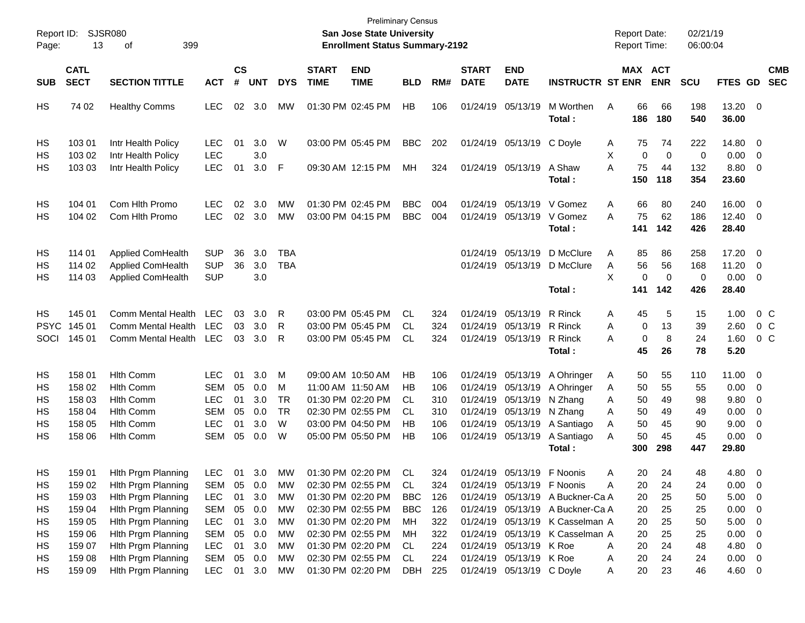| Report ID:<br>Page:       | <b>SJSR080</b><br>13                                              |                                                                           |                                        |                    |                   |                          | <b>Preliminary Census</b><br><b>San Jose State University</b><br><b>Enrollment Status Summary-2192</b> |                                                             |                                |                   |                             |                                                             | <b>Report Date:</b><br><b>Report Time:</b>                                                              |             |                               | 02/21/19<br>06:00:04    |                       |                               |                                                                                |                          |
|---------------------------|-------------------------------------------------------------------|---------------------------------------------------------------------------|----------------------------------------|--------------------|-------------------|--------------------------|--------------------------------------------------------------------------------------------------------|-------------------------------------------------------------|--------------------------------|-------------------|-----------------------------|-------------------------------------------------------------|---------------------------------------------------------------------------------------------------------|-------------|-------------------------------|-------------------------|-----------------------|-------------------------------|--------------------------------------------------------------------------------|--------------------------|
| <b>SUB</b>                | <b>CATL</b><br><b>SECT</b><br><b>SECTION TITTLE</b><br><b>ACT</b> |                                                                           |                                        | $\mathsf{cs}$<br># | <b>UNT</b>        | <b>DYS</b>               | <b>START</b><br><b>TIME</b>                                                                            | <b>END</b><br><b>TIME</b>                                   | <b>BLD</b>                     | RM#               | <b>START</b><br><b>DATE</b> | <b>END</b><br><b>DATE</b>                                   | <b>INSTRUCTR ST ENR</b>                                                                                 |             | MAX ACT                       | <b>ENR</b>              | <b>SCU</b>            | FTES GD                       |                                                                                | <b>CMB</b><br><b>SEC</b> |
| HS                        | 74 02                                                             | <b>Healthy Comms</b>                                                      | <b>LEC</b>                             | 02                 | 3.0               | MW                       |                                                                                                        | 01:30 PM 02:45 PM                                           | HB                             | 106               |                             | 01/24/19 05/13/19                                           | M Worthen<br>Total:                                                                                     | A           | 66<br>186                     | 66<br>180               | 198<br>540            | 13.20 0<br>36.00              |                                                                                |                          |
| HS<br>НS                  | 103 01<br>103 02                                                  | Intr Health Policy<br>Intr Health Policy                                  | <b>LEC</b><br><b>LEC</b>               | 01                 | 3.0<br>3.0        | W                        |                                                                                                        | 03:00 PM 05:45 PM                                           | <b>BBC</b>                     | 202               |                             | 01/24/19 05/13/19                                           | C Doyle                                                                                                 | A<br>X      | 75<br>$\mathbf 0$             | 74<br>$\mathbf 0$       | 222<br>0              | 14.80<br>0.00                 | $\overline{\phantom{0}}$<br>$\overline{0}$                                     |                          |
| НS                        | 103 03                                                            | Intr Health Policy                                                        | <b>LEC</b>                             | 01                 | 3.0               | F                        |                                                                                                        | 09:30 AM 12:15 PM                                           | МH                             | 324               |                             | 01/24/19 05/13/19                                           | A Shaw<br>Total:                                                                                        | A           | 75<br>150                     | 44<br>118               | 132<br>354            | 8.80<br>23.60                 | 0                                                                              |                          |
| НS<br>НS                  | 104 01<br>104 02                                                  | Com Hith Promo<br>Com Hith Promo                                          | <b>LEC</b><br><b>LEC</b>               | 02<br>02           | 3.0<br>3.0        | МW<br>MW                 |                                                                                                        | 01:30 PM 02:45 PM<br>03:00 PM 04:15 PM                      | <b>BBC</b><br><b>BBC</b>       | 004<br>004        |                             | 01/24/19 05/13/19<br>01/24/19 05/13/19                      | V Gomez<br>V Gomez<br>Total:                                                                            | A<br>A      | 66<br>75<br>141               | 80<br>62<br>142         | 240<br>186<br>426     | 16.00<br>12.40<br>28.40       | $\overline{\mathbf{0}}$<br>$\overline{\mathbf{0}}$                             |                          |
| НS<br>НS<br>НS            | 114 01<br>114 02<br>114 03                                        | <b>Applied ComHealth</b><br>Applied ComHealth<br><b>Applied ComHealth</b> | <b>SUP</b><br><b>SUP</b><br><b>SUP</b> | 36<br>36           | 3.0<br>3.0<br>3.0 | <b>TBA</b><br><b>TBA</b> |                                                                                                        |                                                             |                                |                   | 01/24/19                    | 05/13/19<br>01/24/19 05/13/19                               | D McClure<br>D McClure                                                                                  | A<br>Α<br>X | 85<br>56<br>0                 | 86<br>56<br>$\mathbf 0$ | 258<br>168<br>0       | 17.20<br>11.20<br>0.00        | $\overline{0}$<br>$\overline{0}$<br>$\overline{0}$                             |                          |
| HS<br><b>PSYC</b><br>SOCI | 145 01<br>145 01<br>145 01                                        | Comm Mental Health<br><b>Comm Mental Health</b><br>Comm Mental Health     | <b>LEC</b><br><b>LEC</b><br><b>LEC</b> | 03<br>03<br>03     | 3.0<br>3.0<br>3.0 | R<br>R<br>R              |                                                                                                        | 03:00 PM 05:45 PM<br>03:00 PM 05:45 PM<br>03:00 PM 05:45 PM | CL.<br>CL.<br>CL.              | 324<br>324<br>324 |                             | 01/24/19 05/13/19<br>01/24/19 05/13/19<br>01/24/19 05/13/19 | Total:<br>R Rinck<br>R Rinck<br>R Rinck                                                                 | A<br>A<br>A | 141<br>45<br>0<br>$\mathbf 0$ | 142<br>5<br>13<br>8     | 426<br>15<br>39<br>24 | 28.40<br>1.00<br>2.60<br>1.60 | 0 <sup>o</sup><br>0 <sup>o</sup><br>$0\,C$                                     |                          |
|                           |                                                                   |                                                                           |                                        |                    |                   |                          |                                                                                                        |                                                             |                                |                   |                             |                                                             | Total:                                                                                                  |             | 45                            | 26                      | 78                    | 5.20                          |                                                                                |                          |
| HS<br>НS<br>НS            | 158 01<br>158 02<br>158 03                                        | <b>Hlth Comm</b><br><b>Hith Comm</b><br><b>Hlth Comm</b>                  | <b>LEC</b><br><b>SEM</b><br><b>LEC</b> | 01<br>05<br>01     | 3.0<br>0.0<br>3.0 | M<br>M<br><b>TR</b>      |                                                                                                        | 09:00 AM 10:50 AM<br>11:00 AM 11:50 AM<br>01:30 PM 02:20 PM | НB<br>НB<br>CL.                | 106<br>106<br>310 | 01/24/19                    | 05/13/19<br>01/24/19 05/13/19                               | 01/24/19 05/13/19 A Ohringer<br>A Ohringer<br>N Zhang                                                   | A<br>A<br>A | 50<br>50<br>50                | 55<br>55<br>49          | 110<br>55<br>98       | 11.00<br>0.00<br>9.80         | $\overline{\mathbf{0}}$<br>$\overline{0}$<br>0                                 |                          |
| НS<br>НS<br>НS            | 158 04<br>158 05<br>158 06                                        | <b>Hlth Comm</b><br><b>Hlth Comm</b><br><b>Hlth Comm</b>                  | <b>SEM</b><br><b>LEC</b><br><b>SEM</b> | 05<br>01<br>05     | 0.0<br>3.0<br>0.0 | <b>TR</b><br>W<br>W      |                                                                                                        | 02:30 PM 02:55 PM<br>03:00 PM 04:50 PM<br>05:00 PM 05:50 PM | CL.<br>НB<br>НB                | 310<br>106<br>106 |                             | 01/24/19 05/13/19<br>01/24/19 05/13/19<br>01/24/19 05/13/19 | N Zhang<br>A Santiago<br>A Santiago<br>Total:                                                           | A<br>A<br>A | 50<br>50<br>50<br>300         | 49<br>45<br>45<br>298   | 49<br>90<br>45<br>447 | 0.00<br>9.00<br>0.00<br>29.80 | 0<br>0<br>0                                                                    |                          |
| HS<br>HS                  | 159 01<br>159 02                                                  | Hith Prgm Planning<br>Hith Prgm Planning                                  | SEM                                    | 05                 | LEC 01 3.0<br>0.0 | MW<br>МW                 |                                                                                                        | 01:30 PM 02:20 PM<br>02:30 PM 02:55 PM                      | -CL<br>CL.                     | 324<br>324        |                             | 01/24/19 05/13/19 F Noonis<br>01/24/19 05/13/19 F Noonis    |                                                                                                         | A<br>Α      | 20<br>20                      | 24<br>24                | 48<br>24              | $4.80\ 0$<br>0.00             | $\overline{\phantom{0}}$                                                       |                          |
| HS<br>HS<br>HS            | 159 03<br>159 04<br>159 05                                        | Hith Prgm Planning<br>Hith Prgm Planning<br>Hith Prgm Planning            | <b>LEC</b><br><b>SEM</b><br><b>LEC</b> | 01<br>05<br>01     | 3.0<br>0.0<br>3.0 | МW<br>МW<br>МW           |                                                                                                        | 01:30 PM 02:20 PM<br>02:30 PM 02:55 PM<br>01:30 PM 02:20 PM | <b>BBC</b><br><b>BBC</b><br>MH | 126<br>126<br>322 |                             |                                                             | 01/24/19 05/13/19 A Buckner-Ca A<br>01/24/19 05/13/19 A Buckner-Ca A<br>01/24/19 05/13/19 K Casselman A |             | 20<br>20<br>20                | 25<br>25<br>25          | 50<br>25<br>50        | 5.00<br>0.00<br>5.00          | $\overline{\mathbf{0}}$<br>$\overline{\mathbf{0}}$<br>$\overline{\phantom{0}}$ |                          |
| HS<br>HS<br>HS            | 159 06<br>159 07<br>159 08                                        | Hith Prgm Planning<br>Hith Prgm Planning<br>Hith Prgm Planning            | <b>SEM</b><br><b>LEC</b><br><b>SEM</b> | 05<br>01<br>05     | 0.0<br>3.0<br>0.0 | МW<br>МW<br>МW           |                                                                                                        | 02:30 PM 02:55 PM<br>01:30 PM 02:20 PM<br>02:30 PM 02:55 PM | MH<br>CL<br>CL                 | 322<br>224<br>224 |                             | 01/24/19 05/13/19 K Roe<br>01/24/19 05/13/19 K Roe          | 01/24/19 05/13/19 K Casselman A                                                                         | A<br>A      | 20<br>20<br>20                | 25<br>24<br>24          | 25<br>48<br>24        | 0.00<br>4.80<br>$0.00 \t 0$   | $\overline{\phantom{0}}$<br>$\overline{\phantom{0}}$                           |                          |
| HS                        | 159 09                                                            | Hith Prgm Planning                                                        | <b>LEC</b>                             |                    | 01 3.0            | MW                       |                                                                                                        | 01:30 PM 02:20 PM                                           | DBH                            | 225               |                             | 01/24/19 05/13/19 C Doyle                                   |                                                                                                         | A           | 20                            | 23                      | 46                    | 4.60 0                        |                                                                                |                          |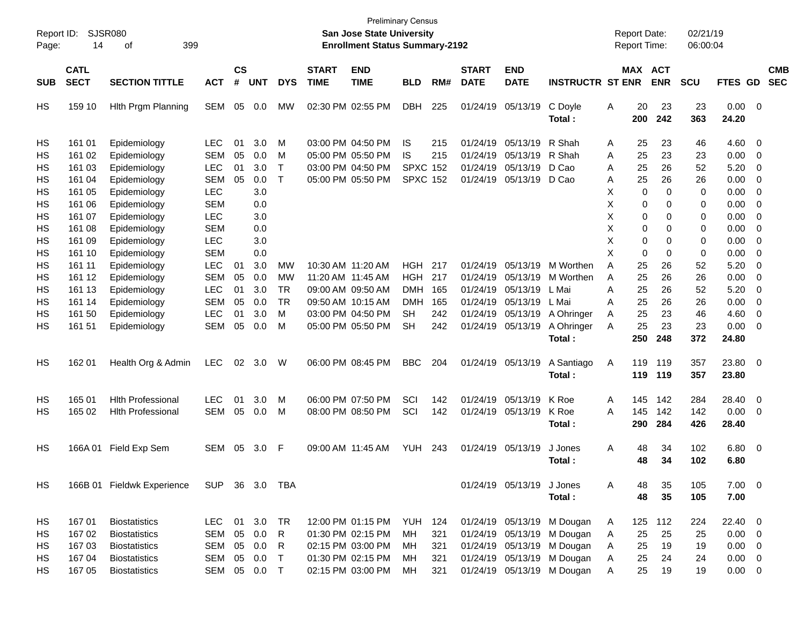| Report ID:            |                                                                   | SJSR080                                              |                                        |                |                   |                             |                             | <b>San Jose State University</b>                            | <b>Preliminary Census</b>                 |                   |                                  |                                        |                                        |             | <b>Report Date:</b>     |                       | 02/21/19          |                            |                          |                          |
|-----------------------|-------------------------------------------------------------------|------------------------------------------------------|----------------------------------------|----------------|-------------------|-----------------------------|-----------------------------|-------------------------------------------------------------|-------------------------------------------|-------------------|----------------------------------|----------------------------------------|----------------------------------------|-------------|-------------------------|-----------------------|-------------------|----------------------------|--------------------------|--------------------------|
| Page:                 | 14<br>399<br>οf                                                   |                                                      |                                        |                |                   |                             |                             | <b>Enrollment Status Summary-2192</b>                       |                                           |                   |                                  |                                        |                                        |             | Report Time:            |                       | 06:00:04          |                            |                          |                          |
| <b>SUB</b>            | <b>CATL</b><br><b>SECT</b><br><b>SECTION TITTLE</b><br><b>ACT</b> |                                                      |                                        | <b>CS</b><br># | <b>UNT</b>        | <b>DYS</b>                  | <b>START</b><br><b>TIME</b> | <b>END</b><br><b>TIME</b>                                   | <b>BLD</b>                                | RM#               | <b>START</b><br><b>DATE</b>      | <b>END</b><br><b>DATE</b>              | <b>INSTRUCTR ST ENR</b>                |             |                         | MAX ACT<br><b>ENR</b> | <b>SCU</b>        | FTES GD                    |                          | <b>CMB</b><br><b>SEC</b> |
| HS                    | 159 10                                                            | Hith Prgm Planning                                   | <b>SEM</b>                             | 05             | 0.0               | MW                          |                             | 02:30 PM 02:55 PM                                           | <b>DBH</b>                                | 225               | 01/24/19                         | 05/13/19                               | C Doyle<br>Total:                      | Α           | 20<br>200               | 23<br>242             | 23<br>363         | 0.00<br>24.20              | $\overline{0}$           |                          |
| HS<br>HS<br>HS        | 161 01<br>161 02<br>161 03                                        | Epidemiology<br>Epidemiology<br>Epidemiology         | <b>LEC</b><br><b>SEM</b><br><b>LEC</b> | 01<br>05<br>01 | 3.0<br>0.0<br>3.0 | M<br>M<br>T                 |                             | 03:00 PM 04:50 PM<br>05:00 PM 05:50 PM<br>03:00 PM 04:50 PM | <b>IS</b><br><b>IS</b><br><b>SPXC 152</b> | 215<br>215        | 01/24/19<br>01/24/19<br>01/24/19 | 05/13/19<br>05/13/19<br>05/13/19       | R Shah<br>R Shah<br>D Cao              | Α<br>Α<br>Α | 25<br>25<br>25          | 23<br>23<br>26        | 46<br>23<br>52    | 4.60<br>0.00<br>5.20       | 0<br>0<br>0              |                          |
| HS<br>HS<br>HS        | 161 04<br>161 05<br>161 06                                        | Epidemiology<br>Epidemiology<br>Epidemiology         | <b>SEM</b><br><b>LEC</b><br><b>SEM</b> | 05             | 0.0<br>3.0<br>0.0 | $\mathsf{T}$                |                             | 05:00 PM 05:50 PM                                           | <b>SPXC 152</b>                           |                   | 01/24/19                         | 05/13/19                               | D Cao                                  | Α<br>Х<br>X | 25<br>0<br>0            | 26<br>0<br>0          | 26<br>0<br>0      | 0.00<br>0.00<br>0.00       | 0<br>0<br>0              |                          |
| HS<br>HS<br>HS        | 161 07<br>161 08<br>161 09                                        | Epidemiology<br>Epidemiology<br>Epidemiology         | <b>LEC</b><br><b>SEM</b><br><b>LEC</b> |                | 3.0<br>0.0<br>3.0 |                             |                             |                                                             |                                           |                   |                                  |                                        |                                        | X<br>X<br>X | 0<br>0<br>0             | 0<br>$\Omega$<br>0    | 0<br>0<br>0       | 0.00<br>0.00<br>0.00       | 0<br>0<br>0              |                          |
| HS<br><b>HS</b><br>HS | 161 10<br>161 11<br>161 12                                        | Epidemiology<br>Epidemiology<br>Epidemiology         | <b>SEM</b><br><b>LEC</b><br><b>SEM</b> | 01<br>05       | 0.0<br>3.0<br>0.0 | <b>MW</b><br><b>MW</b>      |                             | 10:30 AM 11:20 AM<br>11:20 AM 11:45 AM                      | <b>HGH</b><br><b>HGH</b>                  | 217<br>217        | 01/24/19<br>01/24/19             | 05/13/19<br>05/13/19                   | M Worthen<br>M Worthen                 | X<br>A<br>Α | $\mathbf 0$<br>25<br>25 | 0<br>26<br>26         | 0<br>52<br>26     | 0.00<br>5.20<br>0.00       | 0<br>0<br>0              |                          |
| HS<br>HS<br>HS        | 161 13<br>161 14<br>161 50                                        | Epidemiology<br>Epidemiology<br>Epidemiology         | <b>LEC</b><br><b>SEM</b><br><b>LEC</b> | 01<br>05<br>01 | 3.0<br>0.0<br>3.0 | <b>TR</b><br><b>TR</b><br>M |                             | 09:00 AM 09:50 AM<br>09:50 AM 10:15 AM<br>03:00 PM 04:50 PM | <b>DMH</b><br><b>DMH</b><br><b>SH</b>     | 165<br>165<br>242 | 01/24/19<br>01/24/19<br>01/24/19 | 05/13/19<br>05/13/19<br>05/13/19       | L Mai<br>L Mai<br>A Ohringer           | A<br>Α<br>Α | 25<br>25<br>25          | 26<br>26<br>23        | 52<br>26<br>46    | 5.20<br>0.00<br>4.60       | 0<br>0<br>0              |                          |
| HS                    | 161 51                                                            | Epidemiology                                         | <b>SEM</b>                             | 05             | 0.0               | м                           |                             | 05:00 PM 05:50 PM                                           | <b>SH</b>                                 | 242               | 01/24/19                         | 05/13/19                               | A Ohringer<br>Total:                   | A           | 25<br>250               | 23<br>248             | 23<br>372         | 0.00<br>24.80              | 0                        |                          |
| HS                    | 162 01                                                            | Health Org & Admin                                   | <b>LEC</b>                             | 02             | 3.0               | W                           |                             | 06:00 PM 08:45 PM                                           | <b>BBC</b>                                | 204               |                                  | 01/24/19 05/13/19                      | A Santiago<br>Total:                   | Α           | 119<br>119              | 119<br>119            | 357<br>357        | 23.80<br>23.80             | $\overline{0}$           |                          |
| HS<br>HS              | 165 01<br>165 02                                                  | <b>Hith Professional</b><br><b>Hlth Professional</b> | <b>LEC</b><br><b>SEM</b>               | 01<br>05       | 3.0<br>0.0        | M<br>M                      |                             | 06:00 PM 07:50 PM<br>08:00 PM 08:50 PM                      | SCI<br>SCI                                | 142<br>142        | 01/24/19                         | 05/13/19<br>01/24/19 05/13/19          | K Roe<br>K Roe<br>Total:               | Α<br>A      | 145<br>145<br>290       | 142<br>142<br>284     | 284<br>142<br>426 | 28.40<br>0.00<br>28.40     | 0<br>0                   |                          |
| HS                    | 166A01                                                            | Field Exp Sem                                        | <b>SEM</b>                             | 05             | 3.0               | F                           |                             | 09:00 AM 11:45 AM                                           | YUH                                       | 243               |                                  | 01/24/19 05/13/19                      | J Jones<br>Total:                      | Α           | 48<br>48                | 34<br>34              | 102<br>102        | 6.80<br>6.80               | $\overline{\mathbf{0}}$  |                          |
| HS                    |                                                                   | 166B 01 Fieldwk Experience                           | SUP 36 3.0 TBA                         |                |                   |                             |                             |                                                             |                                           |                   |                                  | 01/24/19 05/13/19                      | J Jones<br>Total:                      | A           | 48<br>48                | 35<br>35              | 105<br>105        | $7.00 \t 0$<br>7.00        |                          |                          |
| HS<br>HS              | 167 01<br>167 02                                                  | <b>Biostatistics</b><br><b>Biostatistics</b>         | <b>LEC</b><br><b>SEM</b>               | 01<br>05       | 3.0<br>0.0        | TR<br>$\mathsf{R}$          |                             | 12:00 PM 01:15 PM<br>01:30 PM 02:15 PM                      | <b>YUH 124</b><br>MH                      | 321               |                                  | 01/24/19 05/13/19<br>01/24/19 05/13/19 | M Dougan<br>M Dougan                   | A<br>Α      | 125<br>25               | 112<br>25             | 224<br>25         | 22.40 0<br>0.00            | $\overline{\phantom{0}}$ |                          |
| HS                    | 167 03                                                            | <b>Biostatistics</b>                                 | <b>SEM</b>                             | 05             | 0.0               | $\mathsf{R}$                |                             | 02:15 PM 03:00 PM                                           | МH                                        | 321               |                                  | 01/24/19 05/13/19                      | M Dougan                               | Α           | 25                      | 19                    | 19                | $0.00 \t 0$                |                          |                          |
| HS<br>HS              | 167 04<br>167 05                                                  | <b>Biostatistics</b><br><b>Biostatistics</b>         | <b>SEM</b><br>SEM                      | 05             | 0.0<br>05  0.0  T | $\top$                      |                             | 01:30 PM 02:15 PM<br>02:15 PM 03:00 PM                      | MH<br>MH                                  | 321<br>321        |                                  | 01/24/19 05/13/19                      | M Dougan<br>01/24/19 05/13/19 M Dougan | Α<br>Α      | 25<br>25                | 24<br>19              | 24<br>19          | $0.00 \t 0$<br>$0.00 \t 0$ |                          |                          |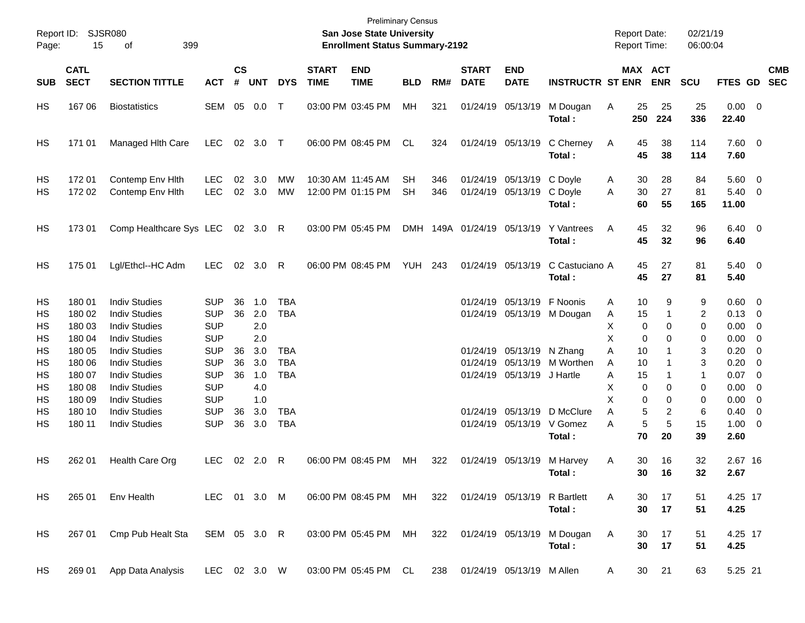| Report ID:<br>Page: | 15                         | SJSR080<br>399<br>оf                         |                          |                    |               |                          |                             | <b>Preliminary Census</b><br><b>San Jose State University</b><br><b>Enrollment Status Summary-2192</b> |                 |            |                             |                                                |                                                               | <b>Report Date:</b><br><b>Report Time:</b> |                       | 02/21/19<br>06:00:04 |                               |                                                     |                          |
|---------------------|----------------------------|----------------------------------------------|--------------------------|--------------------|---------------|--------------------------|-----------------------------|--------------------------------------------------------------------------------------------------------|-----------------|------------|-----------------------------|------------------------------------------------|---------------------------------------------------------------|--------------------------------------------|-----------------------|----------------------|-------------------------------|-----------------------------------------------------|--------------------------|
| <b>SUB</b>          | <b>CATL</b><br><b>SECT</b> | <b>SECTION TITTLE</b>                        | <b>ACT</b>               | $\mathsf{cs}$<br># | <b>UNT</b>    | <b>DYS</b>               | <b>START</b><br><b>TIME</b> | <b>END</b><br><b>TIME</b>                                                                              | <b>BLD</b>      | RM#        | <b>START</b><br><b>DATE</b> | <b>END</b><br><b>DATE</b>                      | <b>INSTRUCTR ST ENR</b>                                       |                                            | MAX ACT<br><b>ENR</b> | <b>SCU</b>           | FTES GD                       |                                                     | <b>CMB</b><br><b>SEC</b> |
| HS                  | 167 06                     | <b>Biostatistics</b>                         | <b>SEM</b>               | 05                 | 0.0           | $\top$                   |                             | 03:00 PM 03:45 PM                                                                                      | MН              | 321        |                             | 01/24/19 05/13/19                              | M Dougan<br>Total:                                            | 25<br>A<br>250                             | 25<br>224             | 25<br>336            | $0.00 \t 0$<br>22.40          |                                                     |                          |
| HS                  | 171 01                     | Managed Hith Care                            | <b>LEC</b>               | 02                 | 3.0           | $\top$                   |                             | 06:00 PM 08:45 PM                                                                                      | CL              | 324        |                             | 01/24/19 05/13/19                              | C Cherney<br>Total:                                           | 45<br>A<br>45                              | 38<br>38              | 114<br>114           | 7.60 0<br>7.60                |                                                     |                          |
| HS<br>HS            | 17201<br>172 02            | Contemp Env Hith<br>Contemp Env Hith         | LEC<br><b>LEC</b>        | 02                 | 3.0<br>02 3.0 | MW<br>MW                 |                             | 10:30 AM 11:45 AM<br>12:00 PM 01:15 PM                                                                 | SН<br><b>SH</b> | 346<br>346 |                             | 01/24/19 05/13/19 C Doyle<br>01/24/19 05/13/19 | C Doyle<br>Total :                                            | 30<br>A<br>30<br>A<br>60                   | 28<br>27<br>55        | 84<br>81<br>165      | 5.60 0<br>$5.40 \ 0$<br>11.00 |                                                     |                          |
| HS                  | 17301                      | Comp Healthcare Sys LEC                      |                          |                    | 02 3.0 R      |                          |                             | 03:00 PM 05:45 PM                                                                                      | <b>DMH</b>      |            | 149A 01/24/19 05/13/19      |                                                | <b>Y</b> Vantrees<br>Total:                                   | A<br>45<br>45                              | 32<br>32              | 96<br>96             | $6.40 \quad 0$<br>6.40        |                                                     |                          |
| HS                  | 175 01                     | Lgl/Ethcl--HC Adm                            | <b>LEC</b>               | 02                 | 3.0           | R                        |                             | 06:00 PM 08:45 PM                                                                                      | YUH             | 243        |                             | 01/24/19 05/13/19                              | C Castuciano A<br>Total:                                      | 45<br>45                                   | 27<br>27              | 81<br>81             | $5.40 \ 0$<br>5.40            |                                                     |                          |
| HS                  | 180 01                     | <b>Indiv Studies</b><br><b>Indiv Studies</b> | <b>SUP</b><br><b>SUP</b> | 36                 | 1.0           | <b>TBA</b>               |                             |                                                                                                        |                 |            |                             | 01/24/19 05/13/19 F Noonis                     |                                                               | 10<br>A                                    | 9                     | 9                    | $0.60 \quad 0$<br>$0.13 \ 0$  |                                                     |                          |
| HS<br>HS            | 180 02<br>180 03           | <b>Indiv Studies</b>                         | <b>SUP</b>               | 36                 | 2.0<br>2.0    | <b>TBA</b>               |                             |                                                                                                        |                 |            |                             |                                                | 01/24/19 05/13/19 M Dougan                                    | 15<br>A<br>X                               | 0<br>0                | 2<br>0               | 0.00                          | $\overline{\phantom{0}}$                            |                          |
| HS                  | 180 04                     | <b>Indiv Studies</b>                         | <b>SUP</b>               |                    | 2.0           |                          |                             |                                                                                                        |                 |            |                             |                                                |                                                               | X                                          | 0<br>0                | 0                    | 0.00                          | $\overline{\phantom{0}}$                            |                          |
| HS                  | 180 05                     | <b>Indiv Studies</b>                         | <b>SUP</b>               | 36                 | 3.0           | TBA                      |                             |                                                                                                        |                 |            |                             | 01/24/19 05/13/19 N Zhang                      |                                                               | A<br>10                                    |                       | 3                    | 0.20                          | $\overline{\mathbf{0}}$                             |                          |
| HS<br>HS            | 180 06<br>180 07           | <b>Indiv Studies</b><br><b>Indiv Studies</b> | <b>SUP</b><br><b>SUP</b> | 36<br>36           | 3.0<br>1.0    | <b>TBA</b><br><b>TBA</b> |                             |                                                                                                        |                 |            | 01/24/19                    | 01/24/19 05/13/19 J Hartle                     | 05/13/19 M Worthen                                            | 10<br>A<br>15                              |                       | 3                    | 0.20<br>0.07                  | $\overline{\mathbf{0}}$<br>$\overline{\phantom{0}}$ |                          |
| HS                  | 180 08                     | <b>Indiv Studies</b>                         | <b>SUP</b>               |                    | 4.0           |                          |                             |                                                                                                        |                 |            |                             |                                                |                                                               | A<br>X                                     | 0<br>0                | 1<br>0               | 0.00                          | $\overline{\mathbf{0}}$                             |                          |
| HS                  | 180 09                     | <b>Indiv Studies</b>                         | <b>SUP</b>               |                    | 1.0           |                          |                             |                                                                                                        |                 |            |                             |                                                |                                                               | X                                          | 0<br>0                | 0                    | 0.00                          | $\overline{\phantom{0}}$                            |                          |
| HS                  | 180 10                     | <b>Indiv Studies</b>                         | <b>SUP</b>               | 36                 | 3.0           | TBA                      |                             |                                                                                                        |                 |            |                             |                                                | 01/24/19 05/13/19 D McClure                                   | A                                          | 5<br>2                | 6                    | 0.40                          | $\overline{\mathbf{0}}$                             |                          |
| НS                  | 180 11                     | <b>Indiv Studies</b>                         | <b>SUP</b>               | 36                 | 3.0           | <b>TBA</b>               |                             |                                                                                                        |                 |            |                             | 01/24/19 05/13/19 V Gomez                      |                                                               | A                                          | 5<br>5                | 15                   | $1.00 \t 0$                   |                                                     |                          |
|                     |                            |                                              |                          |                    |               |                          |                             |                                                                                                        |                 |            |                             |                                                | Total:                                                        | 70                                         | 20                    | 39                   | 2.60                          |                                                     |                          |
| HS                  | 262 01                     | Health Care Org                              | LEC                      |                    | 02 2.0        | R                        |                             | 06:00 PM 08:45 PM                                                                                      | MН              | 322        |                             | 01/24/19 05/13/19                              | M Harvey<br>Total:                                            | 30<br>A<br>30                              | 16<br>16              | 32<br>32             | 2.67 16<br>2.67               |                                                     |                          |
| HS                  | 265 01                     | Env Health                                   | LEC 01 3.0 M             |                    |               |                          |                             | 06:00 PM 08:45 PM MH 322 01/24/19 05/13/19 R Bartlett                                                  |                 |            |                             |                                                | Total:                                                        | A<br>30<br>30                              | 17<br>17              | 51<br>51             | 4.25 17<br>4.25               |                                                     |                          |
| HS                  | 267 01                     | Cmp Pub Healt Sta                            | SEM 05 3.0 R             |                    |               |                          |                             |                                                                                                        |                 |            |                             |                                                | 03:00 PM 05:45 PM MH 322 01/24/19 05/13/19 M Dougan<br>Total: | A<br>30<br>30 <sub>o</sub>                 | 17<br>17              | 51<br>51             | 4.25 17<br>4.25               |                                                     |                          |
| HS.                 | 269 01                     | App Data Analysis                            | LEC 02 3.0 W             |                    |               |                          |                             | 03:00 PM 05:45 PM CL                                                                                   |                 |            |                             | 238 01/24/19 05/13/19 M Allen                  |                                                               | A                                          | 30 21                 | 63                   | 5.25 21                       |                                                     |                          |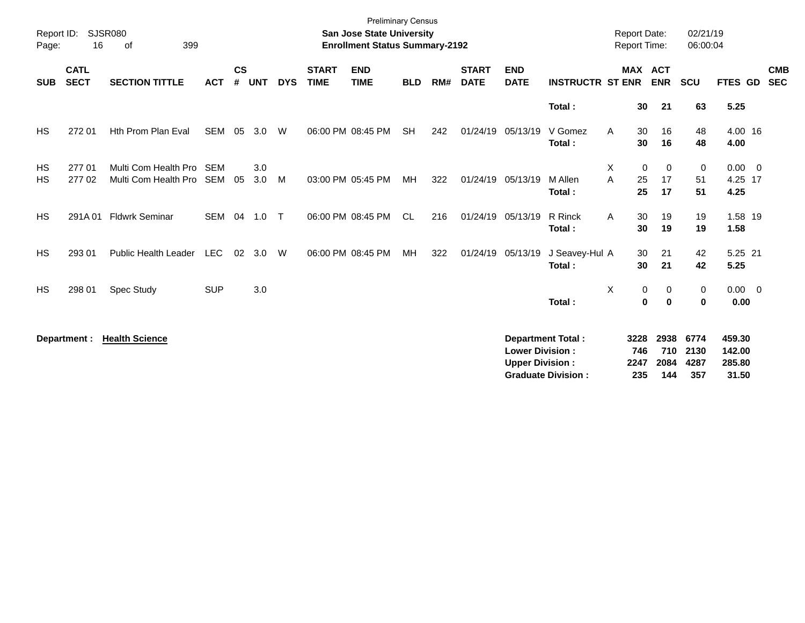| Report ID:<br>Page:    | 16                         | <b>SJSR080</b><br>399<br>of                  |                   |                    |            |            |                             | <b>Preliminary Census</b><br><b>San Jose State University</b><br><b>Enrollment Status Summary-2192</b> |            |     |                             |                                                  |                                                       | <b>Report Date:</b><br><b>Report Time:</b> |                                   | 02/21/19<br>06:00:04        |                                     |                          |
|------------------------|----------------------------|----------------------------------------------|-------------------|--------------------|------------|------------|-----------------------------|--------------------------------------------------------------------------------------------------------|------------|-----|-----------------------------|--------------------------------------------------|-------------------------------------------------------|--------------------------------------------|-----------------------------------|-----------------------------|-------------------------------------|--------------------------|
| <b>SUB</b>             | <b>CATL</b><br><b>SECT</b> | <b>SECTION TITTLE</b>                        | <b>ACT</b>        | $\mathsf{cs}$<br># | <b>UNT</b> | <b>DYS</b> | <b>START</b><br><b>TIME</b> | <b>END</b><br><b>TIME</b>                                                                              | <b>BLD</b> | RM# | <b>START</b><br><b>DATE</b> | <b>END</b><br><b>DATE</b>                        | <b>INSTRUCTR ST ENR</b>                               |                                            | MAX ACT<br><b>ENR</b>             | <b>SCU</b>                  | FTES GD                             | <b>CMB</b><br><b>SEC</b> |
|                        |                            |                                              |                   |                    |            |            |                             |                                                                                                        |            |     |                             |                                                  | Total:                                                | 30                                         | 21                                | 63                          | 5.25                                |                          |
| <b>HS</b>              | 272 01                     | Hth Prom Plan Eval                           | <b>SEM</b>        | 05                 | 3.0        | W          |                             | 06:00 PM 08:45 PM                                                                                      | <b>SH</b>  | 242 |                             | 01/24/19 05/13/19                                | V Gomez<br>Total:                                     | 30<br>A<br>30                              | 16<br>16                          | 48<br>48                    | 4.00 16<br>4.00                     |                          |
| <b>HS</b><br><b>HS</b> | 27701<br>277 02            | Multi Com Health Pro<br>Multi Com Health Pro | <b>SEM</b><br>SEM | 05                 | 3.0<br>3.0 | M          |                             | 03:00 PM 05:45 PM                                                                                      | МH         | 322 |                             | 01/24/19 05/13/19                                | M Allen<br>Total:                                     | X<br>A<br>25<br>25                         | 0<br>$\mathbf 0$<br>17<br>17      | 0<br>51<br>51               | $0.00 \t 0$<br>4.25 17<br>4.25      |                          |
| HS                     | 291A01                     | <b>Fldwrk Seminar</b>                        | <b>SEM</b>        | 04                 | 1.0        | $\top$     |                             | 06:00 PM 08:45 PM                                                                                      | <b>CL</b>  | 216 | 01/24/19 05/13/19           |                                                  | R Rinck<br>Total:                                     | 30<br>Α<br>30                              | 19<br>19                          | 19<br>19                    | 1.58 19<br>1.58                     |                          |
| <b>HS</b>              | 293 01                     | <b>Public Health Leader</b>                  | <b>LEC</b>        | 02                 | 3.0        | W          |                             | 06:00 PM 08:45 PM                                                                                      | MH         | 322 | 01/24/19 05/13/19           |                                                  | J Seavey-Hul A<br>Total:                              | 30<br>30                                   | 21<br>21                          | 42<br>42                    | 5.25 21<br>5.25                     |                          |
| <b>HS</b>              | 298 01                     | Spec Study                                   | <b>SUP</b>        |                    | 3.0        |            |                             |                                                                                                        |            |     |                             |                                                  | Total:                                                | X                                          | 0<br>0<br>$\bf{0}$<br>$\mathbf 0$ | 0<br>$\mathbf 0$            | $0.00 \t 0$<br>0.00                 |                          |
|                        | Department :               | <b>Health Science</b>                        |                   |                    |            |            |                             |                                                                                                        |            |     |                             | <b>Lower Division:</b><br><b>Upper Division:</b> | <b>Department Total:</b><br><b>Graduate Division:</b> | 3228<br>746<br>2247<br>235                 | 2938<br>710<br>2084<br>144        | 6774<br>2130<br>4287<br>357 | 459.30<br>142.00<br>285.80<br>31.50 |                          |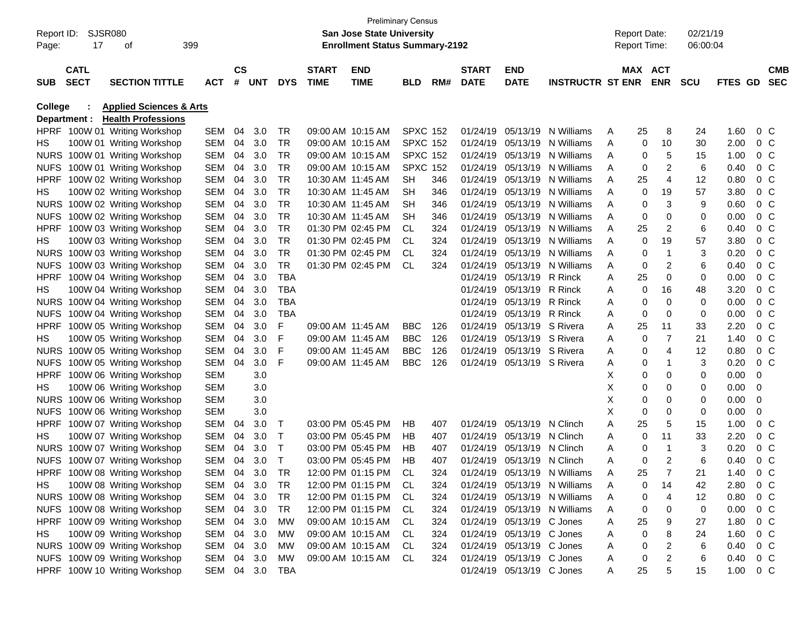|             |                    |                                    |            |           |            |            |                   | <b>Preliminary Census</b>             |                 |     |              |                           |                              |   |                     |                |            |                |                |            |
|-------------|--------------------|------------------------------------|------------|-----------|------------|------------|-------------------|---------------------------------------|-----------------|-----|--------------|---------------------------|------------------------------|---|---------------------|----------------|------------|----------------|----------------|------------|
|             | Report ID: SJSR080 |                                    |            |           |            |            |                   | San Jose State University             |                 |     |              |                           |                              |   | <b>Report Date:</b> |                | 02/21/19   |                |                |            |
| Page:       | 17                 | οf                                 | 399        |           |            |            |                   | <b>Enrollment Status Summary-2192</b> |                 |     |              |                           |                              |   | <b>Report Time:</b> |                | 06:00:04   |                |                |            |
|             |                    |                                    |            |           |            |            |                   |                                       |                 |     |              |                           |                              |   |                     |                |            |                |                |            |
|             | <b>CATL</b>        |                                    |            | <b>CS</b> |            |            | <b>START</b>      | <b>END</b>                            |                 |     | <b>START</b> | <b>END</b>                |                              |   | MAX ACT             |                |            |                |                | <b>CMB</b> |
| <b>SUB</b>  | <b>SECT</b>        | <b>SECTION TITTLE</b>              | <b>ACT</b> | #         | <b>UNT</b> | <b>DYS</b> | <b>TIME</b>       | <b>TIME</b>                           | BLD             | RM# | <b>DATE</b>  | <b>DATE</b>               | <b>INSTRUCTR ST ENR</b>      |   |                     | <b>ENR</b>     | <b>SCU</b> | <b>FTES GD</b> |                | <b>SEC</b> |
| College     |                    | <b>Applied Sciences &amp; Arts</b> |            |           |            |            |                   |                                       |                 |     |              |                           |                              |   |                     |                |            |                |                |            |
|             | Department :       | <b>Health Professions</b>          |            |           |            |            |                   |                                       |                 |     |              |                           |                              |   |                     |                |            |                |                |            |
| <b>HPRF</b> |                    | 100W 01 Writing Workshop           | SEM        | 04        | 3.0        | TR         |                   | 09:00 AM 10:15 AM                     | <b>SPXC 152</b> |     | 01/24/19     |                           | 05/13/19 N Williams          | Α | 25                  | 8              | 24         | 1.60           | $0\,$ C        |            |
| HS          |                    | 100W 01 Writing Workshop           | SEM        | 04        | 3.0        | TR         |                   | 09:00 AM 10:15 AM                     | <b>SPXC 152</b> |     | 01/24/19     |                           | 05/13/19 N Williams          | A | 0                   | 10             | 30         | 2.00           | 0 <sup>o</sup> |            |
|             |                    | NURS 100W 01 Writing Workshop      | SEM        | 04        | 3.0        | <b>TR</b>  |                   | 09:00 AM 10:15 AM                     | <b>SPXC 152</b> |     | 01/24/19     |                           | 05/13/19 N Williams          | A | 0                   | 5              | 15         | 1.00           | 0 <sup>o</sup> |            |
| <b>NUFS</b> |                    | 100W 01 Writing Workshop           | SEM        | 04        | 3.0        | <b>TR</b>  |                   | 09:00 AM 10:15 AM                     | <b>SPXC 152</b> |     | 01/24/19     | 05/13/19                  | N Williams                   | Α | 0                   | 2              | 6          | 0.40           | 0 <sup>o</sup> |            |
| <b>HPRF</b> |                    | 100W 02 Writing Workshop           | SEM        | 04        | 3.0        | TR         | 10:30 AM 11:45 AM |                                       | <b>SH</b>       | 346 | 01/24/19     |                           | 05/13/19 N Williams          | A | 25                  | 4              | 12         | 0.80           | 0 <sup>o</sup> |            |
| HS          |                    | 100W 02 Writing Workshop           | SEM        | 04        | 3.0        | TR         | 10:30 AM 11:45 AM |                                       | SН              | 346 | 01/24/19     |                           | 05/13/19 N Williams          | A | 0                   | 19             | 57         | 3.80           | 0 <sup>o</sup> |            |
|             |                    | NURS 100W 02 Writing Workshop      | SEM        | 04        | 3.0        | <b>TR</b>  | 10:30 AM 11:45 AM |                                       | <b>SH</b>       | 346 | 01/24/19     |                           | 05/13/19 N Williams          | Α | 0                   | 3              | 9          | 0.60           | 0 <sup>o</sup> |            |
| <b>NUFS</b> |                    | 100W 02 Writing Workshop           | SEM        | 04        | 3.0        | <b>TR</b>  | 10:30 AM 11:45 AM |                                       | <b>SH</b>       | 346 | 01/24/19     |                           | 05/13/19 N Williams          | Α | 0                   | 0              | 0          | 0.00           | 0 <sup>o</sup> |            |
| <b>HPRF</b> |                    | 100W 03 Writing Workshop           | SEM        | 04        | 3.0        | <b>TR</b>  |                   | 01:30 PM 02:45 PM                     | CL              | 324 | 01/24/19     |                           | 05/13/19 N Williams          | A | 25                  | 2              | 6          | 0.40           | 0 <sup>o</sup> |            |
| HS          |                    | 100W 03 Writing Workshop           | SEM        | 04        | 3.0        | <b>TR</b>  |                   | 01:30 PM 02:45 PM                     | CL              | 324 | 01/24/19     |                           | 05/13/19 N Williams          | A | 0                   | 19             | 57         | 3.80           | 0 <sup>o</sup> |            |
|             |                    | NURS 100W 03 Writing Workshop      | SEM        | 04        | 3.0        | <b>TR</b>  |                   | 01:30 PM 02:45 PM                     | CL              | 324 | 01/24/19     | 05/13/19                  | N Williams                   | A | 0                   | 1              | 3          | 0.20           | 0 <sup>o</sup> |            |
| <b>NUFS</b> |                    | 100W 03 Writing Workshop           | SEM        | 04        | 3.0        | TR         |                   | 01:30 PM 02:45 PM                     | CL              | 324 | 01/24/19     | 05/13/19                  | N Williams                   | A | 0                   | 2              | 6          | 0.40           | 0 <sup>o</sup> |            |
| <b>HPRF</b> |                    | 100W 04 Writing Workshop           | SEM        | 04        | 3.0        | <b>TBA</b> |                   |                                       |                 |     | 01/24/19     | 05/13/19                  | R Rinck                      | A | 25                  | 0              | 0          | 0.00           | 0 <sup>o</sup> |            |
| HS          |                    | 100W 04 Writing Workshop           | SEM        | 04        | 3.0        | <b>TBA</b> |                   |                                       |                 |     | 01/24/19     | 05/13/19                  | R Rinck                      | A | 0                   | 16             | 48         | 3.20           | 0 <sup>o</sup> |            |
|             |                    | NURS 100W 04 Writing Workshop      | SEM        | 04        | 3.0        | <b>TBA</b> |                   |                                       |                 |     | 01/24/19     | 05/13/19                  | R Rinck                      | Α | 0                   | 0              | 0          | 0.00           | 0 <sup>o</sup> |            |
| <b>NUFS</b> |                    | 100W 04 Writing Workshop           | SEM        | 04        | 3.0        | <b>TBA</b> |                   |                                       |                 |     | 01/24/19     | 05/13/19                  | R Rinck                      | Α | 0                   | 0              | 0          | 0.00           | 0 <sup>o</sup> |            |
| <b>HPRF</b> |                    | 100W 05 Writing Workshop           | SEM        | 04        | 3.0        | F          | 09:00 AM 11:45 AM |                                       | <b>BBC</b>      | 126 | 01/24/19     | 05/13/19                  | S Rivera                     | Α | 25                  | 11             | 33         | 2.20           | 0 <sup>o</sup> |            |
| HS          |                    | 100W 05 Writing Workshop           | SEM        | 04        | 3.0        | F          | 09:00 AM 11:45 AM |                                       | <b>BBC</b>      | 126 | 01/24/19     | 05/13/19 S Rivera         |                              | A | 0                   | $\overline{7}$ | 21         | 1.40           | 0 <sup>o</sup> |            |
|             |                    | NURS 100W 05 Writing Workshop      | SEM        | 04        | 3.0        | F          | 09:00 AM 11:45 AM |                                       | <b>BBC</b>      | 126 | 01/24/19     | 05/13/19 S Rivera         |                              | A | 0                   | 4              | 12         | 0.80           | 0 <sup>o</sup> |            |
| <b>NUFS</b> |                    | 100W 05 Writing Workshop           | SEM        | 04        | 3.0        | F          | 09:00 AM 11:45 AM |                                       | <b>BBC</b>      | 126 | 01/24/19     | 05/13/19 S Rivera         |                              | Α | 0                   | 1              | 3          | 0.20           | 0 <sup>o</sup> |            |
| <b>HPRF</b> |                    | 100W 06 Writing Workshop           | SEM        |           | 3.0        |            |                   |                                       |                 |     |              |                           |                              | х | 0                   | 0              | 0          | 0.00           | 0              |            |
| HS          |                    | 100W 06 Writing Workshop           | SEM        |           | 3.0        |            |                   |                                       |                 |     |              |                           |                              | х | 0                   | 0              | 0          | 0.00           | 0              |            |
|             |                    | NURS 100W 06 Writing Workshop      | SEM        |           | 3.0        |            |                   |                                       |                 |     |              |                           |                              | х | 0                   | 0              | 0          | 0.00           | 0              |            |
| <b>NUFS</b> |                    | 100W 06 Writing Workshop           | SEM        |           | 3.0        |            |                   |                                       |                 |     |              |                           |                              | х | 0                   | 0              | 0          | 0.00           | 0              |            |
| <b>HPRF</b> |                    | 100W 07 Writing Workshop           | SEM        | 04        | 3.0        | T          |                   | 03:00 PM 05:45 PM                     | HВ              | 407 | 01/24/19     | 05/13/19 N Clinch         |                              | Α | 25                  | 5              | 15         | 1.00           | $0\,C$         |            |
| HS          |                    | 100W 07 Writing Workshop           | SEM        | 04        | 3.0        | T          |                   | 03:00 PM 05:45 PM                     | HВ              | 407 | 01/24/19     | 05/13/19 N Clinch         |                              | A | 0                   | 11             | 33         | 2.20           | $0\,C$         |            |
|             |                    | NURS 100W 07 Writing Workshop      | SEM        | 04        | 3.0        | T          |                   | 03:00 PM 05:45 PM                     | HВ              | 407 | 01/24/19     | 05/13/19                  | N Clinch                     | A | 0                   | 1              | 3          | 0.20           | 0 <sup>o</sup> |            |
| <b>NUFS</b> |                    | 100W 07 Writing Workshop           | SEM        | 04        | 3.0        | Т          |                   | 03:00 PM 05:45 PM                     | HB              | 407 | 01/24/19     | 05/13/19 N Clinch         |                              | Α | 0                   | $\overline{2}$ | 6          | 0.40           | 0 <sup>o</sup> |            |
|             |                    | HPRF 100W 08 Writing Workshop      | SEM 04     |           | 3.0        | TR         |                   | 12:00 PM 01:15 PM                     | СL              | 324 |              |                           | 01/24/19 05/13/19 N Williams |   | 25                  |                | 21         | 1.40           |                | $0\,C$     |
| HS          |                    | 100W 08 Writing Workshop           | SEM 04 3.0 |           |            | TR         |                   | 12:00 PM 01:15 PM                     | CL.             | 324 |              |                           | 01/24/19 05/13/19 N Williams |   | 0                   | 14             | 42         | 2.80           | 0 <sup>o</sup> |            |
|             |                    | NURS 100W 08 Writing Workshop      | SEM 04 3.0 |           |            | TR         |                   | 12:00 PM 01:15 PM                     | CL.             | 324 |              |                           | 01/24/19 05/13/19 N Williams | Α | 0                   | 4              | 12         | 0.80           | 0 <sup>o</sup> |            |
|             |                    | NUFS 100W 08 Writing Workshop      | SEM 04 3.0 |           |            | TR         |                   | 12:00 PM 01:15 PM                     | CL.             | 324 |              |                           | 01/24/19 05/13/19 N Williams | Α | 0                   | 0              | 0          | 0.00           | $0\,C$         |            |
|             |                    | HPRF 100W 09 Writing Workshop      | SEM 04 3.0 |           |            | МW         |                   | 09:00 AM 10:15 AM                     | CL.             | 324 |              | 01/24/19 05/13/19 C Jones |                              | A | 25                  | 9              | 27         | 1.80           | $0\,C$         |            |
| HS          |                    | 100W 09 Writing Workshop           | SEM 04 3.0 |           |            | МW         |                   | 09:00 AM 10:15 AM                     | CL.             | 324 |              | 01/24/19 05/13/19 C Jones |                              | Α | 0                   | 8              | 24         | 1.60           | $0\,C$         |            |
|             |                    | NURS 100W 09 Writing Workshop      | SEM 04 3.0 |           |            | МW         |                   | 09:00 AM 10:15 AM                     | CL.             | 324 |              | 01/24/19 05/13/19 C Jones |                              | Α | 0                   | 2              | 6          | 0.40           | $0\,C$         |            |
|             |                    | NUFS 100W 09 Writing Workshop      | SEM 04 3.0 |           |            | МW         |                   | 09:00 AM 10:15 AM                     | CL.             | 324 |              | 01/24/19 05/13/19 C Jones |                              | A | 0                   | 2              | 6          | 0.40           | $0\,$ C        |            |
|             |                    | HPRF 100W 10 Writing Workshop      | SEM 04 3.0 |           |            | TBA        |                   |                                       |                 |     |              | 01/24/19 05/13/19 C Jones |                              | A | 25                  | 5              | 15         | 1.00           | $0\,C$         |            |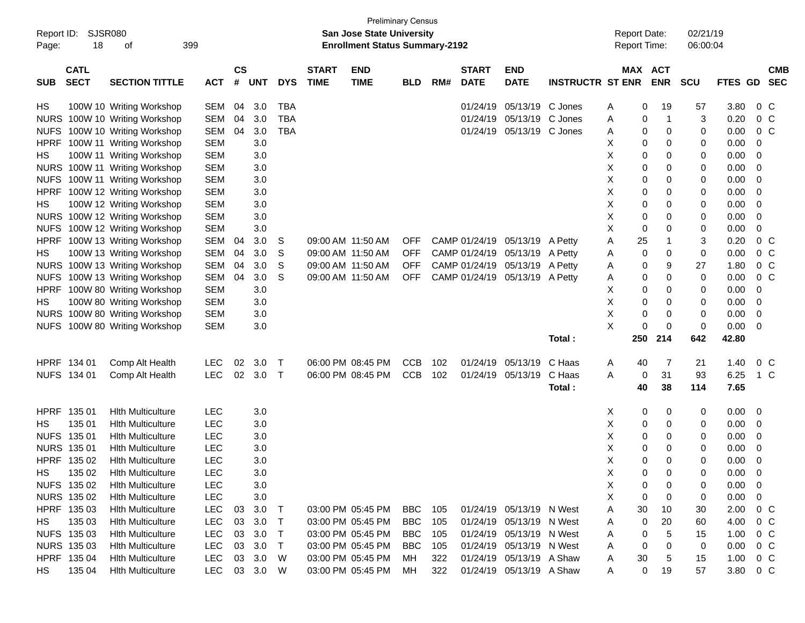|             | <b>Preliminary Census</b><br><b>SJSR080</b><br>Report ID:<br><b>San Jose State University</b> |                               |            |                |            |            |                             |                                       |            |     |                             |                           |                         |                                     |                       | 02/21/19   |                |                          |
|-------------|-----------------------------------------------------------------------------------------------|-------------------------------|------------|----------------|------------|------------|-----------------------------|---------------------------------------|------------|-----|-----------------------------|---------------------------|-------------------------|-------------------------------------|-----------------------|------------|----------------|--------------------------|
| Page:       | 18                                                                                            | οf                            | 399        |                |            |            |                             | <b>Enrollment Status Summary-2192</b> |            |     |                             |                           |                         | <b>Report Date:</b><br>Report Time: |                       | 06:00:04   |                |                          |
| <b>SUB</b>  | <b>CATL</b><br><b>SECT</b>                                                                    | <b>SECTION TITTLE</b>         | <b>ACT</b> | <b>CS</b><br># | <b>UNT</b> | <b>DYS</b> | <b>START</b><br><b>TIME</b> | <b>END</b><br><b>TIME</b>             | <b>BLD</b> | RM# | <b>START</b><br><b>DATE</b> | <b>END</b><br><b>DATE</b> | <b>INSTRUCTR ST ENR</b> |                                     | MAX ACT<br><b>ENR</b> | <b>SCU</b> | <b>FTES GD</b> | <b>CMB</b><br><b>SEC</b> |
| HS          |                                                                                               | 100W 10 Writing Workshop      | <b>SEM</b> | 04             | 3.0        | <b>TBA</b> |                             |                                       |            |     | 01/24/19                    | 05/13/19                  | C Jones                 | Α                                   | 0<br>19               | 57         | 3.80           | $0\,$ C                  |
| <b>NURS</b> |                                                                                               | 100W 10 Writing Workshop      | <b>SEM</b> | 04             | 3.0        | <b>TBA</b> |                             |                                       |            |     | 01/24/19                    | 05/13/19                  | C Jones                 | Α                                   | $\overline{1}$<br>0   | 3          | 0.20           | 0 <sup>C</sup>           |
| <b>NUFS</b> |                                                                                               | 100W 10 Writing Workshop      | <b>SEM</b> | 04             | 3.0        | <b>TBA</b> |                             |                                       |            |     | 01/24/19                    | 05/13/19                  | C Jones                 | Α                                   | 0<br>0                | 0          | 0.00           | 0 <sup>C</sup>           |
| <b>HPRF</b> |                                                                                               | 100W 11 Writing Workshop      | <b>SEM</b> |                | 3.0        |            |                             |                                       |            |     |                             |                           |                         | х                                   | 0<br>0                | 0          | 0.00           | 0                        |
| HS          |                                                                                               | 100W 11 Writing Workshop      | <b>SEM</b> |                | 3.0        |            |                             |                                       |            |     |                             |                           |                         | Х                                   | 0<br>0                | 0          | 0.00           | 0                        |
| <b>NURS</b> |                                                                                               | 100W 11 Writing Workshop      | <b>SEM</b> |                | 3.0        |            |                             |                                       |            |     |                             |                           |                         | Х                                   | 0<br>0                | 0          | 0.00           | 0                        |
| <b>NUFS</b> |                                                                                               | 100W 11 Writing Workshop      | <b>SEM</b> |                | 3.0        |            |                             |                                       |            |     |                             |                           |                         | Х                                   | 0<br>0                | 0          | 0.00           | 0                        |
| <b>HPRF</b> |                                                                                               | 100W 12 Writing Workshop      | <b>SEM</b> |                | 3.0        |            |                             |                                       |            |     |                             |                           |                         | Χ                                   | 0<br>0                | 0          | 0.00           | 0                        |
| HS          |                                                                                               | 100W 12 Writing Workshop      | <b>SEM</b> |                | 3.0        |            |                             |                                       |            |     |                             |                           |                         | Х                                   | 0<br>0                | 0          | 0.00           | 0                        |
| <b>NURS</b> |                                                                                               | 100W 12 Writing Workshop      | <b>SEM</b> |                | 3.0        |            |                             |                                       |            |     |                             |                           |                         | Х                                   | 0<br>0                | 0          | 0.00           | 0                        |
| <b>NUFS</b> |                                                                                               | 100W 12 Writing Workshop      | <b>SEM</b> |                | 3.0        |            |                             |                                       |            |     |                             |                           |                         | Χ                                   | 0<br>0                | 0          | 0.00           | 0                        |
| <b>HPRF</b> |                                                                                               | 100W 13 Writing Workshop      | <b>SEM</b> | 04             | 3.0        | S          |                             | 09:00 AM 11:50 AM                     | <b>OFF</b> |     | CAMP 01/24/19               | 05/13/19                  | A Petty                 | Α<br>25                             | -1                    | 3          | 0.20           | 0 <sup>o</sup>           |
| HS          |                                                                                               | 100W 13 Writing Workshop      | <b>SEM</b> | 04             | 3.0        | S          |                             | 09:00 AM 11:50 AM                     | <b>OFF</b> |     | CAMP 01/24/19               | 05/13/19                  | A Petty                 | Α                                   | 0<br>0                | 0          | 0.00           | 0 <sup>o</sup>           |
| <b>NURS</b> |                                                                                               | 100W 13 Writing Workshop      | <b>SEM</b> | 04             | 3.0        | S          |                             | 09:00 AM 11:50 AM                     | <b>OFF</b> |     | CAMP 01/24/19               | 05/13/19                  | A Petty                 | Α                                   | 9<br>0                | 27         | 1.80           | 0 <sup>o</sup>           |
| <b>NUFS</b> |                                                                                               | 100W 13 Writing Workshop      | <b>SEM</b> | 04             | 3.0        | S          |                             | 09:00 AM 11:50 AM                     | <b>OFF</b> |     | CAMP 01/24/19               | 05/13/19                  | A Petty                 | Α                                   | 0<br>0                | 0          | 0.00           | 0 <sup>o</sup>           |
| <b>HPRF</b> |                                                                                               | 100W 80 Writing Workshop      | <b>SEM</b> |                | 3.0        |            |                             |                                       |            |     |                             |                           |                         | х                                   | 0<br>0                | 0          | 0.00           | 0                        |
| HS          |                                                                                               | 100W 80 Writing Workshop      | <b>SEM</b> |                | 3.0        |            |                             |                                       |            |     |                             |                           |                         | Χ                                   | 0<br>0                | 0          | 0.00           | 0                        |
| <b>NURS</b> |                                                                                               | 100W 80 Writing Workshop      | <b>SEM</b> |                | 3.0        |            |                             |                                       |            |     |                             |                           |                         | Χ                                   | 0<br>0                | 0          | 0.00           | 0                        |
|             |                                                                                               | NUFS 100W 80 Writing Workshop | <b>SEM</b> |                | 3.0        |            |                             |                                       |            |     |                             |                           |                         | Χ                                   | 0<br>0                | 0          | 0.00           | 0                        |
|             |                                                                                               |                               |            |                |            |            |                             |                                       |            |     |                             |                           | Total:                  | 250                                 | 214                   | 642        | 42.80          |                          |
|             | HPRF 134 01                                                                                   | Comp Alt Health               | <b>LEC</b> | 02             | 3.0        | Т          |                             | 06:00 PM 08:45 PM                     | <b>CCB</b> | 102 | 01/24/19                    | 05/13/19                  | C Haas                  | 40<br>A                             | -7                    | 21         | 1.40           | $0\,$ C                  |
|             | NUFS 134 01                                                                                   | Comp Alt Health               | <b>LEC</b> | 02             | 3.0        | $\top$     |                             | 06:00 PM 08:45 PM                     | <b>CCB</b> | 102 | 01/24/19                    | 05/13/19                  | C Haas                  | Α                                   | 31<br>0               | 93         | 6.25           | 1 C                      |
|             |                                                                                               |                               |            |                |            |            |                             |                                       |            |     |                             |                           | Total:                  | 40                                  | 38                    | 114        | 7.65           |                          |
| <b>HPRF</b> | 135 01                                                                                        | <b>Hith Multiculture</b>      | <b>LEC</b> |                | 3.0        |            |                             |                                       |            |     |                             |                           |                         | X                                   | 0<br>0                | 0          | 0.00           | 0                        |
| НS          | 135 01                                                                                        | <b>Hith Multiculture</b>      | <b>LEC</b> |                | 3.0        |            |                             |                                       |            |     |                             |                           |                         | Χ                                   | 0<br>0                | 0          | 0.00           | 0                        |
| <b>NUFS</b> | 135 01                                                                                        | <b>Hith Multiculture</b>      | <b>LEC</b> |                | 3.0        |            |                             |                                       |            |     |                             |                           |                         | х                                   | 0<br>0                | 0          | 0.00           | 0                        |
|             | NURS 135 01                                                                                   | <b>Hith Multiculture</b>      | <b>LEC</b> |                | 3.0        |            |                             |                                       |            |     |                             |                           |                         | Χ                                   | 0<br>0                | 0          | 0.00           | 0                        |
|             | HPRF 135 02                                                                                   | <b>Hith Multiculture</b>      | <b>LEC</b> |                | 3.0        |            |                             |                                       |            |     |                             |                           |                         | Χ                                   | 0<br>$\mathbf 0$      | 0          | 0.00           | 0                        |
| HS          | 135 02                                                                                        | <b>Hith Multiculture</b>      | LEC        |                | 3.0        |            |                             |                                       |            |     |                             |                           |                         | Χ                                   | 0<br>0                | 0          | 0.00           | 0                        |
|             | NUFS 135 02                                                                                   | <b>Hith Multiculture</b>      | <b>LEC</b> |                | 3.0        |            |                             |                                       |            |     |                             |                           |                         | Χ                                   | 0<br>0                | 0          | 0.00           | 0                        |
|             | NURS 135 02                                                                                   | <b>Hith Multiculture</b>      | <b>LEC</b> |                | 3.0        |            |                             |                                       |            |     |                             |                           |                         | X                                   | 0<br>0                | 0          | 0.00           | 0                        |
|             | HPRF 135 03                                                                                   | <b>Hith Multiculture</b>      | <b>LEC</b> | 03             | 3.0        | Т          |                             | 03:00 PM 05:45 PM                     | BBC        | 105 |                             | 01/24/19 05/13/19         | N West                  | 30<br>Α                             | 10                    | 30         | 2.00           | $0\,C$                   |
| HS          | 135 03                                                                                        | <b>Hith Multiculture</b>      | <b>LEC</b> | 03             | 3.0        | $\top$     |                             | 03:00 PM 05:45 PM                     | <b>BBC</b> | 105 |                             | 01/24/19 05/13/19         | N West                  | Α                                   | 20<br>0               | 60         | 4.00           | $0\,C$                   |
|             | NUFS 135 03                                                                                   | <b>Hith Multiculture</b>      | <b>LEC</b> | 03             | 3.0        | $\top$     |                             | 03:00 PM 05:45 PM                     | BBC        | 105 |                             | 01/24/19 05/13/19         | N West                  | Α                                   | 5<br>0                | 15         | 1.00           | $0\,C$                   |
|             | NURS 135 03                                                                                   | <b>Hith Multiculture</b>      | <b>LEC</b> | 03             | 3.0        | Т          |                             | 03:00 PM 05:45 PM                     | BBC        | 105 | 01/24/19                    | 05/13/19                  | N West                  | Α                                   | 0<br>0                | 0          | 0.00           | $0\,C$                   |
|             | HPRF 135 04                                                                                   | <b>Hith Multiculture</b>      | <b>LEC</b> | 03             | 3.0        | W          |                             | 03:00 PM 05:45 PM                     | МH         | 322 | 01/24/19                    | 05/13/19                  | A Shaw                  | 30<br>Α                             | 5                     | 15         | 1.00           | $0\,C$                   |
| HS          | 135 04                                                                                        | <b>Hith Multiculture</b>      | <b>LEC</b> |                | 03 3.0     | W          |                             | 03:00 PM 05:45 PM                     | МH         | 322 |                             | 01/24/19 05/13/19 A Shaw  |                         | Α                                   | 0<br>19               | 57         | 3.80           | $0\,C$                   |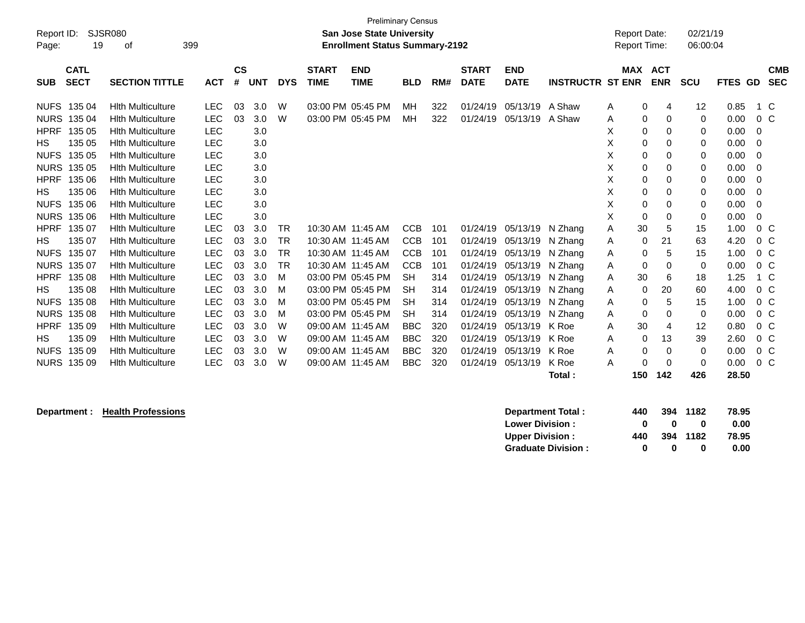| Report ID:<br>Page: | 19                         | SJSR080<br>399<br>οf     |            |                |            |            |                             | <b>Preliminary Census</b><br><b>San Jose State University</b><br><b>Enrollment Status Summary-2192</b> |            |     |                             |                           |                         | <b>Report Date:</b><br><b>Report Time:</b> |             |                          | 02/21/19<br>06:00:04 |                          |                |                          |
|---------------------|----------------------------|--------------------------|------------|----------------|------------|------------|-----------------------------|--------------------------------------------------------------------------------------------------------|------------|-----|-----------------------------|---------------------------|-------------------------|--------------------------------------------|-------------|--------------------------|----------------------|--------------------------|----------------|--------------------------|
| <b>SUB</b>          | <b>CATL</b><br><b>SECT</b> | <b>SECTION TITTLE</b>    | <b>ACT</b> | <b>CS</b><br># | <b>UNT</b> | <b>DYS</b> | <b>START</b><br><b>TIME</b> | <b>END</b><br><b>TIME</b>                                                                              | <b>BLD</b> | RM# | <b>START</b><br><b>DATE</b> | <b>END</b><br><b>DATE</b> | <b>INSTRUCTR ST ENR</b> | <b>MAX</b>                                 |             | <b>ACT</b><br><b>ENR</b> | <b>SCU</b>           | <b>FTES</b><br><b>GD</b> |                | <b>CMB</b><br><b>SEC</b> |
| <b>NUFS</b>         | 135 04                     | <b>Hith Multiculture</b> | <b>LEC</b> | 03             | 3.0        | W          | 03:00 PM 05:45 PM           |                                                                                                        | <b>MH</b>  | 322 | 01/24/19                    | 05/13/19                  | A Shaw                  | Α                                          | 0           | 4                        | 12                   | 0.85                     | 1 C            |                          |
| <b>NURS</b>         | 135 04                     | <b>Hith Multiculture</b> | <b>LEC</b> | 03             | 3.0        | W          | 03:00 PM 05:45 PM           |                                                                                                        | <b>MH</b>  | 322 | 01/24/19                    | 05/13/19                  | A Shaw                  | A                                          | $\mathbf 0$ | 0                        | 0                    | 0.00                     | $0\,C$         |                          |
| <b>HPRF</b>         | 135 05                     | <b>Hith Multiculture</b> | <b>LEC</b> |                | 3.0        |            |                             |                                                                                                        |            |     |                             |                           |                         | X                                          | 0           | 0                        | 0                    | 0.00                     | 0              |                          |
| HS                  | 135 05                     | <b>Hith Multiculture</b> | <b>LEC</b> |                | 3.0        |            |                             |                                                                                                        |            |     |                             |                           |                         | Х                                          | 0           | 0                        | 0                    | 0.00                     | 0              |                          |
| <b>NUFS</b>         | 135 05                     | <b>Hith Multiculture</b> | <b>LEC</b> |                | 3.0        |            |                             |                                                                                                        |            |     |                             |                           |                         | X                                          | $\mathbf 0$ | $\Omega$                 | 0                    | 0.00                     | $\Omega$       |                          |
| <b>NURS</b>         | 135 05                     | <b>Hith Multiculture</b> | <b>LEC</b> |                | 3.0        |            |                             |                                                                                                        |            |     |                             |                           |                         | X                                          | 0           | 0                        | 0                    | 0.00                     | 0              |                          |
| <b>HPRF</b>         | 135 06                     | <b>Hith Multiculture</b> | LEC        |                | 3.0        |            |                             |                                                                                                        |            |     |                             |                           |                         | X                                          | $\mathbf 0$ | 0                        | 0                    | 0.00                     | 0              |                          |
| HS.                 | 135 06                     | <b>Hith Multiculture</b> | <b>LEC</b> |                | 3.0        |            |                             |                                                                                                        |            |     |                             |                           |                         | X                                          | $\mathbf 0$ | $\mathbf 0$              | 0                    | 0.00                     | $\Omega$       |                          |
| <b>NUFS</b>         | 135 06                     | <b>Hith Multiculture</b> | <b>LEC</b> |                | 3.0        |            |                             |                                                                                                        |            |     |                             |                           |                         | X                                          | $\mathbf 0$ | 0                        | 0                    | 0.00                     | $\Omega$       |                          |
| <b>NURS</b>         | 135 06                     | <b>Hith Multiculture</b> | LEC        |                | 3.0        |            |                             |                                                                                                        |            |     |                             |                           |                         | X                                          | $\mathbf 0$ | 0                        | 0                    | 0.00                     | 0              |                          |
| <b>HPRF</b>         | 135 07                     | <b>Hith Multiculture</b> | <b>LEC</b> | 03             | 3.0        | TR         | 10:30 AM 11:45 AM           |                                                                                                        | <b>CCB</b> | 101 | 01/24/19                    | 05/13/19                  | N Zhang                 | Α                                          | 30          | 5                        | 15                   | 1.00                     | $0\,C$         |                          |
| <b>HS</b>           | 135 07                     | <b>Hith Multiculture</b> | <b>LEC</b> | 03             | 3.0        | <b>TR</b>  | 10:30 AM 11:45 AM           |                                                                                                        | <b>CCB</b> | 101 | 01/24/19                    | 05/13/19                  | N Zhang                 | A                                          | $\mathbf 0$ | 21                       | 63                   | 4.20                     | 0 <sup>o</sup> |                          |
| <b>NUFS</b>         | 135 07                     | <b>Hith Multiculture</b> | <b>LEC</b> | 03             | 3.0        | TR         | 10:30 AM 11:45 AM           |                                                                                                        | <b>CCB</b> | 101 | 01/24/19                    | 05/13/19                  | N Zhang                 | A                                          | 0           | 5                        | 15                   | 1.00                     | $0\,$ C        |                          |
| <b>NURS</b>         | 135 07                     | <b>Hith Multiculture</b> | <b>LEC</b> | 03             | 3.0        | <b>TR</b>  | 10:30 AM 11:45 AM           |                                                                                                        | <b>CCB</b> | 101 | 01/24/19                    | 05/13/19                  | N Zhang                 | Α                                          | 0           | 0                        | 0                    | 0.00                     | 0 <sup>o</sup> |                          |
| <b>HPRF</b>         | 135 08                     | <b>Hith Multiculture</b> | <b>LEC</b> | 03             | 3.0        | м          | 03:00 PM 05:45 PM           |                                                                                                        | <b>SH</b>  | 314 | 01/24/19                    | 05/13/19                  | N Zhang                 | A                                          | 30          | 6                        | 18                   | 1.25                     | $1\,C$         |                          |
| HS.                 | 135 08                     | <b>Hith Multiculture</b> | <b>LEC</b> | 03             | 3.0        | M          | 03:00 PM 05:45 PM           |                                                                                                        | <b>SH</b>  | 314 | 01/24/19                    | 05/13/19                  | N Zhang                 | Α                                          | $\mathbf 0$ | 20                       | 60                   | 4.00                     | 0 <sup>o</sup> |                          |
| <b>NUFS</b>         | 135 08                     | <b>Hith Multiculture</b> | <b>LEC</b> | 03             | 3.0        | м          | 03:00 PM 05:45 PM           |                                                                                                        | <b>SH</b>  | 314 | 01/24/19                    | 05/13/19                  | N Zhang                 | A                                          | 0           | 5                        | 15                   | 1.00                     | 0 <sup>C</sup> |                          |
| <b>NURS</b>         | 135 08                     | <b>Hith Multiculture</b> | <b>LEC</b> | 03             | 3.0        | м          | 03:00 PM 05:45 PM           |                                                                                                        | <b>SH</b>  | 314 | 01/24/19                    | 05/13/19                  | N Zhang                 | A                                          | $\mathbf 0$ | 0                        | 0                    | 0.00                     | $0\,C$         |                          |
| <b>HPRF</b>         | 135 09                     | <b>Hith Multiculture</b> | LEC        | 03             | 3.0        | W          | 09:00 AM 11:45 AM           |                                                                                                        | <b>BBC</b> | 320 | 01/24/19                    | 05/13/19                  | K Roe                   | A                                          | 30          | 4                        | 12                   | 0.80                     | $0\,C$         |                          |
| <b>HS</b>           | 135 09                     | <b>Hith Multiculture</b> | LEC        | 03             | 3.0        | W          | 09:00 AM 11:45 AM           |                                                                                                        | <b>BBC</b> | 320 | 01/24/19                    | 05/13/19                  | K Roe                   | A                                          | $\mathbf 0$ | 13                       | 39                   | 2.60                     | 0 <sup>o</sup> |                          |
| <b>NUFS</b>         | 135 09                     | <b>Hith Multiculture</b> | <b>LEC</b> | 03             | 3.0        | W          | 09:00 AM 11:45 AM           |                                                                                                        | <b>BBC</b> | 320 | 01/24/19                    | 05/13/19                  | K Roe                   | A                                          | $\mathbf 0$ | $\mathbf 0$              | 0                    | 0.00                     | 0 <sup>o</sup> |                          |
| <b>NURS</b>         | 135 09                     | <b>Hith Multiculture</b> | <b>LEC</b> | 03             | 3.0        | W          | 09:00 AM 11:45 AM           |                                                                                                        | <b>BBC</b> | 320 | 01/24/19                    | 05/13/19                  | K Roe                   | Α                                          | 0           | 0                        | 0                    | 0.00                     | $0\,C$         |                          |
|                     |                            |                          |            |                |            |            |                             |                                                                                                        |            |     |                             |                           | Total:                  |                                            | 150         | 142                      | 426                  | 28.50                    |                |                          |

**Department : Health Professions** 

| <b>Department Total:</b>  | 440 |              | 394 1182 | 78.95 |
|---------------------------|-----|--------------|----------|-------|
| <b>Lower Division:</b>    | n   | $\mathbf{u}$ | 0        | 0.00  |
| <b>Upper Division:</b>    | 440 |              | 394 1182 | 78.95 |
| <b>Graduate Division:</b> | o   | $\mathbf{u}$ | o        | 0.00  |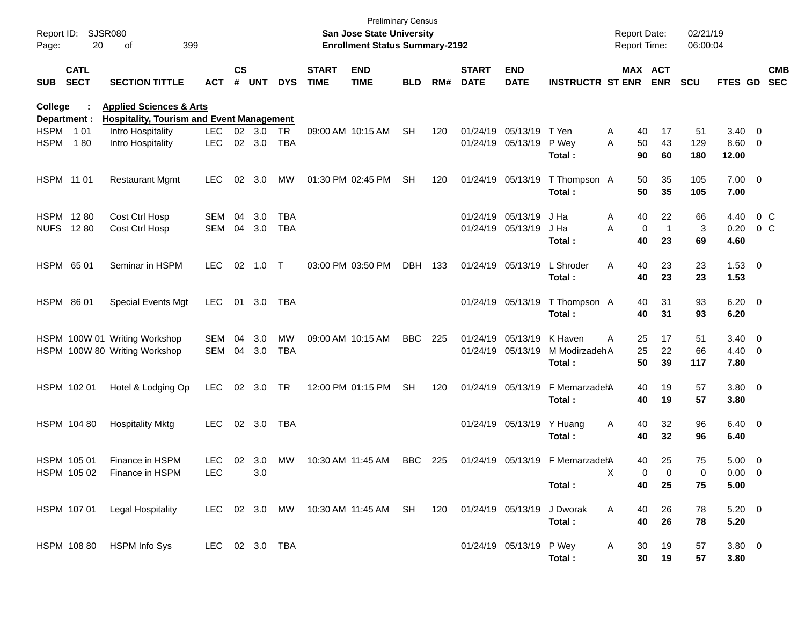| Page:            | Report ID: SJSR080<br>20   | 399<br>οf                                        |                |                    |            |            |                             | <b>Preliminary Census</b><br>San Jose State University<br><b>Enrollment Status Summary-2192</b> |            |     |                             |                           |                                 | <b>Report Date:</b><br><b>Report Time:</b> |                             | 02/21/19<br>06:00:04 |                 |                |                          |
|------------------|----------------------------|--------------------------------------------------|----------------|--------------------|------------|------------|-----------------------------|-------------------------------------------------------------------------------------------------|------------|-----|-----------------------------|---------------------------|---------------------------------|--------------------------------------------|-----------------------------|----------------------|-----------------|----------------|--------------------------|
| <b>SUB</b>       | <b>CATL</b><br><b>SECT</b> | <b>SECTION TITTLE</b>                            | <b>ACT</b>     | $\mathsf{cs}$<br># | <b>UNT</b> | <b>DYS</b> | <b>START</b><br><b>TIME</b> | <b>END</b><br><b>TIME</b>                                                                       | <b>BLD</b> | RM# | <b>START</b><br><b>DATE</b> | <b>END</b><br><b>DATE</b> | <b>INSTRUCTR ST ENR</b>         |                                            | MAX ACT<br><b>ENR</b>       | <b>SCU</b>           | <b>FTES GD</b>  |                | <b>CMB</b><br><b>SEC</b> |
| College          |                            | <b>Applied Sciences &amp; Arts</b>               |                |                    |            |            |                             |                                                                                                 |            |     |                             |                           |                                 |                                            |                             |                      |                 |                |                          |
| Department :     |                            | <b>Hospitality, Tourism and Event Management</b> |                |                    |            |            |                             |                                                                                                 |            |     |                             |                           |                                 |                                            |                             |                      |                 |                |                          |
| HSPM 101         |                            | Intro Hospitality                                | <b>LEC</b>     |                    | 02 3.0     | TR         |                             | 09:00 AM 10:15 AM                                                                               | <b>SH</b>  | 120 |                             | 01/24/19 05/13/19         | T Yen                           | A                                          | 17<br>40                    | 51                   | $3.40 \quad 0$  |                |                          |
| <b>HSPM</b>      | 180                        | Intro Hospitality                                | <b>LEC</b>     |                    | 02 3.0     | <b>TBA</b> |                             |                                                                                                 |            |     |                             | 01/24/19 05/13/19         | P Wey<br>Total:                 | 50<br>A<br>90                              | 43<br>60                    | 129<br>180           | 8.60 0<br>12.00 |                |                          |
| HSPM 11 01       |                            | <b>Restaurant Mgmt</b>                           | <b>LEC</b>     | 02                 | 3.0        | МW         |                             | 01:30 PM 02:45 PM                                                                               | <b>SH</b>  | 120 |                             | 01/24/19 05/13/19         | T Thompson A                    | 50                                         | 35                          | 105                  | $7.00 \t 0$     |                |                          |
|                  |                            |                                                  |                |                    |            |            |                             |                                                                                                 |            |     |                             |                           | Total :                         | 50                                         | 35                          | 105                  | 7.00            |                |                          |
| HSPM 1280        |                            | Cost Ctrl Hosp                                   | <b>SEM</b>     | 04                 | 3.0        | TBA        |                             |                                                                                                 |            |     |                             | 01/24/19 05/13/19         | J Ha                            | 40<br>A                                    | 22                          | 66                   | 4.40            | 0 <sup>o</sup> |                          |
| <b>NUFS 1280</b> |                            | Cost Ctrl Hosp                                   | SEM            | 04                 | 3.0        | <b>TBA</b> |                             |                                                                                                 |            |     |                             | 01/24/19 05/13/19         | J Ha                            | A                                          | $\mathbf 0$<br>$\mathbf{1}$ | 3                    | 0.20            | $0\,$ C        |                          |
|                  |                            |                                                  |                |                    |            |            |                             |                                                                                                 |            |     |                             |                           | Total :                         | 40                                         | 23                          | 69                   | 4.60            |                |                          |
| HSPM 65 01       |                            | Seminar in HSPM                                  | <b>LEC</b>     | 02                 | $1.0$ T    |            |                             | 03:00 PM 03:50 PM                                                                               | DBH        | 133 |                             | 01/24/19 05/13/19         | L Shroder                       | A<br>40                                    | 23                          | 23                   | $1.53 \t 0$     |                |                          |
|                  |                            |                                                  |                |                    |            |            |                             |                                                                                                 |            |     |                             |                           | Total:                          | 40                                         | 23                          | 23                   | 1.53            |                |                          |
| HSPM 86 01       |                            | <b>Special Events Mgt</b>                        | <b>LEC</b>     |                    | 01 3.0     | TBA        |                             |                                                                                                 |            |     |                             | 01/24/19 05/13/19         | T Thompson A                    | 40                                         | 31                          | 93                   | $6.20 \quad 0$  |                |                          |
|                  |                            |                                                  |                |                    |            |            |                             |                                                                                                 |            |     |                             |                           | Total:                          | 40                                         | 31                          | 93                   | 6.20            |                |                          |
|                  |                            | HSPM 100W 01 Writing Workshop                    | SEM            | 04                 | 3.0        | <b>MW</b>  |                             | 09:00 AM 10:15 AM                                                                               | <b>BBC</b> | 225 |                             | 01/24/19 05/13/19         | K Haven                         | 25<br>A                                    | 17                          | 51                   | $3.40 \quad 0$  |                |                          |
|                  |                            | HSPM 100W 80 Writing Workshop                    | SEM 04         |                    | 3.0        | <b>TBA</b> |                             |                                                                                                 |            |     |                             | 01/24/19 05/13/19         | M ModirzadehA                   | 25                                         | 22                          | 66                   | $4.40 \ 0$      |                |                          |
|                  |                            |                                                  |                |                    |            |            |                             |                                                                                                 |            |     |                             |                           | Total:                          | 50                                         | 39                          | 117                  | 7.80            |                |                          |
|                  | HSPM 102 01                | Hotel & Lodging Op                               | <b>LEC</b>     |                    | 02 3.0     | TR         |                             | 12:00 PM 01:15 PM                                                                               | <b>SH</b>  | 120 |                             | 01/24/19 05/13/19         | F MemarzadehA                   | 40                                         | 19                          | 57                   | $3.80\ 0$       |                |                          |
|                  |                            |                                                  |                |                    |            |            |                             |                                                                                                 |            |     |                             |                           | Total :                         | 40                                         | 19                          | 57                   | 3.80            |                |                          |
|                  | HSPM 104 80                | <b>Hospitality Mktg</b>                          | <b>LEC</b>     |                    | 02 3.0     | TBA        |                             |                                                                                                 |            |     |                             | 01/24/19 05/13/19         | Y Huang                         | 40<br>A                                    | 32                          | 96                   | $6.40 \quad 0$  |                |                          |
|                  |                            |                                                  |                |                    |            |            |                             |                                                                                                 |            |     |                             |                           | Total:                          | 40                                         | 32                          | 96                   | 6.40            |                |                          |
| HSPM 105 01      |                            | Finance in HSPM                                  | <b>LEC</b>     | 02 <sub>o</sub>    | 3.0        | <b>MW</b>  | 10:30 AM 11:45 AM           |                                                                                                 | <b>BBC</b> | 225 |                             |                           | 01/24/19 05/13/19 F MemarzadehA |                                            | 25<br>40                    | 75                   | $5.00 \t 0$     |                |                          |
|                  | HSPM 105 02                | Finance in HSPM                                  | LEC.           |                    | 3.0        |            |                             |                                                                                                 |            |     |                             |                           |                                 | X.                                         | $\Omega$<br>$\Omega$        | 0                    | $0.00 \t 0$     |                |                          |
|                  |                            |                                                  |                |                    |            |            |                             |                                                                                                 |            |     |                             |                           | Total:                          |                                            | 40<br>25                    | 75                   | 5.00            |                |                          |
|                  |                            | HSPM 107 01 Legal Hospitality                    |                |                    |            |            |                             | LEC 02 3.0 MW 10:30 AM 11:45 AM SH 120 01/24/19 05/13/19 J Dworak                               |            |     |                             |                           |                                 | A                                          | 26<br>40                    | 78                   | $5.20 \ 0$      |                |                          |
|                  |                            |                                                  |                |                    |            |            |                             |                                                                                                 |            |     |                             |                           | Total:                          |                                            | 40<br>26                    | 78                   | 5.20            |                |                          |
|                  |                            | HSPM 108 80 HSPM Info Sys                        | LEC 02 3.0 TBA |                    |            |            |                             |                                                                                                 |            |     |                             | 01/24/19 05/13/19 P Wey   |                                 | A<br>30                                    | 19                          | 57                   | $3.80\ 0$       |                |                          |
|                  |                            |                                                  |                |                    |            |            |                             |                                                                                                 |            |     |                             |                           | Total:                          |                                            | 30<br>19                    | 57                   | 3.80            |                |                          |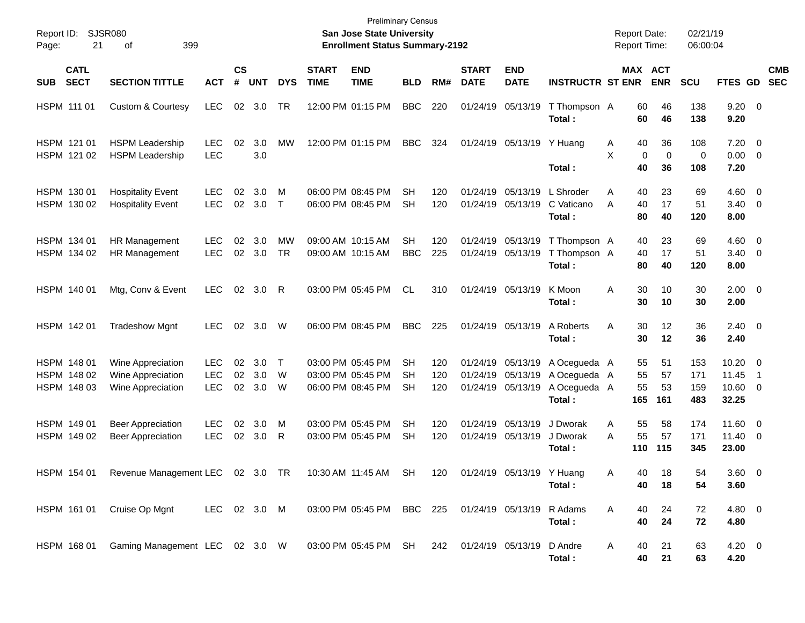| Report ID:<br>21<br>Page:                 | SJSR080<br>399<br>οf                                        |                                        |                |                      |                  |                             | <b>Preliminary Census</b><br><b>San Jose State University</b><br><b>Enrollment Status Summary-2192</b> |                  |                   |                               |                                        |                                                                          | <b>Report Date:</b><br><b>Report Time:</b> |                       |                       | 02/21/19<br>06:00:04     |                                           |                          |                          |
|-------------------------------------------|-------------------------------------------------------------|----------------------------------------|----------------|----------------------|------------------|-----------------------------|--------------------------------------------------------------------------------------------------------|------------------|-------------------|-------------------------------|----------------------------------------|--------------------------------------------------------------------------|--------------------------------------------|-----------------------|-----------------------|--------------------------|-------------------------------------------|--------------------------|--------------------------|
| <b>CATL</b><br><b>SECT</b><br><b>SUB</b>  | <b>SECTION TITTLE</b>                                       | <b>ACT</b>                             | <b>CS</b><br># | <b>UNT</b>           | <b>DYS</b>       | <b>START</b><br><b>TIME</b> | <b>END</b><br><b>TIME</b>                                                                              | <b>BLD</b>       | RM#               | <b>START</b><br><b>DATE</b>   | <b>END</b><br><b>DATE</b>              | <b>INSTRUCTR ST ENR</b>                                                  |                                            | MAX ACT               | <b>ENR</b>            | <b>SCU</b>               | FTES GD                                   |                          | <b>CMB</b><br><b>SEC</b> |
| HSPM 111 01                               | <b>Custom &amp; Courtesy</b>                                | <b>LEC</b>                             |                | 02 3.0               | TR               |                             | 12:00 PM 01:15 PM                                                                                      | <b>BBC</b>       | 220               |                               | 01/24/19 05/13/19                      | T Thompson A<br>Total:                                                   |                                            | 60<br>60              | 46<br>46              | 138<br>138               | $9.20 \ 0$<br>9.20                        |                          |                          |
| HSPM 121 01<br>HSPM 121 02                | <b>HSPM Leadership</b><br><b>HSPM Leadership</b>            | <b>LEC</b><br><b>LEC</b>               | 02             | 3.0<br>3.0           | <b>MW</b>        |                             | 12:00 PM 01:15 PM                                                                                      | <b>BBC</b>       | 324               |                               | 01/24/19 05/13/19                      | Y Huang<br>Total:                                                        | A<br>X                                     | 40<br>0<br>40         | 36<br>0<br>36         | 108<br>0<br>108          | $7.20 \t 0$<br>$0.00 \t 0$<br>7.20        |                          |                          |
| HSPM 130 01<br>HSPM 130 02                | <b>Hospitality Event</b><br><b>Hospitality Event</b>        | <b>LEC</b><br><b>LEC</b>               | 02<br>02       | 3.0<br>3.0           | M<br>$\top$      |                             | 06:00 PM 08:45 PM<br>06:00 PM 08:45 PM                                                                 | SН<br><b>SH</b>  | 120<br>120        |                               | 01/24/19 05/13/19<br>01/24/19 05/13/19 | L Shroder<br>C Vaticano<br>Total:                                        | A<br>A                                     | 40<br>40<br>80        | 23<br>17<br>40        | 69<br>51<br>120          | $4.60$ 0<br>$3.40 \ 0$<br>8.00            |                          |                          |
| HSPM 134 01<br>HSPM 134 02                | HR Management<br>HR Management                              | <b>LEC</b><br><b>LEC</b>               | 02             | 3.0<br>02 3.0        | MW<br>TR         |                             | 09:00 AM 10:15 AM<br>09:00 AM 10:15 AM                                                                 | SН<br><b>BBC</b> | 120<br>225        |                               | 01/24/19 05/13/19<br>01/24/19 05/13/19 | T Thompson A<br>T Thompson A<br>Total:                                   |                                            | 40<br>40<br>80        | 23<br>17<br>40        | 69<br>51<br>120          | $4.60$ 0<br>$3.40 \ 0$<br>8.00            |                          |                          |
| HSPM 140 01                               | Mtg, Conv & Event                                           | <b>LEC</b>                             |                | 02 3.0               | R                |                             | 03:00 PM 05:45 PM                                                                                      | <b>CL</b>        | 310               |                               | 01/24/19 05/13/19                      | K Moon<br>Total :                                                        | Α                                          | 30<br>30              | 10<br>10              | 30<br>30                 | $2.00 \t 0$<br>2.00                       |                          |                          |
| HSPM 142 01                               | <b>Tradeshow Mgnt</b>                                       | <b>LEC</b>                             | 02             | 3.0                  | W                |                             | 06:00 PM 08:45 PM                                                                                      | <b>BBC</b>       | 225               |                               | 01/24/19 05/13/19                      | A Roberts<br>Total:                                                      | A                                          | 30<br>30              | 12<br>12              | 36<br>36                 | $2.40 \ 0$<br>2.40                        |                          |                          |
| HSPM 148 01<br>HSPM 148 02<br>HSPM 148 03 | Wine Appreciation<br>Wine Appreciation<br>Wine Appreciation | <b>LEC</b><br><b>LEC</b><br><b>LEC</b> | 02<br>02       | 3.0<br>3.0<br>02 3.0 | $\top$<br>W<br>W |                             | 03:00 PM 05:45 PM<br>03:00 PM 05:45 PM<br>06:00 PM 08:45 PM                                            | SН<br>SН<br>SН   | 120<br>120<br>120 |                               | 01/24/19 05/13/19<br>01/24/19 05/13/19 | 01/24/19 05/13/19 A Ocegueda A<br>A Ocegueda A<br>A Ocegueda A<br>Total: |                                            | 55<br>55<br>55<br>165 | 51<br>57<br>53<br>161 | 153<br>171<br>159<br>483 | $10.20 \t 0$<br>11.45<br>10.60 0<br>32.25 | $\overline{\phantom{1}}$ |                          |
| HSPM 149 01<br>HSPM 149 02                | <b>Beer Appreciation</b><br><b>Beer Appreciation</b>        | <b>LEC</b><br><b>LEC</b>               | 02             | 3.0<br>02 3.0        | М<br>R           |                             | 03:00 PM 05:45 PM<br>03:00 PM 05:45 PM                                                                 | SН<br>SН         | 120<br>120        |                               | 01/24/19 05/13/19<br>01/24/19 05/13/19 | J Dworak<br>J Dworak<br>Total :                                          | Α<br>Α                                     | 55<br>55<br>110       | 58<br>57<br>115       | 174<br>171<br>345        | 11.60 0<br>$11.40 \t 0$<br>23.00          |                          |                          |
| HSPM 154 01                               | Revenue Management LEC 02 3.0 TR                            |                                        |                |                      |                  |                             | 10:30 AM 11:45 AM                                                                                      | SH               | 120               |                               | 01/24/19 05/13/19 Y Huang              | Total:                                                                   | A                                          | 40.<br>40             | 18<br>18              | 54<br>54                 | $3.60 \quad 0$<br>3.60                    |                          |                          |
| HSPM 161 01                               | Cruise Op Mgnt                                              | LEC 02 3.0 M                           |                |                      |                  |                             | 03:00 PM 05:45 PM BBC 225 01/24/19 05/13/19 R Adams                                                    |                  |                   |                               |                                        | Total:                                                                   | A                                          | 40<br>40              | 24<br>24              | 72<br>72                 | 4.80 0<br>4.80                            |                          |                          |
|                                           | HSPM 168 01 Gaming Management LEC 02 3.0 W                  |                                        |                |                      |                  |                             | 03:00 PM 05:45 PM SH                                                                                   |                  |                   | 242 01/24/19 05/13/19 D Andre |                                        | Total:                                                                   | A                                          | 40<br>40              | 21<br>21              | 63<br>63                 | $4.20 \ 0$<br>4.20                        |                          |                          |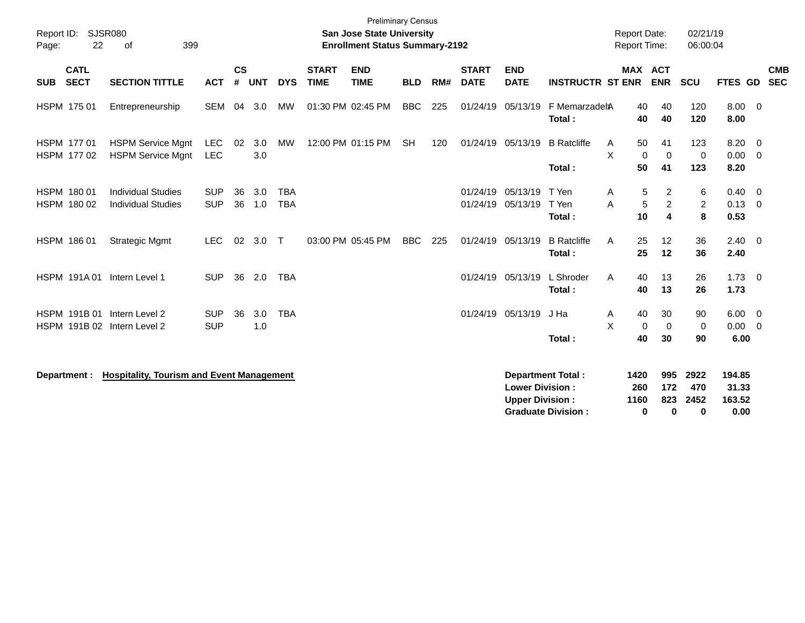| Report ID:<br>Page: | 22                                                                                        | <b>SJSR080</b><br>399<br>of                            |                          |                |            |                          |                             | <b>Preliminary Census</b><br><b>San Jose State University</b><br><b>Enrollment Status Summary-2192</b> |            |     |                                                  |                                                       |                              | <b>Report Date:</b><br><b>Report Time:</b> |                                                                | 02/21/19<br>06:00:04              |                             |                                                    |  |
|---------------------|-------------------------------------------------------------------------------------------|--------------------------------------------------------|--------------------------|----------------|------------|--------------------------|-----------------------------|--------------------------------------------------------------------------------------------------------|------------|-----|--------------------------------------------------|-------------------------------------------------------|------------------------------|--------------------------------------------|----------------------------------------------------------------|-----------------------------------|-----------------------------|----------------------------------------------------|--|
| <b>SUB</b>          | <b>CATL</b><br><b>SECT</b>                                                                | <b>SECTION TITTLE</b>                                  | <b>ACT</b>               | <b>CS</b><br># | <b>UNT</b> | <b>DYS</b>               | <b>START</b><br><b>TIME</b> | <b>END</b><br><b>TIME</b>                                                                              | <b>BLD</b> | RM# | <b>START</b><br><b>DATE</b>                      | <b>END</b><br><b>DATE</b>                             | <b>INSTRUCTR ST ENR</b>      |                                            | <b>MAX ACT</b><br><b>ENR</b>                                   | SCU                               | FTES GD                     | <b>CMB</b><br><b>SEC</b>                           |  |
|                     | HSPM 175 01<br>Entrepreneurship<br>HSPM 177 01<br><b>HSPM Service Mgnt</b><br>HSPM 177 02 |                                                        |                          | 04             | 3.0        | MW                       |                             | 01:30 PM 02:45 PM                                                                                      | <b>BBC</b> | 225 | 01/24/19                                         | 05/13/19                                              | F MemarzadehA<br>Total:      | 40<br>40                                   | 40<br>40                                                       | 120<br>120                        | 8.00<br>8.00                | $\overline{\phantom{0}}$                           |  |
|                     |                                                                                           | <b>HSPM Service Mgnt</b>                               | LEC<br><b>LEC</b>        | 02             | 3.0<br>3.0 | <b>MW</b>                |                             | 12:00 PM 01:15 PM                                                                                      | <b>SH</b>  | 120 | 01/24/19                                         | 05/13/19                                              | <b>B</b> Ratcliffe<br>Total: | 50<br>A<br>X<br>50                         | 41<br>$\mathbf 0$<br>$\mathbf 0$<br>41                         | 123<br>$\mathbf 0$<br>123         | 8.20<br>0.00<br>8.20        | $\overline{\mathbf{0}}$<br>$\overline{\mathbf{0}}$ |  |
|                     | HSPM 180 01<br>HSPM 180 02                                                                | <b>Individual Studies</b><br><b>Individual Studies</b> | <b>SUP</b><br><b>SUP</b> | 36<br>36       | 3.0<br>1.0 | <b>TBA</b><br><b>TBA</b> |                             |                                                                                                        |            |     | 01/24/19<br>01/24/19                             | 05/13/19<br>05/13/19                                  | T Yen<br>T Yen<br>Total:     | Α<br>A<br>10                               | 5<br>$\overline{c}$<br>5<br>$\overline{c}$<br>$\boldsymbol{4}$ | 6<br>$\overline{c}$<br>8          | 0.40<br>$0.13 \ 0$<br>0.53  | $\overline{\mathbf{0}}$                            |  |
|                     | HSPM 186 01                                                                               | <b>Strategic Mgmt</b>                                  | <b>LEC</b>               | 02             | 3.0        | $\mathsf{T}$             |                             | 03:00 PM 05:45 PM                                                                                      | <b>BBC</b> | 225 | 01/24/19                                         | 05/13/19                                              | <b>B</b> Ratcliffe<br>Total: | 25<br>A<br>25                              | 12<br>12                                                       | 36<br>36                          | $2.40 \ 0$<br>2.40          |                                                    |  |
|                     |                                                                                           | Intern Level 1                                         | <b>SUP</b>               | 36             | 2.0        | <b>TBA</b>               |                             |                                                                                                        |            |     | 01/24/19                                         | 05/13/19                                              | L Shroder<br>Total:          | A<br>40<br>40                              | 13<br>13                                                       | 26<br>26                          | $1.73 \t 0$<br>1.73         |                                                    |  |
|                     | <b>HSPM 191A01</b><br>HSPM 191B 01<br>Intern Level 2<br>HSPM 191B 02<br>Intern Level 2    |                                                        |                          |                | 3.0<br>1.0 | <b>TBA</b>               |                             |                                                                                                        |            |     | 01/24/19                                         | 05/13/19                                              | J Ha<br>Total:               | 40<br>A<br>X<br>40                         | 30<br>$\mathbf 0$<br>$\mathbf 0$<br>30                         | 90<br>0<br>90                     | $6.00 \t 0$<br>0.00<br>6.00 | $\overline{0}$                                     |  |
|                     | Department :                                                                              | <b>Hospitality, Tourism and Event Management</b>       |                          |                |            |                          |                             |                                                                                                        |            |     | <b>Lower Division:</b><br><b>Upper Division:</b> | <b>Department Total:</b><br><b>Graduate Division:</b> | 1420<br>260<br>1160          | 995<br>172<br>823<br>0<br>0                | 2922<br>470<br>2452<br>0                                       | 194.85<br>31.33<br>163.52<br>0.00 |                             |                                                    |  |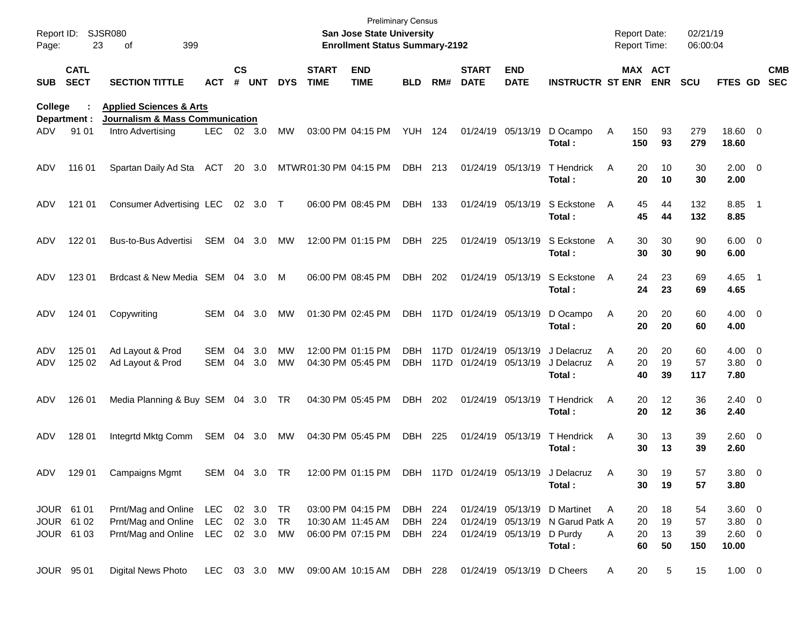| Report ID:<br>Page: | 23                         | <b>SJSR080</b><br>399<br>of                                     |               |               |                |               |                             | <b>Preliminary Census</b><br><b>San Jose State University</b><br><b>Enrollment Status Summary-2192</b> |                |     |                             |                           |                                       |   | <b>Report Date:</b><br><b>Report Time:</b> |                       | 02/21/19<br>06:00:04 |                |                          |
|---------------------|----------------------------|-----------------------------------------------------------------|---------------|---------------|----------------|---------------|-----------------------------|--------------------------------------------------------------------------------------------------------|----------------|-----|-----------------------------|---------------------------|---------------------------------------|---|--------------------------------------------|-----------------------|----------------------|----------------|--------------------------|
| <b>SUB</b>          | <b>CATL</b><br><b>SECT</b> | <b>SECTION TITTLE</b>                                           | ACT           | $\mathsf{cs}$ | # UNT          | <b>DYS</b>    | <b>START</b><br><b>TIME</b> | <b>END</b><br><b>TIME</b>                                                                              | <b>BLD</b>     | RM# | <b>START</b><br><b>DATE</b> | <b>END</b><br><b>DATE</b> | <b>INSTRUCTR ST ENR</b>               |   |                                            | MAX ACT<br><b>ENR</b> | <b>SCU</b>           | <b>FTES GD</b> | <b>CMB</b><br><b>SEC</b> |
| College             |                            | <b>Applied Sciences &amp; Arts</b>                              |               |               |                |               |                             |                                                                                                        |                |     |                             |                           |                                       |   |                                            |                       |                      |                |                          |
| ADV                 | Department :<br>91 01      | <b>Journalism &amp; Mass Communication</b><br>Intro Advertising | LEC.          |               | $02 \quad 3.0$ | МW            |                             | 03:00 PM 04:15 PM                                                                                      | <b>YUH 124</b> |     |                             | 01/24/19 05/13/19         | D Ocampo                              | A | 150                                        | 93                    | 279                  | 18.60 0        |                          |
|                     |                            |                                                                 |               |               |                |               |                             |                                                                                                        |                |     |                             |                           | Total:                                |   | 150                                        | 93                    | 279                  | 18.60          |                          |
| ADV                 | 116 01                     | Spartan Daily Ad Sta                                            | ACT           |               | 20 3.0         |               | MTWR01:30 PM 04:15 PM       |                                                                                                        | DBH 213        |     |                             | 01/24/19 05/13/19         | T Hendrick                            | A | 20                                         | 10                    | 30                   | $2.00 \t 0$    |                          |
|                     |                            |                                                                 |               |               |                |               |                             |                                                                                                        |                |     |                             |                           | Total:                                |   | 20                                         | 10                    | 30                   | 2.00           |                          |
| ADV                 | 121 01                     | Consumer Advertising LEC                                        |               |               | 02 3.0 T       |               |                             | 06:00 PM 08:45 PM                                                                                      | DBH            | 133 |                             | 01/24/19 05/13/19         | S Eckstone                            | A | 45                                         | 44                    | 132                  | 8.85 1         |                          |
|                     |                            |                                                                 |               |               |                |               |                             |                                                                                                        |                |     |                             |                           | Total:                                |   | 45                                         | 44                    | 132                  | 8.85           |                          |
| ADV                 | 122 01                     | Bus-to-Bus Advertisi                                            | SEM           | 04            | 3.0            | MW            |                             | 12:00 PM 01:15 PM                                                                                      | DBH            | 225 |                             | 01/24/19 05/13/19         | S Eckstone                            | A | 30                                         | 30                    | 90                   | $6.00 \t 0$    |                          |
|                     |                            |                                                                 |               |               |                |               |                             |                                                                                                        |                |     |                             |                           | Total:                                |   | 30                                         | 30                    | 90                   | 6.00           |                          |
| ADV                 | 123 01                     | Brdcast & New Media SEM 04 3.0                                  |               |               |                | M             |                             | 06:00 PM 08:45 PM                                                                                      | DBH            | 202 |                             | 01/24/19 05/13/19         | S Eckstone                            | A | 24                                         | 23                    | 69                   | 4.65 1         |                          |
|                     |                            |                                                                 |               |               |                |               |                             |                                                                                                        |                |     |                             |                           | Total:                                |   | 24                                         | 23                    | 69                   | 4.65           |                          |
| ADV                 | 124 01                     | Copywriting                                                     | SEM           | 04            | 3.0            | MW            |                             | 01:30 PM 02:45 PM                                                                                      |                |     | DBH 117D 01/24/19 05/13/19  |                           | D Ocampo                              | A | 20                                         | 20                    | 60                   | $4.00 \ 0$     |                          |
|                     |                            |                                                                 |               |               |                |               |                             |                                                                                                        |                |     |                             |                           | Total:                                |   | 20                                         | 20                    | 60                   | 4.00           |                          |
| ADV                 | 125 01                     | Ad Layout & Prod                                                | <b>SEM</b>    | 04            | 3.0            | <b>MW</b>     |                             | 12:00 PM 01:15 PM                                                                                      | DBH.           |     | 117D 01/24/19 05/13/19      |                           | J Delacruz                            | Α | 20                                         | 20                    | 60                   | $4.00 \ 0$     |                          |
| ADV                 | 125 02                     | Ad Layout & Prod                                                | SEM           | 04            | 3.0            | MW            |                             | 04:30 PM 05:45 PM                                                                                      | DBH.           |     | 117D 01/24/19 05/13/19      |                           | J Delacruz                            | A | 20                                         | 19                    | 57                   | $3.80\ 0$      |                          |
|                     |                            |                                                                 |               |               |                |               |                             |                                                                                                        |                |     |                             |                           | Total :                               |   | 40                                         | 39                    | 117                  | 7.80           |                          |
| ADV                 | 126 01                     | Media Planning & Buy SEM 04 3.0 TR                              |               |               |                |               |                             | 04:30 PM 05:45 PM                                                                                      | DBH 202        |     |                             | 01/24/19 05/13/19         | T Hendrick                            | Α | 20                                         | 12                    | 36                   | $2.40 \ 0$     |                          |
|                     |                            |                                                                 |               |               |                |               |                             |                                                                                                        |                |     |                             |                           | Total :                               |   | 20                                         | 12                    | 36                   | 2.40           |                          |
| ADV                 | 128 01                     | Integrtd Mktg Comm                                              | SEM 04 3.0    |               |                | MW            |                             | 04:30 PM 05:45 PM                                                                                      | DBH 225        |     |                             | 01/24/19 05/13/19         | T Hendrick                            | Α | 30                                         | 13                    | 39                   | 2.60 0         |                          |
|                     |                            |                                                                 |               |               |                |               |                             |                                                                                                        |                |     |                             |                           | Total :                               |   | 30                                         | 13                    | 39                   | 2.60           |                          |
| ADV                 | 129 01                     | Campaigns Mgmt                                                  | SEM 04 3.0 TR |               |                |               |                             | 12:00 PM 01:15 PM                                                                                      |                |     |                             |                           | DBH 117D 01/24/19 05/13/19 J Delacruz | A | 30                                         | 19                    | 57                   | $3.80\ 0$      |                          |
|                     |                            |                                                                 |               |               |                |               |                             |                                                                                                        |                |     |                             |                           | Total:                                |   | 30                                         | 19                    | 57                   | 3.80           |                          |
|                     | JOUR 61 01                 | Prnt/Mag and Online                                             | LEC           |               | 02 3.0         | TR            |                             | 03:00 PM 04:15 PM                                                                                      | DBH 224        |     |                             |                           | 01/24/19 05/13/19 D Martinet          | A | 20                                         | 18                    | 54                   | 3.60 0         |                          |
|                     | JOUR 61 02                 | Prnt/Mag and Online                                             | LEC           |               | 02 3.0         | TR            |                             | 10:30 AM 11:45 AM                                                                                      | DBH 224        |     |                             |                           | 01/24/19 05/13/19 N Garud Patk A      |   | 20                                         | 19                    | 57                   | $3.80\ 0$      |                          |
|                     | JOUR 61 03                 | Prnt/Mag and Online                                             | LEC 02 3.0    |               |                | MW            |                             | 06:00 PM 07:15 PM                                                                                      | DBH 224        |     |                             | 01/24/19 05/13/19         | D Purdy                               | Α | 20                                         | 13                    | 39                   | $2.60 \t 0$    |                          |
|                     |                            |                                                                 |               |               |                |               |                             |                                                                                                        |                |     |                             |                           | Total:                                |   | 60                                         | 50                    | 150                  | 10.00          |                          |
|                     | JOUR 95 01                 | <b>Digital News Photo</b>                                       |               |               |                | LEC 03 3.0 MW |                             | 09:00 AM 10:15 AM DBH 228                                                                              |                |     |                             |                           | 01/24/19 05/13/19 D Cheers            | A | 20                                         | 5                     | 15                   | $1.00 \t 0$    |                          |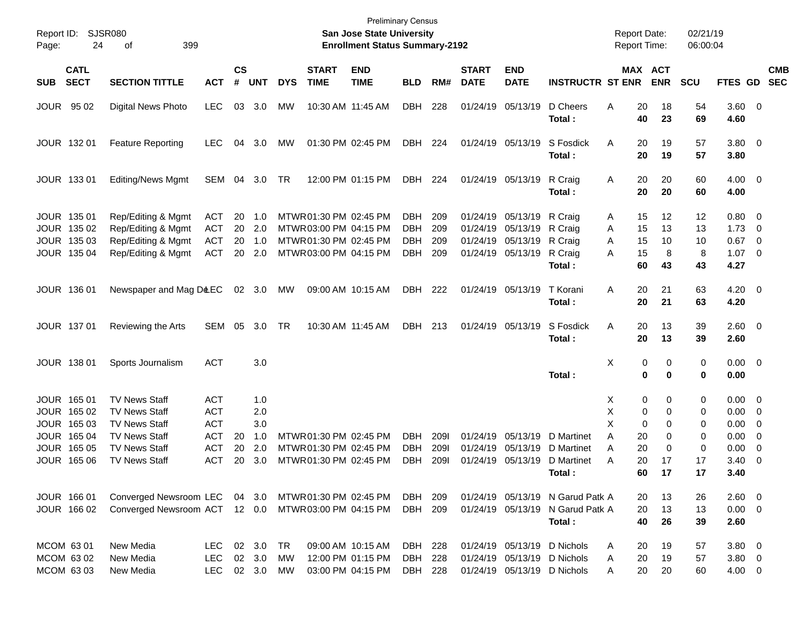| Report ID:<br>Page: | 24                                        | <b>SJSR080</b><br>399<br>οf                                          |                                        |                |                         |                                     |                                                 | <b>San Jose State University</b><br><b>Enrollment Status Summary-2192</b> | <b>Preliminary Census</b> |                   |                             |                                        |                                                                         | <b>Report Date:</b><br>Report Time: |                       | 02/21/19<br>06:00:04 |                                   |                                 |
|---------------------|-------------------------------------------|----------------------------------------------------------------------|----------------------------------------|----------------|-------------------------|-------------------------------------|-------------------------------------------------|---------------------------------------------------------------------------|---------------------------|-------------------|-----------------------------|----------------------------------------|-------------------------------------------------------------------------|-------------------------------------|-----------------------|----------------------|-----------------------------------|---------------------------------|
| <b>SUB</b>          | <b>CATL</b><br><b>SECT</b>                | <b>SECTION TITTLE</b>                                                | <b>ACT</b>                             | <b>CS</b><br># | <b>UNT</b>              | <b>DYS</b>                          | <b>START</b><br><b>TIME</b>                     | <b>END</b><br><b>TIME</b>                                                 | <b>BLD</b>                | RM#               | <b>START</b><br><b>DATE</b> | <b>END</b><br><b>DATE</b>              | <b>INSTRUCTR ST ENR</b>                                                 |                                     | MAX ACT<br><b>ENR</b> | <b>SCU</b>           | FTES GD                           | <b>CMB</b><br><b>SEC</b>        |
|                     | <b>JOUR 9502</b>                          | Digital News Photo                                                   | <b>LEC</b>                             |                | 03 3.0                  | <b>MW</b>                           | 10:30 AM 11:45 AM                               |                                                                           | DBH                       | 228               |                             | 01/24/19 05/13/19                      | D Cheers<br>Total:                                                      | 20<br>Α<br>40                       | 18<br>23              | 54<br>69             | 3.60 0<br>4.60                    |                                 |
|                     | JOUR 132 01                               | <b>Feature Reporting</b>                                             | <b>LEC</b>                             | 04             | 3.0                     | <b>MW</b>                           |                                                 | 01:30 PM 02:45 PM                                                         | DBH                       | 224               |                             | 01/24/19 05/13/19                      | S Fosdick<br>Total:                                                     | A<br>20<br>20                       | 19<br>19              | 57<br>57             | 3.80 0<br>3.80                    |                                 |
|                     | JOUR 133 01                               | <b>Editing/News Mgmt</b>                                             | SEM 04 3.0                             |                |                         | TR                                  |                                                 | 12:00 PM 01:15 PM                                                         | DBH 224                   |                   |                             | 01/24/19 05/13/19                      | R Craig<br>Total:                                                       | 20<br>Α<br>20                       | 20<br>20              | 60<br>60             | $4.00 \ 0$<br>4.00                |                                 |
|                     | JOUR 135 01<br>JOUR 135 02                | Rep/Editing & Mgmt<br>Rep/Editing & Mgmt                             | ACT<br><b>ACT</b>                      | 20<br>20       | -1.0<br>2.0             |                                     | MTWR 01:30 PM 02:45 PM<br>MTWR03:00 PM 04:15 PM |                                                                           | DBH<br><b>DBH</b>         | 209<br>209        | 01/24/19<br>01/24/19        | 05/13/19<br>05/13/19                   | R Craig<br>R Craig                                                      | 15<br>A<br>15<br>A                  | 12<br>13              | 12<br>13             | 0.80 0<br>1.73                    | - 0                             |
|                     | JOUR 135 03<br>JOUR 135 04                | Rep/Editing & Mgmt<br>Rep/Editing & Mgmt                             | <b>ACT</b><br><b>ACT</b>               | 20<br>20       | 1.0<br>2.0              |                                     | MTWR 01:30 PM 02:45 PM<br>MTWR03:00 PM 04:15 PM |                                                                           | <b>DBH</b><br>DBH         | 209<br>209        | 01/24/19                    | 05/13/19<br>01/24/19 05/13/19          | R Craig<br>R Craig<br>Total:                                            | 15<br>Α<br>15<br>Α<br>60            | 10<br>8<br>43         | 10<br>8<br>43        | 0.67<br>1.07<br>4.27              | $\overline{\phantom{0}}$<br>- 0 |
|                     | JOUR 136 01                               | Newspaper and Mag D&EC                                               |                                        |                | 02 3.0                  | МW                                  |                                                 | 09:00 AM 10:15 AM                                                         | DBH                       | 222               |                             | 01/24/19 05/13/19                      | T Korani<br>Total:                                                      | 20<br>A<br>20                       | 21<br>21              | 63<br>63             | $4.20 \ 0$<br>4.20                |                                 |
|                     | JOUR 137 01                               | Reviewing the Arts                                                   | SEM 05                                 |                | 3.0                     | TR                                  | 10:30 AM 11:45 AM                               |                                                                           | DBH 213                   |                   |                             | 01/24/19 05/13/19                      | S Fosdick<br>Total:                                                     | 20<br>A<br>20                       | 13<br>13              | 39<br>39             | $2.60 \ 0$<br>2.60                |                                 |
|                     | JOUR 138 01                               | Sports Journalism                                                    | <b>ACT</b>                             |                | 3.0                     |                                     |                                                 |                                                                           |                           |                   |                             |                                        | Total:                                                                  | X<br>0<br>0                         | 0<br>0                | 0<br>0               | $0.00 \t 0$<br>0.00               |                                 |
|                     | JOUR 165 01<br>JOUR 165 02                | <b>TV News Staff</b><br><b>TV News Staff</b>                         | <b>ACT</b><br><b>ACT</b>               |                | 1.0<br>2.0              |                                     |                                                 |                                                                           |                           |                   |                             |                                        |                                                                         | Х<br>0<br>X<br>0                    | 0<br>0                | 0<br>0               | $0.00 \ 0$<br>0.00                | $\overline{\phantom{0}}$        |
|                     | JOUR 165 03<br>JOUR 165 04<br>JOUR 165 05 | <b>TV News Staff</b><br><b>TV News Staff</b><br><b>TV News Staff</b> | <b>ACT</b><br><b>ACT</b><br><b>ACT</b> | 20<br>20       | 3.0<br>1.0<br>2.0       |                                     | MTWR 01:30 PM 02:45 PM<br>MTWR01:30 PM 02:45 PM |                                                                           | DBH.<br><b>DBH</b>        | 2091<br>2091      | 01/24/19<br>01/24/19        | 05/13/19<br>05/13/19                   | D Martinet<br>D Martinet                                                | X<br>0<br>Α<br>20<br>20<br>Α        | 0<br>0<br>$\Omega$    | 0<br>0<br>0          | 0.00<br>0.00<br>0.00              | 0<br>0<br>0                     |
|                     | JOUR 165 06                               | <b>TV News Staff</b>                                                 | <b>ACT</b>                             | 20             | 3.0                     |                                     | MTWR 01:30 PM 02:45 PM                          |                                                                           | <b>DBH</b>                | 2091              | 01/24/19                    | 05/13/19                               | D Martinet<br>Total :                                                   | 20<br>A<br>60                       | 17<br>17              | 17<br>17             | 3.40<br>3.40                      | - 0                             |
|                     | JOUR 166 01<br>JOUR 166 02                | Converged Newsroom LEC<br>Converged Newsroom ACT 12 0.0              |                                        |                | 04 3.0                  |                                     | MTWR01:30 PM 02:45 PM<br>MTWR 03:00 PM 04:15 PM |                                                                           | DBH<br>DBH                | 209<br>209        |                             | 01/24/19 05/13/19<br>01/24/19 05/13/19 | N Garud Patk A<br>N Garud Patk A<br>Total:                              | 20<br>20<br>40                      | 13<br>13<br>26        | 26<br>13<br>39       | 2.60 0<br>$0.00 \t 0$<br>2.60     |                                 |
|                     | MCOM 63 01<br>MCOM 63 02<br>MCOM 63 03    | New Media<br>New Media<br>New Media                                  | <b>LEC</b><br><b>LEC</b><br><b>LEC</b> | 02             | 3.0<br>02 3.0<br>02 3.0 | <b>TR</b><br><b>MW</b><br><b>MW</b> |                                                 | 09:00 AM 10:15 AM<br>12:00 PM 01:15 PM<br>03:00 PM 04:15 PM               | DBH<br>DBH<br>DBH         | 228<br>228<br>228 |                             | 01/24/19 05/13/19                      | D Nichols<br>01/24/19 05/13/19 D Nichols<br>01/24/19 05/13/19 D Nichols | 20<br>A<br>20<br>Α<br>Α<br>20       | 19<br>19<br>20        | 57<br>57<br>60       | 3.80 0<br>$3.80\ 0$<br>$4.00 \ 0$ |                                 |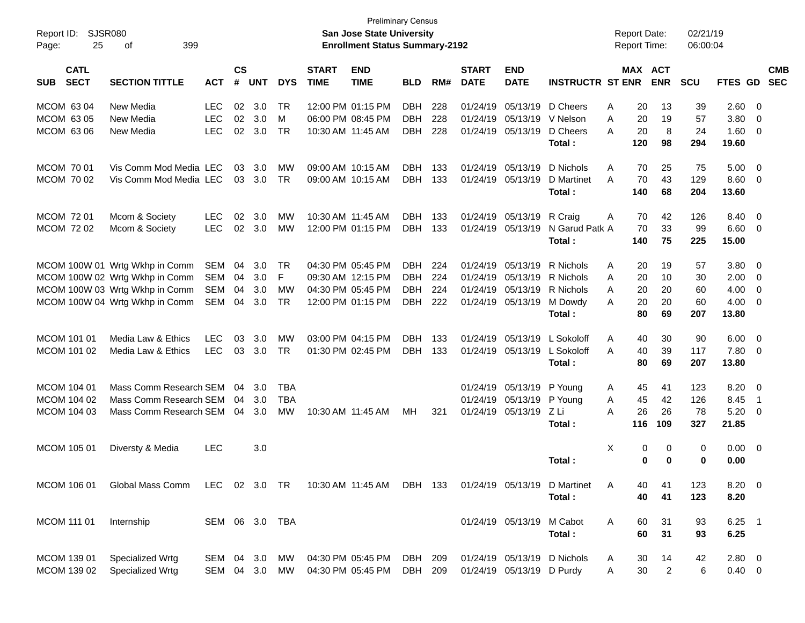| Report ID:<br>25<br>Page:                | <b>SJSR080</b><br>399<br>οf    |                |                |            |            |                             | <b>Preliminary Census</b><br><b>San Jose State University</b><br><b>Enrollment Status Summary-2192</b> |            |     |                             |                           |                             | <b>Report Date:</b><br><b>Report Time:</b> |                       | 02/21/19<br>06:00:04 |               |                         |            |
|------------------------------------------|--------------------------------|----------------|----------------|------------|------------|-----------------------------|--------------------------------------------------------------------------------------------------------|------------|-----|-----------------------------|---------------------------|-----------------------------|--------------------------------------------|-----------------------|----------------------|---------------|-------------------------|------------|
| <b>CATL</b><br><b>SECT</b><br><b>SUB</b> | <b>SECTION TITTLE</b>          | <b>ACT</b>     | <b>CS</b><br># | <b>UNT</b> | <b>DYS</b> | <b>START</b><br><b>TIME</b> | <b>END</b><br><b>TIME</b>                                                                              | <b>BLD</b> | RM# | <b>START</b><br><b>DATE</b> | <b>END</b><br><b>DATE</b> | <b>INSTRUCTR ST ENR</b>     |                                            | MAX ACT<br><b>ENR</b> | <b>SCU</b>           | FTES GD SEC   |                         | <b>CMB</b> |
| MCOM 63 04                               | New Media                      | <b>LEC</b>     | 02             | 3.0        | TR         |                             | 12:00 PM 01:15 PM                                                                                      | <b>DBH</b> | 228 | 01/24/19                    | 05/13/19                  | D Cheers                    | 20<br>A                                    | 13                    | 39                   | 2.60          | - 0                     |            |
| MCOM 63 05                               | New Media                      | <b>LEC</b>     | 02             | 3.0        | м          |                             | 06:00 PM 08:45 PM                                                                                      | <b>DBH</b> | 228 | 01/24/19                    | 05/13/19                  | V Nelson                    | 20<br>Α                                    | 19                    | 57                   | 3.80          | $\overline{0}$          |            |
| MCOM 63 06                               | New Media                      | <b>LEC</b>     | 02             | 3.0        | <b>TR</b>  |                             | 10:30 AM 11:45 AM                                                                                      | <b>DBH</b> | 228 |                             | 01/24/19 05/13/19         | D Cheers<br>Total:          | A<br>20<br>120                             | 8<br>98               | 24<br>294            | 1.60<br>19.60 | - 0                     |            |
| MCOM 70 01                               | Vis Comm Mod Media LEC         |                | 03             | 3.0        | мw         |                             | 09:00 AM 10:15 AM                                                                                      | DBH.       | 133 |                             | 01/24/19 05/13/19         | D Nichols                   | Α<br>70                                    | 25                    | 75                   | 5.00          | - 0                     |            |
| MCOM 70 02                               | Vis Comm Mod Media LEC         |                | 03             | 3.0        | <b>TR</b>  |                             | 09:00 AM 10:15 AM                                                                                      | <b>DBH</b> | 133 |                             | 01/24/19 05/13/19         | D Martinet                  | A<br>70                                    | 43                    | 129                  | 8.60          | $\overline{\mathbf{0}}$ |            |
|                                          |                                |                |                |            |            |                             |                                                                                                        |            |     |                             |                           | Total:                      | 140                                        | 68                    | 204                  | 13.60         |                         |            |
| <b>MCOM 7201</b>                         | Mcom & Society                 | <b>LEC</b>     | 02             | 3.0        | <b>MW</b>  |                             | 10:30 AM 11:45 AM                                                                                      | DBH        | 133 |                             | 01/24/19 05/13/19         | R Craig                     | 70<br>A                                    | 42                    | 126                  | 8.40          | - 0                     |            |
| MCOM 72 02                               | Mcom & Society                 | <b>LEC</b>     | 02             | 3.0        | MW         |                             | 12:00 PM 01:15 PM                                                                                      | <b>DBH</b> | 133 |                             | 01/24/19 05/13/19         | N Garud Patk A              | 70                                         | 33                    | 99                   | 6.60          | $\overline{\mathbf{0}}$ |            |
|                                          |                                |                |                |            |            |                             |                                                                                                        |            |     |                             |                           | Total:                      | 140                                        | 75                    | 225                  | 15.00         |                         |            |
|                                          | MCOM 100W 01 Wrtg Wkhp in Comm | SEM            | 04             | 3.0        | TR         |                             | 04:30 PM 05:45 PM                                                                                      | <b>DBH</b> | 224 |                             | 01/24/19 05/13/19         | R Nichols                   | 20<br>A                                    | 19                    | 57                   | 3.80          | - 0                     |            |
|                                          | MCOM 100W 02 Wrtg Wkhp in Comm | SEM            | 04             | 3.0        | F          |                             | 09:30 AM 12:15 PM                                                                                      | <b>DBH</b> | 224 | 01/24/19                    | 05/13/19                  | R Nichols                   | A<br>20                                    | 10                    | 30                   | 2.00          | $\overline{0}$          |            |
|                                          | MCOM 100W 03 Wrtg Wkhp in Comm | <b>SEM</b>     | 04             | 3.0        | МW         |                             | 04:30 PM 05:45 PM                                                                                      | <b>DBH</b> | 224 |                             | 01/24/19 05/13/19         | R Nichols                   | 20<br>A                                    | 20                    | 60                   | 4.00          | $\mathbf 0$             |            |
|                                          | MCOM 100W 04 Wrtg Wkhp in Comm | SEM            | 04             | 3.0        | TR         |                             | 12:00 PM 01:15 PM                                                                                      | <b>DBH</b> | 222 |                             | 01/24/19 05/13/19         | M Dowdy                     | 20<br>A                                    | 20                    | 60                   | 4.00          | $\overline{0}$          |            |
|                                          |                                |                |                |            |            |                             |                                                                                                        |            |     |                             |                           | Total:                      | 80                                         | 69                    | 207                  | 13.80         |                         |            |
| MCOM 101 01                              | Media Law & Ethics             | <b>LEC</b>     | 03             | 3.0        | МW         |                             | 03:00 PM 04:15 PM                                                                                      | DBH.       | 133 |                             | 01/24/19 05/13/19         | L Sokoloff                  | 40<br>A                                    | 30                    | 90                   | 6.00          | - 0                     |            |
| MCOM 101 02                              | Media Law & Ethics             | <b>LEC</b>     | 03             | 3.0        | TR         |                             | 01:30 PM 02:45 PM                                                                                      | <b>DBH</b> | 133 |                             | 01/24/19 05/13/19         | L Sokoloff                  | A<br>40                                    | 39                    | 117                  | 7.80          | - 0                     |            |
|                                          |                                |                |                |            |            |                             |                                                                                                        |            |     |                             |                           | Total:                      | 80                                         | 69                    | 207                  | 13.80         |                         |            |
| MCOM 104 01                              | Mass Comm Research SEM         |                | 04             | 3.0        | <b>TBA</b> |                             |                                                                                                        |            |     |                             | 01/24/19 05/13/19         | P Young                     | 45<br>A                                    | 41                    | 123                  | 8.20          | $\overline{\mathbf{0}}$ |            |
| MCOM 104 02                              | Mass Comm Research SEM         |                | 04             | 3.0        | <b>TBA</b> |                             |                                                                                                        |            |     |                             | 01/24/19 05/13/19         | P Young                     | 45<br>Α                                    | 42                    | 126                  | 8.45          | -1                      |            |
| MCOM 104 03                              | Mass Comm Research SEM         |                | 04             | 3.0        | MW         |                             | 10:30 AM 11:45 AM                                                                                      | MН         | 321 |                             | 01/24/19 05/13/19         | ZLi                         | A<br>26                                    | 26                    | 78                   | 5.20          | $\overline{\mathbf{0}}$ |            |
|                                          |                                |                |                |            |            |                             |                                                                                                        |            |     |                             |                           | Total:                      | 116                                        | 109                   | 327                  | 21.85         |                         |            |
| MCOM 105 01                              | Diversty & Media               | <b>LEC</b>     |                | 3.0        |            |                             |                                                                                                        |            |     |                             |                           |                             | Χ<br>0                                     | 0                     | 0                    | $0.00 \t 0$   |                         |            |
|                                          |                                |                |                |            |            |                             |                                                                                                        |            |     |                             |                           | Total:                      | 0                                          | $\bf{0}$              | 0                    | 0.00          |                         |            |
| MCOM 106 01                              | <b>Global Mass Comm</b>        | LEC 02 3.0 TR  |                |            |            |                             | 10:30 AM 11:45 AM DBH 133                                                                              |            |     |                             | 01/24/19 05/13/19         | D Martinet                  | Α<br>40                                    | 41                    | 123                  | 8.20 0        |                         |            |
|                                          |                                |                |                |            |            |                             |                                                                                                        |            |     |                             |                           | Total:                      | 40                                         | 41                    | 123                  | 8.20          |                         |            |
| MCOM 111 01                              | Internship                     | SEM 06 3.0 TBA |                |            |            |                             |                                                                                                        |            |     |                             | 01/24/19 05/13/19         | M Cabot                     | Α<br>60                                    | 31                    | 93                   | $6.25$ 1      |                         |            |
|                                          |                                |                |                |            |            |                             |                                                                                                        |            |     |                             |                           | Total:                      | 60                                         | 31                    | 93                   | 6.25          |                         |            |
| MCOM 139 01                              | Specialized Wrtg               | SEM 04 3.0     |                |            | МW         |                             | 04:30 PM 05:45 PM                                                                                      | DBH        | 209 |                             |                           | 01/24/19 05/13/19 D Nichols | 30<br>A                                    | 14                    | 42                   | $2.80 \t 0$   |                         |            |
| MCOM 139 02                              | Specialized Wrtg               | SEM 04 3.0 MW  |                |            |            |                             | 04:30 PM 05:45 PM                                                                                      | DBH        | 209 |                             | 01/24/19 05/13/19 D Purdy |                             | Α<br>30                                    | $\overline{c}$        | $\,6$                | $0.40 \ 0$    |                         |            |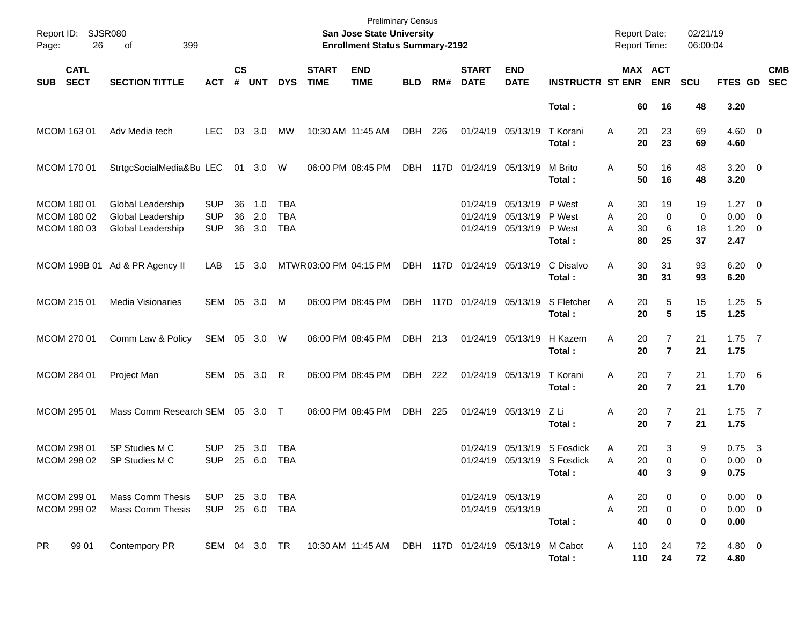| Report ID: SJSR080<br>Page:               | 26                         | 399<br>of                                                   |                                        |                    |                   |                                        |                             | <b>Preliminary Census</b><br>San Jose State University<br><b>Enrollment Status Summary-2192</b> |            |                 |                             |                                                             |                                                             | <b>Report Date:</b><br><b>Report Time:</b> |                                           | 02/21/19<br>06:00:04          |                                                   |                         |                          |
|-------------------------------------------|----------------------------|-------------------------------------------------------------|----------------------------------------|--------------------|-------------------|----------------------------------------|-----------------------------|-------------------------------------------------------------------------------------------------|------------|-----------------|-----------------------------|-------------------------------------------------------------|-------------------------------------------------------------|--------------------------------------------|-------------------------------------------|-------------------------------|---------------------------------------------------|-------------------------|--------------------------|
| <b>SUB</b>                                | <b>CATL</b><br><b>SECT</b> | <b>SECTION TITTLE</b>                                       | <b>ACT</b>                             | $\mathsf{cs}$<br># | <b>UNT</b>        | <b>DYS</b>                             | <b>START</b><br><b>TIME</b> | <b>END</b><br><b>TIME</b>                                                                       | <b>BLD</b> | RM#             | <b>START</b><br><b>DATE</b> | <b>END</b><br><b>DATE</b>                                   | <b>INSTRUCTR ST ENR</b>                                     |                                            | MAX ACT<br><b>ENR</b>                     | <b>SCU</b>                    | FTES GD                                           |                         | <b>CMB</b><br><b>SEC</b> |
|                                           |                            |                                                             |                                        |                    |                   |                                        |                             |                                                                                                 |            |                 |                             |                                                             | Total:                                                      | 60                                         | 16                                        | 48                            | 3.20                                              |                         |                          |
| MCOM 163 01                               |                            | Adv Media tech                                              | <b>LEC</b>                             | 03                 | 3.0               | MW                                     |                             | 10:30 AM 11:45 AM                                                                               | DBH        | 226             |                             | 01/24/19 05/13/19                                           | T Korani<br>Total:                                          | 20<br>A<br>20                              | 23<br>23                                  | 69<br>69                      | $4.60$ 0<br>4.60                                  |                         |                          |
| MCOM 170 01                               |                            | StrtgcSocialMedia&Bu LEC                                    |                                        | 01                 | 3.0               | W                                      |                             | 06:00 PM 08:45 PM                                                                               | DBH        | 117D            | 01/24/19 05/13/19           |                                                             | M Brito<br>Total:                                           | 50<br>A<br>50                              | 16<br>16                                  | 48<br>48                      | $3.20 \ 0$<br>3.20                                |                         |                          |
| MCOM 180 01<br>MCOM 180 02<br>MCOM 180 03 |                            | Global Leadership<br>Global Leadership<br>Global Leadership | <b>SUP</b><br><b>SUP</b><br><b>SUP</b> | 36<br>36<br>36     | 1.0<br>2.0<br>3.0 | <b>TBA</b><br><b>TBA</b><br><b>TBA</b> |                             |                                                                                                 |            |                 |                             | 01/24/19 05/13/19<br>01/24/19 05/13/19<br>01/24/19 05/13/19 | P West<br>P West<br>P West<br>Total:                        | 30<br>A<br>A<br>20<br>A<br>30<br>80        | 19<br>$\mathbf 0$<br>6<br>25              | 19<br>$\mathbf 0$<br>18<br>37 | $1.27 \t 0$<br>$0.00 \t 0$<br>$1.20 \t 0$<br>2.47 |                         |                          |
|                                           |                            | MCOM 199B 01 Ad & PR Agency II                              | LAB                                    | 15                 | 3.0               |                                        | MTWR 03:00 PM 04:15 PM      |                                                                                                 |            | <b>DBH 117D</b> | 01/24/19 05/13/19           |                                                             | C Disalvo<br>Total:                                         | A<br>30<br>30                              | 31<br>31                                  | 93<br>93                      | $6.20 \quad 0$<br>6.20                            |                         |                          |
| MCOM 215 01                               |                            | <b>Media Visionaries</b>                                    | SEM 05 3.0                             |                    |                   | M                                      |                             | 06:00 PM 08:45 PM                                                                               |            |                 | DBH 117D 01/24/19 05/13/19  |                                                             | S Fletcher<br>Total:                                        | 20<br>A<br>20                              | 5<br>5                                    | 15<br>15                      | $1.25 - 5$<br>1.25                                |                         |                          |
| MCOM 270 01                               |                            | Comm Law & Policy                                           | SEM 05 3.0                             |                    |                   | W                                      |                             | 06:00 PM 08:45 PM                                                                               | DBH 213    |                 |                             | 01/24/19 05/13/19                                           | H Kazem<br>Total:                                           | A<br>20<br>20                              | $\overline{7}$<br>$\overline{\mathbf{r}}$ | 21<br>21                      | $1.75$ 7<br>1.75                                  |                         |                          |
| MCOM 284 01                               |                            | Project Man                                                 | SEM 05 3.0                             |                    |                   | R                                      |                             | 06:00 PM 08:45 PM                                                                               | DBH        | 222             |                             | 01/24/19 05/13/19                                           | T Korani<br>Total:                                          | A<br>20<br>20                              | $\overline{7}$<br>$\overline{\mathbf{r}}$ | 21<br>21                      | 1.706<br>1.70                                     |                         |                          |
| MCOM 295 01                               |                            | Mass Comm Research SEM 05 3.0 T                             |                                        |                    |                   |                                        |                             | 06:00 PM 08:45 PM                                                                               | DBH        | 225             |                             | 01/24/19 05/13/19                                           | ZLi<br>Total:                                               | Α<br>20<br>20                              | $\overline{7}$<br>$\overline{7}$          | 21<br>21                      | $1.75$ 7<br>1.75                                  |                         |                          |
| MCOM 298 01<br>MCOM 298 02                |                            | SP Studies M C<br>SP Studies M C                            | <b>SUP</b><br><b>SUP</b>               | 25<br>25           | 3.0<br>6.0        | TBA<br><b>TBA</b>                      |                             |                                                                                                 |            |                 | 01/24/19                    |                                                             | 05/13/19 S Fosdick<br>01/24/19 05/13/19 S Fosdick<br>Total: | 20<br>A<br>20<br>A<br>40                   | 3<br>$\mathbf 0$<br>3                     | 9<br>0<br>9                   | 0.75<br>$0.00 \t 0$<br>0.75                       | $\overline{\mathbf{3}}$ |                          |
| MCOM 299 01<br>MCOM 299 02                |                            | <b>Mass Comm Thesis</b><br><b>Mass Comm Thesis</b>          | <b>SUP</b><br><b>SUP</b>               |                    | 25 3.0<br>25 6.0  | TBA<br>TBA                             |                             |                                                                                                 |            |                 |                             | 01/24/19 05/13/19<br>01/24/19 05/13/19                      | Total:                                                      | 20<br>A<br>Α<br>20<br>40                   | 0<br>$\pmb{0}$<br>0                       | 0<br>0<br>0                   | $0.00 \t 0$<br>$0.00 \t 0$<br>0.00                |                         |                          |
| <b>PR</b>                                 | 99 01                      | Contempory PR                                               | SEM 04 3.0 TR                          |                    |                   |                                        |                             | 10:30 AM 11:45 AM                                                                               |            |                 | DBH 117D 01/24/19 05/13/19  |                                                             | M Cabot<br>Total:                                           | 110<br>A<br>110                            | 24<br>24                                  | 72<br>72                      | 4.80 0<br>4.80                                    |                         |                          |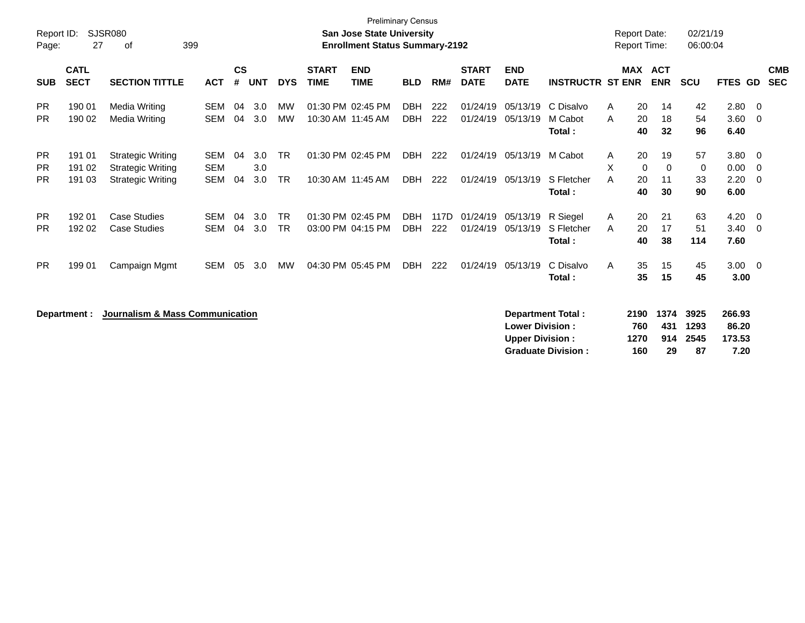| Report ID:<br>Page:                 | 27                         | <b>SJSR080</b><br>399<br>οf                                                      |                                        |                    |                   |                        |                             | <b>Preliminary Census</b><br><b>San Jose State University</b><br><b>Enrollment Status Summary-2192</b> |                          |             |                             |                           |                                  | <b>Report Date:</b><br><b>Report Time:</b>   |                          | 02/21/19<br>06:00:04 |                              |                       |                          |
|-------------------------------------|----------------------------|----------------------------------------------------------------------------------|----------------------------------------|--------------------|-------------------|------------------------|-----------------------------|--------------------------------------------------------------------------------------------------------|--------------------------|-------------|-----------------------------|---------------------------|----------------------------------|----------------------------------------------|--------------------------|----------------------|------------------------------|-----------------------|--------------------------|
| <b>SUB</b>                          | <b>CATL</b><br><b>SECT</b> | <b>SECTION TITTLE</b>                                                            | <b>ACT</b>                             | $\mathsf{cs}$<br># | <b>UNT</b>        | <b>DYS</b>             | <b>START</b><br><b>TIME</b> | <b>END</b><br><b>TIME</b>                                                                              | <b>BLD</b>               | RM#         | <b>START</b><br><b>DATE</b> | <b>END</b><br><b>DATE</b> | <b>INSTRUCTR ST ENR</b>          | MAX                                          | <b>ACT</b><br><b>ENR</b> | <b>SCU</b>           | <b>FTES GD</b>               |                       | <b>CMB</b><br><b>SEC</b> |
| <b>PR</b><br><b>PR</b>              | 190 01<br>190 02           | Media Writing<br>Media Writing                                                   | <b>SEM</b><br><b>SEM</b>               | 04<br>04           | 3.0<br>3.0        | <b>MW</b><br><b>MW</b> | 10:30 AM 11:45 AM           | 01:30 PM 02:45 PM                                                                                      | <b>DBH</b><br><b>DBH</b> | 222<br>222  | 01/24/19<br>01/24/19        | 05/13/19<br>05/13/19      | C Disalvo<br>M Cabot<br>Total:   | 20<br>A<br>20<br>A<br>40                     | 14<br>18<br>32           | 42<br>54<br>96       | 2.80<br>3.60<br>6.40         | - 0<br>$\overline{0}$ |                          |
| <b>PR</b><br><b>PR</b><br><b>PR</b> | 191 01<br>191 02<br>191 03 | <b>Strategic Writing</b><br><b>Strategic Writing</b><br><b>Strategic Writing</b> | <b>SEM</b><br><b>SEM</b><br><b>SEM</b> | 04<br>04           | 3.0<br>3.0<br>3.0 | <b>TR</b><br><b>TR</b> | 10:30 AM 11:45 AM           | 01:30 PM 02:45 PM                                                                                      | <b>DBH</b><br>DBH        | 222<br>222  | 01/24/19<br>01/24/19        | 05/13/19<br>05/13/19      | M Cabot<br>S Fletcher<br>Total:  | 20<br>A<br>X<br>$\mathbf 0$<br>20<br>A<br>40 | 19<br>0<br>11<br>30      | 57<br>0<br>33<br>90  | 3.80<br>0.00<br>2.20<br>6.00 | - 0<br>- 0<br>- 0     |                          |
| <b>PR</b><br><b>PR</b>              | 192 01<br>192 02           | <b>Case Studies</b><br><b>Case Studies</b>                                       | <b>SEM</b><br><b>SEM</b>               | 04<br>04           | 3.0<br>3.0        | <b>TR</b><br><b>TR</b> |                             | 01:30 PM 02:45 PM<br>03:00 PM 04:15 PM                                                                 | DBH<br><b>DBH</b>        | 117D<br>222 | 01/24/19<br>01/24/19        | 05/13/19<br>05/13/19      | R Siegel<br>S Fletcher<br>Total: | 20<br>A<br>20<br>A<br>40                     | 21<br>17<br>38           | 63<br>51<br>114      | 4.20<br>3.40<br>7.60         | - 0<br>$\overline{0}$ |                          |
| <b>PR</b>                           | 199 01                     | Campaign Mgmt                                                                    | <b>SEM</b>                             | -05                | 3.0               | MW                     |                             | 04:30 PM 05:45 PM                                                                                      | <b>DBH</b>               | 222         | 01/24/19                    | 05/13/19                  | C Disalvo<br>Total:              | 35<br>A<br>35                                | 15<br>15                 | 45<br>45             | $3.00 \ 0$<br>3.00           |                       |                          |

| Department : | Journalism & Mass Communication | Department Total:         |      | 2190 1374 | 3925 | 266.93 |
|--------------|---------------------------------|---------------------------|------|-----------|------|--------|
|              |                                 | <b>Lower Division:</b>    | 760  | 431       | 1293 | 86.20  |
|              |                                 | <b>Upper Division:</b>    | 1270 | 914       | 2545 | 173.53 |
|              |                                 | <b>Graduate Division:</b> | 160  | -29       | -87  | 7.20   |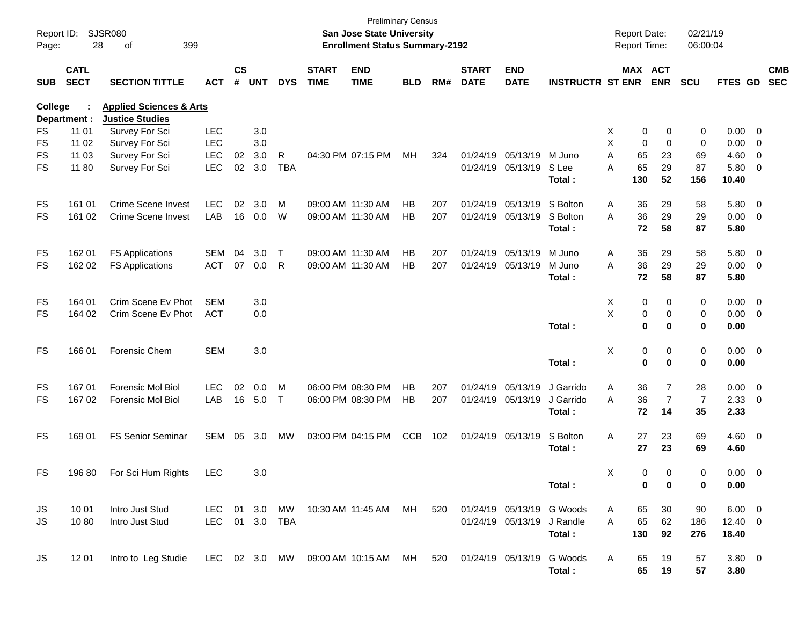| Report ID:<br>Page: | 28                         | <b>SJSR080</b><br>399<br>οf              |                |                    |            |            |                             | San Jose State University<br><b>Enrollment Status Summary-2192</b> | <b>Preliminary Census</b> |     |                             |                            |                           |   | <b>Report Date:</b><br>Report Time: |                       | 02/21/19<br>06:00:04 |                |                          |                          |
|---------------------|----------------------------|------------------------------------------|----------------|--------------------|------------|------------|-----------------------------|--------------------------------------------------------------------|---------------------------|-----|-----------------------------|----------------------------|---------------------------|---|-------------------------------------|-----------------------|----------------------|----------------|--------------------------|--------------------------|
| <b>SUB</b>          | <b>CATL</b><br><b>SECT</b> | <b>SECTION TITTLE</b>                    | <b>ACT</b>     | $\mathsf{cs}$<br># | <b>UNT</b> | <b>DYS</b> | <b>START</b><br><b>TIME</b> | <b>END</b><br><b>TIME</b>                                          | <b>BLD</b>                | RM# | <b>START</b><br><b>DATE</b> | <b>END</b><br><b>DATE</b>  | <b>INSTRUCTR ST ENR</b>   |   |                                     | MAX ACT<br><b>ENR</b> | <b>SCU</b>           | <b>FTES GD</b> |                          | <b>CMB</b><br><b>SEC</b> |
| College             |                            | <b>Applied Sciences &amp; Arts</b>       |                |                    |            |            |                             |                                                                    |                           |     |                             |                            |                           |   |                                     |                       |                      |                |                          |                          |
| FS                  | Department :<br>11 01      | <b>Justice Studies</b><br>Survey For Sci | <b>LEC</b>     |                    | 3.0        |            |                             |                                                                    |                           |     |                             |                            |                           | X | 0                                   | 0                     | 0                    | 0.00           | $\overline{\mathbf{0}}$  |                          |
| <b>FS</b>           | 11 02                      | Survey For Sci                           | <b>LEC</b>     |                    | 3.0        |            |                             |                                                                    |                           |     |                             |                            |                           | X | 0                                   | 0                     | 0                    | 0.00           | 0                        |                          |
| FS                  | 11 03                      | Survey For Sci                           | <b>LEC</b>     | 02                 | 3.0        | R          |                             | 04:30 PM 07:15 PM                                                  | МH                        | 324 |                             | 01/24/19 05/13/19          | M Juno                    | Α | 65                                  | 23                    | 69                   | 4.60           | 0                        |                          |
| <b>FS</b>           | 11 80                      |                                          | <b>LEC</b>     | 02                 | 3.0        | <b>TBA</b> |                             |                                                                    |                           |     |                             | 01/24/19 05/13/19          | S Lee                     | А | 65                                  | 29                    | 87                   | 5.80           | 0                        |                          |
|                     |                            | Survey For Sci                           |                |                    |            |            |                             |                                                                    |                           |     |                             |                            | Total:                    |   | 130                                 | 52                    | 156                  | 10.40          |                          |                          |
| FS                  | 161 01                     | <b>Crime Scene Invest</b>                | <b>LEC</b>     | 02                 | 3.0        | M          |                             | 09:00 AM 11:30 AM                                                  | НB                        | 207 |                             | 01/24/19 05/13/19          | S Bolton                  | Α | 36                                  | 29                    | 58                   | 5.80           | $\overline{\mathbf{0}}$  |                          |
| <b>FS</b>           | 161 02                     | Crime Scene Invest                       | LAB            |                    | 16 0.0     | W          |                             | 09:00 AM 11:30 AM                                                  | НB                        | 207 |                             | 01/24/19 05/13/19          | S Bolton                  | Α | 36                                  | 29                    | 29                   | 0.00           | $\overline{\mathbf{0}}$  |                          |
|                     |                            |                                          |                |                    |            |            |                             |                                                                    |                           |     |                             |                            | Total:                    |   | 72                                  | 58                    | 87                   | 5.80           |                          |                          |
| FS                  | 162 01                     | <b>FS Applications</b>                   | <b>SEM</b>     | 04                 | 3.0        | $\top$     |                             | 09:00 AM 11:30 AM                                                  | HВ                        | 207 |                             | 01/24/19 05/13/19          | M Juno                    | Α | 36                                  | 29                    | 58                   | 5.80           | $\overline{0}$           |                          |
| <b>FS</b>           | 162 02                     | <b>FS Applications</b>                   | <b>ACT</b>     | 07                 | 0.0        | R.         |                             | 09:00 AM 11:30 AM                                                  | НB                        | 207 |                             | 01/24/19 05/13/19          | M Juno                    | Α | 36                                  | 29                    | 29                   | 0.00           | $\overline{0}$           |                          |
|                     |                            |                                          |                |                    |            |            |                             |                                                                    |                           |     |                             |                            | Total:                    |   | 72                                  | 58                    | 87                   | 5.80           |                          |                          |
| FS                  | 164 01                     | Crim Scene Ev Phot                       | <b>SEM</b>     |                    | 3.0        |            |                             |                                                                    |                           |     |                             |                            |                           | X | 0                                   | 0                     | 0                    | 0.00           | $\overline{\phantom{0}}$ |                          |
| <b>FS</b>           | 164 02                     | Crim Scene Ev Phot                       | <b>ACT</b>     |                    | 0.0        |            |                             |                                                                    |                           |     |                             |                            |                           | X | 0                                   | 0                     | 0                    | 0.00           | $\overline{0}$           |                          |
|                     |                            |                                          |                |                    |            |            |                             |                                                                    |                           |     |                             |                            | Total:                    |   | 0                                   | 0                     | 0                    | 0.00           |                          |                          |
| <b>FS</b>           | 166 01                     | Forensic Chem                            | <b>SEM</b>     |                    | 3.0        |            |                             |                                                                    |                           |     |                             |                            |                           | X | 0                                   | 0                     | 0                    | $0.00 \t 0$    |                          |                          |
|                     |                            |                                          |                |                    |            |            |                             |                                                                    |                           |     |                             |                            | Total:                    |   | $\bf{0}$                            | 0                     | 0                    | 0.00           |                          |                          |
| FS                  | 16701                      | Forensic Mol Biol                        | <b>LEC</b>     | 02                 | 0.0        | M          |                             | 06:00 PM 08:30 PM                                                  | HB                        | 207 |                             | 01/24/19 05/13/19          | J Garrido                 | Α | 36                                  | 7                     | 28                   | 0.00           | $\overline{\mathbf{0}}$  |                          |
| <b>FS</b>           | 167 02                     | <b>Forensic Mol Biol</b>                 | LAB            | 16                 | 5.0        | $\top$     |                             | 06:00 PM 08:30 PM                                                  | HВ                        | 207 |                             | 01/24/19 05/13/19          | J Garrido                 | A | 36                                  | $\overline{7}$        | 7                    | 2.33           | $\overline{\mathbf{0}}$  |                          |
|                     |                            |                                          |                |                    |            |            |                             |                                                                    |                           |     |                             |                            | Total:                    |   | 72                                  | 14                    | 35                   | 2.33           |                          |                          |
| <b>FS</b>           | 169 01                     | <b>FS Senior Seminar</b>                 | SEM            | 05                 | 3.0        | МW         |                             | 03:00 PM 04:15 PM                                                  | <b>CCB</b>                | 102 |                             | 01/24/19 05/13/19          | S Bolton                  | Α | 27                                  | 23                    | 69                   | 4.60 0         |                          |                          |
|                     |                            |                                          |                |                    |            |            |                             |                                                                    |                           |     |                             |                            | Total :                   |   | 27                                  | 23                    | 69                   | 4.60           |                          |                          |
| <b>FS</b>           | 196 80                     | For Sci Hum Rights                       | LEC            |                    | 3.0        |            |                             |                                                                    |                           |     |                             |                            |                           | X | $\Omega$                            | $\Omega$              | $\Omega$             | $0.00 \t 0$    |                          |                          |
|                     |                            |                                          |                |                    |            |            |                             |                                                                    |                           |     |                             |                            | Total:                    |   | 0                                   | 0                     | 0                    | 0.00           |                          |                          |
| JS                  | 10 01                      | Intro Just Stud                          |                |                    |            |            |                             | LEC 01 3.0 MW 10:30 AM 11:45 AM MH                                 |                           | 520 |                             |                            | 01/24/19 05/13/19 G Woods | A | 65                                  | 30                    | 90                   | $6.00 \quad 0$ |                          |                          |
| JS                  | 1080                       | Intro Just Stud                          | LEC 01 3.0 TBA |                    |            |            |                             |                                                                    |                           |     |                             | 01/24/19 05/13/19 J Randle |                           | Α | 65                                  | 62                    | 186                  | $12.40 \t 0$   |                          |                          |
|                     |                            |                                          |                |                    |            |            |                             |                                                                    |                           |     |                             |                            | Total:                    |   | 130                                 | 92                    | 276                  | 18.40          |                          |                          |
| JS                  | 12 01                      | Intro to Leg Studie                      |                |                    |            |            |                             | LEC 02 3.0 MW 09:00 AM 10:15 AM MH 520 01/24/19 05/13/19 G Woods   |                           |     |                             |                            |                           | A | 65                                  | 19                    | 57                   | $3.80\ 0$      |                          |                          |
|                     |                            |                                          |                |                    |            |            |                             |                                                                    |                           |     |                             |                            | Total:                    |   | 65                                  | 19                    | 57                   | 3.80           |                          |                          |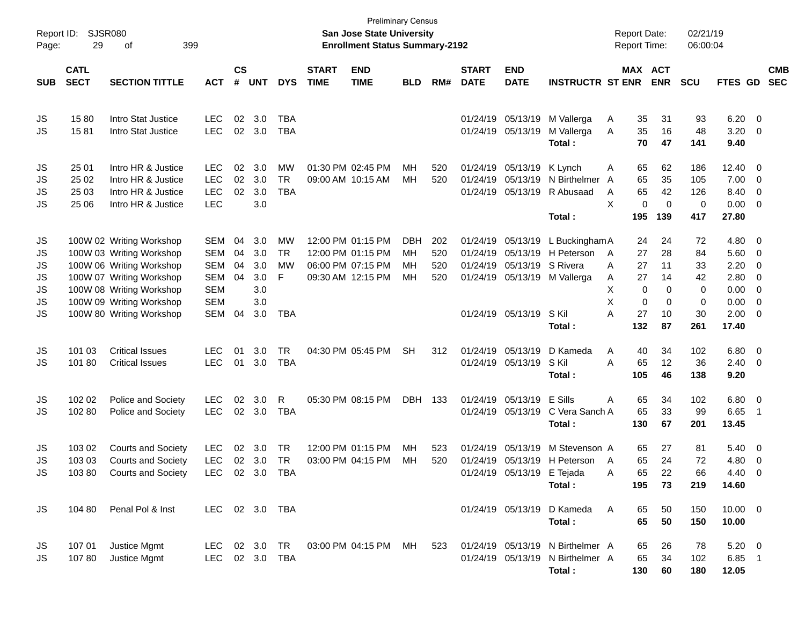| Page:      | Report ID: SJSR080<br>29   | 399<br>οf                 |                |                    |            |            |                             | San Jose State University<br><b>Enrollment Status Summary-2192</b> | <b>Preliminary Census</b> |     |                             |                            |                                  | <b>Report Date:</b><br><b>Report Time:</b> |             | 02/21/19<br>06:00:04 |                |                          |                          |
|------------|----------------------------|---------------------------|----------------|--------------------|------------|------------|-----------------------------|--------------------------------------------------------------------|---------------------------|-----|-----------------------------|----------------------------|----------------------------------|--------------------------------------------|-------------|----------------------|----------------|--------------------------|--------------------------|
| <b>SUB</b> | <b>CATL</b><br><b>SECT</b> | <b>SECTION TITTLE</b>     | <b>ACT</b>     | $\mathsf{cs}$<br># | <b>UNT</b> | <b>DYS</b> | <b>START</b><br><b>TIME</b> | <b>END</b><br><b>TIME</b>                                          | <b>BLD</b>                | RM# | <b>START</b><br><b>DATE</b> | <b>END</b><br><b>DATE</b>  | <b>INSTRUCTR ST ENR</b>          | MAX ACT                                    | <b>ENR</b>  | <b>SCU</b>           | <b>FTES GD</b> |                          | <b>CMB</b><br><b>SEC</b> |
|            |                            |                           |                |                    |            |            |                             |                                                                    |                           |     |                             |                            |                                  |                                            |             |                      |                |                          |                          |
| JS         | 1580                       | Intro Stat Justice        | LEC.           | 02                 | 3.0        | TBA        |                             |                                                                    |                           |     |                             | 01/24/19 05/13/19          | M Vallerga                       | 35<br>A                                    | 31          | 93                   | $6.20 \quad 0$ |                          |                          |
| JS         | 1581                       | Intro Stat Justice        | <b>LEC</b>     |                    | 02 3.0     | <b>TBA</b> |                             |                                                                    |                           |     |                             | 01/24/19 05/13/19          | M Vallerga                       | 35<br>Α                                    | 16          | 48                   | 3.20           | $\overline{\phantom{0}}$ |                          |
|            |                            |                           |                |                    |            |            |                             |                                                                    |                           |     |                             |                            | Total:                           | 70                                         | 47          | 141                  | 9.40           |                          |                          |
| JS         | 25 01                      | Intro HR & Justice        | LEC.           | 02                 | 3.0        | <b>MW</b>  | 01:30 PM 02:45 PM           |                                                                    | MН                        | 520 |                             | 01/24/19 05/13/19          | K Lynch                          | 65<br>A                                    | 62          | 186                  | $12.40 \t 0$   |                          |                          |
| JS         | 25 02                      | Intro HR & Justice        | <b>LEC</b>     | 02                 | 3.0        | <b>TR</b>  |                             | 09:00 AM 10:15 AM                                                  | MН                        | 520 |                             | 01/24/19 05/13/19          | N Birthelmer                     | 65<br>A                                    | 35          | 105                  | 7.00           | $\overline{\phantom{0}}$ |                          |
| JS         | 25 03                      | Intro HR & Justice        | <b>LEC</b>     | 02                 | 3.0        | <b>TBA</b> |                             |                                                                    |                           |     |                             | 01/24/19 05/13/19          | R Abusaad                        | 65<br>Α                                    | 42          | 126                  | 8.40           | $\overline{\phantom{0}}$ |                          |
| JS         | 25 06                      | Intro HR & Justice        | <b>LEC</b>     |                    | 3.0        |            |                             |                                                                    |                           |     |                             |                            |                                  | X<br>$\mathbf 0$                           | $\mathbf 0$ | 0                    | $0.00 \t 0$    |                          |                          |
|            |                            |                           |                |                    |            |            |                             |                                                                    |                           |     |                             |                            | Total:                           | 195                                        | 139         | 417                  | 27.80          |                          |                          |
| JS         |                            | 100W 02 Writing Workshop  | <b>SEM</b>     | 04                 | 3.0        | <b>MW</b>  |                             | 12:00 PM 01:15 PM                                                  | <b>DBH</b>                | 202 |                             | 01/24/19 05/13/19          | L Buckingham A                   | 24                                         | 24          | 72                   | 4.80 0         |                          |                          |
| JS         |                            | 100W 03 Writing Workshop  | <b>SEM</b>     | 04                 | 3.0        | <b>TR</b>  |                             | 12:00 PM 01:15 PM                                                  | MН                        | 520 |                             | 01/24/19 05/13/19          | H Peterson                       | 27<br>A                                    | 28          | 84                   | 5.60 0         |                          |                          |
| JS         |                            | 100W 06 Writing Workshop  | <b>SEM</b>     | 04                 | 3.0        | <b>MW</b>  |                             | 06:00 PM 07:15 PM                                                  | MН                        | 520 |                             | 01/24/19 05/13/19          | S Rivera                         | 27<br>A                                    | 11          | 33                   | 2.20           | $\overline{\mathbf{0}}$  |                          |
| JS         |                            | 100W 07 Writing Workshop  | <b>SEM</b>     | 04                 | 3.0        | F          |                             | 09:30 AM 12:15 PM                                                  | MН                        | 520 |                             | 01/24/19 05/13/19          | M Vallerga                       | 27<br>A                                    | 14          | 42                   | 2.80           | $\overline{\mathbf{0}}$  |                          |
| JS         |                            | 100W 08 Writing Workshop  | <b>SEM</b>     |                    | 3.0        |            |                             |                                                                    |                           |     |                             |                            |                                  | 0<br>X                                     | 0           | 0                    | 0.00           | $\overline{\phantom{0}}$ |                          |
| JS         |                            | 100W 09 Writing Workshop  | <b>SEM</b>     |                    | 3.0        |            |                             |                                                                    |                           |     |                             |                            |                                  | $\mathbf 0$<br>X                           | $\mathbf 0$ | 0                    | 0.00           | $\overline{\phantom{0}}$ |                          |
| JS         |                            | 100W 80 Writing Workshop  | SEM            | 04                 | 3.0        | <b>TBA</b> |                             |                                                                    |                           |     |                             | 01/24/19 05/13/19          | S Kil                            | Α<br>27                                    | 10          | 30                   | 2.00           | $\overline{\phantom{0}}$ |                          |
|            |                            |                           |                |                    |            |            |                             |                                                                    |                           |     |                             |                            | Total:                           | 132                                        | 87          | 261                  | 17.40          |                          |                          |
| JS         | 101 03                     | <b>Critical Issues</b>    | LEC.           | 01                 | 3.0        | <b>TR</b>  |                             | 04:30 PM 05:45 PM                                                  | <b>SH</b>                 | 312 |                             | 01/24/19 05/13/19          | D Kameda                         | Α<br>40                                    | 34          | 102                  | $6.80$ 0       |                          |                          |
| JS         | 10180                      | <b>Critical Issues</b>    | <b>LEC</b>     | 01                 | 3.0        | <b>TBA</b> |                             |                                                                    |                           |     |                             | 01/24/19 05/13/19          | S Kil                            | A<br>65                                    | 12          | 36                   | $2.40 \ 0$     |                          |                          |
|            |                            |                           |                |                    |            |            |                             |                                                                    |                           |     |                             |                            | Total:                           | 105                                        | 46          | 138                  | 9.20           |                          |                          |
| JS         | 102 02                     | Police and Society        | <b>LEC</b>     | 02                 | 3.0        | R          |                             | 05:30 PM 08:15 PM                                                  | <b>DBH</b>                | 133 |                             | 01/24/19 05/13/19          | E Sills                          | 65<br>A                                    | 34          | 102                  | $6.80$ 0       |                          |                          |
| JS         | 102 80                     | Police and Society        | <b>LEC</b>     | 02                 | 3.0        | <b>TBA</b> |                             |                                                                    |                           |     |                             | 01/24/19 05/13/19          | C Vera Sanch A                   | 65                                         | 33          | 99                   | 6.65           | $\overline{\phantom{1}}$ |                          |
|            |                            |                           |                |                    |            |            |                             |                                                                    |                           |     |                             |                            | Total:                           | 130                                        | 67          | 201                  | 13.45          |                          |                          |
| JS         | 103 02                     | <b>Courts and Society</b> | <b>LEC</b>     | 02                 | 3.0        | TR         |                             | 12:00 PM 01:15 PM                                                  | MH                        | 523 |                             | 01/24/19 05/13/19          | M Stevenson A                    | 65                                         | 27          | 81                   | $5.40\ 0$      |                          |                          |
| JS         | 103 03                     | <b>Courts and Society</b> | <b>LEC</b>     |                    | 02 3.0     | <b>TR</b>  |                             | 03:00 PM 04:15 PM                                                  | <b>MH</b>                 | 520 |                             |                            | 01/24/19 05/13/19 H Peterson     | 65<br>A                                    | 24          | 72                   | 4.80           | $\overline{\phantom{0}}$ |                          |
| JS         | 103 80                     | <b>Courts and Society</b> | LEC            |                    | 02 3.0     | TBA        |                             |                                                                    |                           |     |                             | 01/24/19 05/13/19 E Tejada |                                  | 65<br>A                                    | 22          | 66                   | $4.40 \quad 0$ |                          |                          |
|            |                            |                           |                |                    |            |            |                             |                                                                    |                           |     |                             |                            | Total :                          | 195                                        | 73          | 219                  | 14.60          |                          |                          |
| JS         | 104 80                     | Penal Pol & Inst          | LEC 02 3.0 TBA |                    |            |            |                             |                                                                    |                           |     |                             |                            | 01/24/19 05/13/19 D Kameda       | A<br>65                                    | 50          | 150                  | $10.00 \t 0$   |                          |                          |
|            |                            |                           |                |                    |            |            |                             |                                                                    |                           |     |                             |                            | Total:                           | 65                                         | 50          | 150                  | 10.00          |                          |                          |
| JS         | 107 01                     | Justice Mgmt              | LEC 02 3.0 TR  |                    |            |            |                             | 03:00 PM 04:15 PM MH                                               |                           | 523 |                             |                            | 01/24/19 05/13/19 N Birthelmer A | 65                                         | 26          | 78                   | $5.20 \ 0$     |                          |                          |
| JS         | 10780                      | Justice Mgmt              | LEC 02 3.0 TBA |                    |            |            |                             |                                                                    |                           |     |                             |                            | 01/24/19 05/13/19 N Birthelmer A | 65                                         | 34          | 102                  | $6.85$ 1       |                          |                          |
|            |                            |                           |                |                    |            |            |                             |                                                                    |                           |     |                             |                            | Total:                           | 130                                        | 60          | 180                  | 12.05          |                          |                          |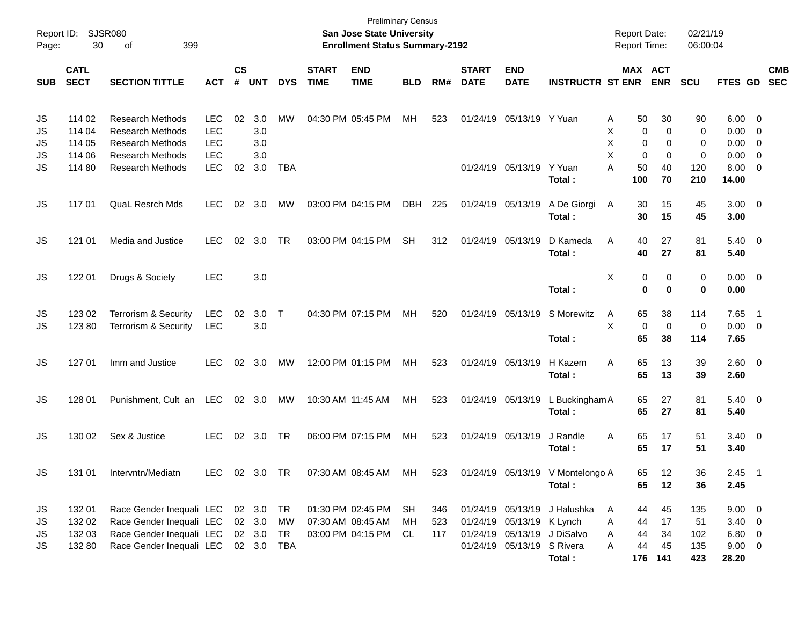| Report ID:<br>Page:        | 30                                             | <b>SJSR080</b><br>399<br>оf                                                                                                         |                                                                    |                |                                         |                               |                             | <b>Preliminary Census</b><br><b>San Jose State University</b><br><b>Enrollment Status Summary-2192</b> |            |                   |                             |                                                                                        |                                            | <b>Report Date:</b><br><b>Report Time:</b>              |                                 | 02/21/19<br>06:00:04            |                                                                |                                                                                                                              |                          |
|----------------------------|------------------------------------------------|-------------------------------------------------------------------------------------------------------------------------------------|--------------------------------------------------------------------|----------------|-----------------------------------------|-------------------------------|-----------------------------|--------------------------------------------------------------------------------------------------------|------------|-------------------|-----------------------------|----------------------------------------------------------------------------------------|--------------------------------------------|---------------------------------------------------------|---------------------------------|---------------------------------|----------------------------------------------------------------|------------------------------------------------------------------------------------------------------------------------------|--------------------------|
| <b>SUB</b>                 | <b>CATL</b><br><b>SECT</b>                     | <b>SECTION TITTLE</b>                                                                                                               | <b>ACT</b>                                                         | <b>CS</b><br># | <b>UNT</b>                              | <b>DYS</b>                    | <b>START</b><br><b>TIME</b> | <b>END</b><br><b>TIME</b>                                                                              | <b>BLD</b> | RM#               | <b>START</b><br><b>DATE</b> | <b>END</b><br><b>DATE</b>                                                              | <b>INSTRUCTR ST ENR</b>                    |                                                         | MAX ACT<br><b>ENR</b>           | <b>SCU</b>                      | FTES GD                                                        |                                                                                                                              | <b>CMB</b><br><b>SEC</b> |
| JS<br>JS<br>JS<br>JS<br>JS | 114 02<br>114 04<br>114 05<br>114 06<br>114 80 | <b>Research Methods</b><br><b>Research Methods</b><br><b>Research Methods</b><br><b>Research Methods</b><br><b>Research Methods</b> | <b>LEC</b><br><b>LEC</b><br><b>LEC</b><br><b>LEC</b><br><b>LEC</b> | 02<br>02       | 3.0<br>3.0<br>3.0<br>3.0<br>3.0         | МW<br><b>TBA</b>              |                             | 04:30 PM 05:45 PM                                                                                      | МH         | 523               | 01/24/19                    | 05/13/19 Y Yuan<br>01/24/19 05/13/19                                                   | Y Yuan<br>Total:                           | 50<br>Α<br>Χ<br>0<br>X<br>0<br>X<br>0<br>A<br>50<br>100 | 30<br>0<br>0<br>0<br>40<br>70   | 90<br>0<br>0<br>0<br>120<br>210 | 6.00<br>0.00<br>0.00<br>0.00<br>8.00<br>14.00                  | $\overline{\phantom{0}}$<br>$\overline{\mathbf{0}}$<br>$\overline{\phantom{0}}$<br>$\overline{\mathbf{0}}$<br>$\overline{0}$ |                          |
| JS                         | 117 01                                         | <b>QuaL Resrch Mds</b>                                                                                                              | <b>LEC</b>                                                         | 02             | 3.0                                     | МW                            |                             | 03:00 PM 04:15 PM                                                                                      | <b>DBH</b> | 225               |                             | 01/24/19 05/13/19                                                                      | A De Giorgi<br>Total:                      | 30<br>A<br>30                                           | 15<br>15                        | 45<br>45                        | $3.00 \ 0$<br>3.00                                             |                                                                                                                              |                          |
| JS                         | 121 01                                         | Media and Justice                                                                                                                   | <b>LEC</b>                                                         | 02             | 3.0                                     | TR                            |                             | 03:00 PM 04:15 PM                                                                                      | <b>SH</b>  | 312               |                             | 01/24/19 05/13/19                                                                      | D Kameda<br>Total:                         | A<br>40<br>40                                           | 27<br>27                        | 81<br>81                        | $5.40 \ 0$<br>5.40                                             |                                                                                                                              |                          |
| JS                         | 122 01                                         | Drugs & Society                                                                                                                     | <b>LEC</b>                                                         |                | 3.0                                     |                               |                             |                                                                                                        |            |                   |                             |                                                                                        | Total:                                     | X<br>0<br>0                                             | 0<br>0                          | 0<br>0                          | $0.00 \t 0$<br>0.00                                            |                                                                                                                              |                          |
| JS<br>JS                   | 123 02<br>12380                                | Terrorism & Security<br>Terrorism & Security                                                                                        | <b>LEC</b><br><b>LEC</b>                                           | 02             | 3.0<br>3.0                              | $\top$                        |                             | 04:30 PM 07:15 PM                                                                                      | MH         | 520               |                             | 01/24/19 05/13/19                                                                      | S Morewitz<br>Total:                       | 65<br>Α<br>X<br>0<br>65                                 | 38<br>0<br>38                   | 114<br>0<br>114                 | 7.65<br>$0.00 \t 0$<br>7.65                                    | $\overline{\phantom{1}}$                                                                                                     |                          |
| JS                         | 127 01                                         | Imm and Justice                                                                                                                     | <b>LEC</b>                                                         | 02             | 3.0                                     | МW                            |                             | 12:00 PM 01:15 PM                                                                                      | MH         | 523               |                             | 01/24/19 05/13/19                                                                      | H Kazem<br>Total:                          | 65<br>A<br>65                                           | 13<br>13                        | 39<br>39                        | $2.60 \t 0$<br>2.60                                            |                                                                                                                              |                          |
| JS                         | 128 01                                         | Punishment, Cult an LEC                                                                                                             |                                                                    |                | 02 3.0                                  | МW                            | 10:30 AM 11:45 AM           |                                                                                                        | MH         | 523               |                             | 01/24/19 05/13/19                                                                      | L Buckingham A<br>Total:                   | 65<br>65                                                | 27<br>27                        | 81<br>81                        | $5.40 \ 0$<br>5.40                                             |                                                                                                                              |                          |
| JS                         | 130 02                                         | Sex & Justice                                                                                                                       | <b>LEC</b>                                                         | 02             | 3.0                                     | TR                            |                             | 06:00 PM 07:15 PM                                                                                      | MH         | 523               |                             | 01/24/19 05/13/19                                                                      | J Randle<br>Total:                         | 65<br>A<br>65                                           | 17<br>17                        | 51<br>51                        | $3.40 \ 0$<br>3.40                                             |                                                                                                                              |                          |
| JS.                        | 131 01                                         | Intervntn/Mediatn                                                                                                                   | LEC                                                                |                | 02 3.0 TR                               |                               |                             | 07:30 AM 08:45 AM MH                                                                                   |            | 523               |                             |                                                                                        | 01/24/19 05/13/19 V Montelongo A<br>Total: | 65<br>65                                                | 12<br>12                        | 36<br>36                        | $2.45$ 1<br>2.45                                               |                                                                                                                              |                          |
| JS<br>JS<br>JS<br>JS       | 132 01<br>132 02<br>132 03<br>132 80           | Race Gender Inequali LEC<br>Race Gender Inequali LEC<br>Race Gender Inequali LEC<br>Race Gender Inequali LEC                        |                                                                    |                | 02 3.0 TR<br>02 3.0<br>02 3.0<br>02 3.0 | <b>MW</b><br>TR<br><b>TBA</b> |                             | 01:30 PM 02:45 PM<br>07:30 AM 08:45 AM<br>03:00 PM 04:15 PM CL                                         | SH<br>МH   | 346<br>523<br>117 |                             | 01/24/19 05/13/19 K Lynch<br>01/24/19 05/13/19 J DiSalvo<br>01/24/19 05/13/19 S Rivera | 01/24/19 05/13/19 J Halushka<br>Total:     | A<br>44<br>44<br>Α<br>44<br>A<br>44<br>A                | 45<br>17<br>34<br>45<br>176 141 | 135<br>51<br>102<br>135<br>423  | $9.00 \t 0$<br>$3.40 \ 0$<br>$6.80\ 0$<br>$9.00 \t 0$<br>28.20 |                                                                                                                              |                          |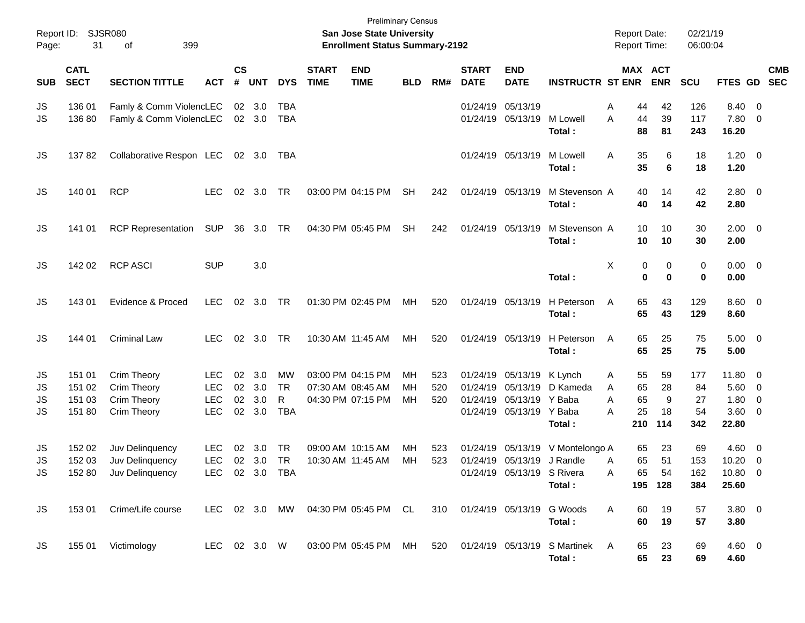| Page:                       | Report ID: SJSR080<br>31            | 399<br>οf                                                                     |                                                      |                      |                          |                                           |                             | <b>Preliminary Census</b><br><b>San Jose State University</b><br><b>Enrollment Status Summary-2192</b> |                |                   |                             |                                                                                                |                                        | <b>Report Date:</b><br>Report Time:             |                            | 02/21/19<br>06:00:04         |                                        |                                                                                      |
|-----------------------------|-------------------------------------|-------------------------------------------------------------------------------|------------------------------------------------------|----------------------|--------------------------|-------------------------------------------|-----------------------------|--------------------------------------------------------------------------------------------------------|----------------|-------------------|-----------------------------|------------------------------------------------------------------------------------------------|----------------------------------------|-------------------------------------------------|----------------------------|------------------------------|----------------------------------------|--------------------------------------------------------------------------------------|
| <b>SUB</b>                  | <b>CATL</b><br><b>SECT</b>          | <b>SECTION TITTLE</b>                                                         | <b>ACT</b>                                           | $\mathsf{cs}$<br>#   | <b>UNT</b>               | <b>DYS</b>                                | <b>START</b><br><b>TIME</b> | <b>END</b><br><b>TIME</b>                                                                              | <b>BLD</b>     | RM#               | <b>START</b><br><b>DATE</b> | <b>END</b><br><b>DATE</b>                                                                      | <b>INSTRUCTR ST ENR</b>                | MAX ACT                                         | <b>ENR</b>                 | SCU                          | FTES GD SEC                            | <b>CMB</b>                                                                           |
| JS<br><b>JS</b>             | 136 01<br>136 80                    | Famly & Comm ViolencLEC<br>Famly & Comm ViolencLEC                            |                                                      |                      | 02 3.0<br>02 3.0         | <b>TBA</b><br><b>TBA</b>                  |                             |                                                                                                        |                |                   |                             | 01/24/19 05/13/19<br>01/24/19 05/13/19                                                         | M Lowell<br>Total:                     | Α<br>44<br>Α<br>44<br>88                        | 42<br>39<br>81             | 126<br>117<br>243            | 8.40<br>7.80<br>16.20                  | - 0<br>- 0                                                                           |
| JS                          | 13782                               | Collaborative Respon LEC                                                      |                                                      |                      | 02 3.0                   | TBA                                       |                             |                                                                                                        |                |                   |                             | 01/24/19 05/13/19                                                                              | M Lowell<br>Total:                     | 35<br>A<br>35                                   | 6<br>6                     | 18<br>18                     | $1.20 \t 0$<br>1.20                    |                                                                                      |
| JS                          | 140 01                              | <b>RCP</b>                                                                    | <b>LEC</b>                                           | 02                   | 3.0                      | TR                                        |                             | 03:00 PM 04:15 PM                                                                                      | <b>SH</b>      | 242               |                             | 01/24/19 05/13/19                                                                              | M Stevenson A<br>Total:                | 40<br>40                                        | 14<br>14                   | 42<br>42                     | $2.80 \t 0$<br>2.80                    |                                                                                      |
| JS                          | 141 01                              | <b>RCP Representation</b>                                                     | SUP                                                  |                      | 36 3.0                   | TR                                        |                             | 04:30 PM 05:45 PM                                                                                      | <b>SH</b>      | 242               |                             | 01/24/19 05/13/19                                                                              | M Stevenson A<br>Total:                | 10<br>10                                        | 10<br>10                   | 30<br>30                     | $2.00 \t 0$<br>2.00                    |                                                                                      |
| JS                          | 142 02                              | <b>RCP ASCI</b>                                                               | <b>SUP</b>                                           |                      | 3.0                      |                                           |                             |                                                                                                        |                |                   |                             |                                                                                                | Total:                                 | X<br>0<br>$\bf{0}$                              | 0<br>$\bf{0}$              | 0<br>0                       | $0.00 \t 0$<br>0.00                    |                                                                                      |
| JS                          | 143 01                              | Evidence & Proced                                                             | <b>LEC</b>                                           |                      | 02 3.0                   | TR                                        |                             | 01:30 PM 02:45 PM                                                                                      | МH             | 520               |                             | 01/24/19 05/13/19                                                                              | H Peterson<br>Total:                   | 65<br>A<br>65                                   | 43<br>43                   | 129<br>129                   | $8.60 \quad 0$<br>8.60                 |                                                                                      |
| JS                          | 144 01                              | <b>Criminal Law</b>                                                           | LEC.                                                 |                      | 02 3.0                   | <b>TR</b>                                 |                             | 10:30 AM 11:45 AM                                                                                      | MН             | 520               |                             | 01/24/19 05/13/19                                                                              | H Peterson<br>Total:                   | 65<br>A<br>65                                   | 25<br>25                   | 75<br>75                     | $5.00 \t 0$<br>5.00                    |                                                                                      |
| JS<br>JS<br>JS<br><b>JS</b> | 151 01<br>151 02<br>151 03<br>15180 | Crim Theory<br><b>Crim Theory</b><br><b>Crim Theory</b><br><b>Crim Theory</b> | <b>LEC</b><br><b>LEC</b><br><b>LEC</b><br><b>LEC</b> | 02<br>02<br>02<br>02 | 3.0<br>3.0<br>3.0<br>3.0 | <b>MW</b><br><b>TR</b><br>R<br><b>TBA</b> |                             | 03:00 PM 04:15 PM<br>07:30 AM 08:45 AM<br>04:30 PM 07:15 PM                                            | MН<br>MН<br>МH | 523<br>520<br>520 |                             | 01/24/19 05/13/19<br>01/24/19 05/13/19<br>01/24/19 05/13/19 Y Baba<br>01/24/19 05/13/19 Y Baba | K Lynch<br>D Kameda<br>Total :         | 55<br>A<br>65<br>A<br>65<br>A<br>25<br>A<br>210 | 59<br>28<br>9<br>18<br>114 | 177<br>84<br>27<br>54<br>342 | 11.80<br>5.60<br>1.80<br>3.60<br>22.80 | $\overline{\phantom{0}}$<br>$\overline{\mathbf{0}}$<br>0<br>$\overline{\phantom{0}}$ |
| JS<br>JS<br>JS              | 152 02<br>152 03                    | Juv Delinquency<br>Juv Delinquency<br>152 80 Juv Delinguency                  | <b>LEC</b><br><b>LEC</b><br>LEC 02 3.0 TBA           | 02                   | 3.0<br>02 3.0            | <b>TR</b><br><b>TR</b>                    |                             | 09:00 AM 10:15 AM<br>10:30 AM 11:45 AM                                                                 | MН<br>MH       | 523<br>523        |                             | 01/24/19 05/13/19<br>01/24/19 05/13/19 J Randle<br>01/24/19 05/13/19 S Rivera                  | V Montelongo A<br>Total:               | 65<br>65<br>A<br>A<br>65                        | 23<br>51<br>54<br>195 128  | 69<br>153<br>162<br>384      | 4.60<br>10.20<br>$10.80 \t 0$<br>25.60 | $\overline{\phantom{0}}$<br>$\overline{\mathbf{0}}$                                  |
| JS                          |                                     | 153 01 Crime/Life course                                                      |                                                      |                      |                          |                                           |                             | LEC 02 3.0 MW 04:30 PM 05:45 PM CL                                                                     |                |                   |                             | 310 01/24/19 05/13/19                                                                          | G Woods<br>Total:                      | Α<br>60<br>60                                   | 19<br>19                   | 57<br>57                     | $3.80\ 0$<br>3.80                      |                                                                                      |
| JS                          |                                     | 155 01 Victimology                                                            | LEC 02 3.0 W                                         |                      |                          |                                           |                             | 03:00 PM 05:45 PM MH                                                                                   |                | 520               |                             |                                                                                                | 01/24/19 05/13/19 S Martinek<br>Total: | A<br>65<br>65                                   | 23<br>23                   | 69<br>69                     | 4.60 0<br>4.60                         |                                                                                      |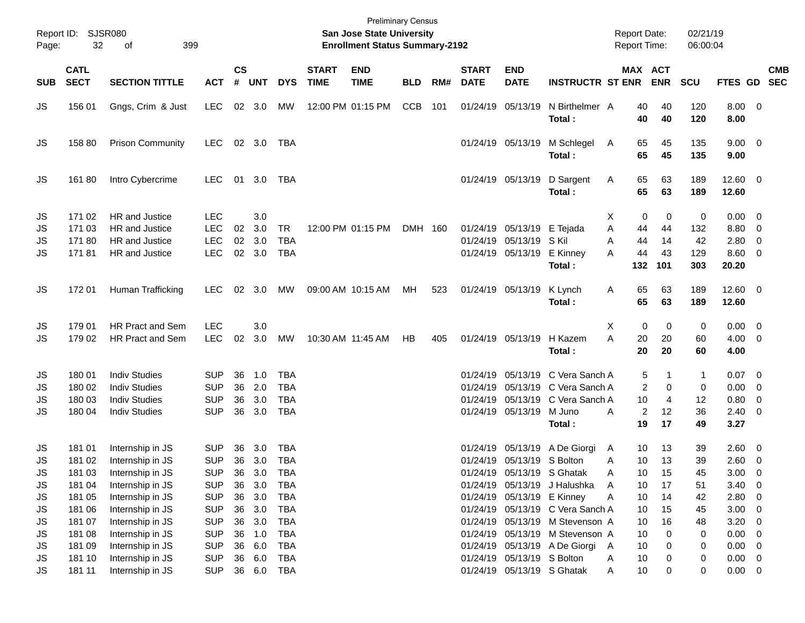| Page:                      | Report ID: SJSR080<br>32                       | 399<br>of                                                                                        |                                                                    |                            |                                 |                                                             |                             | San Jose State University<br><b>Enrollment Status Summary-2192</b> | <b>Preliminary Census</b> |     |                             |                                                                         |                                                                                                                                         | <b>Report Date:</b><br>Report Time:                 |                                      | 02/21/19<br>06:00:04                |                                          |                                                                                             |            |
|----------------------------|------------------------------------------------|--------------------------------------------------------------------------------------------------|--------------------------------------------------------------------|----------------------------|---------------------------------|-------------------------------------------------------------|-----------------------------|--------------------------------------------------------------------|---------------------------|-----|-----------------------------|-------------------------------------------------------------------------|-----------------------------------------------------------------------------------------------------------------------------------------|-----------------------------------------------------|--------------------------------------|-------------------------------------|------------------------------------------|---------------------------------------------------------------------------------------------|------------|
| <b>SUB</b>                 | <b>CATL</b><br><b>SECT</b>                     | <b>SECTION TITTLE</b>                                                                            | <b>ACT</b>                                                         | $\mathsf{cs}$<br>#         | <b>UNT</b>                      | <b>DYS</b>                                                  | <b>START</b><br><b>TIME</b> | <b>END</b><br><b>TIME</b>                                          | <b>BLD</b>                | RM# | <b>START</b><br><b>DATE</b> | <b>END</b><br><b>DATE</b>                                               | <b>INSTRUCTR ST ENR</b>                                                                                                                 | MAX ACT                                             | <b>ENR</b>                           | <b>SCU</b>                          | FTES GD SEC                              |                                                                                             | <b>CMB</b> |
| JS                         | 156 01                                         | Gngs, Crim & Just                                                                                | <b>LEC</b>                                                         | 02                         | 3.0                             | МW                                                          |                             | 12:00 PM 01:15 PM                                                  | <b>CCB</b>                | 101 |                             | 01/24/19 05/13/19                                                       | N Birthelmer A<br>Total:                                                                                                                | 40<br>40                                            | 40<br>40                             | 120<br>120                          | 8.00<br>8.00                             | $\overline{\mathbf{0}}$                                                                     |            |
| JS                         | 158 80                                         | <b>Prison Community</b>                                                                          | <b>LEC</b>                                                         |                            | 02 3.0                          | TBA                                                         |                             |                                                                    |                           |     |                             | 01/24/19 05/13/19                                                       | M Schlegel<br>Total:                                                                                                                    | 65<br>A<br>65                                       | 45<br>45                             | 135<br>135                          | $9.00 \t 0$<br>9.00                      |                                                                                             |            |
| JS                         | 16180                                          | Intro Cybercrime                                                                                 | <b>LEC</b>                                                         | 01                         | 3.0                             | TBA                                                         |                             |                                                                    |                           |     |                             | 01/24/19 05/13/19                                                       | D Sargent<br>Total:                                                                                                                     | 65<br>A<br>65                                       | 63<br>63                             | 189<br>189                          | $12.60 \t 0$<br>12.60                    |                                                                                             |            |
| JS<br>JS<br>JS<br>JS       | 171 02<br>171 03<br>17180<br>17181             | HR and Justice<br>HR and Justice<br>HR and Justice<br>HR and Justice                             | <b>LEC</b><br><b>LEC</b><br><b>LEC</b><br><b>LEC</b>               | 02<br>02                   | 3.0<br>3.0<br>3.0<br>02 3.0     | <b>TR</b><br><b>TBA</b><br><b>TBA</b>                       |                             | 12:00 PM 01:15 PM                                                  | DMH 160                   |     |                             | 01/24/19 05/13/19<br>01/24/19 05/13/19<br>01/24/19 05/13/19             | E Tejada<br>S Kil<br>E Kinney<br>Total:                                                                                                 | Х<br>0<br>Α<br>44<br>A<br>44<br>A<br>44<br>132      | $\mathbf 0$<br>44<br>14<br>43<br>101 | 0<br>132<br>42<br>129<br>303        | 0.00<br>8.80<br>2.80<br>8.60<br>20.20    | $\overline{\mathbf{0}}$<br>$\overline{0}$<br>- 0<br>$\overline{\mathbf{0}}$                 |            |
| JS                         | 172 01                                         | Human Trafficking                                                                                | LEC.                                                               | 02                         | 3.0                             | МW                                                          |                             | 09:00 AM 10:15 AM                                                  | МH                        | 523 |                             | 01/24/19 05/13/19                                                       | K Lynch<br>Total:                                                                                                                       | 65<br>A<br>65                                       | 63<br>63                             | 189<br>189                          | $12.60 \t 0$<br>12.60                    |                                                                                             |            |
| JS<br>JS                   | 179 01<br>179 02                               | <b>HR Pract and Sem</b><br>HR Pract and Sem                                                      | <b>LEC</b><br><b>LEC</b>                                           | 02                         | 3.0<br>3.0                      | MW                                                          |                             | 10:30 AM 11:45 AM                                                  | HB                        | 405 |                             | 01/24/19 05/13/19                                                       | H Kazem<br>Total:                                                                                                                       | X<br>0<br>Α<br>20<br>20                             | $\mathbf 0$<br>20<br>20              | 0<br>60<br>60                       | 0.00<br>4.00<br>4.00                     | $\overline{\mathbf{0}}$<br>$\overline{\mathbf{0}}$                                          |            |
| JS<br>JS<br>JS<br>JS       | 180 01<br>180 02<br>180 03<br>180 04           | <b>Indiv Studies</b><br><b>Indiv Studies</b><br><b>Indiv Studies</b><br><b>Indiv Studies</b>     | <b>SUP</b><br><b>SUP</b><br><b>SUP</b><br><b>SUP</b>               | 36<br>36<br>36<br>36       | 1.0<br>2.0<br>3.0<br>3.0        | <b>TBA</b><br><b>TBA</b><br><b>TBA</b><br><b>TBA</b>        |                             |                                                                    |                           |     | 01/24/19                    | 05/13/19<br>01/24/19 05/13/19<br>01/24/19 05/13/19<br>01/24/19 05/13/19 | C Vera Sanch A<br>C Vera Sanch A<br>C Vera Sanch A<br>M Juno<br>Total:                                                                  | 5<br>$\overline{c}$<br>10<br>2<br>Α<br>19           | $\mathbf 0$<br>4<br>12<br>17         | $\mathbf{1}$<br>0<br>12<br>36<br>49 | $0.07$ 0<br>0.00<br>0.80<br>2.40<br>3.27 | $\overline{\mathbf{0}}$<br>$\overline{0}$<br>$\overline{\mathbf{0}}$                        |            |
| JS<br>JS<br>JS<br>JS<br>JS | 181 01<br>181 02<br>181 03<br>181 04<br>181 05 | Internship in JS<br>Internship in JS<br>Internship in JS<br>Internship in JS<br>Internship in JS | <b>SUP</b><br><b>SUP</b><br><b>SUP</b><br><b>SUP</b><br><b>SUP</b> | 36<br>36<br>36<br>36<br>36 | 3.0<br>3.0<br>3.0<br>3.0<br>3.0 | <b>TBA</b><br><b>TBA</b><br>TBA<br><b>TBA</b><br><b>TBA</b> |                             |                                                                    |                           |     | 01/24/19                    | 05/13/19<br>01/24/19 05/13/19 S Bolton<br>01/24/19 05/13/19 E Kinney    | A De Giorgi<br>01/24/19 05/13/19 S Ghatak<br>01/24/19 05/13/19 J Halushka                                                               | 10<br>A<br>10<br>A<br>10<br>Α<br>10<br>A<br>10<br>Α | 13<br>13<br>15<br>17<br>14           | 39<br>39<br>45<br>51<br>42          | 2.60<br>2.60<br>3.00<br>3.40<br>2.80     | $\overline{\mathbf{0}}$<br>$\overline{\mathbf{0}}$<br>0<br>- 0<br>$\overline{0}$            |            |
| JS<br>JS<br>JS<br>JS<br>JS | 181 06<br>181 07<br>181 08<br>181 09<br>181 10 | Internship in JS<br>Internship in JS<br>Internship in JS<br>Internship in JS<br>Internship in JS | <b>SUP</b><br><b>SUP</b><br><b>SUP</b><br><b>SUP</b><br><b>SUP</b> | 36<br>36<br>36<br>36<br>36 | 3.0<br>3.0<br>1.0<br>6.0<br>6.0 | <b>TBA</b><br><b>TBA</b><br><b>TBA</b><br>TBA<br><b>TBA</b> |                             |                                                                    |                           |     |                             | 01/24/19 05/13/19 S Bolton                                              | 01/24/19 05/13/19 C Vera Sanch A<br>01/24/19 05/13/19 M Stevenson A<br>01/24/19 05/13/19 M Stevenson A<br>01/24/19 05/13/19 A De Giorgi | 10<br>10<br>10<br>10<br>A<br>10<br>Α                | 15<br>16<br>0<br>0<br>0              | 45<br>48<br>0<br>0<br>0             | 3.00<br>3.20<br>0.00<br>0.00<br>0.00     | $\overline{\mathbf{0}}$<br>$\overline{\mathbf{0}}$<br>0<br>$\overline{0}$<br>$\overline{0}$ |            |
| JS                         | 181 11                                         | Internship in JS                                                                                 | <b>SUP</b>                                                         |                            |                                 | 36 6.0 TBA                                                  |                             |                                                                    |                           |     |                             |                                                                         | 01/24/19 05/13/19 S Ghatak                                                                                                              | 10<br>A                                             | 0                                    | 0                                   | $0.00 \t 0$                              |                                                                                             |            |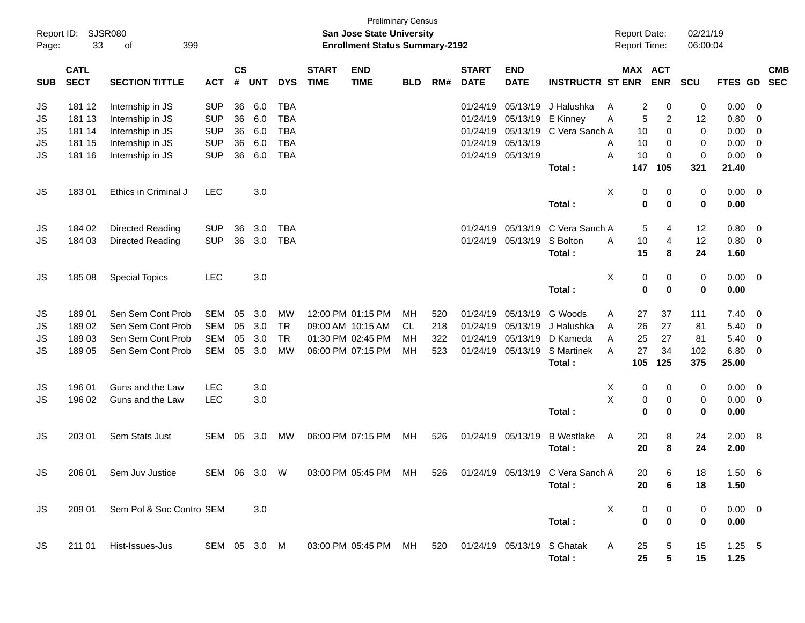| Report ID:<br>Page: | 33                         | <b>SJSR080</b><br>399<br>оf |              |                    |            |            |                             | <b>Preliminary Census</b><br>San Jose State University<br><b>Enrollment Status Summary-2192</b> |            |     |                             |                           |                                  | <b>Report Date:</b><br>Report Time: |               | 02/21/19<br>06:00:04 |                |                         |                          |
|---------------------|----------------------------|-----------------------------|--------------|--------------------|------------|------------|-----------------------------|-------------------------------------------------------------------------------------------------|------------|-----|-----------------------------|---------------------------|----------------------------------|-------------------------------------|---------------|----------------------|----------------|-------------------------|--------------------------|
| <b>SUB</b>          | <b>CATL</b><br><b>SECT</b> | <b>SECTION TITTLE</b>       | <b>ACT</b>   | $\mathsf{cs}$<br># | <b>UNT</b> | <b>DYS</b> | <b>START</b><br><b>TIME</b> | <b>END</b><br><b>TIME</b>                                                                       | <b>BLD</b> | RM# | <b>START</b><br><b>DATE</b> | <b>END</b><br><b>DATE</b> | <b>INSTRUCTR ST ENR</b>          | MAX ACT                             | <b>ENR</b>    | <b>SCU</b>           | <b>FTES GD</b> |                         | <b>CMB</b><br><b>SEC</b> |
| JS                  | 181 12                     | Internship in JS            | <b>SUP</b>   | 36                 | 6.0        | <b>TBA</b> |                             |                                                                                                 |            |     | 01/24/19                    | 05/13/19                  | J Halushka                       | $\overline{c}$<br>A                 | 0             | 0                    | 0.00           | $\overline{\mathbf{0}}$ |                          |
| JS                  | 181 13                     | Internship in JS            | <b>SUP</b>   | 36                 | 6.0        | <b>TBA</b> |                             |                                                                                                 |            |     | 01/24/19                    | 05/13/19                  | E Kinney                         | 5<br>A                              | 2             | 12                   | 0.80           | $\overline{\mathbf{0}}$ |                          |
| JS                  | 181 14                     | Internship in JS            | <b>SUP</b>   | 36                 | 6.0        | <b>TBA</b> |                             |                                                                                                 |            |     | 01/24/19                    | 05/13/19                  | C Vera Sanch A                   | 10                                  | 0             | 0                    | 0.00           | $\overline{\mathbf{0}}$ |                          |
| JS                  | 181 15                     | Internship in JS            | <b>SUP</b>   | 36                 | 6.0        | <b>TBA</b> |                             |                                                                                                 |            |     | 01/24/19                    | 05/13/19                  |                                  | 10<br>A                             | 0             | 0                    | 0.00           | 0                       |                          |
| <b>JS</b>           | 181 16                     | Internship in JS            | <b>SUP</b>   | 36                 | 6.0        | <b>TBA</b> |                             |                                                                                                 |            |     |                             | 01/24/19 05/13/19         |                                  | A<br>10                             | 0             | 0                    | 0.00           | $\overline{0}$          |                          |
|                     |                            |                             |              |                    |            |            |                             |                                                                                                 |            |     |                             |                           | Total:                           | 147                                 | 105           | 321                  | 21.40          |                         |                          |
| JS                  | 18301                      | Ethics in Criminal J        | <b>LEC</b>   |                    | 3.0        |            |                             |                                                                                                 |            |     |                             |                           | Total:                           | X<br>0<br>0                         | 0<br>$\bf{0}$ | 0<br>0               | 0.00<br>0.00   | $\overline{\mathbf{0}}$ |                          |
| JS                  | 184 02                     | Directed Reading            | <b>SUP</b>   | 36                 | 3.0        | <b>TBA</b> |                             |                                                                                                 |            |     | 01/24/19                    | 05/13/19                  | C Vera Sanch A                   | 5                                   | 4             | 12                   | 0.80           | $\overline{\mathbf{0}}$ |                          |
| JS                  | 184 03                     | Directed Reading            | <b>SUP</b>   | 36                 | 3.0        | <b>TBA</b> |                             |                                                                                                 |            |     |                             | 01/24/19 05/13/19         | S Bolton                         | 10<br>A                             | 4             | 12                   | 0.80           | $\overline{\mathbf{0}}$ |                          |
|                     |                            |                             |              |                    |            |            |                             |                                                                                                 |            |     |                             |                           | Total:                           | 15                                  | 8             | 24                   | 1.60           |                         |                          |
| JS                  | 185 08                     | <b>Special Topics</b>       | <b>LEC</b>   |                    | 3.0        |            |                             |                                                                                                 |            |     |                             |                           |                                  | X<br>0                              | 0             | 0                    | $0.00 \t 0$    |                         |                          |
|                     |                            |                             |              |                    |            |            |                             |                                                                                                 |            |     |                             |                           | Total:                           | 0                                   | $\bf{0}$      | 0                    | 0.00           |                         |                          |
| JS                  | 18901                      | Sen Sem Cont Prob           | <b>SEM</b>   | 05                 | 3.0        | <b>MW</b>  |                             | 12:00 PM 01:15 PM                                                                               | MН         | 520 | 01/24/19                    | 05/13/19                  | G Woods                          | Α<br>27                             | 37            | 111                  | 7.40           | - 0                     |                          |
| JS                  | 18902                      | Sen Sem Cont Prob           | <b>SEM</b>   | 05                 | 3.0        | <b>TR</b>  |                             | 09:00 AM 10:15 AM                                                                               | CL         | 218 | 01/24/19                    | 05/13/19                  | J Halushka                       | 26<br>A                             | 27            | 81                   | 5.40           | $\overline{\mathbf{0}}$ |                          |
| JS                  | 18903                      | Sen Sem Cont Prob           | <b>SEM</b>   | 05                 | 3.0        | <b>TR</b>  |                             | 01:30 PM 02:45 PM                                                                               | MН         | 322 | 01/24/19                    | 05/13/19                  | D Kameda                         | 25<br>A                             | 27            | 81                   | 5.40           | $\overline{\mathbf{0}}$ |                          |
| <b>JS</b>           | 18905                      | Sen Sem Cont Prob           | SEM          | 05                 | 3.0        | MW         |                             | 06:00 PM 07:15 PM                                                                               | MН         | 523 | 01/24/19                    | 05/13/19                  | <b>S</b> Martinek                | A<br>27                             | 34            | 102                  | 6.80           | $\overline{0}$          |                          |
|                     |                            |                             |              |                    |            |            |                             |                                                                                                 |            |     |                             |                           | Total:                           | 105                                 | 125           | 375                  | 25.00          |                         |                          |
| JS                  | 196 01                     | Guns and the Law            | <b>LEC</b>   |                    | 3.0        |            |                             |                                                                                                 |            |     |                             |                           |                                  | Χ<br>0                              | 0             | 0                    | 0.00           | $\overline{\mathbf{0}}$ |                          |
| <b>JS</b>           | 196 02                     | Guns and the Law            | <b>LEC</b>   |                    | 3.0        |            |                             |                                                                                                 |            |     |                             |                           |                                  | X<br>0                              | 0             | 0                    | 0.00           | $\overline{\mathbf{0}}$ |                          |
|                     |                            |                             |              |                    |            |            |                             |                                                                                                 |            |     |                             |                           | Total:                           | 0                                   | 0             | 0                    | 0.00           |                         |                          |
| JS                  | 203 01                     | Sem Stats Just              | SEM          | 05                 | 3.0        | MW         |                             | 06:00 PM 07:15 PM                                                                               | МH         | 526 |                             | 01/24/19 05/13/19         | <b>B</b> Westlake                | Α<br>20                             | 8             | 24                   | 2.00           | 8                       |                          |
|                     |                            |                             |              |                    |            |            |                             |                                                                                                 |            |     |                             |                           | Total:                           | 20                                  | 8             | 24                   | 2.00           |                         |                          |
| JS.                 | 206 01                     | Sem Juv Justice             | SEM 06 3.0 W |                    |            |            |                             | 03:00 PM 05:45 PM                                                                               | МH         | 526 |                             |                           | 01/24/19 05/13/19 C Vera Sanch A | 20                                  | ี             | 18                   | 1.50 6         |                         |                          |
|                     |                            |                             |              |                    |            |            |                             |                                                                                                 |            |     |                             |                           | Total:                           | 20                                  | 6             | 18                   | 1.50           |                         |                          |
| JS                  | 209 01                     | Sem Pol & Soc Contro SEM    |              |                    | 3.0        |            |                             |                                                                                                 |            |     |                             |                           |                                  | X<br>0                              | 0             | 0                    | $0.00 \t 0$    |                         |                          |
|                     |                            |                             |              |                    |            |            |                             |                                                                                                 |            |     |                             |                           | Total:                           | 0                                   | 0             | 0                    | 0.00           |                         |                          |
|                     |                            |                             |              |                    |            |            |                             |                                                                                                 |            |     |                             |                           |                                  |                                     |               |                      |                |                         |                          |
| JS                  | 211 01                     | Hist-Issues-Jus             | SEM 05 3.0 M |                    |            |            |                             | 03:00 PM 05:45 PM MH                                                                            |            | 520 | 01/24/19 05/13/19           |                           | S Ghatak                         | A<br>25                             | 5             | 15                   | $1.25$ 5       |                         |                          |
|                     |                            |                             |              |                    |            |            |                             |                                                                                                 |            |     |                             |                           | Total:                           | 25                                  | ${\bf 5}$     | 15                   | 1.25           |                         |                          |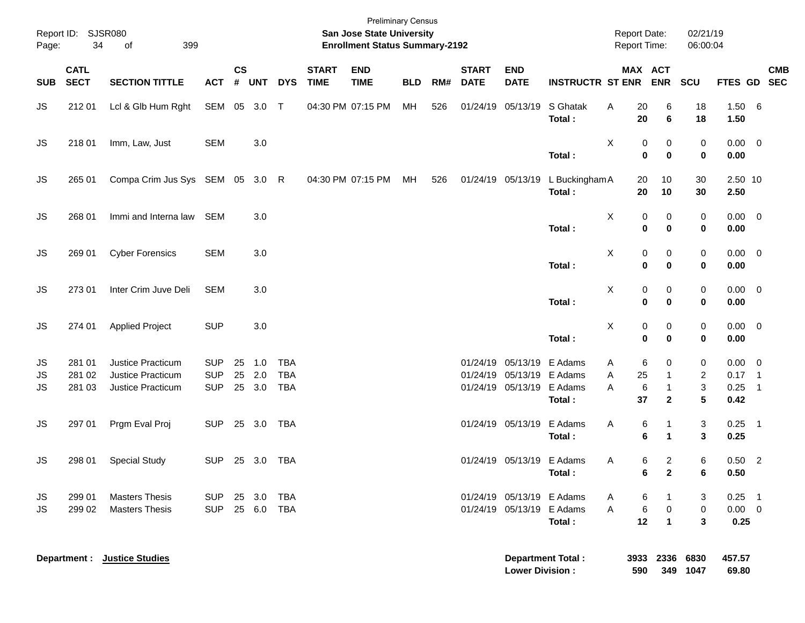| Page:           | Report ID: SJSR080<br>34   | 399<br>οf                                                   |                                        |                         |                      |                                        |                             | <b>Preliminary Census</b><br>San Jose State University<br><b>Enrollment Status Summary-2192</b> |            |     |                             |                                                             |                                         | <b>Report Date:</b><br>Report Time: |                                                       | 02/21/19<br>06:00:04 |                                     |                                                        |            |
|-----------------|----------------------------|-------------------------------------------------------------|----------------------------------------|-------------------------|----------------------|----------------------------------------|-----------------------------|-------------------------------------------------------------------------------------------------|------------|-----|-----------------------------|-------------------------------------------------------------|-----------------------------------------|-------------------------------------|-------------------------------------------------------|----------------------|-------------------------------------|--------------------------------------------------------|------------|
| <b>SUB</b>      | <b>CATL</b><br><b>SECT</b> | <b>SECTION TITTLE</b>                                       | <b>ACT</b>                             | <b>CS</b><br>$\pmb{\#}$ | <b>UNT</b>           | <b>DYS</b>                             | <b>START</b><br><b>TIME</b> | <b>END</b><br><b>TIME</b>                                                                       | <b>BLD</b> | RM# | <b>START</b><br><b>DATE</b> | <b>END</b><br><b>DATE</b>                                   | <b>INSTRUCTR ST ENR ENR</b>             |                                     | MAX ACT                                               | SCU                  | FTES GD SEC                         |                                                        | <b>CMB</b> |
| JS              | 21201                      | Lcl & Glb Hum Rght                                          | SEM 05 3.0                             |                         |                      | $\top$                                 |                             | 04:30 PM 07:15 PM                                                                               | MH         | 526 |                             | 01/24/19 05/13/19                                           | S Ghatak<br>Total:                      | Α                                   | 20<br>6<br>20<br>6                                    | 18<br>18             | 1.506<br>1.50                       |                                                        |            |
| JS              | 218 01                     | Imm, Law, Just                                              | <b>SEM</b>                             |                         | 3.0                  |                                        |                             |                                                                                                 |            |     |                             |                                                             | Total:                                  | X                                   | 0<br>0<br>$\bf{0}$<br>$\mathbf 0$                     | 0<br>$\bf{0}$        | $0.00 \t 0$<br>0.00                 |                                                        |            |
| JS              | 265 01                     | Compa Crim Jus Sys SEM 05 3.0 R                             |                                        |                         |                      |                                        |                             | 04:30 PM 07:15 PM                                                                               | MН         | 526 |                             | 01/24/19 05/13/19                                           | L Buckingham A<br>Total:                |                                     | 10<br>20<br>20<br>10                                  | 30<br>30             | 2.50 10<br>2.50                     |                                                        |            |
| JS              | 268 01                     | Immi and Interna law                                        | <b>SEM</b>                             |                         | 3.0                  |                                        |                             |                                                                                                 |            |     |                             |                                                             | Total:                                  | X                                   | 0<br>0<br>$\bf{0}$<br>$\mathbf 0$                     | 0<br>0               | $0.00 \t 0$<br>0.00                 |                                                        |            |
| JS              | 269 01                     | <b>Cyber Forensics</b>                                      | <b>SEM</b>                             |                         | 3.0                  |                                        |                             |                                                                                                 |            |     |                             |                                                             | Total:                                  | X                                   | 0<br>0<br>$\mathbf 0$<br>$\mathbf 0$                  | 0<br>$\bf{0}$        | $0.00 \t 0$<br>0.00                 |                                                        |            |
| <b>JS</b>       | 273 01                     | Inter Crim Juve Deli                                        | <b>SEM</b>                             |                         | 3.0                  |                                        |                             |                                                                                                 |            |     |                             |                                                             | Total:                                  | X                                   | 0<br>0<br>$\bf{0}$<br>$\mathbf 0$                     | 0<br>0               | $0.00 \t 0$<br>0.00                 |                                                        |            |
| JS              | 274 01                     | <b>Applied Project</b>                                      | <b>SUP</b>                             |                         | 3.0                  |                                        |                             |                                                                                                 |            |     |                             |                                                             | Total:                                  | X                                   | 0<br>0<br>$\bf{0}$<br>$\mathbf 0$                     | 0<br>0               | $0.00 \t 0$<br>0.00                 |                                                        |            |
| JS<br>JS<br>JS  | 281 01<br>281 02<br>281 03 | Justice Practicum<br>Justice Practicum<br>Justice Practicum | <b>SUP</b><br><b>SUP</b><br><b>SUP</b> | 25<br>25                | 1.0<br>2.0<br>25 3.0 | <b>TBA</b><br><b>TBA</b><br><b>TBA</b> |                             |                                                                                                 |            |     |                             | 01/24/19 05/13/19<br>01/24/19 05/13/19<br>01/24/19 05/13/19 | E Adams<br>E Adams<br>E Adams<br>Total: | A<br>Α<br>Α                         | 6<br>0<br>25<br>1<br>$\,6$<br>1<br>37<br>$\mathbf{2}$ | 0<br>2<br>3<br>5     | $0.00 \t 0$<br>0.17<br>0.25<br>0.42 | $\overline{\phantom{1}}$<br>$\overline{\phantom{0}}$ 1 |            |
| JS              | 297 01                     | Prgm Eval Proj                                              | <b>SUP</b>                             |                         | 25 3.0               | TBA                                    |                             |                                                                                                 |            |     |                             | 01/24/19 05/13/19                                           | E Adams<br>Total:                       | Α                                   | 6<br>6<br>1                                           | 3<br>3               | $0.25$ 1<br>0.25                    |                                                        |            |
| JS              | 298 01                     | <b>Special Study</b>                                        | <b>SUP</b>                             |                         | 25 3.0               | TBA                                    |                             |                                                                                                 |            |     |                             | 01/24/19 05/13/19 E Adams                                   | Total:                                  | Α                                   | 6<br>2<br>6<br>$\mathbf{2}$                           | 6<br>6               | $0.50$ 2<br>0.50                    |                                                        |            |
| JS<br><b>JS</b> | 299 01<br>299 02           | <b>Masters Thesis</b><br><b>Masters Thesis</b>              | <b>SUP</b><br><b>SUP</b>               | 25                      | 3.0<br>25 6.0        | TBA<br><b>TBA</b>                      |                             |                                                                                                 |            |     |                             | 01/24/19 05/13/19 E Adams<br>01/24/19 05/13/19 E Adams      | Total:                                  | A<br>A                              | 6<br>6<br>0<br>12<br>$\mathbf{1}$                     | 3<br>0<br>3          | $0.25$ 1<br>$0.00 \t 0$<br>0.25     |                                                        |            |
|                 | Department :               | <b>Justice Studies</b>                                      |                                        |                         |                      |                                        |                             |                                                                                                 |            |     |                             | <b>Lower Division:</b>                                      | <b>Department Total:</b>                | 3933<br>590                         | 2336                                                  | 6830<br>349 1047     | 457.57<br>69.80                     |                                                        |            |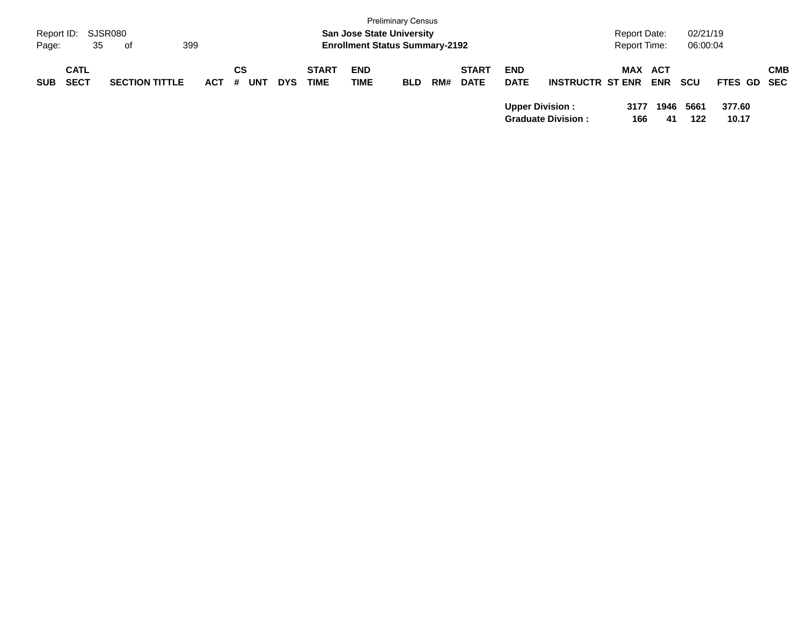| Report ID:<br>35<br>Page:                | SJSR080<br>399<br>of  |                       |            |                             | <b>San Jose State University</b><br><b>Enrollment Status Summary-2192</b> | <b>Preliminary Census</b> | 02/21/19<br>Report Date:<br>06:00:04<br><b>Report Time:</b> |                             |                                                     |                         |             |            |             |                 |            |
|------------------------------------------|-----------------------|-----------------------|------------|-----------------------------|---------------------------------------------------------------------------|---------------------------|-------------------------------------------------------------|-----------------------------|-----------------------------------------------------|-------------------------|-------------|------------|-------------|-----------------|------------|
| <b>CATL</b><br><b>SECT</b><br><b>SUB</b> | <b>SECTION TITTLE</b> | CS<br>ACT<br>#<br>UNT | <b>DYS</b> | <b>START</b><br><b>TIME</b> | <b>END</b><br><b>TIME</b>                                                 | <b>BLD</b>                | RM#                                                         | <b>START</b><br><b>DATE</b> | <b>END</b><br><b>DATE</b>                           | <b>INSTRUCTR ST ENR</b> | MAX ACT     | <b>ENR</b> | <b>SCU</b>  | FTES GD SEC     | <b>CMB</b> |
|                                          |                       |                       |            |                             |                                                                           |                           |                                                             |                             | <b>Upper Division:</b><br><b>Graduate Division:</b> |                         | 3177<br>166 | 1946<br>41 | 5661<br>122 | 377.60<br>10.17 |            |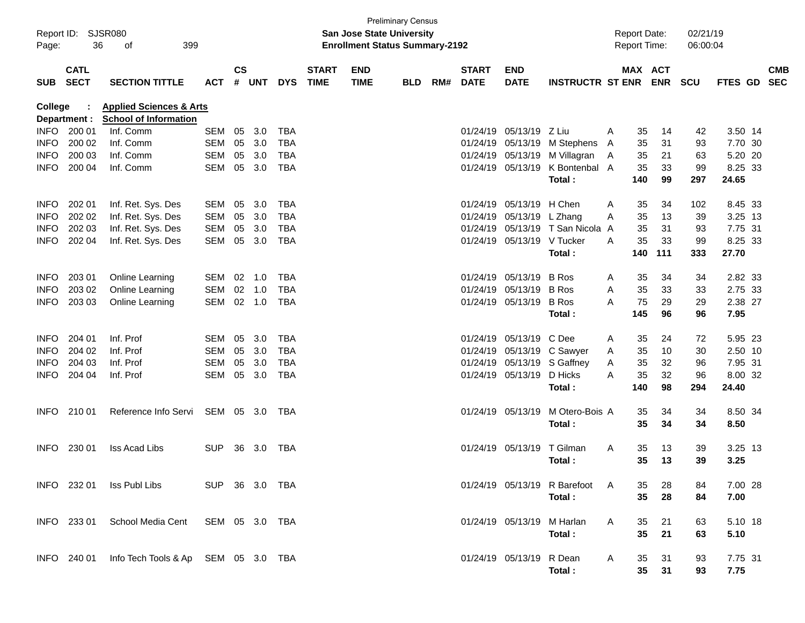| Page:                      | Report ID: SJSR080<br>36   | 399<br>of                                       |                          | <b>Preliminary Census</b><br><b>San Jose State University</b><br><b>Enrollment Status Summary-2192</b> |            |            |                             |                           |            |     |                             | <b>Report Date:</b><br>Report Time: |                                |   | 02/21/19<br>06:00:04 |            |            |                    |                          |
|----------------------------|----------------------------|-------------------------------------------------|--------------------------|--------------------------------------------------------------------------------------------------------|------------|------------|-----------------------------|---------------------------|------------|-----|-----------------------------|-------------------------------------|--------------------------------|---|----------------------|------------|------------|--------------------|--------------------------|
| <b>SUB</b>                 | <b>CATL</b><br><b>SECT</b> | <b>SECTION TITTLE</b>                           | <b>ACT</b>               | $\mathsf{cs}$<br>#                                                                                     | <b>UNT</b> | <b>DYS</b> | <b>START</b><br><b>TIME</b> | <b>END</b><br><b>TIME</b> | <b>BLD</b> | RM# | <b>START</b><br><b>DATE</b> | <b>END</b><br><b>DATE</b>           | <b>INSTRUCTR ST ENR</b>        |   | MAX ACT              | <b>ENR</b> | <b>SCU</b> | FTES GD            | <b>CMB</b><br><b>SEC</b> |
| College                    |                            | <b>Applied Sciences &amp; Arts</b>              |                          |                                                                                                        |            |            |                             |                           |            |     |                             |                                     |                                |   |                      |            |            |                    |                          |
|                            | Department :               | <b>School of Information</b>                    |                          |                                                                                                        |            |            |                             |                           |            |     |                             |                                     |                                |   |                      |            |            |                    |                          |
| INFO<br><b>INFO</b>        | 200 01                     | Inf. Comm                                       | <b>SEM</b>               | 05                                                                                                     | 3.0        | TBA        |                             |                           |            |     | 01/24/19<br>01/24/19        | 05/13/19                            | Z Liu                          | A | 35                   | 14         | 42         | 3.50 14            |                          |
|                            | 200 02<br>200 03           | Inf. Comm                                       | <b>SEM</b>               | 05                                                                                                     | 3.0        | TBA        |                             |                           |            |     |                             | 05/13/19                            | M Stephens                     | A | 35                   | 31         | 93         | 7.70 30            |                          |
| <b>INFO</b><br><b>INFO</b> | 200 04                     | Inf. Comm<br>Inf. Comm                          | <b>SEM</b><br><b>SEM</b> | 05<br>05                                                                                               | 3.0<br>3.0 | TBA<br>TBA |                             |                           |            |     | 01/24/19<br>01/24/19        | 05/13/19<br>05/13/19                | M Villagran<br>K Bontenbal A   | Α | 35<br>35             | 21<br>33   | 63<br>99   | 5.20 20<br>8.25 33 |                          |
|                            |                            |                                                 |                          |                                                                                                        |            |            |                             |                           |            |     |                             |                                     | Total:                         |   | 140                  | 99         | 297        | 24.65              |                          |
| <b>INFO</b>                | 202 01                     | Inf. Ret. Sys. Des                              | SEM                      | 05                                                                                                     | 3.0        | TBA        |                             |                           |            |     | 01/24/19                    | 05/13/19                            | H Chen                         | Α | 35                   | 34         | 102        | 8.45 33            |                          |
| <b>INFO</b>                | 202 02                     | Inf. Ret. Sys. Des                              | <b>SEM</b>               | 05                                                                                                     | 3.0        | TBA        |                             |                           |            |     | 01/24/19                    | 05/13/19                            | L Zhang                        | Α | 35                   | 13         | 39         | 3.25 13            |                          |
| <b>INFO</b>                | 202 03                     | Inf. Ret. Sys. Des                              | <b>SEM</b>               | 05                                                                                                     | 3.0        | TBA        |                             |                           |            |     | 01/24/19                    | 05/13/19                            | T San Nicola A                 |   | 35                   | 31         | 93         | 7.75 31            |                          |
| <b>INFO</b>                | 202 04                     | Inf. Ret. Sys. Des                              | SEM                      | 05                                                                                                     | 3.0        | TBA        |                             |                           |            |     | 01/24/19                    | 05/13/19                            | V Tucker                       | A | 35                   | 33         | 99         | 8.25 33            |                          |
|                            |                            |                                                 |                          |                                                                                                        |            |            |                             |                           |            |     |                             |                                     | Total:                         |   | 140                  | 111        | 333        | 27.70              |                          |
| <b>INFO</b>                | 203 01                     | Online Learning                                 | SEM                      | 02                                                                                                     | 1.0        | TBA        |                             |                           |            |     | 01/24/19                    | 05/13/19                            | <b>B</b> Ros                   | A | 35                   | 34         | 34         | 2.82 33            |                          |
| <b>INFO</b>                | 203 02                     | Online Learning                                 | <b>SEM</b>               | 02                                                                                                     | 1.0        | TBA        |                             |                           |            |     | 01/24/19                    | 05/13/19                            | <b>B</b> Ros                   | A | 35                   | 33         | 33         | 2.75 33            |                          |
| <b>INFO</b>                | 203 03                     | <b>Online Learning</b>                          | SEM                      | 02                                                                                                     | 1.0        | TBA        |                             |                           |            |     |                             | 01/24/19 05/13/19                   | <b>B</b> Ros                   | Α | 75                   | 29         | 29         | 2.38 27            |                          |
|                            |                            |                                                 |                          |                                                                                                        |            |            |                             |                           |            |     |                             |                                     | Total:                         |   | 145                  | 96         | 96         | 7.95               |                          |
| <b>INFO</b>                | 204 01                     | Inf. Prof                                       | <b>SEM</b>               | 05                                                                                                     | 3.0        | TBA        |                             |                           |            |     | 01/24/19                    | 05/13/19                            | C Dee                          | A | 35                   | 24         | 72         | 5.95 23            |                          |
| <b>INFO</b>                | 204 02                     | Inf. Prof                                       | SEM                      | 05                                                                                                     | 3.0        | TBA        |                             |                           |            |     | 01/24/19                    | 05/13/19                            | C Sawyer                       | A | 35                   | 10         | 30         | 2.50 10            |                          |
| <b>INFO</b>                | 204 03                     | Inf. Prof                                       | <b>SEM</b>               | 05                                                                                                     | 3.0        | TBA        |                             |                           |            |     | 01/24/19                    |                                     | 05/13/19 S Gaffney             | Α | 35                   | 32         | 96         | 7.95 31            |                          |
| <b>INFO</b>                | 204 04                     | Inf. Prof                                       | SEM                      | 05                                                                                                     | 3.0        | TBA        |                             |                           |            |     |                             | 01/24/19 05/13/19                   | D Hicks                        | A | 35                   | 32         | 96         | 8.00 32            |                          |
|                            |                            |                                                 |                          |                                                                                                        |            |            |                             |                           |            |     |                             |                                     | Total :                        |   | 140                  | 98         | 294        | 24.40              |                          |
| <b>INFO</b>                | 210 01                     | Reference Info Servi                            | SEM 05 3.0               |                                                                                                        |            | TBA        |                             |                           |            |     |                             | 01/24/19 05/13/19                   | M Otero-Bois A                 |   | 35                   | 34         | 34         | 8.50 34            |                          |
|                            |                            |                                                 |                          |                                                                                                        |            |            |                             |                           |            |     |                             |                                     | <b>Total:</b>                  |   | 35                   | 34         | 34         | 8.50               |                          |
| <b>INFO</b>                | 230 01                     | Iss Acad Libs                                   | <b>SUP</b>               | 36                                                                                                     | 3.0        | TBA        |                             |                           |            |     |                             | 01/24/19 05/13/19                   | T Gilman                       | A | 35                   | 13         | 39         | 3.25 13            |                          |
|                            |                            |                                                 |                          |                                                                                                        |            |            |                             |                           |            |     |                             |                                     | Total :                        |   | 35                   | 13         | 39         | 3.25               |                          |
|                            |                            | INFO 232 01 Iss Publ Libs                       | SUP 36 3.0 TBA           |                                                                                                        |            |            |                             |                           |            |     |                             |                                     | 01/24/19 05/13/19 R Barefoot A |   | 35                   | 28         | 84         | 7.00 28            |                          |
|                            |                            |                                                 |                          |                                                                                                        |            |            |                             |                           |            |     |                             |                                     | Total:                         |   | 35                   | 28         | 84         | 7.00               |                          |
|                            |                            | INFO 233 01 School Media Cent SEM 05 3.0 TBA    |                          |                                                                                                        |            |            |                             |                           |            |     |                             | 01/24/19 05/13/19 M Harlan          |                                | A | 35                   | 21         | 63         | 5.10 18            |                          |
|                            |                            |                                                 |                          |                                                                                                        |            |            |                             |                           |            |     |                             |                                     | Total:                         |   | 35                   | 21         | 63         | 5.10               |                          |
|                            |                            | INFO 240 01 Info Tech Tools & Ap SEM 05 3.0 TBA |                          |                                                                                                        |            |            |                             |                           |            |     |                             | 01/24/19 05/13/19 R Dean            |                                | A | 35                   | 31         | 93         | 7.75 31            |                          |
|                            |                            |                                                 |                          |                                                                                                        |            |            |                             |                           |            |     |                             |                                     | Total:                         |   | $35\,$               | 31         | 93         | 7.75               |                          |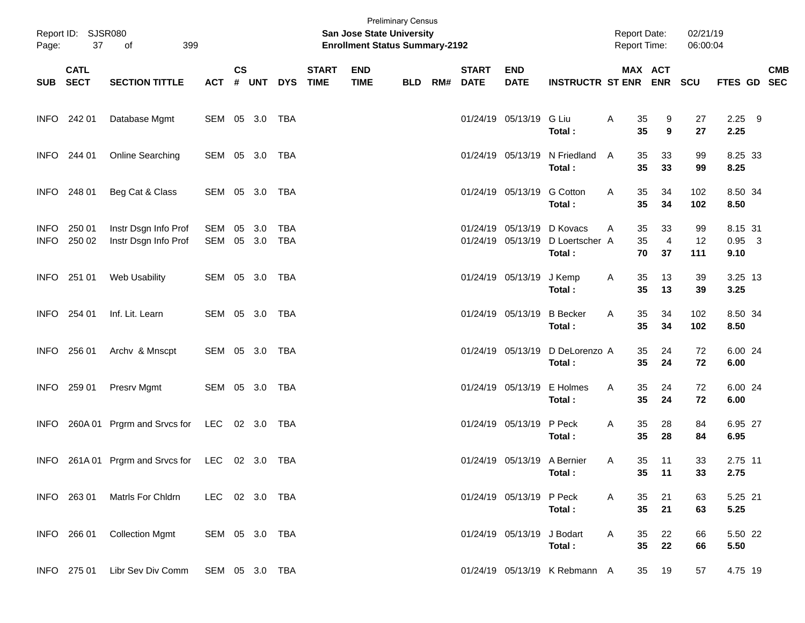| Page:                      | Report ID: SJSR080<br>37 | 399<br>of                                       |                |                  |            |                          |                             | <b>San Jose State University</b><br><b>Enrollment Status Summary-2192</b> | <b>Preliminary Census</b> |     |                             |                             |                                                        | <b>Report Date:</b><br>Report Time: |                            | 02/21/19<br>06:00:04 |                             |            |
|----------------------------|--------------------------|-------------------------------------------------|----------------|------------------|------------|--------------------------|-----------------------------|---------------------------------------------------------------------------|---------------------------|-----|-----------------------------|-----------------------------|--------------------------------------------------------|-------------------------------------|----------------------------|----------------------|-----------------------------|------------|
|                            | <b>CATL</b><br>SUB SECT  | <b>SECTION TITTLE</b>                           | <b>ACT</b>     | $\mathsf{cs}$    | # UNT      | <b>DYS</b>               | <b>START</b><br><b>TIME</b> | <b>END</b><br><b>TIME</b>                                                 | <b>BLD</b>                | RM# | <b>START</b><br><b>DATE</b> | <b>END</b><br><b>DATE</b>   | <b>INSTRUCTR ST ENR ENR</b>                            |                                     | MAX ACT                    | <b>SCU</b>           | FTES GD SEC                 | <b>CMB</b> |
|                            | INFO 242 01              | Database Mgmt                                   | SEM 05 3.0 TBA |                  |            |                          |                             |                                                                           |                           |     |                             | 01/24/19 05/13/19           | G Liu<br>Total:                                        | Α<br>35<br>35                       | 9<br>9                     | 27<br>27             | $2.25$ 9<br>2.25            |            |
|                            | INFO 244 01              | Online Searching                                | SEM 05 3.0 TBA |                  |            |                          |                             |                                                                           |                           |     |                             |                             | 01/24/19 05/13/19 N Friedland<br>Total:                | 35<br>A<br>35                       | 33<br>33                   | 99<br>99             | 8.25 33<br>8.25             |            |
|                            | INFO 248 01              | Beg Cat & Class                                 | SEM 05 3.0 TBA |                  |            |                          |                             |                                                                           |                           |     |                             | 01/24/19 05/13/19 G Cotton  | Total:                                                 | 35<br>Α<br>35                       | 34<br>34                   | 102<br>102           | 8.50 34<br>8.50             |            |
| <b>INFO</b><br><b>INFO</b> | 250 01<br>250 02         | Instr Dsgn Info Prof<br>Instr Dsgn Info Prof    | SEM<br>SEM     | 05 3.0<br>05 3.0 |            | <b>TBA</b><br><b>TBA</b> |                             |                                                                           |                           |     |                             | 01/24/19 05/13/19           | 01/24/19 05/13/19 D Kovacs<br>D Loertscher A<br>Total: | 35<br>A<br>35<br>70                 | 33<br>$\overline{4}$<br>37 | 99<br>12<br>111      | 8.15 31<br>$0.95$ 3<br>9.10 |            |
|                            | INFO 251 01              | Web Usability                                   | SEM 05 3.0 TBA |                  |            |                          |                             |                                                                           |                           |     |                             | 01/24/19 05/13/19           | J Kemp<br>Total:                                       | 35<br>Α<br>35                       | 13<br>13                   | 39<br>39             | 3.25 13<br>3.25             |            |
| <b>INFO</b>                | 254 01                   | Inf. Lit. Learn                                 | SEM 05 3.0 TBA |                  |            |                          |                             |                                                                           |                           |     |                             | 01/24/19 05/13/19           | <b>B</b> Becker<br>Total:                              | 35<br>Α<br>35                       | 34<br>34                   | 102<br>102           | 8.50 34<br>8.50             |            |
| <b>INFO</b>                | 256 01                   | Archv & Mnscpt                                  | SEM 05 3.0 TBA |                  |            |                          |                             |                                                                           |                           |     |                             | 01/24/19 05/13/19           | D DeLorenzo A<br>Total:                                | 35<br>35                            | 24<br>24                   | 72<br>72             | 6.00 24<br>6.00             |            |
| <b>INFO</b>                | 259 01                   | Presrv Mgmt                                     | SEM 05 3.0 TBA |                  |            |                          |                             |                                                                           |                           |     |                             | 01/24/19 05/13/19           | E Holmes<br>Total:                                     | 35<br>Α<br>35                       | 24<br>24                   | 72<br>72             | 6.00 24<br>6.00             |            |
| INFO.                      | 260A 01                  | Prgrm and Srvcs for                             | LEC            |                  | 02 3.0 TBA |                          |                             |                                                                           |                           |     |                             | 01/24/19 05/13/19 P Peck    | Total:                                                 | 35<br>Α<br>35                       | 28<br>28                   | 84<br>84             | 6.95 27<br>6.95             |            |
|                            |                          | INFO 261A 01 Prgrm and Srvcs for LEC 02 3.0 TBA |                |                  |            |                          |                             |                                                                           |                           |     |                             | 01/24/19 05/13/19 A Bernier | Total:                                                 | 35<br>Α<br>35                       | 11<br>$-11$                | 33<br>33             | 2.75 11<br>2.75             |            |
|                            | INFO 263 01              | Matrls For Chldrn                               | LEC 02 3.0 TBA |                  |            |                          |                             |                                                                           |                           |     |                             | 01/24/19 05/13/19 P Peck    | Total:                                                 | 35<br>Α<br>35                       | 21<br>21                   | 63<br>63             | 5.25 21<br>5.25             |            |
|                            | INFO 266 01              | <b>Collection Mgmt</b>                          | SEM 05 3.0 TBA |                  |            |                          |                             |                                                                           |                           |     |                             | 01/24/19 05/13/19 J Bodart  | Total:                                                 | 35<br>Α<br>35                       | 22<br>22                   | 66<br>66             | 5.50 22<br>5.50             |            |
|                            | INFO 275 01              | Libr Sev Div Comm                               | SEM 05 3.0 TBA |                  |            |                          |                             |                                                                           |                           |     |                             |                             | 01/24/19 05/13/19 K Rebmann A                          | 35                                  | 19                         | 57                   | 4.75 19                     |            |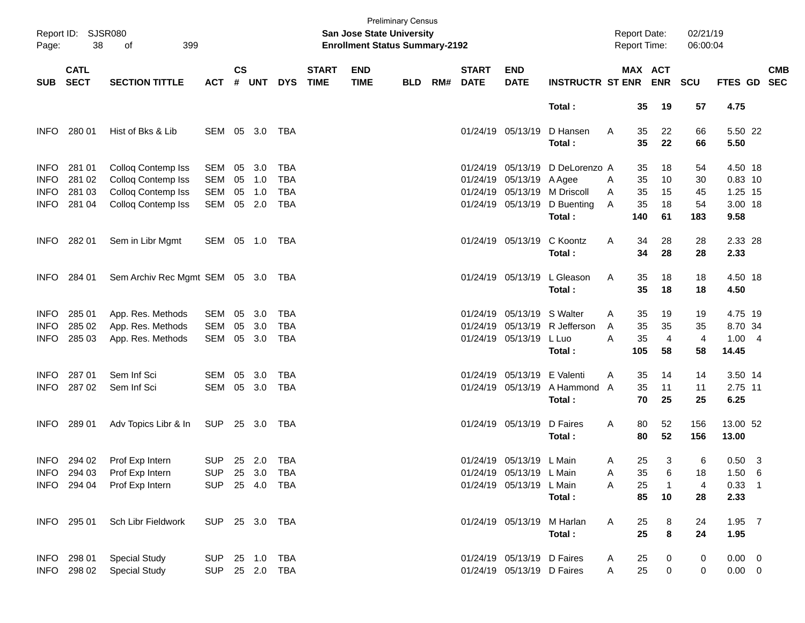| Report ID:<br>Page: | <b>SJSR080</b><br>38       | 399<br>οf                      |                |                    |            |            |                             | San Jose State University<br><b>Enrollment Status Summary-2192</b> | <b>Preliminary Census</b> |     |                             |                            |                               |   |          | <b>Report Date:</b><br><b>Report Time:</b> | 02/21/19<br>06:00:04 |                   |                 |            |
|---------------------|----------------------------|--------------------------------|----------------|--------------------|------------|------------|-----------------------------|--------------------------------------------------------------------|---------------------------|-----|-----------------------------|----------------------------|-------------------------------|---|----------|--------------------------------------------|----------------------|-------------------|-----------------|------------|
| <b>SUB</b>          | <b>CATL</b><br><b>SECT</b> | <b>SECTION TITTLE</b>          | <b>ACT</b>     | $\mathsf{cs}$<br># | <b>UNT</b> | <b>DYS</b> | <b>START</b><br><b>TIME</b> | <b>END</b><br><b>TIME</b>                                          | <b>BLD</b>                | RM# | <b>START</b><br><b>DATE</b> | <b>END</b><br><b>DATE</b>  | <b>INSTRUCTR ST ENR</b>       |   |          | MAX ACT<br><b>ENR</b>                      | <b>SCU</b>           | FTES GD SEC       |                 | <b>CMB</b> |
|                     |                            |                                |                |                    |            |            |                             |                                                                    |                           |     |                             |                            | Total:                        |   | 35       | 19                                         | 57                   | 4.75              |                 |            |
| <b>INFO</b>         | 280 01                     | Hist of Bks & Lib              | SEM 05 3.0     |                    |            | TBA        |                             |                                                                    |                           |     |                             | 01/24/19 05/13/19          | D Hansen<br>Total:            | Α | 35<br>35 | 22<br>22                                   | 66<br>66             | 5.50 22<br>5.50   |                 |            |
| <b>INFO</b>         | 281 01                     | Colloq Contemp Iss             | SEM            | 05                 | 3.0        | <b>TBA</b> |                             |                                                                    |                           |     | 01/24/19                    | 05/13/19                   | D DeLorenzo A                 |   | 35       | 18                                         | 54                   | 4.50 18           |                 |            |
| <b>INFO</b>         | 281 02                     | Colloq Contemp Iss             | <b>SEM</b>     | 05                 | 1.0        | <b>TBA</b> |                             |                                                                    |                           |     | 01/24/19                    | 05/13/19                   | A Agee                        | A | 35       | 10                                         | 30                   | $0.83$ 10         |                 |            |
| <b>INFO</b>         | 281 03                     | Colloq Contemp Iss             | <b>SEM</b>     | 05                 | 1.0        | <b>TBA</b> |                             |                                                                    |                           |     | 01/24/19                    | 05/13/19                   | M Driscoll                    | Α | 35       | 15                                         | 45                   | 1.25 15           |                 |            |
| <b>INFO</b>         | 281 04                     | Colloq Contemp Iss             | <b>SEM</b>     | 05                 | 2.0        | <b>TBA</b> |                             |                                                                    |                           |     |                             | 01/24/19 05/13/19          | D Buenting                    | A | 35       | 18                                         | 54                   | 3.00 18           |                 |            |
|                     |                            |                                |                |                    |            |            |                             |                                                                    |                           |     |                             |                            | Total:                        |   | 140      | 61                                         | 183                  | 9.58              |                 |            |
| <b>INFO</b>         | 282 01                     | Sem in Libr Mgmt               | SEM 05 1.0     |                    |            | TBA        |                             |                                                                    |                           |     |                             | 01/24/19 05/13/19          | C Koontz<br>Total:            | Α | 34<br>34 | 28<br>28                                   | 28<br>28             | 2.33 28<br>2.33   |                 |            |
| <b>INFO</b>         | 284 01                     | Sem Archiv Rec Mgmt SEM 05 3.0 |                |                    |            | TBA        |                             |                                                                    |                           |     |                             | 01/24/19 05/13/19          | L Gleason<br>Total:           | A | 35<br>35 | 18<br>18                                   | 18<br>18             | 4.50 18<br>4.50   |                 |            |
| <b>INFO</b>         | 285 01                     | App. Res. Methods              | SEM            | 05                 | 3.0        | <b>TBA</b> |                             |                                                                    |                           |     | 01/24/19                    | 05/13/19                   | S Walter                      | A | 35       | 19                                         | 19                   | 4.75 19           |                 |            |
| <b>INFO</b>         | 285 02                     | App. Res. Methods              | <b>SEM</b>     | 05                 | 3.0        | <b>TBA</b> |                             |                                                                    |                           |     | 01/24/19                    | 05/13/19                   | R Jefferson                   | Α | 35       | 35                                         | 35                   | 8.70 34           |                 |            |
| <b>INFO</b>         | 285 03                     | App. Res. Methods              | <b>SEM</b>     | 05                 | 3.0        | <b>TBA</b> |                             |                                                                    |                           |     |                             | 01/24/19 05/13/19          | L Luo                         | A | 35       | $\overline{a}$                             | $\overline{4}$       | 1.00              | $\overline{4}$  |            |
|                     |                            |                                |                |                    |            |            |                             |                                                                    |                           |     |                             |                            | Total:                        |   | 105      | 58                                         | 58                   | 14.45             |                 |            |
| <b>INFO</b>         | 287 01                     | Sem Inf Sci                    | <b>SEM</b>     | 05                 | 3.0        | <b>TBA</b> |                             |                                                                    |                           |     | 01/24/19                    | 05/13/19                   | E Valenti                     | A | 35       | 14                                         | 14                   | 3.50 14           |                 |            |
| <b>INFO</b>         | 287 02                     | Sem Inf Sci                    | <b>SEM</b>     |                    | 05 3.0     | <b>TBA</b> |                             |                                                                    |                           |     |                             |                            | 01/24/19 05/13/19 A Hammond A |   | 35       | 11                                         | 11                   | 2.75 11           |                 |            |
|                     |                            |                                |                |                    |            |            |                             |                                                                    |                           |     |                             |                            | Total:                        |   | 70       | 25                                         | 25                   | 6.25              |                 |            |
| <b>INFO</b>         | 289 01                     | Adv Topics Libr & In           | SUP            |                    | 25 3.0     | TBA        |                             |                                                                    |                           |     | 01/24/19 05/13/19           |                            | D Faires<br>Total:            | Α | 80<br>80 | 52<br>52                                   | 156<br>156           | 13.00 52<br>13.00 |                 |            |
|                     | INFO 294 02                | Prof Exp Intern                | <b>SUP</b>     |                    | 25 2.0     | TBA        |                             |                                                                    |                           |     |                             | 01/24/19 05/13/19 L Main   |                               | A | 25       | 3                                          | 6                    | $0.50$ 3          |                 |            |
|                     | INFO 294 03                | Prof Exp Intern                | SUP 25 3.0     |                    |            | <b>TBA</b> |                             |                                                                    |                           |     |                             | 01/24/19 05/13/19 L Main   |                               | Α | 35       | 6                                          | 18                   | 1.50              | $6\overline{6}$ |            |
|                     | INFO 294 04                | Prof Exp Intern                | <b>SUP</b>     |                    | 25 4.0     | TBA        |                             |                                                                    |                           |     |                             | 01/24/19 05/13/19 L Main   |                               | Α | 25       | -1                                         | $\overline{4}$       | $0.33$ 1          |                 |            |
|                     |                            |                                |                |                    |            |            |                             |                                                                    |                           |     |                             |                            | Total:                        |   | 85       | 10                                         | 28                   | 2.33              |                 |            |
|                     | INFO 295 01                | Sch Libr Fieldwork             | SUP 25 3.0 TBA |                    |            |            |                             |                                                                    |                           |     |                             | 01/24/19 05/13/19 M Harlan |                               | A | 25       | 8                                          | 24                   | $1.95$ 7          |                 |            |
|                     |                            |                                |                |                    |            |            |                             |                                                                    |                           |     |                             |                            | Total:                        |   | 25       | $\bf 8$                                    | 24                   | 1.95              |                 |            |
| INFO                | 298 01                     | <b>Special Study</b>           | <b>SUP</b>     |                    | 25 1.0     | TBA        |                             |                                                                    |                           |     |                             | 01/24/19 05/13/19 D Faires |                               | A | 25       | 0                                          | 0                    | $0.00 \t 0$       |                 |            |
| <b>INFO</b>         | 298 02                     | <b>Special Study</b>           | <b>SUP</b>     |                    | 25 2.0 TBA |            |                             |                                                                    |                           |     |                             | 01/24/19 05/13/19 D Faires |                               | Α | 25       | 0                                          | $\pmb{0}$            | $0.00 \t 0$       |                 |            |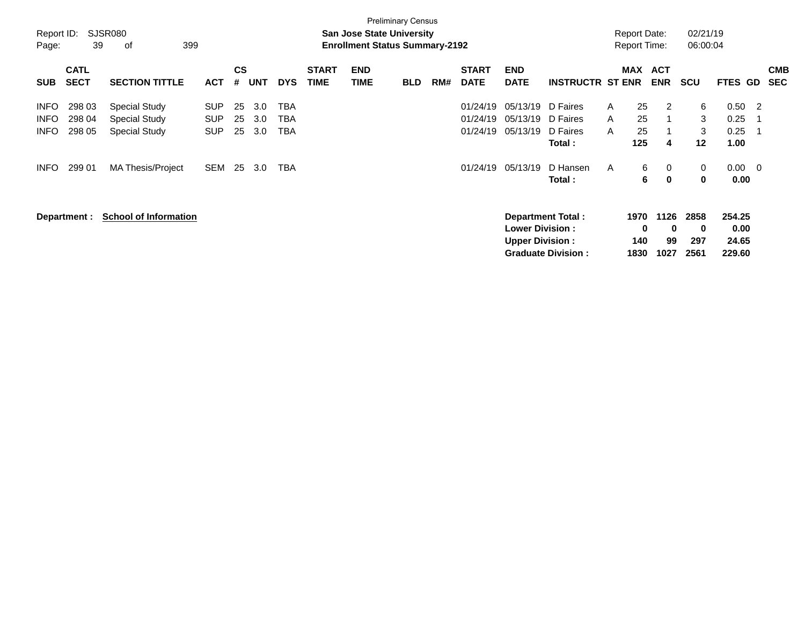| Report ID:<br>Page:                       | 39                         | SJSR080<br>399<br>οf                                          |                                        |                |                   |                   |                             | <b>San Jose State University</b><br><b>Enrollment Status Summary-2192</b> | <b>Preliminary Census</b> |     |                                  |                                    |                                            | <b>Report Date:</b><br><b>Report Time:</b> |                       |                            | 02/21/19<br>06:00:04 |                                |                         |                          |
|-------------------------------------------|----------------------------|---------------------------------------------------------------|----------------------------------------|----------------|-------------------|-------------------|-----------------------------|---------------------------------------------------------------------------|---------------------------|-----|----------------------------------|------------------------------------|--------------------------------------------|--------------------------------------------|-----------------------|----------------------------|----------------------|--------------------------------|-------------------------|--------------------------|
| <b>SUB</b>                                | <b>CATL</b><br><b>SECT</b> | <b>SECTION TITTLE</b>                                         | <b>ACT</b>                             | <b>CS</b><br># | <b>UNT</b>        | <b>DYS</b>        | <b>START</b><br><b>TIME</b> | <b>END</b><br>TIME                                                        | <b>BLD</b>                | RM# | <b>START</b><br><b>DATE</b>      | <b>END</b><br><b>DATE</b>          | <b>INSTRUCTR ST ENR</b>                    | <b>MAX</b>                                 |                       | <b>ACT</b><br><b>ENR</b>   | <b>SCU</b>           | FTES GD                        |                         | <b>CMB</b><br><b>SEC</b> |
| <b>INFO</b><br><b>INFO</b><br><b>INFO</b> | 298 03<br>298 04<br>298 05 | <b>Special Study</b><br><b>Special Study</b><br>Special Study | <b>SUP</b><br><b>SUP</b><br><b>SUP</b> | 25<br>25<br>25 | 3.0<br>3.0<br>3.0 | TBA<br>TBA<br>TBA |                             |                                                                           |                           |     | 01/24/19<br>01/24/19<br>01/24/19 | 05/13/19<br>05/13/19<br>05/13/19   | D Faires<br>D Faires<br>D Faires<br>Total: | A<br>A<br>A                                | 25<br>25<br>25<br>125 | 2<br>4                     | 6<br>3<br>3<br>12    | 0.50<br>0.25<br>0.25<br>1.00   | - 2<br>-1               |                          |
| <b>INFO</b>                               | 299 01<br>Department :     | MA Thesis/Project<br><b>School of Information</b>             | SEM                                    | 25             | 3.0               | TBA               |                             |                                                                           |                           |     | 01/24/19                         | 05/13/19<br><b>Lower Division:</b> | D Hansen<br>Total:<br>Department Total:    | A                                          | 6<br>6<br>1970<br>0   | 0<br>$\bf{0}$<br>1126<br>0 | 0<br>0<br>2858<br>0  | 0.00<br>0.00<br>254.25<br>0.00 | $\overline{\mathbf{0}}$ |                          |
|                                           |                            |                                                               |                                        |                |                   |                   |                             |                                                                           |                           |     |                                  | <b>Upper Division:</b>             | <b>Graduate Division:</b>                  |                                            | 140<br>1830           | 99<br>1027                 | 297<br>2561          | 24.65<br>229.60                |                         |                          |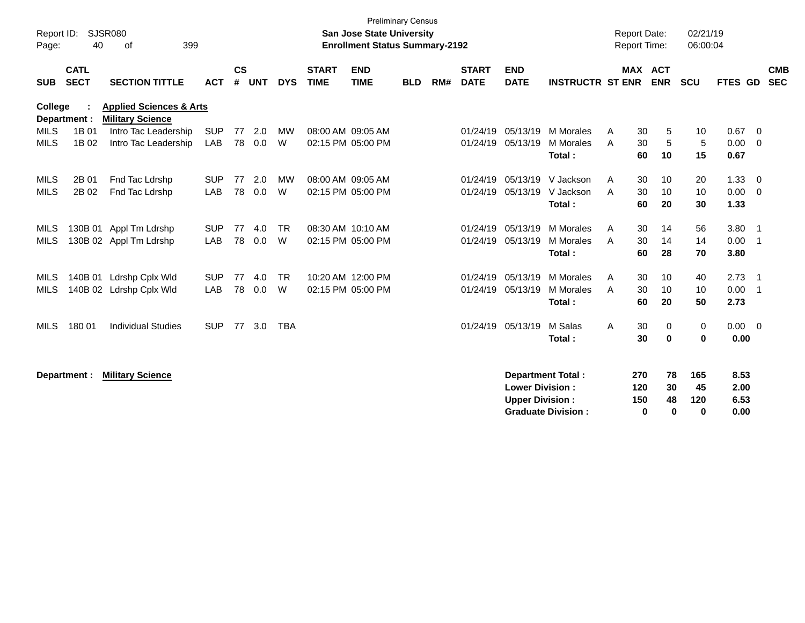| Report ID:<br>Page:        | 40                         | SJSR080<br>399<br>οf                                          |                          |               |            |                |                             | <b>Preliminary Census</b><br><b>San Jose State University</b><br><b>Enrollment Status Summary-2192</b> |            |     |                             |                                                  |                                                       | <b>Report Date:</b><br><b>Report Time:</b> |                        |                            | 02/21/19<br>06:00:04         |                              |                                                        |                          |
|----------------------------|----------------------------|---------------------------------------------------------------|--------------------------|---------------|------------|----------------|-----------------------------|--------------------------------------------------------------------------------------------------------|------------|-----|-----------------------------|--------------------------------------------------|-------------------------------------------------------|--------------------------------------------|------------------------|----------------------------|------------------------------|------------------------------|--------------------------------------------------------|--------------------------|
| <b>SUB</b>                 | <b>CATL</b><br><b>SECT</b> | <b>SECTION TITTLE</b>                                         | <b>ACT</b>               | $\mathsf{cs}$ | # UNT      | <b>DYS</b>     | <b>START</b><br><b>TIME</b> | <b>END</b><br><b>TIME</b>                                                                              | <b>BLD</b> | RM# | <b>START</b><br><b>DATE</b> | <b>END</b><br><b>DATE</b>                        | <b>INSTRUCTR ST ENR</b>                               |                                            | <b>MAX ACT</b>         | <b>ENR</b>                 | SCU                          | FTES GD                      |                                                        | <b>CMB</b><br><b>SEC</b> |
| College                    | Department :               | <b>Applied Sciences &amp; Arts</b><br><b>Military Science</b> |                          |               |            |                |                             |                                                                                                        |            |     |                             |                                                  |                                                       |                                            |                        |                            |                              |                              |                                                        |                          |
| <b>MILS</b><br><b>MILS</b> | 1B 01<br>1B 02             | Intro Tac Leadership<br>Intro Tac Leadership                  | <b>SUP</b><br>LAB        | 77<br>78      | 2.0<br>0.0 | <b>MW</b><br>W |                             | 08:00 AM 09:05 AM<br>02:15 PM 05:00 PM                                                                 |            |     | 01/24/19<br>01/24/19        | 05/13/19<br>05/13/19                             | M Morales<br><b>M</b> Morales<br>Total:               | A<br>A                                     | 30<br>30<br>60         | 5<br>5<br>10               | 10<br>5<br>15                | 0.67<br>0.00<br>0.67         | - 0<br>- 0                                             |                          |
| <b>MILS</b><br><b>MILS</b> | 2B 01<br>2B 02             | Fnd Tac Ldrshp<br>Fnd Tac Ldrshp                              | <b>SUP</b><br>LAB        | 77<br>78      | 2.0<br>0.0 | <b>MW</b><br>W |                             | 08:00 AM 09:05 AM<br>02:15 PM 05:00 PM                                                                 |            |     | 01/24/19<br>01/24/19        | 05/13/19<br>05/13/19                             | V Jackson<br>V Jackson<br>Total:                      | A<br>A                                     | 30<br>30<br>60         | 10<br>10<br>20             | 20<br>10<br>30               | 1.33<br>0.00<br>1.33         | - 0<br>$\overline{0}$                                  |                          |
| MILS<br><b>MILS</b>        |                            | 130B 01 Appl Tm Ldrshp<br>130B 02 Appl Tm Ldrshp              | <b>SUP</b><br><b>LAB</b> | 77<br>78      | 4.0<br>0.0 | <b>TR</b><br>W |                             | 08:30 AM 10:10 AM<br>02:15 PM 05:00 PM                                                                 |            |     | 01/24/19<br>01/24/19        | 05/13/19<br>05/13/19                             | <b>M</b> Morales<br><b>M</b> Morales<br>Total:        | A<br>A                                     | 30<br>30<br>60         | 14<br>14<br>28             | 56<br>14<br>70               | 3.80<br>0.00<br>3.80         | $\overline{\phantom{0}}$ 1<br>$\overline{\phantom{0}}$ |                          |
| MILS<br><b>MILS</b>        |                            | 140B 01 Ldrshp Cplx Wld<br>140B 02 Ldrshp Cplx Wld            | <b>SUP</b><br><b>LAB</b> | 77<br>78      | 4.0<br>0.0 | <b>TR</b><br>W |                             | 10:20 AM 12:00 PM<br>02:15 PM 05:00 PM                                                                 |            |     | 01/24/19<br>01/24/19        | 05/13/19<br>05/13/19                             | <b>M</b> Morales<br>M Morales<br>Total:               | A<br>A                                     | 30<br>30<br>60         | 10<br>10<br>20             | 40<br>10<br>50               | 2.73<br>0.00<br>2.73         | $\overline{\phantom{0}}$<br>$\overline{\phantom{0}}$   |                          |
| <b>MILS</b>                | 180 01                     | <b>Individual Studies</b>                                     | <b>SUP</b>               | 77            | 3.0        | TBA            |                             |                                                                                                        |            |     | 01/24/19                    | 05/13/19                                         | M Salas<br>Total:                                     | A                                          | 30<br>30               | 0<br>$\mathbf 0$           | 0<br>$\bf{0}$                | $0.00 \t 0$<br>0.00          |                                                        |                          |
|                            | Department :               | <b>Military Science</b>                                       |                          |               |            |                |                             |                                                                                                        |            |     |                             | <b>Lower Division:</b><br><b>Upper Division:</b> | <b>Department Total:</b><br><b>Graduate Division:</b> |                                            | 270<br>120<br>150<br>0 | 78<br>30<br>48<br>$\bf{0}$ | 165<br>45<br>120<br>$\bf{0}$ | 8.53<br>2.00<br>6.53<br>0.00 |                                                        |                          |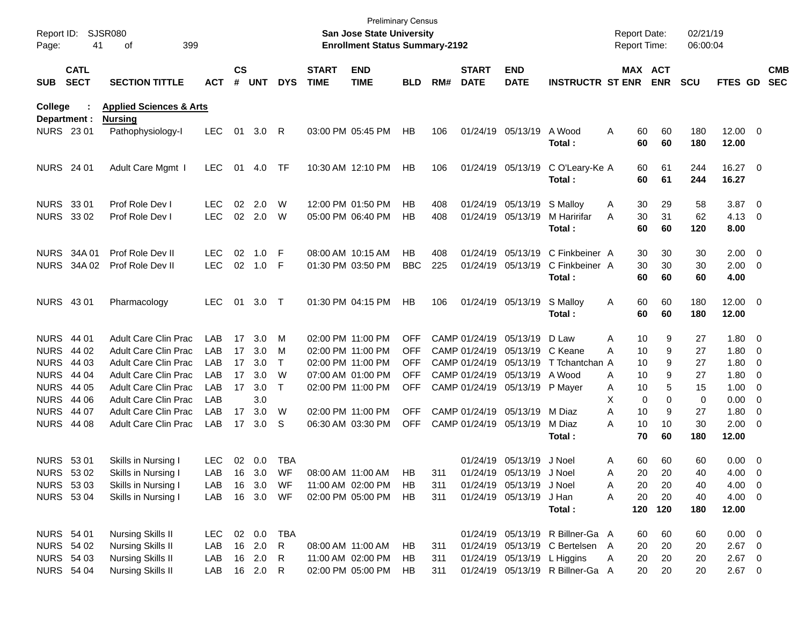| Report ID:<br>Page: | 41                         | <b>SJSR080</b><br>399<br>of        |            |                    |            |            |                             | <b>San Jose State University</b><br><b>Enrollment Status Summary-2192</b> | <b>Preliminary Census</b> |     |                             |                           |                                  | <b>Report Date:</b><br><b>Report Time:</b> |          |                       | 02/21/19<br>06:00:04 |                       |                          |                          |
|---------------------|----------------------------|------------------------------------|------------|--------------------|------------|------------|-----------------------------|---------------------------------------------------------------------------|---------------------------|-----|-----------------------------|---------------------------|----------------------------------|--------------------------------------------|----------|-----------------------|----------------------|-----------------------|--------------------------|--------------------------|
| <b>SUB</b>          | <b>CATL</b><br><b>SECT</b> | <b>SECTION TITTLE</b>              | ACT        | $\mathsf{cs}$<br># | <b>UNT</b> | <b>DYS</b> | <b>START</b><br><b>TIME</b> | <b>END</b><br><b>TIME</b>                                                 | <b>BLD</b>                | RM# | <b>START</b><br><b>DATE</b> | <b>END</b><br><b>DATE</b> | <b>INSTRUCTR ST ENR</b>          |                                            |          | MAX ACT<br><b>ENR</b> | <b>SCU</b>           | FTES GD               |                          | <b>CMB</b><br><b>SEC</b> |
| College             |                            | <b>Applied Sciences &amp; Arts</b> |            |                    |            |            |                             |                                                                           |                           |     |                             |                           |                                  |                                            |          |                       |                      |                       |                          |                          |
|                     | Department :               | <b>Nursing</b>                     |            |                    |            |            |                             |                                                                           |                           |     |                             |                           | A Wood                           |                                            |          |                       |                      |                       |                          |                          |
|                     | NURS 23 01                 | Pathophysiology-l                  | <b>LEC</b> | 01                 | 3.0        | R          |                             | 03:00 PM 05:45 PM                                                         | НB                        | 106 |                             | 01/24/19 05/13/19         | Total:                           | A                                          | 60<br>60 | 60<br>60              | 180<br>180           | $12.00 \t 0$<br>12.00 |                          |                          |
|                     | <b>NURS</b> 24 01          | Adult Care Mgmt                    | <b>LEC</b> | 01                 | 4.0        | TF         |                             | 10:30 AM 12:10 PM                                                         | HB                        | 106 |                             | 01/24/19 05/13/19         | C O'Leary-Ke A                   |                                            | 60       | 61                    | 244                  | 16.27 0               |                          |                          |
|                     |                            |                                    |            |                    |            |            |                             |                                                                           |                           |     |                             |                           | Total:                           |                                            | 60       | 61                    | 244                  | 16.27                 |                          |                          |
|                     | NURS 33 01                 | Prof Role Dev I                    | <b>LEC</b> | 02                 | 2.0        | W          |                             | 12:00 PM 01:50 PM                                                         | НB                        | 408 |                             | 01/24/19 05/13/19         | S Malloy                         | Α                                          | 30       | 29                    | 58                   | $3.87$ 0              |                          |                          |
|                     | NURS 33 02                 | Prof Role Dev I                    | <b>LEC</b> |                    | 02 2.0     | W          |                             | 05:00 PM 06:40 PM                                                         | НB                        | 408 |                             | 01/24/19 05/13/19         | M Haririfar                      | A                                          | 30       | 31                    | 62                   | $4.13 \quad 0$        |                          |                          |
|                     |                            |                                    |            |                    |            |            |                             |                                                                           |                           |     |                             |                           | Total:                           |                                            | 60       | 60                    | 120                  | 8.00                  |                          |                          |
|                     | NURS 34A 01                | Prof Role Dev II                   | <b>LEC</b> | 02                 | 1.0        | F          |                             | 08:00 AM 10:15 AM                                                         | НB                        | 408 |                             | 01/24/19 05/13/19         | C Finkbeiner A                   |                                            | 30       | 30                    | 30                   | $2.00 \t 0$           |                          |                          |
|                     | NURS 34A 02                | Prof Role Dev II                   | <b>LEC</b> | 02                 | 1.0        | F          |                             | 01:30 PM 03:50 PM                                                         | <b>BBC</b>                | 225 |                             | 01/24/19 05/13/19         | C Finkbeiner A                   |                                            | 30       | 30                    | 30                   | $2.00 \t 0$           |                          |                          |
|                     |                            |                                    |            |                    |            |            |                             |                                                                           |                           |     |                             |                           | Total:                           |                                            | 60       | 60                    | 60                   | 4.00                  |                          |                          |
|                     | <b>NURS 4301</b>           | Pharmacology                       | <b>LEC</b> | 01                 | 3.0        | $\top$     |                             | 01:30 PM 04:15 PM                                                         | НB                        | 106 |                             | 01/24/19 05/13/19         | S Malloy                         | Α                                          | 60       | 60                    | 180                  | $12.00 \t 0$          |                          |                          |
|                     |                            |                                    |            |                    |            |            |                             |                                                                           |                           |     |                             |                           | Total:                           |                                            | 60       | 60                    | 180                  | 12.00                 |                          |                          |
|                     | NURS 44 01                 | <b>Adult Care Clin Prac</b>        | LAB        | 17                 | 3.0        | M          |                             | 02:00 PM 11:00 PM                                                         | OFF                       |     |                             | CAMP 01/24/19 05/13/19    | D Law                            | Α                                          | 10       | 9                     | 27                   | $1.80 \ 0$            |                          |                          |
|                     | NURS 44 02                 | Adult Care Clin Prac               | LAB        | 17                 | 3.0        | M          |                             | 02:00 PM 11:00 PM                                                         | OFF                       |     |                             | CAMP 01/24/19 05/13/19    | C Keane                          | A                                          | 10       | 9                     | 27                   | $1.80 \ 0$            |                          |                          |
|                     | <b>NURS 44 03</b>          | Adult Care Clin Prac               | LAB        | 17                 | 3.0        | T          |                             | 02:00 PM 11:00 PM                                                         | OFF                       |     |                             | CAMP 01/24/19 05/13/19    | T Tchantchan A                   |                                            | 10       | 9                     | 27                   | $1.80 \ 0$            |                          |                          |
| <b>NURS</b>         | 44 04                      | Adult Care Clin Prac               | LAB        | 17                 | 3.0        | W          |                             | 07:00 AM 01:00 PM                                                         | <b>OFF</b>                |     |                             | CAMP 01/24/19 05/13/19    | A Wood                           | A                                          | 10       | 9                     | 27                   | 1.80                  | $\overline{\phantom{0}}$ |                          |
|                     | <b>NURS 44 05</b>          | Adult Care Clin Prac               | LAB        | 17                 | 3.0        | T          |                             | 02:00 PM 11:00 PM                                                         | <b>OFF</b>                |     |                             | CAMP 01/24/19 05/13/19    | P Mayer                          | Α                                          | 10       | 5                     | 15                   | $1.00 \t 0$           |                          |                          |
|                     | <b>NURS 44 06</b>          | <b>Adult Care Clin Prac</b>        | LAB        |                    | 3.0        |            |                             |                                                                           |                           |     |                             |                           |                                  | X                                          | 0        | $\Omega$              | 0                    | $0.00 \t 0$           |                          |                          |
|                     | <b>NURS 44 07</b>          | <b>Adult Care Clin Prac</b>        | LAB        | 17                 | 3.0        | W          |                             | 02:00 PM 11:00 PM                                                         | OFF                       |     |                             | CAMP 01/24/19 05/13/19    | M Diaz                           | Α                                          | 10       | 9                     | 27                   | 1.80                  | $\overline{\phantom{0}}$ |                          |
|                     | <b>NURS 44 08</b>          | Adult Care Clin Prac               | LAB        | 17                 | 3.0        | S          |                             | 06:30 AM 03:30 PM                                                         | OFF                       |     |                             | CAMP 01/24/19 05/13/19    | M Diaz                           | Α                                          | 10       | 10                    | 30                   | $2.00 \t 0$           |                          |                          |
|                     |                            |                                    |            |                    |            |            |                             |                                                                           |                           |     |                             |                           | Total:                           |                                            | 70       | 60                    | 180                  | 12.00                 |                          |                          |
|                     | <b>NURS 5301</b>           | Skills in Nursing I                | <b>LEC</b> |                    | 02 0.0     | <b>TBA</b> |                             |                                                                           |                           |     |                             | 01/24/19 05/13/19         | J Noel                           | Α                                          | 60       | 60                    | 60                   | $0.00 \t 0$           |                          |                          |
|                     | NURS 53 02                 | Skills in Nursing I                | LAB 16 3.0 |                    |            | WF         |                             | 08:00 AM 11:00 AM                                                         | HB.                       | 311 |                             | 01/24/19 05/13/19 J Noel  |                                  | A                                          | 20       | 20                    | 40                   | $4.00 \quad 0$        |                          |                          |
|                     | NURS 53 03                 | Skills in Nursing I                | LAB        |                    | 16 3.0     | WF         |                             | 11:00 AM 02:00 PM                                                         | HB                        | 311 |                             | 01/24/19 05/13/19 J Noel  |                                  | Α                                          | 20       | 20                    | 40                   | $4.00 \ 0$            |                          |                          |
|                     | <b>NURS 5304</b>           | Skills in Nursing I                | LAB        |                    | 16 3.0     | WF         |                             | 02:00 PM 05:00 PM                                                         | HB.                       | 311 |                             | 01/24/19 05/13/19 J Han   |                                  | A                                          | 20       | 20                    | 40                   | $4.00 \ 0$            |                          |                          |
|                     |                            |                                    |            |                    |            |            |                             |                                                                           |                           |     |                             |                           | Total:                           |                                            | 120      | 120                   | 180                  | 12.00                 |                          |                          |
|                     | NURS 54 01                 | Nursing Skills II                  | LEC        |                    | 02 0.0     | <b>TBA</b> |                             |                                                                           |                           |     |                             |                           | 01/24/19 05/13/19 R Billner-Ga A |                                            | 60       | 60                    | 60                   | $0.00 \t 0$           |                          |                          |
|                     | <b>NURS 54 02</b>          | Nursing Skills II                  | LAB        |                    | 16 2.0     | R          |                             | 08:00 AM 11:00 AM                                                         | HB.                       | 311 |                             |                           | 01/24/19 05/13/19 C Bertelsen A  |                                            | 20       | 20                    | 20                   | $2.67$ 0              |                          |                          |
|                     | <b>NURS 54 03</b>          | Nursing Skills II                  | LAB        |                    | 16 2.0     | R          |                             | 11:00 AM 02:00 PM                                                         | HB.                       | 311 |                             |                           | 01/24/19 05/13/19 L Higgins      | Α                                          | 20       | 20                    | 20                   | $2.67$ 0              |                          |                          |
|                     | <b>NURS 54 04</b>          | Nursing Skills II                  | LAB        |                    | 16 2.0 R   |            |                             | 02:00 PM 05:00 PM                                                         | HB                        | 311 |                             |                           | 01/24/19 05/13/19 R Billner-Ga A |                                            | 20       | 20                    | 20                   | $2.67$ 0              |                          |                          |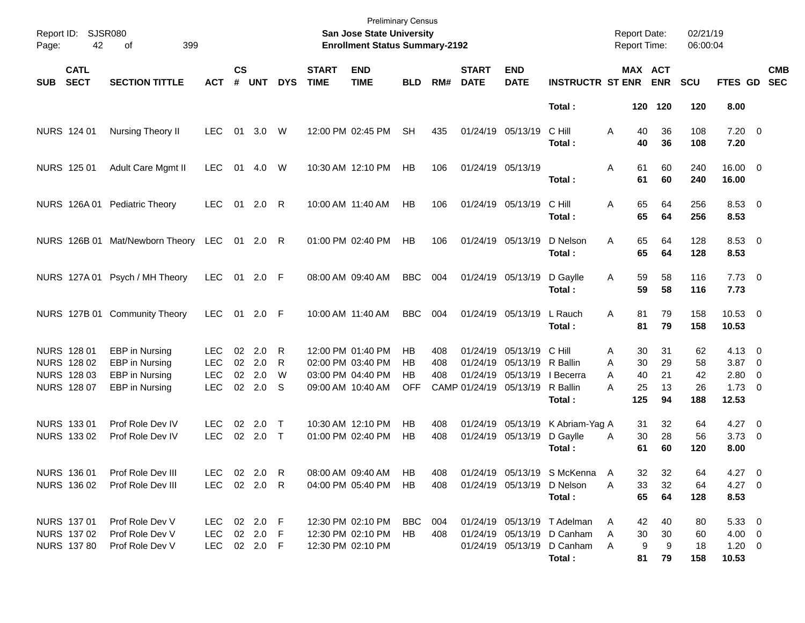| Page:      | Report ID: SJSR080<br>42                                 | 399<br>of                                                                   |                                                |                      |                                  |                  |                             | <b>Preliminary Census</b><br>San Jose State University<br><b>Enrollment Status Summary-2192</b> |                               |                   |                             |                                                             |                                                                                                   | <b>Report Date:</b><br><b>Report Time:</b> |                             |                              | 02/21/19<br>06:00:04        |                                                                   |                          |
|------------|----------------------------------------------------------|-----------------------------------------------------------------------------|------------------------------------------------|----------------------|----------------------------------|------------------|-----------------------------|-------------------------------------------------------------------------------------------------|-------------------------------|-------------------|-----------------------------|-------------------------------------------------------------|---------------------------------------------------------------------------------------------------|--------------------------------------------|-----------------------------|------------------------------|-----------------------------|-------------------------------------------------------------------|--------------------------|
| <b>SUB</b> | <b>CATL</b><br><b>SECT</b>                               | <b>SECTION TITTLE</b>                                                       | <b>ACT</b>                                     | $\mathsf{cs}$<br>#   | <b>UNT</b>                       | <b>DYS</b>       | <b>START</b><br><b>TIME</b> | <b>END</b><br><b>TIME</b>                                                                       | <b>BLD</b>                    | RM#               | <b>START</b><br><b>DATE</b> | <b>END</b><br><b>DATE</b>                                   | <b>INSTRUCTR ST ENR</b>                                                                           |                                            |                             | <b>MAX ACT</b><br><b>ENR</b> | <b>SCU</b>                  | <b>FTES GD</b>                                                    | <b>CMB</b><br><b>SEC</b> |
|            |                                                          |                                                                             |                                                |                      |                                  |                  |                             |                                                                                                 |                               |                   |                             |                                                             | Total:                                                                                            |                                            |                             | 120 120                      | 120                         | 8.00                                                              |                          |
|            | NURS 124 01                                              | Nursing Theory II                                                           | <b>LEC</b>                                     | 01                   | 3.0                              | W                |                             | 12:00 PM 02:45 PM                                                                               | <b>SH</b>                     | 435               |                             | 01/24/19 05/13/19                                           | C Hill<br>Total:                                                                                  | A                                          | 40<br>40                    | 36<br>36                     | 108<br>108                  | $7.20 \t 0$<br>7.20                                               |                          |
|            | NURS 125 01                                              | Adult Care Mgmt II                                                          | <b>LEC</b>                                     | 01                   | 4.0                              | W                |                             | 10:30 AM 12:10 PM                                                                               | <b>HB</b>                     | 106               |                             | 01/24/19 05/13/19                                           | Total:                                                                                            | A                                          | 61<br>61                    | 60<br>60                     | 240<br>240                  | 16.00 0<br>16.00                                                  |                          |
|            |                                                          | NURS 126A 01 Pediatric Theory                                               | <b>LEC</b>                                     | 01                   | $2.0$ R                          |                  |                             | 10:00 AM 11:40 AM                                                                               | <b>HB</b>                     | 106               |                             | 01/24/19 05/13/19                                           | C Hill<br>Total:                                                                                  | A                                          | 65<br>65                    | 64<br>64                     | 256<br>256                  | $8.53$ 0<br>8.53                                                  |                          |
|            |                                                          | NURS 126B 01 Mat/Newborn Theory LEC                                         |                                                |                      | 01 2.0 R                         |                  |                             | 01:00 PM 02:40 PM                                                                               | HB.                           | 106               |                             | 01/24/19 05/13/19                                           | D Nelson<br>Total:                                                                                | A                                          | 65<br>65                    | 64<br>64                     | 128<br>128                  | $8.53$ 0<br>8.53                                                  |                          |
|            |                                                          | NURS 127A 01 Psych / MH Theory                                              | <b>LEC</b>                                     | 01                   | $2.0$ F                          |                  |                             | 08:00 AM 09:40 AM                                                                               | <b>BBC</b>                    | 004               |                             | 01/24/19 05/13/19                                           | D Gaylle<br>Total:                                                                                | Α                                          | 59<br>59                    | 58<br>58                     | 116<br>116                  | $7.73 \t 0$<br>7.73                                               |                          |
|            |                                                          | NURS 127B 01 Community Theory                                               | <b>LEC</b>                                     | 01                   | $2.0$ F                          |                  |                             | 10:00 AM 11:40 AM                                                                               | <b>BBC</b>                    | 004               |                             | 01/24/19 05/13/19                                           | L Rauch<br>Total:                                                                                 | A                                          | 81<br>81                    | 79<br>79                     | 158<br>158                  | $10.53$ 0<br>10.53                                                |                          |
|            | NURS 128 01<br>NURS 128 02<br>NURS 128 03<br>NURS 128 07 | EBP in Nursing<br>EBP in Nursing<br>EBP in Nursing<br><b>EBP</b> in Nursing | LEC.<br><b>LEC</b><br><b>LEC</b><br><b>LEC</b> | 02<br>02<br>02<br>02 | 2.0<br>2.0<br>2.0<br>2.0         | R<br>R<br>W<br>S |                             | 12:00 PM 01:40 PM<br>02:00 PM 03:40 PM<br>03:00 PM 04:40 PM<br>09:00 AM 10:40 AM                | HB.<br>НB<br>НB<br><b>OFF</b> | 408<br>408<br>408 | CAMP 01/24/19 05/13/19      | 01/24/19 05/13/19<br>01/24/19 05/13/19<br>01/24/19 05/13/19 | C Hill<br>R Ballin<br>I Becerra<br>R Ballin<br>Total:                                             | Α<br>A<br>А<br>А                           | 30<br>30<br>40<br>25<br>125 | 31<br>29<br>21<br>13<br>94   | 62<br>58<br>42<br>26<br>188 | $4.13 \quad 0$<br>$3.87$ 0<br>$2.80 \t 0$<br>$1.73 \t 0$<br>12.53 |                          |
|            | NURS 133 01<br>NURS 133 02                               | Prof Role Dev IV<br>Prof Role Dev IV                                        | LEC<br><b>LEC</b>                              | 02<br>02             | 2.0<br>2.0                       | $\top$<br>$\top$ |                             | 10:30 AM 12:10 PM<br>01:00 PM 02:40 PM                                                          | HB.<br>HB                     | 408<br>408        |                             | 01/24/19 05/13/19<br>01/24/19 05/13/19                      | K Abriam-Yag A<br>D Gaylle<br>Total:                                                              | A                                          | 31<br>30<br>61              | 32<br>28<br>60               | 64<br>56<br>120             | $4.27 \t 0$<br>$3.73$ 0<br>8.00                                   |                          |
|            | NURS 136 01<br>NURS 136 02                               | Prof Role Dev III<br>Prof Role Dev III                                      | LEC.<br>LEC 02 2.0 R                           |                      | 02 2.0 R                         |                  |                             | 08:00 AM 09:40 AM<br>04:00 PM 05:40 PM                                                          | HB<br><b>HB</b>               | 408<br>408        |                             | 01/24/19 05/13/19 D Nelson                                  | 01/24/19 05/13/19 S McKenna<br>Total:                                                             | A<br>Α                                     | 32<br>33<br>65              | 32<br>32<br>64               | 64<br>64<br>128             | $4.27 \t 0$<br>$4.27$ 0<br>8.53                                   |                          |
|            | NURS 137 01<br>NURS 137 02<br><b>NURS 137 80</b>         | Prof Role Dev V<br>Prof Role Dev V<br>Prof Role Dev V                       | LEC<br>LEC<br>LEC                              |                      | 02 2.0 F<br>02 2.0 F<br>02 2.0 F |                  |                             | 12:30 PM 02:10 PM<br>12:30 PM 02:10 PM<br>12:30 PM 02:10 PM                                     | BBC<br>HB.                    | 004<br>408        |                             |                                                             | 01/24/19 05/13/19 T Adelman<br>01/24/19 05/13/19 D Canham<br>01/24/19 05/13/19 D Canham<br>Total: | Α<br>A<br>Α                                | 42<br>30<br>9<br>81         | 40<br>30<br>9<br>79          | 80<br>60<br>18<br>158       | 5.3300<br>$4.00 \ 0$<br>$1.20 \t 0$<br>10.53                      |                          |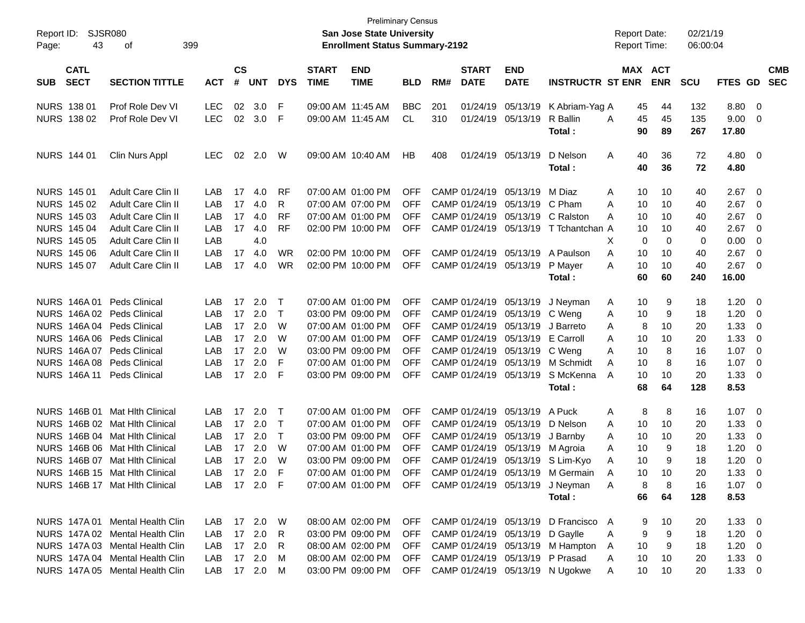| Report ID:<br>Page: | 43                 | SJSR080<br>399<br>οf                               |              |                 |             |             |                   | <b>Preliminary Census</b><br>San Jose State University<br><b>Enrollment Status Summary-2192</b> |                          |     |              |                                                  |                                                            | <b>Report Date:</b><br><b>Report Time:</b> |                       | 02/21/19<br>06:00:04 |              |                                                    |            |
|---------------------|--------------------|----------------------------------------------------|--------------|-----------------|-------------|-------------|-------------------|-------------------------------------------------------------------------------------------------|--------------------------|-----|--------------|--------------------------------------------------|------------------------------------------------------------|--------------------------------------------|-----------------------|----------------------|--------------|----------------------------------------------------|------------|
|                     | <b>CATL</b>        |                                                    |              | $\mathsf{cs}$   |             |             | <b>START</b>      | <b>END</b>                                                                                      |                          |     | <b>START</b> | <b>END</b>                                       |                                                            |                                            | MAX ACT               |                      |              |                                                    | <b>CMB</b> |
| <b>SUB</b>          | <b>SECT</b>        | <b>SECTION TITTLE</b>                              | <b>ACT</b>   | #               | <b>UNT</b>  | <b>DYS</b>  | <b>TIME</b>       | <b>TIME</b>                                                                                     | <b>BLD</b>               | RM# | <b>DATE</b>  | <b>DATE</b>                                      | <b>INSTRUCTR ST ENR</b>                                    |                                            | <b>ENR</b>            | <b>SCU</b>           | FTES GD      | <b>SEC</b>                                         |            |
|                     | NURS 138 01        | Prof Role Dev VI                                   | <b>LEC</b>   | 02              | 3.0         | F           | 09:00 AM 11:45 AM |                                                                                                 | <b>BBC</b>               | 201 |              | 01/24/19 05/13/19                                | K Abriam-Yag A                                             |                                            | 44<br>45              | 132                  | 8.80         | $\overline{\mathbf{0}}$                            |            |
|                     | NURS 138 02        | Prof Role Dev VI                                   | <b>LEC</b>   |                 | 02 3.0      | F           | 09:00 AM 11:45 AM |                                                                                                 | CL.                      | 310 |              | 01/24/19 05/13/19                                | R Ballin                                                   | A<br>45                                    | 45                    | 135                  | 9.00         | - 0                                                |            |
|                     |                    |                                                    |              |                 |             |             |                   |                                                                                                 |                          |     |              |                                                  | Total:                                                     |                                            | 90<br>89              | 267                  | 17.80        |                                                    |            |
|                     | <b>NURS 144 01</b> | Clin Nurs Appl                                     | <b>LEC</b>   | 02              | 2.0         | W           |                   | 09:00 AM 10:40 AM                                                                               | HB                       | 408 |              | 01/24/19 05/13/19                                | D Nelson                                                   | Α                                          | 40<br>36              | 72                   | $4.80\ 0$    |                                                    |            |
|                     |                    |                                                    |              |                 |             |             |                   |                                                                                                 |                          |     |              |                                                  | Total:                                                     | 40                                         | 36                    | 72                   | 4.80         |                                                    |            |
|                     | <b>NURS 145 01</b> | <b>Adult Care Clin II</b>                          | LAB          | 17              | 4.0         |             |                   | 07:00 AM 01:00 PM                                                                               | OFF                      |     |              | CAMP 01/24/19 05/13/19                           | M Diaz                                                     |                                            |                       |                      | 2.67         | - 0                                                |            |
|                     | NURS 145 02        | <b>Adult Care Clin II</b>                          | LAB          | 17              | 4.0         | RF<br>R     |                   | 07:00 AM 07:00 PM                                                                               | OFF                      |     |              | CAMP 01/24/19 05/13/19 C Pham                    |                                                            | A<br>A                                     | 10<br>10<br>10<br>10  | 40<br>40             | 2.67         | - 0                                                |            |
|                     | NURS 145 03        | Adult Care Clin II                                 | LAB          | 17              | 4.0         | <b>RF</b>   |                   | 07:00 AM 01:00 PM                                                                               | OFF                      |     |              | CAMP 01/24/19 05/13/19                           | C Ralston                                                  | A                                          | 10<br>10              | 40                   | 2.67         | - 0                                                |            |
|                     | <b>NURS 145 04</b> | Adult Care Clin II                                 | LAB          | 17              | 4.0         | <b>RF</b>   |                   | 02:00 PM 10:00 PM                                                                               | OFF.                     |     |              |                                                  | CAMP 01/24/19 05/13/19 T Tchantchan A                      |                                            | 10<br>10              | 40                   | 2.67         | - 0                                                |            |
|                     | <b>NURS 145 05</b> | Adult Care Clin II                                 | LAB          |                 | 4.0         |             |                   |                                                                                                 |                          |     |              |                                                  |                                                            | X                                          | 0<br>0                | 0                    | 0.00         | - 0                                                |            |
|                     | <b>NURS 145 06</b> | Adult Care Clin II                                 | LAB          | 17 <sup>2</sup> | 4.0         | WR          |                   | 02:00 PM 10:00 PM                                                                               | OFF                      |     |              | CAMP 01/24/19 05/13/19                           | A Paulson                                                  | A                                          | 10<br>10              | 40                   | 2.67         | - 0                                                |            |
|                     | NURS 145 07        | Adult Care Clin II                                 | LAB          | 17              | 4.0         | WR          |                   | 02:00 PM 10:00 PM                                                                               | OFF                      |     |              | CAMP 01/24/19 05/13/19                           | P Mayer                                                    | A                                          | 10<br>10              | 40                   | 2.67         | 0                                                  |            |
|                     |                    |                                                    |              |                 |             |             |                   |                                                                                                 |                          |     |              |                                                  | Total:                                                     | 60                                         | 60                    | 240                  | 16.00        |                                                    |            |
|                     |                    |                                                    |              |                 |             |             |                   |                                                                                                 |                          |     |              |                                                  |                                                            |                                            |                       |                      |              |                                                    |            |
|                     | <b>NURS 146A01</b> | Peds Clinical                                      | LAB          | 17              | 2.0         | Т           |                   | 07:00 AM 01:00 PM                                                                               | <b>OFF</b>               |     |              | CAMP 01/24/19 05/13/19                           | J Neyman                                                   | A                                          | 9<br>10               | 18                   | 1.20         | $\overline{\mathbf{0}}$                            |            |
|                     |                    | NURS 146A 02 Peds Clinical                         | LAB          | 17              | 2.0         | $\top$      |                   | 03:00 PM 09:00 PM                                                                               | OFF                      |     |              | CAMP 01/24/19 05/13/19                           | C Wena                                                     | A                                          | 10<br>9               | 18                   | 1.20         | - 0                                                |            |
|                     |                    | NURS 146A 04 Peds Clinical                         | LAB          | 17              | 2.0         | W           |                   | 07:00 AM 01:00 PM                                                                               | OFF                      |     |              | CAMP 01/24/19 05/13/19                           | J Barreto                                                  | A                                          | 8<br>10               | 20                   | 1.33         | - 0                                                |            |
|                     |                    | NURS 146A 06 Peds Clinical                         | LAB          | 17              | 2.0         | W           |                   | 07:00 AM 01:00 PM                                                                               | OFF                      |     |              | CAMP 01/24/19 05/13/19                           | E Carroll                                                  | A                                          | 10<br>10              | 20                   | 1.33         | - 0                                                |            |
|                     | NURS 146A 07       | <b>Peds Clinical</b><br>NURS 146A 08 Peds Clinical | LAB<br>LAB   | 17<br>17        | 2.0<br>2.0  | W<br>F      |                   | 03:00 PM 09:00 PM<br>07:00 AM 01:00 PM                                                          | <b>OFF</b><br><b>OFF</b> |     |              | CAMP 01/24/19 05/13/19<br>CAMP 01/24/19 05/13/19 | C Weng<br>M Schmidt                                        | A                                          | 10<br>8<br>10<br>8    | 16<br>16             | 1.07<br>1.07 | $\overline{\mathbf{0}}$                            |            |
|                     | <b>NURS 146A11</b> | <b>Peds Clinical</b>                               | LAB          |                 | 17 2.0      | F           |                   | 03:00 PM 09:00 PM                                                                               | <b>OFF</b>               |     |              | CAMP 01/24/19 05/13/19                           | S McKenna                                                  | A<br>A                                     | 10<br>10              | 20                   | 1.33         | $\overline{\mathbf{0}}$<br>$\overline{\mathbf{0}}$ |            |
|                     |                    |                                                    |              |                 |             |             |                   |                                                                                                 |                          |     |              |                                                  | Total:                                                     | 68                                         | 64                    | 128                  | 8.53         |                                                    |            |
|                     |                    |                                                    |              |                 |             |             |                   |                                                                                                 |                          |     |              |                                                  |                                                            |                                            |                       |                      |              |                                                    |            |
|                     |                    | NURS 146B 01 Mat Hith Clinical                     | LAB          | 17              | 2.0         | $\mathsf T$ |                   | 07:00 AM 01:00 PM                                                                               | <b>OFF</b>               |     |              | CAMP 01/24/19 05/13/19                           | A Puck                                                     | A                                          | 8<br>8                | 16                   | 1.07         | $\overline{\mathbf{0}}$                            |            |
|                     |                    | NURS 146B 02 Mat Hith Clinical                     | LAB          | 17              | 2.0         | $\top$      |                   | 07:00 AM 01:00 PM                                                                               | <b>OFF</b>               |     |              | CAMP 01/24/19 05/13/19                           | D Nelson                                                   | A                                          | 10<br>10              | 20                   | 1.33         | $\overline{0}$                                     |            |
|                     |                    | NURS 146B 04 Mat Hlth Clinical                     | LAB          | 17              | 2.0         | $\top$      |                   | 03:00 PM 09:00 PM                                                                               | <b>OFF</b>               |     |              | CAMP 01/24/19 05/13/19                           | J Barnby                                                   | A                                          | 10<br>10              | 20                   | 1.33         | $\overline{0}$                                     |            |
|                     |                    | NURS 146B 06 Mat Hlth Clinical                     | LAB          |                 | 17 2.0      | W           |                   | 07:00 AM 01:00 PM                                                                               | <b>OFF</b>               |     |              | CAMP 01/24/19 05/13/19                           | M Agroia                                                   | A                                          | 10<br>9               | 18                   | 1.20         | $\overline{0}$                                     |            |
|                     |                    | NURS 146B 07 Mat Hlth Clinical                     | LAB          |                 | 17 2.0      | W           |                   | 03:00 PM 09:00 PM                                                                               | <b>OFF</b>               |     |              |                                                  | CAMP 01/24/19 05/13/19 S Lim-Kyo                           | A                                          | 10<br>9               | 18                   | 1.20         | - 0                                                |            |
|                     |                    | NURS 146B 15 Mat Hith Clinical                     | LAB          |                 | $17^{2}$ .0 | F           |                   | 07:00 AM 01:00 PM                                                                               | OFF.                     |     |              |                                                  | CAMP 01/24/19 05/13/19 M Germain                           | A                                          | 10<br>10              | 20                   | 1.33         | - 0                                                |            |
|                     |                    | NURS 146B 17 Mat Hith Clinical                     | LAB 17 2.0 F |                 |             |             |                   |                                                                                                 |                          |     |              |                                                  | 07:00 AM 01:00 PM OFF CAMP 01/24/19 05/13/19 J Neyman      | A                                          | 8<br>8                | 16                   | $1.07 \t 0$  |                                                    |            |
|                     |                    |                                                    |              |                 |             |             |                   |                                                                                                 |                          |     |              |                                                  | Total:                                                     |                                            | 66<br>64              | 128                  | 8.53         |                                                    |            |
|                     |                    | NURS 147A 01 Mental Health Clin                    | LAB 17 2.0 W |                 |             |             |                   |                                                                                                 |                          |     |              |                                                  | 08:00 AM 02:00 PM OFF CAMP 01/24/19 05/13/19 D Francisco A |                                            | 10<br>9               | 20                   | $1.33 \ 0$   |                                                    |            |
|                     |                    | NURS 147A 02 Mental Health Clin                    | LAB          |                 | 17 2.0 R    |             |                   | 03:00 PM 09:00 PM                                                                               |                          |     |              | OFF CAMP 01/24/19 05/13/19 D Gaylle              |                                                            | A                                          | 9<br>9                | 18                   | $1.20 \t 0$  |                                                    |            |
|                     |                    | NURS 147A 03 Mental Health Clin                    | LAB          |                 | 17 2.0      | R           |                   | 08:00 AM 02:00 PM                                                                               |                          |     |              |                                                  | OFF CAMP 01/24/19 05/13/19 M Hampton A                     |                                            | 10<br>9               | 18                   | $1.20 \t 0$  |                                                    |            |
|                     |                    | NURS 147A 04 Mental Health Clin                    | LAB 17 2.0   |                 |             | - M         |                   | 08:00 AM 02:00 PM                                                                               |                          |     |              | OFF CAMP 01/24/19 05/13/19 P Prasad              |                                                            | A                                          | 10<br>10              | 20                   | $1.33 \ 0$   |                                                    |            |
|                     |                    | NURS 147A 05 Mental Health Clin                    | LAB 17 2.0 M |                 |             |             |                   |                                                                                                 |                          |     |              |                                                  | 03:00 PM 09:00 PM OFF CAMP 01/24/19 05/13/19 N Ugokwe      | A                                          | 10 <sup>°</sup><br>10 | 20                   | $1.33 \t 0$  |                                                    |            |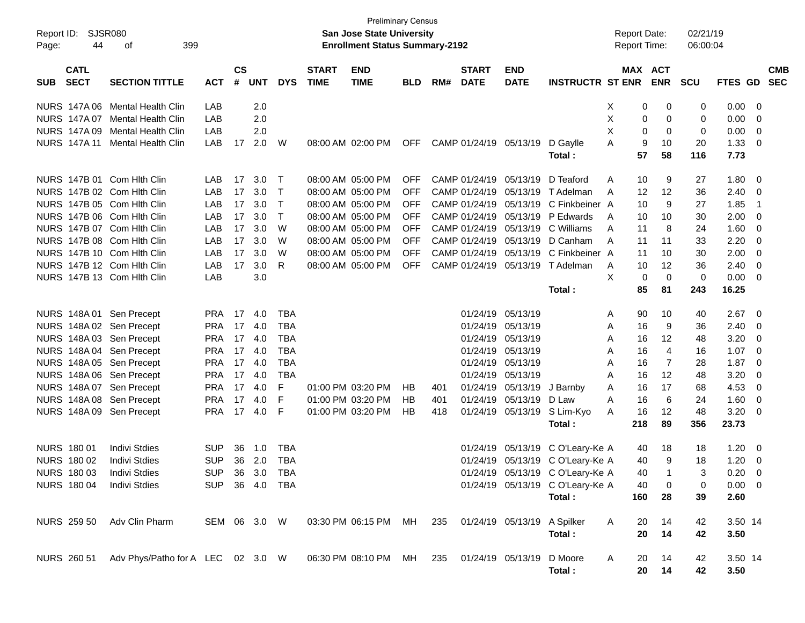| Page:      | Report ID: SJSR080<br>44   | 399<br>оf                                     |                |                    |            |              |                             | <b>Preliminary Census</b><br><b>San Jose State University</b><br><b>Enrollment Status Summary-2192</b> |            |     |                             |                           |                                  |   | <b>Report Date:</b><br>Report Time: |                | 02/21/19<br>06:00:04 |                |                            |            |
|------------|----------------------------|-----------------------------------------------|----------------|--------------------|------------|--------------|-----------------------------|--------------------------------------------------------------------------------------------------------|------------|-----|-----------------------------|---------------------------|----------------------------------|---|-------------------------------------|----------------|----------------------|----------------|----------------------------|------------|
| <b>SUB</b> | <b>CATL</b><br><b>SECT</b> | <b>SECTION TITTLE</b>                         | <b>ACT</b>     | $\mathsf{cs}$<br># | <b>UNT</b> | <b>DYS</b>   | <b>START</b><br><b>TIME</b> | <b>END</b><br><b>TIME</b>                                                                              | <b>BLD</b> | RM# | <b>START</b><br><b>DATE</b> | <b>END</b><br><b>DATE</b> | <b>INSTRUCTR ST ENR</b>          |   | MAX ACT                             | <b>ENR</b>     | <b>SCU</b>           | FTES GD SEC    |                            | <b>CMB</b> |
|            |                            | NURS 147A 06 Mental Health Clin               | LAB            |                    | 2.0        |              |                             |                                                                                                        |            |     |                             |                           |                                  | Х | 0                                   | 0              | 0                    | 0.00           | - 0                        |            |
|            |                            | NURS 147A 07 Mental Health Clin               | LAB            |                    | 2.0        |              |                             |                                                                                                        |            |     |                             |                           |                                  | X | 0                                   | 0              | 0                    | 0.00           | - 0                        |            |
|            |                            | NURS 147A 09 Mental Health Clin               | LAB            |                    | 2.0        |              |                             |                                                                                                        |            |     |                             |                           |                                  | X | 0                                   | 0              | 0                    | 0.00           | $\overline{\mathbf{0}}$    |            |
|            |                            | NURS 147A 11 Mental Health Clin               | LAB            | 17                 | 2.0        | W            |                             | 08:00 AM 02:00 PM                                                                                      | <b>OFF</b> |     |                             | CAMP 01/24/19 05/13/19    | D Gaylle                         | А | 9                                   | 10             | 20                   | 1.33           | $\overline{\mathbf{0}}$    |            |
|            |                            |                                               |                |                    |            |              |                             |                                                                                                        |            |     |                             |                           | Total:                           |   | 57                                  | 58             | 116                  | 7.73           |                            |            |
|            |                            | NURS 147B 01 Com Hith Clin                    | LAB            | 17                 | 3.0        | $\mathsf T$  |                             | 08:00 AM 05:00 PM                                                                                      | <b>OFF</b> |     | CAMP 01/24/19               | 05/13/19                  | D Teaford                        | A | 10                                  | 9              | 27                   | 1.80           | $\overline{\phantom{0}}$   |            |
|            |                            | NURS 147B 02 Com Hith Clin                    | LAB            | 17                 | 3.0        | $\mathsf{T}$ |                             | 08:00 AM 05:00 PM                                                                                      | <b>OFF</b> |     | CAMP 01/24/19               | 05/13/19                  | T Adelman                        | A | 12                                  | 12             | 36                   | 2.40           | $\overline{\mathbf{0}}$    |            |
|            |                            | NURS 147B 05 Com Hith Clin                    | LAB            | 17                 | 3.0        | $\mathsf{T}$ |                             | 08:00 AM 05:00 PM                                                                                      | <b>OFF</b> |     | CAMP 01/24/19               | 05/13/19                  | C Finkbeiner A                   |   | 10                                  | 9              | 27                   | 1.85           | $\overline{\phantom{0}}$ 1 |            |
|            |                            | NURS 147B 06 Com Hith Clin                    | LAB            | 17                 | 3.0        | $\mathsf{T}$ |                             | 08:00 AM 05:00 PM                                                                                      | <b>OFF</b> |     | CAMP 01/24/19               | 05/13/19                  | P Edwards                        | A | 10                                  | 10             | 30                   | 2.00           | $\overline{\phantom{0}}$   |            |
|            |                            | NURS 147B 07 Com Hith Clin                    | LAB            | 17                 | 3.0        | W            |                             | 08:00 AM 05:00 PM                                                                                      | <b>OFF</b> |     | CAMP 01/24/19               | 05/13/19                  | C Williams                       | A | 11                                  | 8              | 24                   | 1.60           | $\overline{\mathbf{0}}$    |            |
|            |                            | NURS 147B 08 Com Hith Clin                    | LAB            | 17                 | 3.0        | W            |                             | 08:00 AM 05:00 PM                                                                                      | <b>OFF</b> |     | CAMP 01/24/19               | 05/13/19                  | D Canham                         | A | 11                                  | 11             | 33                   | 2.20           | - 0                        |            |
|            |                            | NURS 147B 10 Com Hith Clin                    | LAB            | 17                 | 3.0        | W            |                             | 08:00 AM 05:00 PM                                                                                      | <b>OFF</b> |     | CAMP 01/24/19               | 05/13/19                  | C Finkbeiner A                   |   | 11                                  | 10             | 30                   | 2.00           | - 0                        |            |
|            |                            | NURS 147B 12 Com Hlth Clin                    | LAB            | 17                 | 3.0        | R            |                             | 08:00 AM 05:00 PM                                                                                      | <b>OFF</b> |     | CAMP 01/24/19               |                           | 05/13/19 T Adelman               | A | 10                                  | 12             | 36                   | 2.40           | $\overline{0}$             |            |
|            |                            | NURS 147B 13 Com Hith Clin                    | LAB            |                    | 3.0        |              |                             |                                                                                                        |            |     |                             |                           |                                  | X | 0                                   | $\mathbf 0$    | 0                    | 0.00           | $\overline{\phantom{0}}$   |            |
|            |                            |                                               |                |                    |            |              |                             |                                                                                                        |            |     |                             |                           | Total:                           |   | 85                                  | 81             | 243                  | 16.25          |                            |            |
|            |                            | NURS 148A 01 Sen Precept                      | <b>PRA</b>     | 17                 | 4.0        | <b>TBA</b>   |                             |                                                                                                        |            |     | 01/24/19 05/13/19           |                           |                                  | A | 90                                  | 10             | 40                   | 2.67           | - 0                        |            |
|            |                            | NURS 148A 02 Sen Precept                      | <b>PRA</b>     | 17                 | 4.0        | <b>TBA</b>   |                             |                                                                                                        |            |     | 01/24/19                    | 05/13/19                  |                                  | A | 16                                  | 9              | 36                   | 2.40           | - 0                        |            |
|            |                            | NURS 148A 03 Sen Precept                      | <b>PRA</b>     | 17                 | 4.0        | <b>TBA</b>   |                             |                                                                                                        |            |     | 01/24/19                    | 05/13/19                  |                                  | A | 16                                  | 12             | 48                   | 3.20           | $\overline{\mathbf{0}}$    |            |
|            |                            | NURS 148A 04 Sen Precept                      | <b>PRA</b>     | 17                 | 4.0        | <b>TBA</b>   |                             |                                                                                                        |            |     | 01/24/19                    | 05/13/19                  |                                  | A | 16                                  | $\overline{4}$ | 16                   | 1.07           | - 0                        |            |
|            |                            | NURS 148A 05 Sen Precept                      | <b>PRA</b>     | 17                 | 4.0        | <b>TBA</b>   |                             |                                                                                                        |            |     | 01/24/19                    | 05/13/19                  |                                  | A | 16                                  | $\overline{7}$ | 28                   | 1.87           | - 0                        |            |
|            |                            | NURS 148A 06 Sen Precept                      | <b>PRA</b>     | 17                 | 4.0        | <b>TBA</b>   |                             |                                                                                                        |            |     | 01/24/19                    | 05/13/19                  |                                  | A | 16                                  | 12             | 48                   | 3.20           | - 0                        |            |
|            |                            | NURS 148A 07 Sen Precept                      | <b>PRA</b>     | 17                 | 4.0        | F            |                             | 01:00 PM 03:20 PM                                                                                      | HB         | 401 | 01/24/19                    | 05/13/19                  | J Barnby                         | A | 16                                  | 17             | 68                   | 4.53           | $\overline{\mathbf{0}}$    |            |
|            |                            | NURS 148A 08 Sen Precept                      | <b>PRA</b>     | 17                 | 4.0        | F            |                             | 01:00 PM 03:20 PM                                                                                      | HB         | 401 | 01/24/19                    | 05/13/19                  | D Law                            | А | 16                                  | 6              | 24                   | 1.60           | $\overline{\mathbf{0}}$    |            |
|            |                            | NURS 148A 09 Sen Precept                      | <b>PRA</b>     | 17                 | 4.0        | F            |                             | 01:00 PM 03:20 PM                                                                                      | HB         | 418 |                             | 01/24/19 05/13/19         | S Lim-Kyo                        | A | 16                                  | 12             | 48                   | $3.20 \ 0$     |                            |            |
|            |                            |                                               |                |                    |            |              |                             |                                                                                                        |            |     |                             |                           | Total:                           |   | 218                                 | 89             | 356                  | 23.73          |                            |            |
|            | NURS 180 01                | <b>Indivi Stdies</b>                          | <b>SUP</b>     | 36                 | 1.0        | <b>TBA</b>   |                             |                                                                                                        |            |     |                             |                           | 01/24/19 05/13/19 C O'Leary-Ke A |   | 40                                  | 18             | 18                   | 1.20           | - 0                        |            |
|            | NURS 180 02                | <b>Indivi Stdies</b>                          | <b>SUP</b>     |                    | 36 2.0     | <b>TBA</b>   |                             |                                                                                                        |            |     |                             |                           | 01/24/19 05/13/19 C O'Leary-Ke A |   | 40                                  | 9              | 18                   | 1.20           | $\overline{0}$             |            |
|            |                            | NURS 180 03 Indivi Stdies                     | SUP 36 3.0 TBA |                    |            |              |                             |                                                                                                        |            |     |                             |                           | 01/24/19 05/13/19 C O'Leary-Ke A |   | 40                                  | $\overline{1}$ | 3                    | $0.20 \t 0$    |                            |            |
|            | NURS 180 04                | <b>Indivi Stdies</b>                          | SUP 36 4.0 TBA |                    |            |              |                             |                                                                                                        |            |     |                             |                           | 01/24/19 05/13/19 C O'Leary-Ke A |   | 40                                  | 0              | 0                    | $0.00 \quad 0$ |                            |            |
|            |                            |                                               |                |                    |            |              |                             |                                                                                                        |            |     |                             |                           | Total:                           |   | 160                                 | 28             | 39                   | 2.60           |                            |            |
|            | NURS 259 50                | Adv Clin Pharm                                | SEM 06 3.0 W   |                    |            |              |                             | 03:30 PM 06:15 PM MH 235 01/24/19 05/13/19 A Spilker                                                   |            |     |                             |                           |                                  | A | 20                                  | 14             | 42                   | 3.50 14        |                            |            |
|            |                            |                                               |                |                    |            |              |                             |                                                                                                        |            |     |                             |                           | Total:                           |   | 20                                  | 14             | 42                   | 3.50           |                            |            |
|            |                            | NURS 260 51 Adv Phys/Patho for A LEC 02 3.0 W |                |                    |            |              |                             | 06:30 PM 08:10 PM MH 235 01/24/19 05/13/19                                                             |            |     |                             |                           | D Moore                          | A | 20                                  | 14             | 42                   | 3.50 14        |                            |            |
|            |                            |                                               |                |                    |            |              |                             |                                                                                                        |            |     |                             |                           | Total:                           |   | 20                                  | 14             | 42                   | 3.50           |                            |            |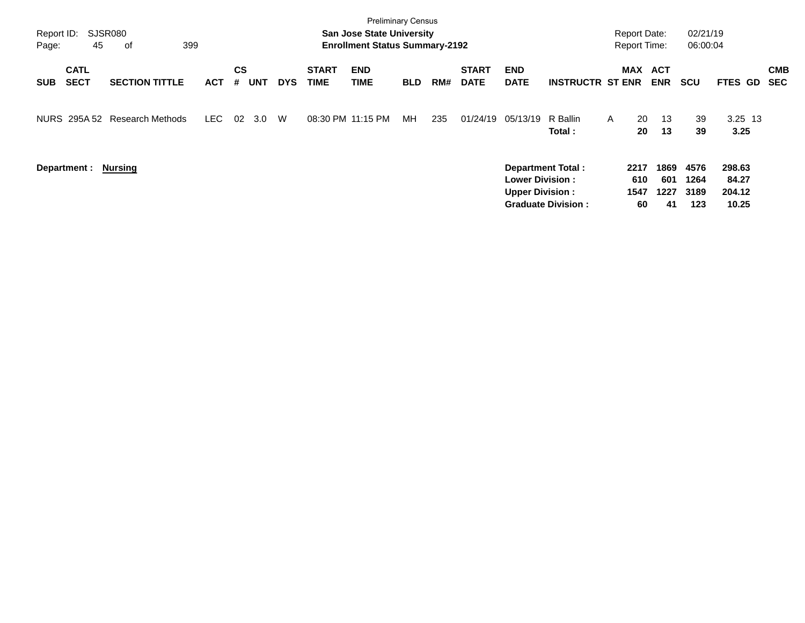| Report ID:<br>Page:                      | SJSR080<br>45 | 399<br>οf             |            |         |            |            |                             | <b>Preliminary Census</b><br><b>San Jose State University</b><br><b>Enrollment Status Summary-2192</b> |            |     |                             |                                                                              |                           | <b>Report Date:</b><br><b>Report Time:</b> |                           | 02/21/19<br>06:00:04        |                                    |                          |
|------------------------------------------|---------------|-----------------------|------------|---------|------------|------------|-----------------------------|--------------------------------------------------------------------------------------------------------|------------|-----|-----------------------------|------------------------------------------------------------------------------|---------------------------|--------------------------------------------|---------------------------|-----------------------------|------------------------------------|--------------------------|
| <b>CATL</b><br><b>SECT</b><br><b>SUB</b> |               | <b>SECTION TITTLE</b> | <b>ACT</b> | CS<br># | <b>UNT</b> | <b>DYS</b> | <b>START</b><br><b>TIME</b> | <b>END</b><br>TIME                                                                                     | <b>BLD</b> | RM# | <b>START</b><br><b>DATE</b> | <b>END</b><br><b>DATE</b>                                                    | <b>INSTRUCTR ST ENR</b>   | MAX ACT                                    | <b>ENR</b>                | <b>SCU</b>                  | FTES GD                            | <b>CMB</b><br><b>SEC</b> |
| NURS 295A 52                             |               | Research Methods      | LEC .      | 02      | 3.0        | W          | 08:30 PM 11:15 PM           |                                                                                                        | MН         | 235 | 01/24/19                    | 05/13/19                                                                     | R Ballin<br>Total:        | 20<br>$\mathsf{A}$<br>20                   | 13<br>13                  | 39<br>39                    | $3.25$ 13<br>3.25                  |                          |
| Department :                             |               | <b>Nursing</b>        |            |         |            |            |                             |                                                                                                        |            |     |                             | <b>Department Total:</b><br><b>Lower Division:</b><br><b>Upper Division:</b> | <b>Graduate Division:</b> | 2217<br>610<br>1547<br>60                  | 1869<br>601<br>1227<br>41 | 4576<br>1264<br>3189<br>123 | 298.63<br>84.27<br>204.12<br>10.25 |                          |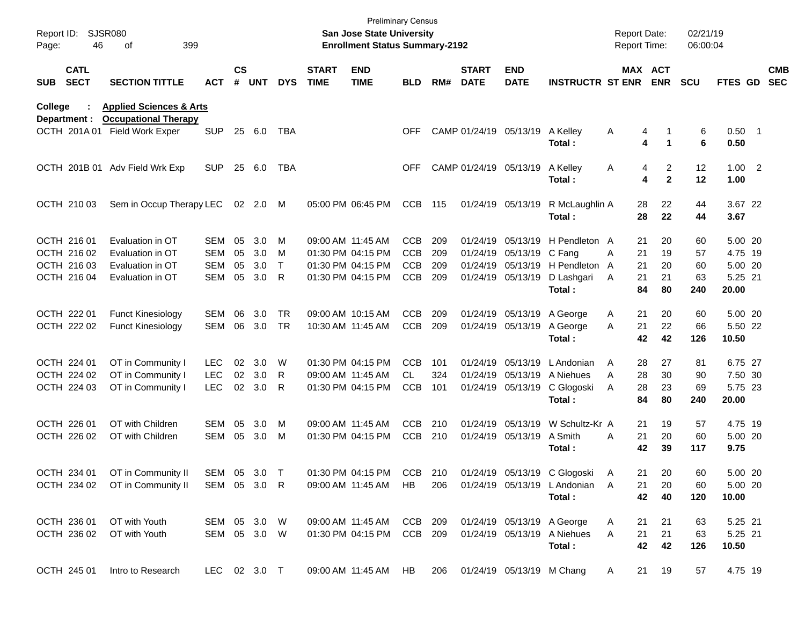| Report ID:<br>Page: | 46                         | <b>SJSR080</b><br>399<br>οf                                                                         |              |                    |        |              |                             | San Jose State University<br><b>Enrollment Status Summary-2192</b> | <b>Preliminary Census</b> |     |                             |                           |                                                       | <b>Report Date:</b><br><b>Report Time:</b> |                           | 02/21/19<br>06:00:04 |             |            |
|---------------------|----------------------------|-----------------------------------------------------------------------------------------------------|--------------|--------------------|--------|--------------|-----------------------------|--------------------------------------------------------------------|---------------------------|-----|-----------------------------|---------------------------|-------------------------------------------------------|--------------------------------------------|---------------------------|----------------------|-------------|------------|
| <b>SUB</b>          | <b>CATL</b><br><b>SECT</b> | <b>SECTION TITTLE</b>                                                                               | <b>ACT</b>   | $\mathsf{cs}$<br># | UNT    | <b>DYS</b>   | <b>START</b><br><b>TIME</b> | <b>END</b><br><b>TIME</b>                                          | <b>BLD</b>                | RM# | <b>START</b><br><b>DATE</b> | <b>END</b><br><b>DATE</b> | <b>INSTRUCTR ST ENR</b>                               |                                            | MAX ACT<br><b>ENR</b>     | <b>SCU</b>           | FTES GD SEC | <b>CMB</b> |
| College             |                            | <b>Applied Sciences &amp; Arts</b>                                                                  |              |                    |        |              |                             |                                                                    |                           |     |                             |                           |                                                       |                                            |                           |                      |             |            |
| Department :        |                            | <b>Occupational Therapy</b><br>OCTH 201A 01 Field Work Exper                                        | <b>SUP</b>   |                    | 25 6.0 | TBA          |                             |                                                                    | <b>OFF</b>                |     |                             | CAMP 01/24/19 05/13/19    | A Kelley                                              | A                                          | 4                         | 6                    | $0.50$ 1    |            |
|                     |                            |                                                                                                     |              |                    |        |              |                             |                                                                    |                           |     |                             |                           | Total:                                                |                                            | 4<br>$\blacktriangleleft$ | 6                    | 0.50        |            |
|                     |                            | OCTH 201B 01 Adv Field Wrk Exp                                                                      | SUP.         |                    | 25 6.0 | TBA          |                             |                                                                    | <b>OFF</b>                |     |                             | CAMP 01/24/19 05/13/19    | A Kelley                                              | A                                          | 2<br>4                    | 12                   | $1.00$ 2    |            |
|                     |                            |                                                                                                     |              |                    |        |              |                             |                                                                    |                           |     |                             |                           | Total:                                                |                                            | $\mathbf{2}$<br>4         | 12                   | 1.00        |            |
|                     | OCTH 210 03                | Sem in Occup Therapy LEC                                                                            |              |                    | 02 2.0 | M            |                             | 05:00 PM 06:45 PM                                                  | <b>CCB</b>                | 115 |                             | 01/24/19 05/13/19         | R McLaughlin A                                        |                                            | 28<br>22                  | 44                   | 3.67 22     |            |
|                     |                            |                                                                                                     |              |                    |        |              |                             |                                                                    |                           |     |                             |                           | Total:                                                |                                            | 28<br>22                  | 44                   | 3.67        |            |
| OCTH 216 01         |                            | Evaluation in OT                                                                                    | SEM          | 05                 | 3.0    | M            | 09:00 AM 11:45 AM           |                                                                    | <b>CCB</b>                | 209 |                             |                           | 01/24/19 05/13/19 H Pendleton A                       |                                            | 21<br>20                  | 60                   | 5.00 20     |            |
|                     | OCTH 216 02                | Evaluation in OT                                                                                    | <b>SEM</b>   | 05                 | 3.0    | M            |                             | 01:30 PM 04:15 PM                                                  | <b>CCB</b>                | 209 |                             | 01/24/19 05/13/19         | C Fang                                                | Α                                          | 21<br>19                  | 57                   | 4.75 19     |            |
| OCTH 216 03         |                            | Evaluation in OT                                                                                    | <b>SEM</b>   | 05                 | 3.0    | $\mathsf{T}$ |                             | 01:30 PM 04:15 PM                                                  | <b>CCB</b>                | 209 |                             |                           | 01/24/19 05/13/19 H Pendleton A                       |                                            | 21<br>20                  | 60                   | 5.00 20     |            |
|                     | OCTH 216 04                | Evaluation in OT                                                                                    | <b>SEM</b>   | 05                 | 3.0    | R            |                             | 01:30 PM 04:15 PM                                                  | <b>CCB</b>                | 209 |                             | 01/24/19 05/13/19         | D Lashgari                                            | Α                                          | 21<br>21                  | 63                   | 5.25 21     |            |
|                     |                            |                                                                                                     |              |                    |        |              |                             |                                                                    |                           |     |                             |                           | Total:                                                |                                            | 84<br>80                  | 240                  | 20.00       |            |
| OCTH 222 01         |                            | <b>Funct Kinesiology</b>                                                                            | <b>SEM</b>   | 06                 | 3.0    | <b>TR</b>    |                             | 09:00 AM 10:15 AM                                                  | <b>CCB</b>                | 209 |                             | 01/24/19 05/13/19         | A George                                              | A                                          | 20<br>21                  | 60                   | 5.00 20     |            |
|                     | OCTH 222 02                | <b>Funct Kinesiology</b>                                                                            | SEM          | 06                 | 3.0    | TR           |                             | 10:30 AM 11:45 AM                                                  | <b>CCB</b>                | 209 |                             | 01/24/19 05/13/19         | A George                                              | A                                          | 21<br>22                  | 66                   | 5.50 22     |            |
|                     |                            |                                                                                                     |              |                    |        |              |                             |                                                                    |                           |     |                             |                           | Total:                                                |                                            | 42<br>42                  | 126                  | 10.50       |            |
| OCTH 224 01         |                            | OT in Community I                                                                                   | <b>LEC</b>   | 02                 | 3.0    | W            |                             | 01:30 PM 04:15 PM                                                  | <b>CCB</b>                | 101 |                             | 01/24/19 05/13/19         | L Andonian                                            | A                                          | 27<br>28                  | 81                   | 6.75 27     |            |
|                     | OCTH 224 02                | OT in Community I                                                                                   | <b>LEC</b>   | 02                 | 3.0    | R            |                             | 09:00 AM 11:45 AM                                                  | CL.                       | 324 |                             |                           | 01/24/19 05/13/19 A Niehues                           | Α                                          | 28<br>30                  | 90                   | 7.50 30     |            |
|                     | OCTH 224 03                | OT in Community I                                                                                   | <b>LEC</b>   | 02                 | 3.0    | R            |                             | 01:30 PM 04:15 PM                                                  | <b>CCB</b>                | 101 |                             | 01/24/19 05/13/19         | C Glogoski                                            | A                                          | 28<br>23                  | 69                   | 5.75 23     |            |
|                     |                            |                                                                                                     |              |                    |        |              |                             |                                                                    |                           |     |                             |                           | Total:                                                |                                            | 84<br>80                  | 240                  | 20.00       |            |
| OCTH 226 01         |                            | OT with Children                                                                                    | <b>SEM</b>   | 05                 | 3.0    | M            | 09:00 AM 11:45 AM           |                                                                    | <b>CCB</b>                | 210 |                             | 01/24/19 05/13/19         | W Schultz-Kr A                                        |                                            | 21<br>19                  | 57                   | 4.75 19     |            |
|                     | OCTH 226 02                | OT with Children                                                                                    | SEM          | 05                 | 3.0    | M            |                             | 01:30 PM 04:15 PM                                                  | <b>CCB</b>                | 210 |                             | 01/24/19 05/13/19         | A Smith                                               | A                                          | 21<br>20                  | 60                   | 5.00 20     |            |
|                     |                            |                                                                                                     |              |                    |        |              |                             |                                                                    |                           |     |                             |                           | Total :                                               |                                            | 42<br>39                  | 117                  | 9.75        |            |
|                     | OCTH 234 01                | OT in Community II                                                                                  | SEM 05 3.0 T |                    |        |              |                             | 01:30 PM 04:15 PM                                                  | CCB 210                   |     |                             |                           | 01/24/19 05/13/19 C Glogoski A                        |                                            | 21<br>20                  | 60                   | 5.00 20     |            |
|                     |                            | OCTH 234 02 OT in Community II SEM 05 3.0 R 09:00 AM 11:45 AM HB 206 01/24/19 05/13/19 L Andonian A |              |                    |        |              |                             |                                                                    |                           |     |                             |                           |                                                       |                                            | 21 20                     | 60                   | 5.00 20     |            |
|                     |                            |                                                                                                     |              |                    |        |              |                             |                                                                    |                           |     |                             |                           | Total :                                               |                                            | 42 40                     | 120                  | 10.00       |            |
|                     |                            | OCTH 236 01 OT with Youth                                                                           |              |                    |        | SEM 05 3.0 W |                             |                                                                    |                           |     |                             |                           | 09:00 AM 11:45 AM CCB 209 01/24/19 05/13/19 A George  | A                                          | 21 21                     | 63                   | 5.25 21     |            |
|                     |                            | OCTH 236 02 OT with Youth                                                                           | SEM 05 3.0 W |                    |        |              |                             |                                                                    |                           |     |                             |                           | 01:30 PM 04:15 PM CCB 209 01/24/19 05/13/19 A Niehues | $\mathsf{A}$                               | 21 21                     | 63                   | 5.25 21     |            |
|                     |                            |                                                                                                     |              |                    |        |              |                             |                                                                    |                           |     |                             |                           | Total:                                                |                                            | 42 42                     | 126                  | 10.50       |            |
|                     |                            | OCTH 245 01 Intro to Research                                                                       |              |                    |        | LEC 02 3.0 T |                             |                                                                    |                           |     |                             |                           | 09:00 AM 11:45 AM HB 206 01/24/19 05/13/19 M Chang A  |                                            | 21 19                     | 57                   | 4.75 19     |            |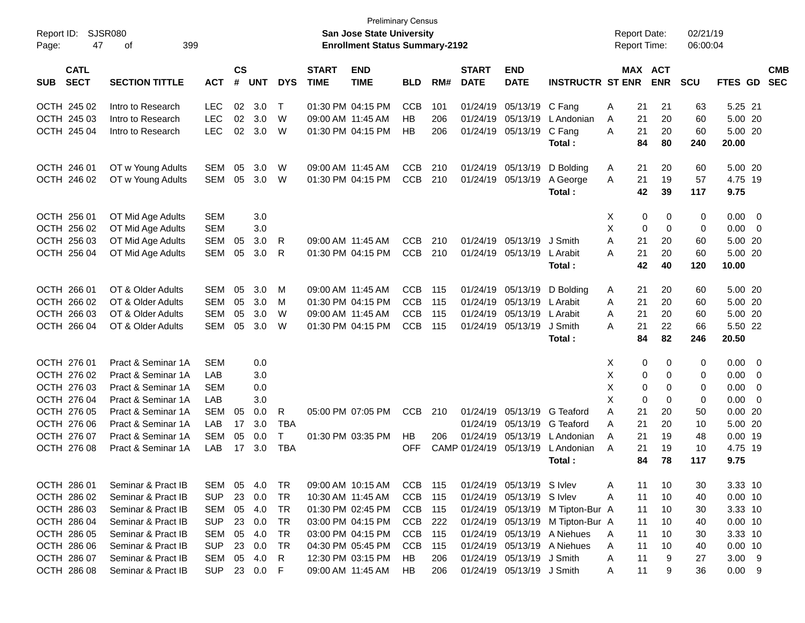| Report ID:<br>47<br>Page:                | <b>SJSR080</b><br>399<br>оf |            |                             |            |            |                             | San Jose State University<br><b>Enrollment Status Summary-2192</b> | <b>Preliminary Census</b> |       |                             |                           |                         | <b>Report Date:</b><br>Report Time: |    |            | 02/21/19<br>06:00:04 |           |                          |                          |
|------------------------------------------|-----------------------------|------------|-----------------------------|------------|------------|-----------------------------|--------------------------------------------------------------------|---------------------------|-------|-----------------------------|---------------------------|-------------------------|-------------------------------------|----|------------|----------------------|-----------|--------------------------|--------------------------|
| <b>CATL</b><br><b>SECT</b><br><b>SUB</b> | <b>SECTION TITTLE</b>       | <b>ACT</b> | $\mathsf{cs}$<br>$\pmb{\#}$ | <b>UNT</b> | <b>DYS</b> | <b>START</b><br><b>TIME</b> | <b>END</b><br><b>TIME</b>                                          | <b>BLD</b>                | RM#   | <b>START</b><br><b>DATE</b> | <b>END</b><br><b>DATE</b> | <b>INSTRUCTR ST ENR</b> | MAX ACT                             |    | <b>ENR</b> | <b>SCU</b>           | FTES GD   |                          | <b>CMB</b><br><b>SEC</b> |
| OCTH 245 02                              | Intro to Research           | <b>LEC</b> | 02                          | 3.0        | Т          |                             | 01:30 PM 04:15 PM                                                  | <b>CCB</b>                | 101   |                             | 01/24/19 05/13/19         | C Fang                  | Α                                   | 21 | 21         | 63                   | 5.25 21   |                          |                          |
| OCTH 245 03                              | Intro to Research           | <b>LEC</b> | 02                          | 3.0        | W          | 09:00 AM 11:45 AM           |                                                                    | НB                        | 206   |                             | 01/24/19 05/13/19         | L Andonian              | A                                   | 21 | 20         | 60                   | 5.00 20   |                          |                          |
| OCTH 245 04                              | Intro to Research           | <b>LEC</b> | 02                          | 3.0        | W          |                             | 01:30 PM 04:15 PM                                                  | НB                        | 206   |                             | 01/24/19 05/13/19         | C Fang                  | A                                   | 21 | 20         | 60                   | 5.00 20   |                          |                          |
|                                          |                             |            |                             |            |            |                             |                                                                    |                           |       |                             |                           | Total:                  |                                     | 84 | 80         | 240                  | 20.00     |                          |                          |
| OCTH 246 01                              | OT w Young Adults           | <b>SEM</b> | 05                          | 3.0        | W          | 09:00 AM 11:45 AM           |                                                                    | <b>CCB</b>                | 210   |                             | 01/24/19 05/13/19         | D Bolding               | A                                   | 21 | 20         | 60                   | 5.00 20   |                          |                          |
| OCTH 246 02                              | OT w Young Adults           | <b>SEM</b> | 05                          | 3.0        | W          |                             | 01:30 PM 04:15 PM                                                  | <b>CCB</b>                | 210   | 01/24/19                    | 05/13/19                  | A George                | Α                                   | 21 | 19         | 57                   | 4.75 19   |                          |                          |
|                                          |                             |            |                             |            |            |                             |                                                                    |                           |       |                             |                           | Total:                  |                                     | 42 | 39         | 117                  | 9.75      |                          |                          |
| OCTH 256 01                              | OT Mid Age Adults           | <b>SEM</b> |                             | 3.0        |            |                             |                                                                    |                           |       |                             |                           |                         | X                                   | 0  | 0          | 0                    | 0.00      | $\overline{\phantom{0}}$ |                          |
| OCTH 256 02                              | OT Mid Age Adults           | <b>SEM</b> |                             | 3.0        |            |                             |                                                                    |                           |       |                             |                           |                         | X                                   | 0  | 0          | 0                    | 0.00      | $\overline{\mathbf{0}}$  |                          |
| OCTH 256 03                              | OT Mid Age Adults           | <b>SEM</b> | 05                          | 3.0        | R          | 09:00 AM 11:45 AM           |                                                                    | <b>CCB</b>                | 210   |                             | 01/24/19 05/13/19         | J Smith                 | A                                   | 21 | 20         | 60                   | 5.00 20   |                          |                          |
| OCTH 256 04                              | OT Mid Age Adults           | <b>SEM</b> | 05                          | 3.0        | R          |                             | 01:30 PM 04:15 PM                                                  | <b>CCB</b>                | 210   |                             | 01/24/19 05/13/19         | L Arabit                | А                                   | 21 | 20         | 60                   | 5.00 20   |                          |                          |
|                                          |                             |            |                             |            |            |                             |                                                                    |                           |       |                             |                           | Total:                  |                                     | 42 | 40         | 120                  | 10.00     |                          |                          |
| OCTH 266 01                              | OT & Older Adults           | <b>SEM</b> | 05                          | 3.0        | M          | 09:00 AM 11:45 AM           |                                                                    | <b>CCB</b>                | 115   |                             | 01/24/19 05/13/19         | D Bolding               | A                                   | 21 | 20         | 60                   | 5.00 20   |                          |                          |
| OCTH 266 02                              | OT & Older Adults           | <b>SEM</b> | 05                          | 3.0        | M          |                             | 01:30 PM 04:15 PM                                                  | <b>CCB</b>                | 115   |                             | 01/24/19 05/13/19         | L Arabit                | Α                                   | 21 | 20         | 60                   | 5.00 20   |                          |                          |
| OCTH 266 03                              | OT & Older Adults           | <b>SEM</b> | 05                          | 3.0        | W          |                             | 09:00 AM 11:45 AM                                                  | <b>CCB</b>                | 115   |                             | 01/24/19 05/13/19         | L Arabit                | A                                   | 21 | 20         | 60                   | 5.00 20   |                          |                          |
| OCTH 266 04                              | OT & Older Adults           | <b>SEM</b> | 05                          | 3.0        | W          |                             | 01:30 PM 04:15 PM                                                  | <b>CCB</b>                | 115   |                             | 01/24/19 05/13/19         | J Smith                 | А                                   | 21 | 22         | 66                   | 5.50 22   |                          |                          |
|                                          |                             |            |                             |            |            |                             |                                                                    |                           |       |                             |                           | Total:                  |                                     | 84 | 82         | 246                  | 20.50     |                          |                          |
| OCTH 276 01                              | Pract & Seminar 1A          | <b>SEM</b> |                             | 0.0        |            |                             |                                                                    |                           |       |                             |                           |                         | X                                   | 0  | 0          | 0                    | 0.00      | $\overline{\mathbf{0}}$  |                          |
| OCTH 276 02                              | Pract & Seminar 1A          | LAB        |                             | 3.0        |            |                             |                                                                    |                           |       |                             |                           |                         | Х                                   | 0  | 0          | 0                    | 0.00      | $\overline{0}$           |                          |
| OCTH 276 03                              | Pract & Seminar 1A          | <b>SEM</b> |                             | 0.0        |            |                             |                                                                    |                           |       |                             |                           |                         | X                                   | 0  | 0          | 0                    | 0.00      | 0                        |                          |
| OCTH 276 04                              | Pract & Seminar 1A          | LAB        |                             | 3.0        |            |                             |                                                                    |                           |       |                             |                           |                         | X                                   | 0  | 0          | 0                    | 0.00      | $\overline{\mathbf{0}}$  |                          |
| OCTH 276 05                              | Pract & Seminar 1A          | <b>SEM</b> | 05                          | 0.0        | R          |                             | 05:00 PM 07:05 PM                                                  | <b>CCB</b>                | 210   |                             | 01/24/19 05/13/19         | G Teaford               | Α                                   | 21 | 20         | 50                   | 0.0020    |                          |                          |
| OCTH 276 06                              | Pract & Seminar 1A          | LAB        | 17                          | 3.0        | <b>TBA</b> |                             |                                                                    |                           |       | 01/24/19                    | 05/13/19                  | G Teaford               | Α                                   | 21 | 20         | 10                   | 5.00 20   |                          |                          |
| OCTH 276 07                              | Pract & Seminar 1A          | <b>SEM</b> | 05                          | 0.0        | т          |                             | 01:30 PM 03:35 PM                                                  | HB                        | 206   | 01/24/19                    | 05/13/19                  | L Andonian              | A                                   | 21 | 19         | 48                   | $0.00$ 19 |                          |                          |
| OCTH 276 08                              | Pract & Seminar 1A          | LAB        | 17                          | 3.0        | <b>TBA</b> |                             |                                                                    | <b>OFF</b>                |       | CAMP 01/24/19 05/13/19      |                           | L Andonian              | A                                   | 21 | 19         | 10                   | 4.75 19   |                          |                          |
|                                          |                             |            |                             |            |            |                             |                                                                    |                           |       |                             |                           | Total:                  |                                     | 84 | 78         | 117                  | 9.75      |                          |                          |
| OCTH 286 01                              | Seminar & Pract IB          | SEM        | 05                          | 4.0        | TR         |                             | 09:00 AM 10:15 AM                                                  | <b>CCB</b>                | - 115 |                             | 01/24/19 05/13/19 S Ivlev |                         | A                                   | 11 | 10         | 30                   | 3.33 10   |                          |                          |
| OCTH 286 02                              | Seminar & Pract IB          | <b>SUP</b> | 23                          | 0.0        | <b>TR</b>  |                             | 10:30 AM 11:45 AM                                                  | <b>CCB</b>                | 115   |                             | 01/24/19 05/13/19         | S Ivlev                 | Α                                   | 11 | 10         | 40                   | $0.00$ 10 |                          |                          |
| OCTH 286 03                              | Seminar & Pract IB          | SEM        | 05                          | 4.0        | TR         |                             | 01:30 PM 02:45 PM                                                  | <b>CCB</b>                | 115   |                             | 01/24/19 05/13/19         | M Tipton-Bur A          |                                     | 11 | 10         | 30                   | 3.33 10   |                          |                          |
| OCTH 286 04                              | Seminar & Pract IB          | <b>SUP</b> | 23                          | 0.0        | <b>TR</b>  |                             | 03:00 PM 04:15 PM                                                  | <b>CCB</b>                | 222   |                             | 01/24/19 05/13/19         | M Tipton-Bur A          |                                     | 11 | 10         | 40                   | $0.00$ 10 |                          |                          |
| OCTH 286 05                              | Seminar & Pract IB          | <b>SEM</b> | 05                          | 4.0        | TR         |                             | 03:00 PM 04:15 PM                                                  | <b>CCB</b>                | 115   |                             | 01/24/19 05/13/19         | A Niehues               | Α                                   | 11 | 10         | 30                   | 3.33 10   |                          |                          |
| OCTH 286 06                              | Seminar & Pract IB          | <b>SUP</b> | 23                          | 0.0        | <b>TR</b>  |                             | 04:30 PM 05:45 PM                                                  | <b>CCB</b>                | 115   |                             | 01/24/19 05/13/19         | A Niehues               | Α                                   | 11 | 10         | 40                   | $0.00$ 10 |                          |                          |
| OCTH 286 07                              | Seminar & Pract IB          | SEM        | 05                          | 4.0        | R          |                             | 12:30 PM 03:15 PM                                                  | HB                        | 206   |                             | 01/24/19 05/13/19         | J Smith                 | Α                                   | 11 | 9          | 27                   | $3.00$ 9  |                          |                          |
| OCTH 286 08                              | Seminar & Pract IB          | <b>SUP</b> |                             | 23 0.0     | F          |                             | 09:00 AM 11:45 AM                                                  | HB                        | 206   |                             | 01/24/19 05/13/19 J Smith |                         | A                                   | 11 | 9          | 36                   | 0.009     |                          |                          |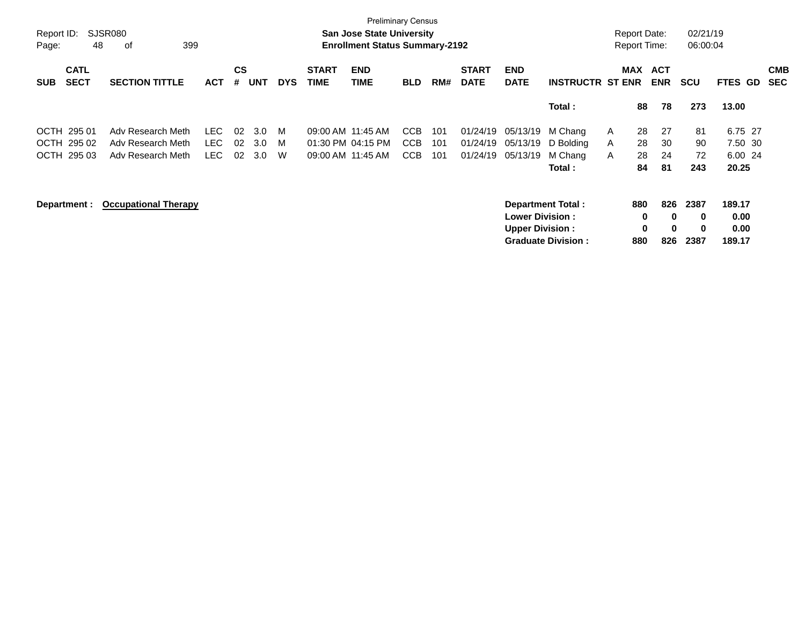| Report ID:<br>Page: | 48                         | SJSR080<br>399<br>οf        |            |                |            |            |                             | <b>Preliminary Census</b><br><b>San Jose State University</b><br><b>Enrollment Status Summary-2192</b> |            |     |                             |                           |                           | <b>Report Date:</b><br><b>Report Time:</b> |                          | 02/21/19<br>06:00:04 |                |                          |
|---------------------|----------------------------|-----------------------------|------------|----------------|------------|------------|-----------------------------|--------------------------------------------------------------------------------------------------------|------------|-----|-----------------------------|---------------------------|---------------------------|--------------------------------------------|--------------------------|----------------------|----------------|--------------------------|
| <b>SUB</b>          | <b>CATL</b><br><b>SECT</b> | <b>SECTION TITTLE</b>       | <b>ACT</b> | <b>CS</b><br># | <b>UNT</b> | <b>DYS</b> | <b>START</b><br><b>TIME</b> | <b>END</b><br><b>TIME</b>                                                                              | <b>BLD</b> | RM# | <b>START</b><br><b>DATE</b> | <b>END</b><br><b>DATE</b> | <b>INSTRUCTR ST ENR</b>   | MAX                                        | <b>ACT</b><br><b>ENR</b> | <b>SCU</b>           | FTES GD        | <b>CMB</b><br><b>SEC</b> |
|                     |                            |                             |            |                |            |            |                             |                                                                                                        |            |     |                             |                           | Total:                    |                                            | 78<br>88                 | 273                  | 13.00          |                          |
|                     | OCTH 295 01                | Adv Research Meth           | LEC.       | 02             | 3.0        | М          |                             | 09:00 AM 11:45 AM                                                                                      | CCB        | 101 | 01/24/19                    | 05/13/19                  | M Chang                   | A                                          | 27<br>28                 | 81                   | 6.75 27        |                          |
|                     | OCTH 295 02                | Adv Research Meth           | LEC.       | 02             | 3.0        | м          |                             | 01:30 PM 04:15 PM                                                                                      | CCB        | 101 | 01/24/19                    | 05/13/19                  | D Bolding                 | A                                          | 28<br>30                 | 90                   | 7.50 30        |                          |
|                     | OCTH 295 03                | Adv Research Meth           | LEC.       | 02             | 3.0        | W          | 09:00 AM 11:45 AM           |                                                                                                        | <b>CCB</b> | 101 | 01/24/19                    | 05/13/19                  | M Chang                   | A                                          | 28<br>24                 | 72                   | 6.00 24        |                          |
|                     |                            |                             |            |                |            |            |                             |                                                                                                        |            |     |                             |                           | Total :                   |                                            | 84<br>81                 | 243                  | 20.25          |                          |
|                     | Department :               | <b>Occupational Therapy</b> |            |                |            |            |                             |                                                                                                        |            |     |                             | <b>Lower Division:</b>    | Department Total:         | 880                                        | 826<br>0                 | 2387<br>0<br>0       | 189.17<br>0.00 |                          |
|                     |                            |                             |            |                |            |            |                             |                                                                                                        |            |     |                             |                           |                           |                                            | 0<br>$\bf{0}$            | 0                    | 0.00           |                          |
|                     |                            |                             |            |                |            |            |                             |                                                                                                        |            |     |                             | <b>Upper Division:</b>    | <b>Graduate Division:</b> | 880                                        |                          |                      |                |                          |
|                     |                            |                             |            |                |            |            |                             |                                                                                                        |            |     |                             |                           |                           |                                            | 826                      | 2387                 | 189.17         |                          |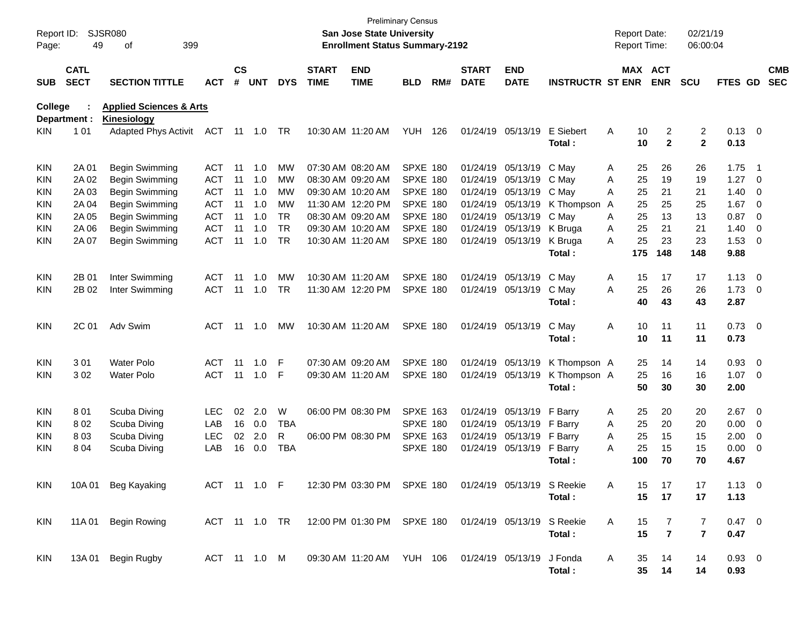| Report ID:<br>Page: | 49                         | SJSR080<br>399<br>οf               |              |                    |            |               |                             | <b>San Jose State University</b><br><b>Enrollment Status Summary-2192</b> | <b>Preliminary Census</b> |     |                             |                            |                         |   | <b>Report Date:</b><br>Report Time: |                | 02/21/19<br>06:00:04    |                |                          |                          |
|---------------------|----------------------------|------------------------------------|--------------|--------------------|------------|---------------|-----------------------------|---------------------------------------------------------------------------|---------------------------|-----|-----------------------------|----------------------------|-------------------------|---|-------------------------------------|----------------|-------------------------|----------------|--------------------------|--------------------------|
| <b>SUB</b>          | <b>CATL</b><br><b>SECT</b> | <b>SECTION TITTLE</b>              | <b>ACT</b>   | $\mathsf{cs}$<br># | <b>UNT</b> | <b>DYS</b>    | <b>START</b><br><b>TIME</b> | <b>END</b><br><b>TIME</b>                                                 | <b>BLD</b>                | RM# | <b>START</b><br><b>DATE</b> | <b>END</b><br><b>DATE</b>  | <b>INSTRUCTR ST ENR</b> |   | MAX ACT                             | <b>ENR</b>     | <b>SCU</b>              | <b>FTES GD</b> |                          | <b>CMB</b><br><b>SEC</b> |
| College             |                            | <b>Applied Sciences &amp; Arts</b> |              |                    |            |               |                             |                                                                           |                           |     |                             |                            |                         |   |                                     |                |                         |                |                          |                          |
|                     | Department :               | <b>Kinesiology</b>                 |              |                    |            |               |                             |                                                                           |                           |     |                             |                            |                         |   |                                     |                |                         |                |                          |                          |
| <b>KIN</b>          | 1 0 1                      | <b>Adapted Phys Activit</b>        | <b>ACT</b>   | 11                 | 1.0        | TR            |                             | 10:30 AM 11:20 AM                                                         | YUH                       | 126 |                             | 01/24/19 05/13/19          | E Siebert               | A | 10                                  | 2              | $\overline{c}$          | $0.13 \quad 0$ |                          |                          |
|                     |                            |                                    |              |                    |            |               |                             |                                                                           |                           |     |                             |                            | Total:                  |   | 10                                  | $\mathbf{2}$   | $\mathbf{2}$            | 0.13           |                          |                          |
| <b>KIN</b>          | 2A 01                      | Begin Swimming                     | ACT          | -11                | 1.0        | MW            |                             | 07:30 AM 08:20 AM                                                         | <b>SPXE 180</b>           |     |                             | 01/24/19 05/13/19          | C May                   | A | 25                                  | 26             | 26                      | 1.75           | - 1                      |                          |
| <b>KIN</b>          | 2A 02                      | <b>Begin Swimming</b>              | <b>ACT</b>   | 11                 | 1.0        | <b>MW</b>     |                             | 08:30 AM 09:20 AM                                                         | <b>SPXE 180</b>           |     |                             | 01/24/19 05/13/19          | C May                   | A | 25                                  | 19             | 19                      | 1.27           | - 0                      |                          |
| <b>KIN</b>          | 2A 03                      | Begin Swimming                     | <b>ACT</b>   | 11                 | 1.0        | <b>MW</b>     |                             | 09:30 AM 10:20 AM                                                         | <b>SPXE 180</b>           |     |                             | 01/24/19 05/13/19          | C May                   | A | 25                                  | 21             | 21                      | 1.40           | $\overline{\phantom{0}}$ |                          |
| <b>KIN</b>          | 2A 04                      | Begin Swimming                     | <b>ACT</b>   | 11                 | 1.0        | <b>MW</b>     |                             | 11:30 AM 12:20 PM                                                         | <b>SPXE 180</b>           |     |                             | 01/24/19 05/13/19          | K Thompson              | A | 25                                  | 25             | 25                      | 1.67           | $\overline{\mathbf{0}}$  |                          |
| <b>KIN</b>          | 2A 05                      | Begin Swimming                     | <b>ACT</b>   | 11                 | 1.0        | <b>TR</b>     |                             | 08:30 AM 09:20 AM                                                         | <b>SPXE 180</b>           |     |                             | 01/24/19 05/13/19          | C May                   | A | 25                                  | 13             | 13                      | 0.87           | $\overline{\mathbf{0}}$  |                          |
| <b>KIN</b>          | 2A 06                      | Begin Swimming                     | <b>ACT</b>   | 11                 | 1.0        | <b>TR</b>     |                             | 09:30 AM 10:20 AM                                                         | <b>SPXE 180</b>           |     |                             | 01/24/19 05/13/19          | K Bruga                 | A | 25                                  | 21             | 21                      | 1.40           | $\overline{\mathbf{0}}$  |                          |
| <b>KIN</b>          | 2A 07                      | Begin Swimming                     | <b>ACT</b>   | -11                | 1.0        | <b>TR</b>     |                             | 10:30 AM 11:20 AM                                                         | <b>SPXE 180</b>           |     |                             | 01/24/19 05/13/19          | K Bruga                 | Α | 25                                  | 23             | 23                      | 1.53           | - 0                      |                          |
|                     |                            |                                    |              |                    |            |               |                             |                                                                           |                           |     |                             |                            | Total:                  |   | 175                                 | 148            | 148                     | 9.88           |                          |                          |
| <b>KIN</b>          | 2B 01                      | Inter Swimming                     | <b>ACT</b>   | -11                | 1.0        | <b>MW</b>     |                             | 10:30 AM 11:20 AM                                                         | <b>SPXE 180</b>           |     |                             | 01/24/19 05/13/19          | C May                   | A | 15                                  | 17             | 17                      | $1.13 \ 0$     |                          |                          |
| <b>KIN</b>          | 2B 02                      | Inter Swimming                     | <b>ACT</b>   | 11                 | 1.0        | <b>TR</b>     |                             | 11:30 AM 12:20 PM                                                         | <b>SPXE 180</b>           |     |                             | 01/24/19 05/13/19          | C May                   | A | 25                                  | 26             | 26                      | 1.73           | - 0                      |                          |
|                     |                            |                                    |              |                    |            |               |                             |                                                                           |                           |     |                             |                            | Total :                 |   | 40                                  | 43             | 43                      | 2.87           |                          |                          |
| <b>KIN</b>          | 2C 01                      | Adv Swim                           | <b>ACT</b>   | -11                | 1.0        | MW            |                             | 10:30 AM 11:20 AM                                                         | <b>SPXE 180</b>           |     |                             | 01/24/19 05/13/19          | C May                   | Α | 10                                  | 11             | 11                      | $0.73 \ 0$     |                          |                          |
|                     |                            |                                    |              |                    |            |               |                             |                                                                           |                           |     |                             |                            | Total:                  |   | 10                                  | 11             | 11                      | 0.73           |                          |                          |
| KIN                 | 301                        | <b>Water Polo</b>                  | <b>ACT</b>   | -11                | 1.0        | F             |                             | 07:30 AM 09:20 AM                                                         | <b>SPXE 180</b>           |     |                             | 01/24/19 05/13/19          | K Thompson A            |   | 25                                  | 14             | 14                      | 0.93 0         |                          |                          |
| <b>KIN</b>          | 302                        | <b>Water Polo</b>                  | <b>ACT</b>   | -11                | 1.0        | F             |                             | 09:30 AM 11:20 AM                                                         | <b>SPXE 180</b>           |     |                             | 01/24/19 05/13/19          | K Thompson A            |   | 25                                  | 16             | 16                      | 1.07           | $\overline{\phantom{0}}$ |                          |
|                     |                            |                                    |              |                    |            |               |                             |                                                                           |                           |     |                             |                            | Total:                  |   | 50                                  | 30             | 30                      | 2.00           |                          |                          |
| <b>KIN</b>          | 801                        | Scuba Diving                       | <b>LEC</b>   | 02                 | 2.0        | W             |                             | 06:00 PM 08:30 PM                                                         | <b>SPXE 163</b>           |     |                             | 01/24/19 05/13/19          | F Barry                 | A | 25                                  | 20             | 20                      | 2.67           | $\overline{\mathbf{0}}$  |                          |
| <b>KIN</b>          | 802                        | Scuba Diving                       | LAB          |                    | 16 0.0     | <b>TBA</b>    |                             |                                                                           | SPXE 180                  |     |                             | 01/24/19 05/13/19          | F Barry                 | A | 25                                  | 20             | 20                      | 0.00           | $\overline{\mathbf{0}}$  |                          |
| <b>KIN</b>          | 803                        | Scuba Diving                       | <b>LEC</b>   | 02                 | 2.0        | R             |                             | 06:00 PM 08:30 PM                                                         | <b>SPXE 163</b>           |     |                             | 01/24/19 05/13/19          | F Barry                 | A | 25                                  | 15             | 15                      | 2.00           | $\overline{\mathbf{0}}$  |                          |
| <b>KIN</b>          | 804                        | Scuba Diving                       | LAB          | 16                 | 0.0        | <b>TBA</b>    |                             |                                                                           | SPXE 180                  |     |                             | 01/24/19 05/13/19          | F Barry                 | Α | 25                                  | 15             | 15                      | 0.00           | $\overline{\phantom{0}}$ |                          |
|                     |                            |                                    |              |                    |            |               |                             |                                                                           |                           |     |                             |                            | Total :                 |   | 100                                 | 70             | 70                      | 4.67           |                          |                          |
| KIN.                |                            | 10A 01 Beg Kayaking                | ACT 11 1.0 F |                    |            |               |                             | 12:30 PM 03:30 PM SPXE 180                                                |                           |     |                             | 01/24/19 05/13/19 S Reekie |                         | A | 15                                  | 17             | 17                      | $1.13 \ 0$     |                          |                          |
|                     |                            |                                    |              |                    |            |               |                             |                                                                           |                           |     |                             |                            | Total:                  |   | 15                                  | 17             | 17                      | 1.13           |                          |                          |
| KIN                 |                            | 11A 01 Begin Rowing                |              |                    |            | ACT 11 1.0 TR |                             | 12:00 PM 01:30 PM SPXE 180 01/24/19 05/13/19 S Reekie                     |                           |     |                             |                            |                         | A | 15                                  | 7              | 7                       | 0.47 0         |                          |                          |
|                     |                            |                                    |              |                    |            |               |                             |                                                                           |                           |     |                             |                            | Total:                  |   | 15                                  | $\overline{7}$ | $\overline{\mathbf{r}}$ | 0.47           |                          |                          |
| KIN                 |                            | 13A 01 Begin Rugby                 | ACT 11 1.0 M |                    |            |               |                             | 09:30 AM 11:20 AM YUH 106 01/24/19 05/13/19 J Fonda                       |                           |     |                             |                            |                         | A | 35                                  | 14             | 14                      | $0.93$ 0       |                          |                          |
|                     |                            |                                    |              |                    |            |               |                             |                                                                           |                           |     |                             |                            | Total:                  |   | 35                                  | 14             | 14                      | 0.93           |                          |                          |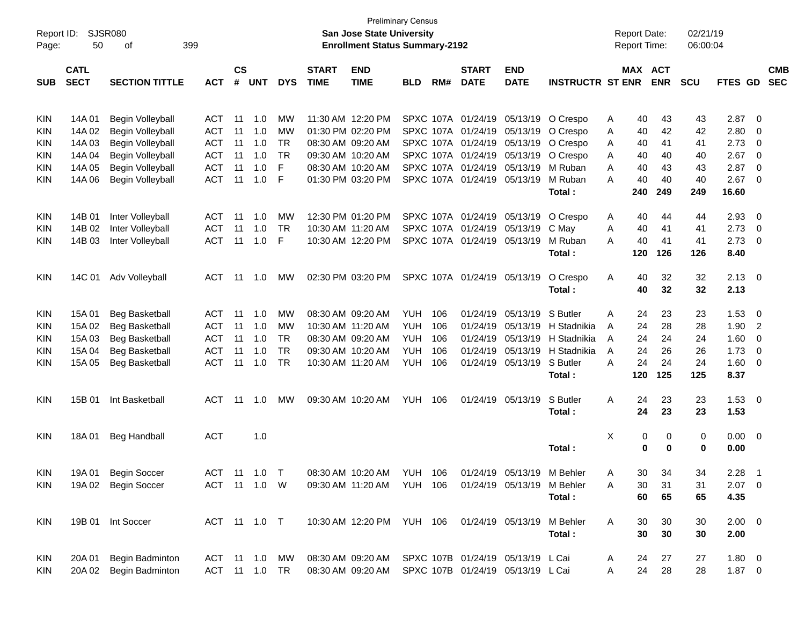|            |                            |                        |               |               |            |            |                             |                                                                   | <b>Preliminary Census</b> |     |                             |                           |                            |   |                     |            |            |                |                         |                          |
|------------|----------------------------|------------------------|---------------|---------------|------------|------------|-----------------------------|-------------------------------------------------------------------|---------------------------|-----|-----------------------------|---------------------------|----------------------------|---|---------------------|------------|------------|----------------|-------------------------|--------------------------|
| Report ID: |                            | <b>SJSR080</b>         |               |               |            |            |                             | <b>San Jose State University</b>                                  |                           |     |                             |                           |                            |   | <b>Report Date:</b> |            | 02/21/19   |                |                         |                          |
| Page:      | 50                         | 399<br>οf              |               |               |            |            |                             | <b>Enrollment Status Summary-2192</b>                             |                           |     |                             |                           |                            |   | <b>Report Time:</b> |            | 06:00:04   |                |                         |                          |
|            |                            |                        |               | $\mathsf{cs}$ |            |            |                             |                                                                   |                           |     | <b>START</b>                |                           |                            |   |                     |            |            |                |                         |                          |
| <b>SUB</b> | <b>CATL</b><br><b>SECT</b> | <b>SECTION TITTLE</b>  | <b>ACT</b>    | #             | <b>UNT</b> | <b>DYS</b> | <b>START</b><br><b>TIME</b> | <b>END</b><br><b>TIME</b>                                         | <b>BLD</b>                | RM# | <b>DATE</b>                 | <b>END</b><br><b>DATE</b> | <b>INSTRUCTR ST ENR</b>    |   | MAX ACT             | <b>ENR</b> | <b>SCU</b> | FTES GD        |                         | <b>CMB</b><br><b>SEC</b> |
|            |                            |                        |               |               |            |            |                             |                                                                   |                           |     |                             |                           |                            |   |                     |            |            |                |                         |                          |
|            |                            |                        |               |               |            |            |                             |                                                                   |                           |     |                             |                           |                            |   |                     |            |            |                |                         |                          |
| <b>KIN</b> | 14A 01                     | Begin Volleyball       | <b>ACT</b>    | 11            | 1.0        | MW         |                             | 11:30 AM 12:20 PM                                                 |                           |     | SPXC 107A 01/24/19          | 05/13/19                  | O Crespo                   | A | 40                  | 43         | 43         | 2.87           | $\overline{0}$          |                          |
| <b>KIN</b> | 14A 02                     | Begin Volleyball       | <b>ACT</b>    | 11            | 1.0        | <b>MW</b>  |                             | 01:30 PM 02:20 PM                                                 |                           |     | SPXC 107A 01/24/19          | 05/13/19                  | O Crespo                   | Α | 40                  | 42         | 42         | 2.80           | 0                       |                          |
| <b>KIN</b> | 14A 03                     | Begin Volleyball       | <b>ACT</b>    | 11            | 1.0        | <b>TR</b>  |                             | 08:30 AM 09:20 AM                                                 |                           |     | SPXC 107A 01/24/19          | 05/13/19                  | O Crespo                   | A | 40                  | 41         | 41         | 2.73           | 0                       |                          |
| <b>KIN</b> | 14A 04                     | Begin Volleyball       | <b>ACT</b>    | 11            | 1.0        | <b>TR</b>  |                             | 09:30 AM 10:20 AM                                                 |                           |     | SPXC 107A 01/24/19 05/13/19 |                           | O Crespo                   | A | 40                  | 40         | 40         | 2.67           | 0                       |                          |
| <b>KIN</b> | 14A 05                     | Begin Volleyball       | <b>ACT</b>    | 11            | 1.0        | F          |                             | 08:30 AM 10:20 AM                                                 |                           |     | SPXC 107A 01/24/19 05/13/19 |                           | M Ruban                    | A | 40                  | 43         | 43         | 2.87           | 0                       |                          |
| <b>KIN</b> | 14A 06                     | Begin Volleyball       | <b>ACT</b>    | 11            | 1.0        | F          |                             | 01:30 PM 03:20 PM                                                 |                           |     | SPXC 107A 01/24/19 05/13/19 |                           | M Ruban                    | A | 40                  | 40         | 40         | 2.67           | 0                       |                          |
|            |                            |                        |               |               |            |            |                             |                                                                   |                           |     |                             |                           | Total:                     |   | 240                 | 249        | 249        | 16.60          |                         |                          |
|            |                            |                        |               |               |            |            |                             |                                                                   |                           |     |                             |                           |                            |   |                     |            |            |                |                         |                          |
| <b>KIN</b> | 14B 01                     | Inter Volleyball       | <b>ACT</b>    | 11            | 1.0        | <b>MW</b>  |                             | 12:30 PM 01:20 PM                                                 |                           |     | SPXC 107A 01/24/19          | 05/13/19                  | O Crespo                   | Α | 40                  | 44         | 44         | 2.93           | 0                       |                          |
| <b>KIN</b> | 14B 02                     | Inter Volleyball       | <b>ACT</b>    | 11            | 1.0        | <b>TR</b>  |                             | 10:30 AM 11:20 AM                                                 |                           |     | SPXC 107A 01/24/19 05/13/19 |                           | C May                      | A | 40                  | 41         | 41         | 2.73           | 0                       |                          |
| <b>KIN</b> | 14B 03                     | Inter Volleyball       | <b>ACT</b>    | 11            | 1.0        | F          |                             | 10:30 AM 12:20 PM                                                 |                           |     | SPXC 107A 01/24/19          | 05/13/19                  | M Ruban                    | A | 40                  | 41         | 41         | 2.73           | 0                       |                          |
|            |                            |                        |               |               |            |            |                             |                                                                   |                           |     |                             |                           | Total:                     |   | 120                 | 126        | 126        | 8.40           |                         |                          |
| <b>KIN</b> | 14C 01                     |                        | <b>ACT</b>    |               | 1.0        | MW         |                             | 02:30 PM 03:20 PM                                                 |                           |     | SPXC 107A 01/24/19 05/13/19 |                           | O Crespo                   | Α | 40                  | 32         |            | 2.13           | $\overline{\mathbf{0}}$ |                          |
|            |                            | Adv Volleyball         |               | 11            |            |            |                             |                                                                   |                           |     |                             |                           | Total:                     |   | 40                  | 32         | 32<br>32   | 2.13           |                         |                          |
|            |                            |                        |               |               |            |            |                             |                                                                   |                           |     |                             |                           |                            |   |                     |            |            |                |                         |                          |
| <b>KIN</b> | 15A 01                     | <b>Beg Basketball</b>  | <b>ACT</b>    | 11            | 1.0        | <b>MW</b>  |                             | 08:30 AM 09:20 AM                                                 | YUH                       | 106 | 01/24/19                    | 05/13/19                  | S Butler                   | Α | 24                  | 23         | 23         | 1.53           | 0                       |                          |
| <b>KIN</b> | 15A 02                     | <b>Beg Basketball</b>  | <b>ACT</b>    | 11            | 1.0        | <b>MW</b>  |                             | 10:30 AM 11:20 AM                                                 | <b>YUH</b>                | 106 | 01/24/19                    | 05/13/19                  | H Stadnikia                | A | 24                  | 28         | 28         | 1.90           | 2                       |                          |
| <b>KIN</b> | 15A 03                     | Beg Basketball         | <b>ACT</b>    | 11            | 1.0        | <b>TR</b>  |                             | 08:30 AM 09:20 AM                                                 | <b>YUH</b>                | 106 | 01/24/19                    | 05/13/19                  | H Stadnikia                | A | 24                  | 24         | 24         | 1.60           | 0                       |                          |
| <b>KIN</b> | 15A 04                     | Beg Basketball         | <b>ACT</b>    | 11            | 1.0        | <b>TR</b>  |                             | 09:30 AM 10:20 AM                                                 | YUH                       | 106 | 01/24/19                    | 05/13/19                  | H Stadnikia                | A | 24                  | 26         | 26         | 1.73           | 0                       |                          |
| <b>KIN</b> | 15A 05                     | <b>Beg Basketball</b>  | <b>ACT</b>    | 11            | 1.0        | <b>TR</b>  |                             | 10:30 AM 11:20 AM                                                 | YUH                       | 106 |                             | 01/24/19 05/13/19         | S Butler                   | A | 24                  | 24         | 24         | 1.60           | 0                       |                          |
|            |                            |                        |               |               |            |            |                             |                                                                   |                           |     |                             |                           | Total:                     |   | 120                 | 125        | 125        | 8.37           |                         |                          |
|            |                            |                        |               |               |            |            |                             |                                                                   |                           |     |                             |                           |                            |   |                     |            |            |                |                         |                          |
| <b>KIN</b> | 15B 01                     | Int Basketball         | <b>ACT</b>    | -11           | 1.0        | MW         |                             | 09:30 AM 10:20 AM                                                 | YUH                       | 106 |                             | 01/24/19 05/13/19         | S Butler                   | A | 24                  | 23         | 23         | 1.53           | $\overline{0}$          |                          |
|            |                            |                        |               |               |            |            |                             |                                                                   |                           |     |                             |                           | Total:                     |   | 24                  | 23         | 23         | 1.53           |                         |                          |
|            |                            |                        |               |               |            |            |                             |                                                                   |                           |     |                             |                           |                            |   |                     |            |            |                |                         |                          |
| <b>KIN</b> | 18A01                      | <b>Beg Handball</b>    | <b>ACT</b>    |               | 1.0        |            |                             |                                                                   |                           |     |                             |                           |                            | X | 0                   | 0          | 0          | 0.00           | $\overline{0}$          |                          |
|            |                            |                        |               |               |            |            |                             |                                                                   |                           |     |                             |                           | Total:                     |   | 0                   | 0          | $\bf{0}$   | 0.00           |                         |                          |
| KIN        |                            | 19A 01 Begin Soccer    | ACT 11 1.0 T  |               |            |            |                             | 08:30 AM 10:20 AM                                                 | <b>YUH 106</b>            |     |                             |                           | 01/24/19 05/13/19 M Behler | A | 30                  | 34         | 34         | 2.28           | $\overline{1}$          |                          |
| KIN.       |                            | 19A 02 Begin Soccer    | ACT 11 1.0 W  |               |            |            |                             | 09:30 AM 11:20 AM YUH 106 01/24/19 05/13/19 M Behler              |                           |     |                             |                           |                            | A | 30                  | 31         | 31         | $2.07 \quad 0$ |                         |                          |
|            |                            |                        |               |               |            |            |                             |                                                                   |                           |     |                             |                           | Total:                     |   | 60                  | 65         | 65         | 4.35           |                         |                          |
|            |                            |                        |               |               |            |            |                             |                                                                   |                           |     |                             |                           |                            |   |                     |            |            |                |                         |                          |
| <b>KIN</b> |                            | 19B 01 Int Soccer      | ACT 11 1.0 T  |               |            |            |                             | 10:30 AM 12:20 PM YUH 106 01/24/19 05/13/19                       |                           |     |                             |                           | M Behler                   | A | 30                  | 30         | 30         | $2.00 \t 0$    |                         |                          |
|            |                            |                        |               |               |            |            |                             |                                                                   |                           |     |                             |                           | Total:                     |   | 30                  | 30         | 30         | 2.00           |                         |                          |
|            |                            |                        |               |               |            |            |                             |                                                                   |                           |     |                             |                           |                            |   |                     |            |            |                |                         |                          |
| KIN        | 20A 01                     | <b>Begin Badminton</b> |               |               |            |            |                             | ACT 11 1.0 MW 08:30 AM 09:20 AM SPXC 107B 01/24/19 05/13/19 L Cai |                           |     |                             |                           |                            | A | 24                  | 27         | 27         | $1.80 \t 0$    |                         |                          |
| KIN        | 20A 02                     | Begin Badminton        | ACT 11 1.0 TR |               |            |            |                             | 08:30 AM 09:20 AM SPXC 107B 01/24/19 05/13/19 L Cai               |                           |     |                             |                           |                            | A | 24                  | 28         | 28         | $1.87 \t 0$    |                         |                          |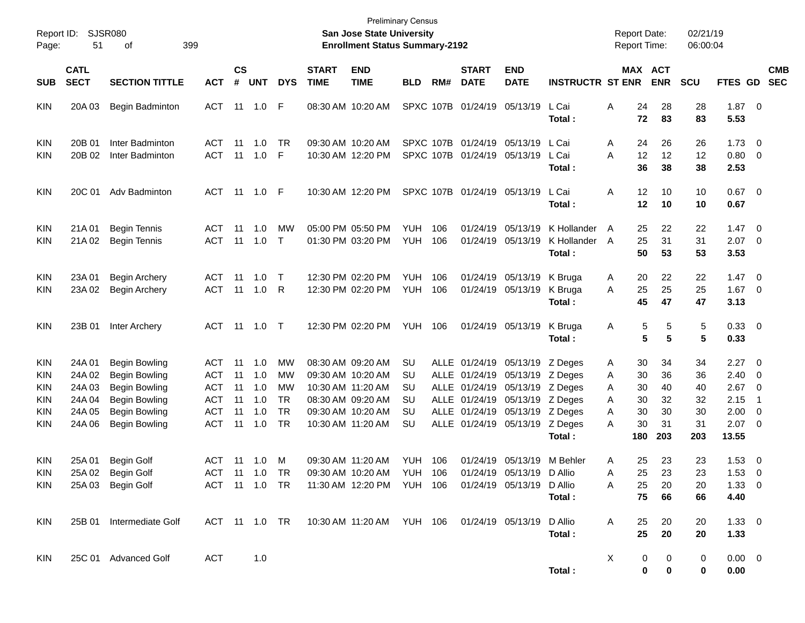| Report ID:<br>Page: | 399                        |                                       |            |                             |            | <b>San Jose State University</b><br><b>Enrollment Status Summary-2192</b> | <b>Preliminary Census</b>   |                                                                   |            |           |                             | <b>Report Date:</b><br><b>Report Time:</b> |                         | 02/21/19<br>06:00:04 |                         |            |                    |                          |                          |
|---------------------|----------------------------|---------------------------------------|------------|-----------------------------|------------|---------------------------------------------------------------------------|-----------------------------|-------------------------------------------------------------------|------------|-----------|-----------------------------|--------------------------------------------|-------------------------|----------------------|-------------------------|------------|--------------------|--------------------------|--------------------------|
| <b>SUB</b>          | <b>CATL</b><br><b>SECT</b> | <b>SECTION TITTLE</b>                 | <b>ACT</b> | $\mathsf{cs}$<br>$\pmb{\#}$ | <b>UNT</b> | <b>DYS</b>                                                                | <b>START</b><br><b>TIME</b> | <b>END</b><br><b>TIME</b>                                         | <b>BLD</b> | RM#       | <b>START</b><br><b>DATE</b> | <b>END</b><br><b>DATE</b>                  | <b>INSTRUCTR ST ENR</b> |                      | MAX ACT<br><b>ENR</b>   | <b>SCU</b> | FTES GD            |                          | <b>CMB</b><br><b>SEC</b> |
|                     |                            |                                       |            |                             |            |                                                                           |                             |                                                                   |            |           |                             |                                            |                         |                      |                         |            |                    |                          |                          |
| <b>KIN</b>          | 20A 03                     | Begin Badminton                       | <b>ACT</b> | 11                          | 1.0        | F                                                                         |                             | 08:30 AM 10:20 AM                                                 |            | SPXC 107B |                             | 01/24/19 05/13/19                          | L Cai                   | Α<br>24              | 28                      | 28         | $1.87 \t 0$        |                          |                          |
|                     |                            |                                       |            |                             |            |                                                                           |                             |                                                                   |            |           |                             |                                            | Total :                 | 72                   | 83                      | 83         | 5.53               |                          |                          |
| <b>KIN</b>          | 20B 01                     | Inter Badminton                       | <b>ACT</b> | 11                          | 1.0        | TR                                                                        |                             | 09:30 AM 10:20 AM                                                 |            |           |                             | SPXC 107B 01/24/19 05/13/19                | L Cai                   | 24<br>A              | 26                      | 26         | 1.73               | $\overline{\mathbf{0}}$  |                          |
| KIN                 | 20B 02                     | Inter Badminton                       | <b>ACT</b> | 11                          | 1.0        | F                                                                         |                             | 10:30 AM 12:20 PM                                                 |            |           |                             | SPXC 107B 01/24/19 05/13/19                | L Cai                   | 12<br>А              | 12                      | 12         | 0.80               | $\overline{\mathbf{0}}$  |                          |
|                     |                            |                                       |            |                             |            |                                                                           |                             |                                                                   |            |           |                             |                                            | Total:                  | 36                   | 38                      | 38         | 2.53               |                          |                          |
| KIN                 | 20C 01                     | Adv Badminton                         | <b>ACT</b> | 11                          | 1.0        | F                                                                         |                             | 10:30 AM 12:20 PM                                                 |            |           |                             | SPXC 107B 01/24/19 05/13/19                | L Cai                   | Α<br>12              | 10                      | 10         | $0.67$ 0           |                          |                          |
|                     |                            |                                       |            |                             |            |                                                                           |                             |                                                                   |            |           |                             |                                            | Total:                  | 12                   | 10                      | 10         | 0.67               |                          |                          |
| KIN                 | 21A 01                     | <b>Begin Tennis</b>                   | <b>ACT</b> | 11                          | 1.0        | MW                                                                        |                             | 05:00 PM 05:50 PM                                                 | <b>YUH</b> | 106       |                             | 01/24/19 05/13/19                          | K Hollander             | A<br>25              | 22                      | 22         | 1.47               | $\overline{\mathbf{0}}$  |                          |
| KIN                 | 21A 02                     | <b>Begin Tennis</b>                   | <b>ACT</b> | 11                          | 1.0        | $\top$                                                                    |                             | 01:30 PM 03:20 PM                                                 | YUH.       | 106       |                             | 01/24/19 05/13/19                          | K Hollander             | A<br>25              | 31                      | 31         | $2.07$ 0           |                          |                          |
|                     |                            |                                       |            |                             |            |                                                                           |                             |                                                                   |            |           |                             |                                            | Total:                  | 50                   | 53                      | 53         | 3.53               |                          |                          |
| KIN                 | 23A 01                     |                                       | <b>ACT</b> | 11                          | 1.0        | $\mathsf{T}$                                                              |                             | 12:30 PM 02:20 PM                                                 | <b>YUH</b> | 106       |                             | 01/24/19 05/13/19                          | K Bruga                 |                      | 22<br>20                | 22         | 1.47               | $\overline{\mathbf{0}}$  |                          |
| KIN                 | 23A 02                     | Begin Archery<br><b>Begin Archery</b> | <b>ACT</b> | 11                          | 1.0        | R                                                                         |                             | 12:30 PM 02:20 PM                                                 | <b>YUH</b> | 106       |                             | 01/24/19 05/13/19                          | K Bruga                 | A<br>25<br>A         | 25                      | 25         | 1.67               | $\overline{\phantom{0}}$ |                          |
|                     |                            |                                       |            |                             |            |                                                                           |                             |                                                                   |            |           |                             |                                            | Total:                  | 45                   | 47                      | 47         | 3.13               |                          |                          |
|                     | 23B 01                     |                                       | <b>ACT</b> |                             | 11  1.0    | $\top$                                                                    |                             | 12:30 PM 02:20 PM                                                 | YUH        | 106       |                             | 01/24/19 05/13/19                          |                         |                      |                         |            |                    |                          |                          |
| KIN                 |                            | Inter Archery                         |            |                             |            |                                                                           |                             |                                                                   |            |           |                             |                                            | K Bruga<br>Total:       | A                    | 5<br>5<br>5<br>5        | 5<br>5     | $0.33 \ 0$<br>0.33 |                          |                          |
|                     |                            |                                       |            |                             |            |                                                                           |                             |                                                                   |            |           |                             |                                            |                         |                      |                         |            |                    |                          |                          |
| KIN                 | 24A 01                     | Begin Bowling                         | <b>ACT</b> | 11                          | 1.0        | MW                                                                        |                             | 08:30 AM 09:20 AM                                                 | SU         |           |                             | ALLE 01/24/19 05/13/19                     | Z Deges                 | 30<br>A              | 34                      | 34         | 2.27               | $\overline{\mathbf{0}}$  |                          |
| KIN                 | 24A 02                     | <b>Begin Bowling</b>                  | ACT        | 11                          | 1.0        | МW                                                                        |                             | 09:30 AM 10:20 AM                                                 | SU.        |           |                             | ALLE 01/24/19 05/13/19                     | Z Deges                 | 30<br>A              | 36                      | 36         | 2.40               | 0                        |                          |
| KIN                 | 24A 03                     | <b>Begin Bowling</b>                  | <b>ACT</b> | 11                          | 1.0        | МW                                                                        |                             | 10:30 AM 11:20 AM                                                 | SU         |           |                             | ALLE 01/24/19 05/13/19                     | Z Deges                 | 30<br>Α              | 40                      | 40         | 2.67               | 0                        |                          |
| KIN                 | 24A 04                     | <b>Begin Bowling</b>                  | <b>ACT</b> | 11                          | 1.0        | <b>TR</b>                                                                 |                             | 08:30 AM 09:20 AM                                                 | SU         |           |                             | ALLE 01/24/19 05/13/19                     | Z Deges                 | 30<br>Α              | 32                      | 32         | 2.15               | -1                       |                          |
| KIN                 | 24A 05                     | <b>Begin Bowling</b>                  | <b>ACT</b> | 11                          | 1.0        | <b>TR</b>                                                                 |                             | 09:30 AM 10:20 AM                                                 | SU         |           |                             | ALLE 01/24/19 05/13/19                     | Z Deges                 | 30<br>Α              | 30                      | 30         | 2.00               | 0                        |                          |
| KIN                 | 24A 06                     | <b>Begin Bowling</b>                  | <b>ACT</b> | 11                          | 1.0        | <b>TR</b>                                                                 |                             | 10:30 AM 11:20 AM                                                 | SU         |           |                             | ALLE 01/24/19 05/13/19                     | Z Deges                 | 30<br>Α              | 31                      | 31         | 2.07               | $\overline{\mathbf{0}}$  |                          |
|                     |                            |                                       |            |                             |            |                                                                           |                             |                                                                   |            |           |                             |                                            | Total:                  | 180                  | 203                     | 203        | 13.55              |                          |                          |
| KIN                 | 25A 01                     | <b>Begin Golf</b>                     | <b>ACT</b> | 11                          | 1.0        | M                                                                         |                             | 09:30 AM 11:20 AM                                                 | <b>YUH</b> | 106       |                             | 01/24/19 05/13/19                          | M Behler                | 25<br>A              | 23                      | 23         | 1.53               | 0                        |                          |
| KIN                 |                            | 25A 02 Begin Golf                     | ACT 11 1.0 |                             |            | TR                                                                        |                             | 09:30 AM 10:20 AM                                                 | YUH        | 106       |                             | 01/24/19 05/13/19 D Allio                  |                         | А                    | 25.<br>23               | 23.        | 1.53               | $\Omega$                 |                          |
| KIN.                |                            | 25A 03 Begin Golf                     |            |                             |            |                                                                           |                             | ACT 11 1.0 TR 11:30 AM 12:20 PM YUH 106 01/24/19 05/13/19 D Allio |            |           |                             |                                            |                         | A<br>25              | 20                      | 20         | $1.33 \ 0$         |                          |                          |
|                     |                            |                                       |            |                             |            |                                                                           |                             |                                                                   |            |           |                             |                                            | Total:                  | 75                   | 66                      | 66         | 4.40               |                          |                          |
| KIN                 |                            | 25B 01 Intermediate Golf              |            |                             |            |                                                                           |                             | ACT 11 1.0 TR 10:30 AM 11:20 AM YUH 106 01/24/19 05/13/19 D Allio |            |           |                             |                                            |                         | A<br>25              | 20                      | 20         | $1.33 \ 0$         |                          |                          |
|                     |                            |                                       |            |                             |            |                                                                           |                             |                                                                   |            |           |                             |                                            | Total:                  | 25                   | 20                      | 20         | 1.33               |                          |                          |
| KIN                 |                            | 25C 01 Advanced Golf                  | <b>ACT</b> |                             | 1.0        |                                                                           |                             |                                                                   |            |           |                             |                                            |                         | X                    | 0<br>0                  | 0          | $0.00 \t 0$        |                          |                          |
|                     |                            |                                       |            |                             |            |                                                                           |                             |                                                                   |            |           |                             |                                            | Total:                  |                      | $\mathbf 0$<br>$\bf{0}$ | 0          | 0.00               |                          |                          |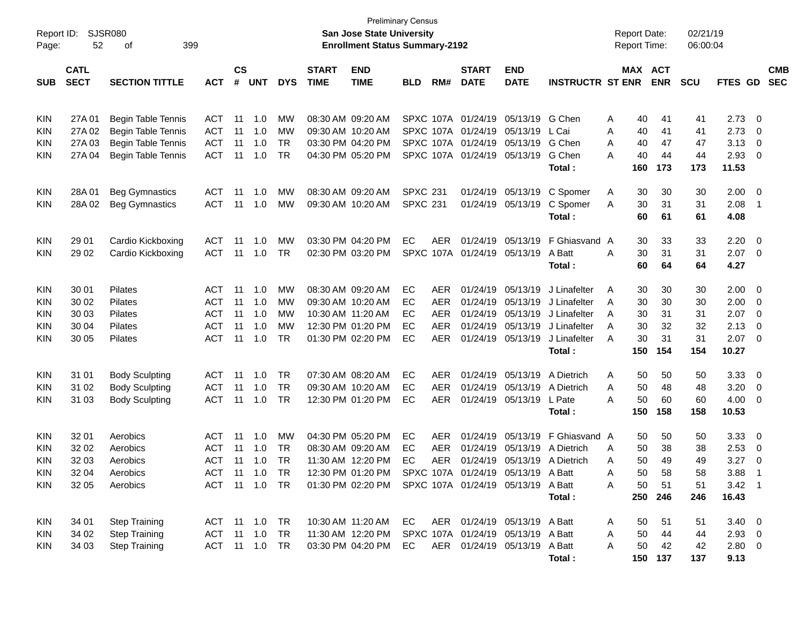| Report ID:<br>Page: | 52                         | <b>SJSR080</b><br>399<br>οf |                |            |            |                             |                           | <b>San Jose State University</b><br><b>Enrollment Status Summary-2192</b> | <b>Preliminary Census</b> |                             |                             |                              |               | <b>Report Date:</b><br>Report Time: |            | 02/21/19<br>06:00:04 |                |                          |  |
|---------------------|----------------------------|-----------------------------|----------------|------------|------------|-----------------------------|---------------------------|---------------------------------------------------------------------------|---------------------------|-----------------------------|-----------------------------|------------------------------|---------------|-------------------------------------|------------|----------------------|----------------|--------------------------|--|
| <b>SUB</b>          | <b>CATL</b><br><b>SECT</b> | <b>ACT</b>                  | <b>CS</b><br># | <b>UNT</b> | <b>DYS</b> | <b>START</b><br><b>TIME</b> | <b>END</b><br><b>TIME</b> | <b>BLD</b>                                                                | RM#                       | <b>START</b><br><b>DATE</b> | <b>END</b><br><b>DATE</b>   | <b>INSTRUCTR ST ENR</b>      |               | MAX ACT<br><b>ENR</b>               | <b>SCU</b> | <b>FTES GD</b>       |                | <b>CMB</b><br><b>SEC</b> |  |
|                     |                            |                             |                |            |            |                             |                           |                                                                           |                           |                             |                             |                              |               |                                     |            |                      |                |                          |  |
| <b>KIN</b>          | 27A 01                     | Begin Table Tennis          | ACT            | 11         | 1.0        | МW                          |                           | 08:30 AM 09:20 AM                                                         |                           | SPXC 107A                   | 01/24/19 05/13/19           |                              | G Chen        | 40<br>Α                             | 41         | 41                   | 2.73           | $\overline{\mathbf{0}}$  |  |
| <b>KIN</b>          | 27A 02                     | <b>Begin Table Tennis</b>   | <b>ACT</b>     | 11         | 1.0        | MW                          |                           | 09:30 AM 10:20 AM                                                         |                           |                             | SPXC 107A 01/24/19 05/13/19 |                              | L Cai         | 40<br>A                             | 41         | 41                   | 2.73           | 0                        |  |
| <b>KIN</b>          | 27A 03                     | <b>Begin Table Tennis</b>   | <b>ACT</b>     | 11         | 1.0        | <b>TR</b>                   |                           | 03:30 PM 04:20 PM                                                         |                           |                             | SPXC 107A 01/24/19 05/13/19 |                              | G Chen        | 40<br>A                             | 47         | 47                   | 3.13           | 0                        |  |
| <b>KIN</b>          | 27A 04                     | <b>Begin Table Tennis</b>   | <b>ACT</b>     | 11         | 1.0        | TR                          |                           | 04:30 PM 05:20 PM                                                         |                           |                             | SPXC 107A 01/24/19 05/13/19 |                              | G Chen        | 40<br>Α                             | 44         | 44                   | 2.93           | $\overline{\mathbf{0}}$  |  |
|                     |                            |                             |                |            |            |                             |                           |                                                                           |                           |                             |                             |                              | Total:        | 160                                 | 173        | 173                  | 11.53          |                          |  |
| <b>KIN</b>          | 28A01                      | <b>Beg Gymnastics</b>       | ACT            | 11         | 1.0        | МW                          |                           | 08:30 AM 09:20 AM                                                         | <b>SPXC 231</b>           |                             |                             | 01/24/19 05/13/19            | C Spomer      | Α<br>30                             | 30         | 30                   | 2.00           | $\overline{\mathbf{0}}$  |  |
| <b>KIN</b>          | 28A02                      | <b>Beg Gymnastics</b>       | ACT            | 11         | 1.0        | MW                          |                           | 09:30 AM 10:20 AM                                                         | <b>SPXC 231</b>           |                             |                             | 01/24/19 05/13/19            | C Spomer      | 30<br>A                             | 31         | 31                   | 2.08           | $\overline{1}$           |  |
|                     |                            |                             |                |            |            |                             |                           |                                                                           |                           |                             |                             |                              | Total:        | 60                                  | 61         | 61                   | 4.08           |                          |  |
| <b>KIN</b>          | 29 01                      | Cardio Kickboxing           | <b>ACT</b>     | 11         | 1.0        | MW                          |                           | 03:30 PM 04:20 PM                                                         | EC                        | AER                         |                             | 01/24/19 05/13/19            | F Ghiasvand A | 30                                  | 33         | 33                   | 2.20           | $\overline{\mathbf{0}}$  |  |
| <b>KIN</b>          | 29 02                      | Cardio Kickboxing           | ACT            | 11         | 1.0        | TR                          |                           | 02:30 PM 03:20 PM                                                         |                           | SPXC 107A                   | 01/24/19 05/13/19           |                              | A Batt        | 30<br>Α                             | 31         | 31                   | 2.07           | $\overline{\phantom{0}}$ |  |
|                     |                            |                             |                |            |            |                             |                           |                                                                           |                           |                             |                             |                              | Total:        | 60                                  | 64         | 64                   | 4.27           |                          |  |
| <b>KIN</b>          | 30 01                      | Pilates                     | ACT            | 11         | 1.0        | MW                          |                           | 08:30 AM 09:20 AM                                                         | EC                        | AER.                        |                             | 01/24/19 05/13/19            | J Linafelter  | A<br>30                             | 30         | 30                   | 2.00           | $\overline{\mathbf{0}}$  |  |
| <b>KIN</b>          | 30 02                      | Pilates                     | <b>ACT</b>     | 11         | -1.0       | MW                          |                           | 09:30 AM 10:20 AM                                                         | EС                        | AER                         |                             | 01/24/19 05/13/19            | J Linafelter  | 30<br>A                             | 30         | 30                   | 2.00           | - 0                      |  |
| <b>KIN</b>          | 30 03                      | Pilates                     | <b>ACT</b>     | 11         | 1.0        | МW                          |                           | 10:30 AM 11:20 AM                                                         | EС                        | <b>AER</b>                  |                             | 01/24/19 05/13/19            | J Linafelter  | 30<br>A                             | 31         | 31                   | 2.07           | $\overline{\mathbf{0}}$  |  |
| <b>KIN</b>          | 30 04                      | Pilates                     | <b>ACT</b>     | 11         | 1.0        | MW                          |                           | 12:30 PM 01:20 PM                                                         | EС                        | <b>AER</b>                  |                             | 01/24/19 05/13/19            | J Linafelter  | 30<br>A                             | 32         | 32                   | 2.13           | 0                        |  |
| <b>KIN</b>          | 30 05                      | Pilates                     | <b>ACT</b>     | 11         | 1.0        | <b>TR</b>                   |                           | 01:30 PM 02:20 PM                                                         | EC                        | AER                         |                             | 01/24/19 05/13/19            | J Linafelter  | 30<br>A                             | 31         | 31                   | 2.07           | $\overline{\mathbf{0}}$  |  |
|                     |                            |                             |                |            |            |                             |                           |                                                                           |                           |                             |                             |                              | Total:        | 150                                 | 154        | 154                  | 10.27          |                          |  |
| <b>KIN</b>          | 31 01                      | <b>Body Sculpting</b>       | ACT            | 11         | 1.0        | TR                          |                           | 07:30 AM 08:20 AM                                                         | EС                        | <b>AER</b>                  |                             | 01/24/19 05/13/19            | A Dietrich    | 50<br>Α                             | 50         | 50                   | 3.33           | $\overline{\mathbf{0}}$  |  |
| <b>KIN</b>          | 31 02                      | <b>Body Sculpting</b>       | <b>ACT</b>     | 11         | 1.0        | <b>TR</b>                   |                           | 09:30 AM 10:20 AM                                                         | EС                        | <b>AER</b>                  |                             | 01/24/19 05/13/19            | A Dietrich    | 50<br>A                             | 48         | 48                   | 3.20           | $\overline{0}$           |  |
| <b>KIN</b>          | 31 03                      | <b>Body Sculpting</b>       | <b>ACT</b>     | 11         | $-1.0$     | TR                          |                           | 12:30 PM 01:20 PM                                                         | EС                        | AER                         |                             | 01/24/19 05/13/19            | L Pate        | 50<br>Α                             | 60         | 60                   | 4.00           | $\overline{\mathbf{0}}$  |  |
|                     |                            |                             |                |            |            |                             |                           |                                                                           |                           |                             |                             |                              | Total:        | 150                                 | 158        | 158                  | 10.53          |                          |  |
| <b>KIN</b>          | 32 01                      | Aerobics                    | <b>ACT</b>     | 11         | 1.0        | <b>MW</b>                   |                           | 04:30 PM 05:20 PM                                                         | EC                        | AER                         |                             | 01/24/19 05/13/19            | F Ghiasvand A | 50                                  | 50         | 50                   | 3.33           | $\overline{\mathbf{0}}$  |  |
| <b>KIN</b>          | 32 02                      | Aerobics                    | <b>ACT</b>     | 11         | 1.0        | TR                          |                           | 08:30 AM 09:20 AM                                                         | EС                        | <b>AER</b>                  |                             | 01/24/19 05/13/19            | A Dietrich    | 50<br>A                             | 38         | 38                   | 2.53           | 0                        |  |
| <b>KIN</b>          | 32 03                      | Aerobics                    | <b>ACT</b>     | 11         | -1.0       | TR                          |                           | 11:30 AM 12:20 PM                                                         | EC                        | AER                         |                             | 01/24/19 05/13/19            | A Dietrich    | 50<br>Α                             | 49         | 49                   | 3.27           | 0                        |  |
| <b>KIN</b>          | 32 04                      | Aerobics                    | ACT 11 1.0     |            |            | <b>TR</b>                   |                           | 12:30 PM 01:20 PM SPXC 107A 01/24/19 05/13/19 A Batt                      |                           |                             |                             |                              |               | 50<br>A                             | 58         | 58                   | 3.88           | $\overline{1}$           |  |
| KIN                 | 32 05                      | Aerobics                    | ACT 11 1.0 TR  |            |            |                             |                           | 01:30 PM 02:20 PM SPXC 107A 01/24/19 05/13/19 A Batt                      |                           |                             |                             |                              |               | 50<br>Α                             | 51         | 51                   | $3.42 \quad 1$ |                          |  |
|                     |                            |                             |                |            |            |                             |                           |                                                                           |                           |                             |                             |                              | Total:        | 250                                 | 246        | 246                  | 16.43          |                          |  |
| KIN                 | 34 01                      | <b>Step Training</b>        | ACT 11 1.0 TR  |            |            |                             |                           | 10:30 AM 11:20 AM                                                         | EC.                       |                             |                             | AER 01/24/19 05/13/19 A Batt |               | 50<br>A                             | 51         | 51                   | $3.40 \ 0$     |                          |  |
| KIN                 | 34 02                      | <b>Step Training</b>        | ACT 11 1.0     |            |            | TR                          |                           | 11:30 AM 12:20 PM                                                         |                           |                             | SPXC 107A 01/24/19 05/13/19 |                              | A Batt        | 50<br>Α                             | 44         | 44                   | $2.93$ 0       |                          |  |
| KIN                 | 34 03                      | <b>Step Training</b>        | ACT 11 1.0 TR  |            |            |                             |                           | 03:30 PM 04:20 PM                                                         | EC.                       |                             | AER 01/24/19 05/13/19       |                              | A Batt        | 50<br>Α                             | 42         | 42                   | $2.80 \t 0$    |                          |  |
|                     |                            |                             |                |            |            |                             |                           |                                                                           |                           |                             |                             |                              | Total:        |                                     | 150 137    | 137                  | 9.13           |                          |  |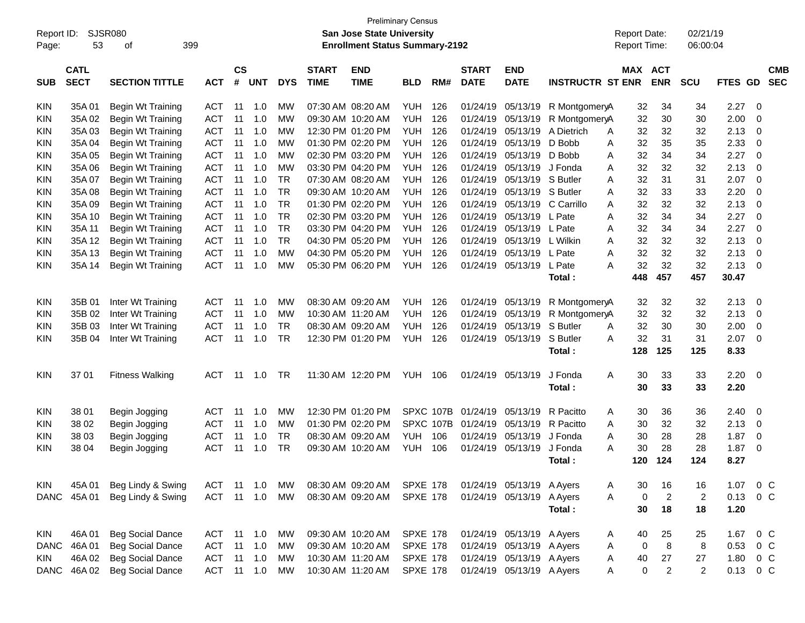| Report ID:  |                                                                                                 | <b>SJSR080</b>          |            |    |                             |            |                             | San Jose State University             | <b>Preliminary Census</b> |     |                             |                           |                         | <b>Report Date:</b> |                              | 02/21/19       |         |                          |
|-------------|-------------------------------------------------------------------------------------------------|-------------------------|------------|----|-----------------------------|------------|-----------------------------|---------------------------------------|---------------------------|-----|-----------------------------|---------------------------|-------------------------|---------------------|------------------------------|----------------|---------|--------------------------|
| Page:       | 53                                                                                              | 399<br>of               |            |    |                             |            |                             | <b>Enrollment Status Summary-2192</b> |                           |     |                             |                           |                         | Report Time:        |                              | 06:00:04       |         |                          |
| <b>SUB</b>  | <b>CATL</b><br><b>SECT</b><br><b>SECTION TITTLE</b><br><b>ACT</b><br>35A01<br>Begin Wt Training |                         |            |    | $\mathsf{cs}$<br><b>UNT</b> | <b>DYS</b> | <b>START</b><br><b>TIME</b> | <b>END</b><br><b>TIME</b>             | <b>BLD</b>                | RM# | <b>START</b><br><b>DATE</b> | <b>END</b><br><b>DATE</b> | <b>INSTRUCTR ST ENR</b> |                     | <b>MAX ACT</b><br><b>ENR</b> | <b>SCU</b>     | FTES GD | <b>CMB</b><br><b>SEC</b> |
| <b>KIN</b>  |                                                                                                 |                         | <b>ACT</b> | 11 | 1.0                         | МW         |                             | 07:30 AM 08:20 AM                     | YUH                       | 126 | 01/24/19                    | 05/13/19                  | R MontgomeryA           | 32                  | 34                           | 34             | 2.27    | $\Omega$                 |
| <b>KIN</b>  | 35A 02                                                                                          | Begin Wt Training       | <b>ACT</b> | 11 | 1.0                         | МW         |                             | 09:30 AM 10:20 AM                     | <b>YUH</b>                | 126 | 01/24/19                    | 05/13/19                  | R MontgomeryA           | 32                  | 30                           | 30             | 2.00    | $\Omega$                 |
| <b>KIN</b>  | 35A03                                                                                           | Begin Wt Training       | <b>ACT</b> | 11 | 1.0                         | МW         |                             | 12:30 PM 01:20 PM                     | <b>YUH</b>                | 126 | 01/24/19                    | 05/13/19                  | A Dietrich              | 32<br>A             | 32                           | 32             | 2.13    | 0                        |
| KIN         | 35A 04                                                                                          | Begin Wt Training       | <b>ACT</b> | 11 | 1.0                         | МW         |                             | 01:30 PM 02:20 PM                     | <b>YUH</b>                | 126 | 01/24/19                    | 05/13/19                  | D Bobb                  | 32<br>A             | 35                           | 35             | 2.33    | $\Omega$                 |
| KIN         | 35A 05                                                                                          | Begin Wt Training       | <b>ACT</b> | 11 | 1.0                         | МW         |                             | 02:30 PM 03:20 PM                     | <b>YUH</b>                | 126 | 01/24/19                    | 05/13/19                  | D Bobb                  | 32<br>A             | 34                           | 34             | 2.27    | $\Omega$                 |
| KIN         | 35A 06                                                                                          | Begin Wt Training       | <b>ACT</b> | 11 | 1.0                         | <b>MW</b>  |                             | 03:30 PM 04:20 PM                     | <b>YUH</b>                | 126 | 01/24/19                    | 05/13/19                  | J Fonda                 | 32<br>A             | 32                           | 32             | 2.13    | $\Omega$                 |
| <b>KIN</b>  | 35A 07                                                                                          | Begin Wt Training       | <b>ACT</b> | 11 | 1.0                         | <b>TR</b>  |                             | 07:30 AM 08:20 AM                     | <b>YUH</b>                | 126 | 01/24/19                    | 05/13/19                  | S Butler                | 32<br>A             | 31                           | 31             | 2.07    | $\Omega$                 |
| KIN         | 35A08                                                                                           | Begin Wt Training       | <b>ACT</b> | 11 | 1.0                         | <b>TR</b>  |                             | 09:30 AM 10:20 AM                     | <b>YUH</b>                | 126 | 01/24/19                    | 05/13/19                  | S Butler                | 32<br>A             | 33                           | 33             | 2.20    | $\Omega$                 |
| KIN         | 35A09                                                                                           | Begin Wt Training       | <b>ACT</b> | 11 | 1.0                         | <b>TR</b>  |                             | 01:30 PM 02:20 PM                     | <b>YUH</b>                | 126 | 01/24/19                    | 05/13/19                  | C Carrillo              | 32<br>A             | 32                           | 32             | 2.13    | $\Omega$                 |
| <b>KIN</b>  | 35A 10                                                                                          | Begin Wt Training       | <b>ACT</b> | 11 | 1.0                         | <b>TR</b>  |                             | 02:30 PM 03:20 PM                     | <b>YUH</b>                | 126 | 01/24/19                    | 05/13/19                  | L Pate                  | 32<br>A             | 34                           | 34             | 2.27    | $\Omega$                 |
| <b>KIN</b>  | 35A 11                                                                                          | Begin Wt Training       | <b>ACT</b> | 11 | 1.0                         | <b>TR</b>  |                             | 03:30 PM 04:20 PM                     | <b>YUH</b>                | 126 | 01/24/19                    | 05/13/19                  | L Pate                  | 32<br>A             | 34                           | 34             | 2.27    | $\Omega$                 |
| <b>KIN</b>  | 35A 12                                                                                          | Begin Wt Training       | <b>ACT</b> | 11 | 1.0                         | <b>TR</b>  |                             | 04:30 PM 05:20 PM                     | <b>YUH</b>                | 126 | 01/24/19                    | 05/13/19                  | L Wilkin                | 32<br>A             | 32                           | 32             | 2.13    | $\Omega$                 |
| KIN         | 35A 13                                                                                          | Begin Wt Training       | <b>ACT</b> | 11 | 1.0                         | <b>MW</b>  |                             | 04:30 PM 05:20 PM                     | <b>YUH</b>                | 126 | 01/24/19                    | 05/13/19                  | L Pate                  | 32<br>A             | 32                           | 32             | 2.13    | $\Omega$                 |
| <b>KIN</b>  | 35A 14                                                                                          | Begin Wt Training       | <b>ACT</b> | 11 | 1.0                         | МW         |                             | 05:30 PM 06:20 PM                     | <b>YUH</b>                | 126 | 01/24/19                    | 05/13/19                  | L Pate                  | 32<br>A             | 32                           | 32             | 2.13    | $\Omega$                 |
|             |                                                                                                 |                         |            |    |                             |            |                             |                                       |                           |     |                             |                           | Total:                  | 448                 | 457                          | 457            | 30.47   |                          |
|             |                                                                                                 |                         |            |    |                             |            |                             |                                       |                           |     |                             |                           |                         |                     |                              |                |         |                          |
| <b>KIN</b>  | 35B 01                                                                                          | Inter Wt Training       | <b>ACT</b> | 11 | 1.0                         | МW         |                             | 08:30 AM 09:20 AM                     | YUH                       | 126 | 01/24/19                    | 05/13/19                  | R MontgomeryA           | 32                  | 32                           | 32             | 2.13    | 0                        |
| <b>KIN</b>  | 35B 02                                                                                          | Inter Wt Training       | <b>ACT</b> | 11 | 1.0                         | <b>MW</b>  | 10:30 AM 11:20 AM           |                                       | <b>YUH</b>                | 126 | 01/24/19                    | 05/13/19                  | R MontgomeryA           | 32                  | 32                           | 32             | 2.13    | 0                        |
| KIN         | 35B 03                                                                                          | Inter Wt Training       | <b>ACT</b> | 11 | 1.0                         | <b>TR</b>  |                             | 08:30 AM 09:20 AM                     | <b>YUH</b>                | 126 | 01/24/19                    | 05/13/19                  | S Butler                | 32<br>A             | 30                           | 30             | 2.00    | 0                        |
| KIN         | 35B 04                                                                                          | Inter Wt Training       | <b>ACT</b> | 11 | 1.0                         | <b>TR</b>  |                             | 12:30 PM 01:20 PM                     | YUH                       | 126 | 01/24/19                    | 05/13/19                  | S Butler                | 32<br>A             | 31                           | 31             | 2.07    | $\Omega$                 |
|             |                                                                                                 |                         |            |    |                             |            |                             |                                       |                           |     |                             |                           | Total:                  | 128                 | 125                          | 125            | 8.33    |                          |
|             |                                                                                                 |                         |            |    |                             | <b>TR</b>  |                             |                                       |                           |     |                             |                           | J Fonda                 |                     |                              |                |         |                          |
| <b>KIN</b>  | 37 01                                                                                           | <b>Fitness Walking</b>  | <b>ACT</b> | 11 | 1.0                         |            |                             | 11:30 AM 12:20 PM                     | <b>YUH 106</b>            |     | 01/24/19                    | 05/13/19                  |                         | 30<br>Α             | 33                           | 33             | 2.20    | - 0                      |
|             |                                                                                                 |                         |            |    |                             |            |                             |                                       |                           |     |                             |                           | Total:                  | 30                  | 33                           | 33             | 2.20    |                          |
| <b>KIN</b>  | 38 01                                                                                           | Begin Jogging           | <b>ACT</b> | 11 | 1.0                         | MW         |                             | 12:30 PM 01:20 PM                     | SPXC 107B                 |     | 01/24/19                    | 05/13/19                  | R Pacitto               | 30<br>A             | 36                           | 36             | 2.40    | 0                        |
| <b>KIN</b>  | 38 02                                                                                           | Begin Jogging           | <b>ACT</b> | 11 | 1.0                         | МW         |                             | 01:30 PM 02:20 PM                     | SPXC 107B                 |     | 01/24/19                    | 05/13/19                  | R Pacitto               | 30<br>A             | 32                           | 32             | 2.13    | 0                        |
| KIN         | 38 03                                                                                           | Begin Jogging           | <b>ACT</b> | 11 | 1.0                         | <b>TR</b>  |                             | 08:30 AM 09:20 AM                     | <b>YUH</b>                | 106 | 01/24/19                    | 05/13/19                  | J Fonda                 | 30<br>A             | 28                           | 28             | 1.87    | 0                        |
| KIN         | 38 04                                                                                           | Begin Jogging           | <b>ACT</b> | 11 | 1.0                         | <b>TR</b>  |                             | 09:30 AM 10:20 AM                     | <b>YUH</b>                | 106 | 01/24/19                    | 05/13/19                  | J Fonda                 | 30<br>A             | 28                           | 28             | 1.87    | $\Omega$                 |
|             |                                                                                                 |                         |            |    |                             |            |                             |                                       |                           |     |                             |                           | Total :                 | 120                 | 124                          | 124            | 8.27    |                          |
|             |                                                                                                 |                         |            |    |                             |            |                             |                                       |                           |     |                             |                           |                         |                     |                              |                |         |                          |
| <b>KIN</b>  | 45A 01                                                                                          | Beg Lindy & Swing       | ACT        | 11 | 1.0                         | МW         |                             | 08:30 AM 09:20 AM                     | SPXE 178                  |     |                             | 01/24/19 05/13/19 A Ayers |                         | 30<br>A             | 16                           | 16             | 1.07    | 0 C                      |
|             | DANC 45A 01                                                                                     | Beg Lindy & Swing       | <b>ACT</b> |    | $11 \quad 1.0$              | MW         |                             | 08:30 AM 09:20 AM                     | <b>SPXE 178</b>           |     |                             | 01/24/19 05/13/19         | A Ayers                 | Α                   | $\overline{2}$<br>0          | $\overline{c}$ | 0.13    | 0 <sup>C</sup>           |
|             |                                                                                                 |                         |            |    |                             |            |                             |                                       |                           |     |                             |                           | Total:                  | 30                  | 18                           | 18             | 1.20    |                          |
| <b>KIN</b>  | 46A 01                                                                                          | <b>Beg Social Dance</b> | ACT        |    | $11 \quad 1.0$              | МW         |                             | 09:30 AM 10:20 AM                     | <b>SPXE 178</b>           |     |                             | 01/24/19 05/13/19 A Ayers |                         | 40<br>A             | 25                           | 25             | 1.67    | $0\,C$                   |
| <b>DANC</b> | 46A01                                                                                           | <b>Beg Social Dance</b> | <b>ACT</b> | 11 | 1.0                         | <b>MW</b>  |                             | 09:30 AM 10:20 AM                     | <b>SPXE 178</b>           |     |                             | 01/24/19 05/13/19 A Ayers |                         | 0<br>Α              | $\boldsymbol{8}$             | 8              | 0.53    | $0\,C$                   |
| <b>KIN</b>  | 46A 02                                                                                          | <b>Beg Social Dance</b> | <b>ACT</b> | 11 | 1.0                         | MW         |                             | 10:30 AM 11:20 AM                     | <b>SPXE 178</b>           |     |                             | 01/24/19 05/13/19 A Ayers |                         | 40<br>A             | 27                           | 27             | 1.80    | $0\,C$                   |
| <b>DANC</b> | 46A 02                                                                                          | <b>Beg Social Dance</b> | <b>ACT</b> |    | 11 1.0                      | <b>MW</b>  |                             | 10:30 AM 11:20 AM                     | <b>SPXE 178</b>           |     |                             | 01/24/19 05/13/19 A Ayers |                         | A                   | $\overline{c}$<br>0          | $\overline{2}$ | 0.13    | 0 C                      |
|             |                                                                                                 |                         |            |    |                             |            |                             |                                       |                           |     |                             |                           |                         |                     |                              |                |         |                          |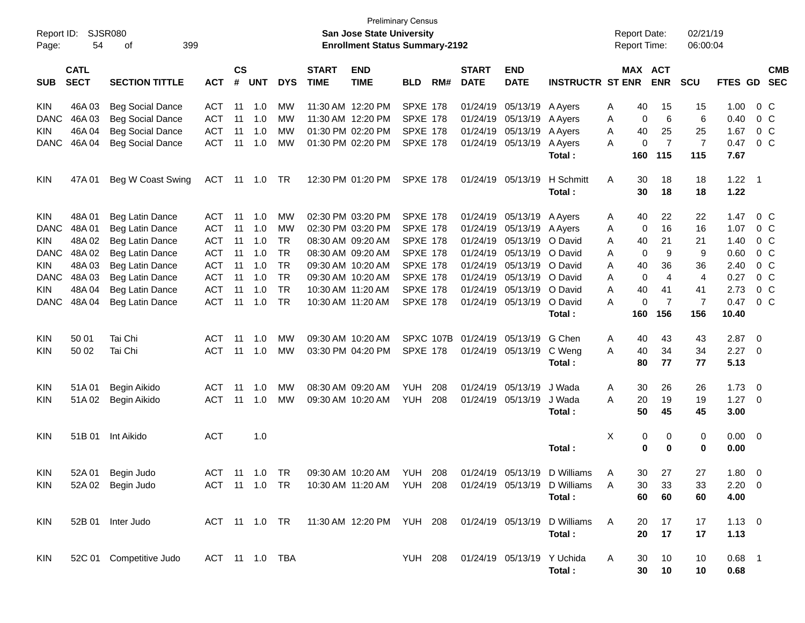| Report ID:<br>Page: | 54                                                                | SJSR080<br>399<br>оf    |                |     |                             |            |                             | <b>San Jose State University</b><br><b>Enrollment Status Summary-2192</b> | <b>Preliminary Census</b> |     |                             |                            |                              |   | <b>Report Date:</b><br>Report Time: |                | 02/21/19<br>06:00:04 |             |                            |            |
|---------------------|-------------------------------------------------------------------|-------------------------|----------------|-----|-----------------------------|------------|-----------------------------|---------------------------------------------------------------------------|---------------------------|-----|-----------------------------|----------------------------|------------------------------|---|-------------------------------------|----------------|----------------------|-------------|----------------------------|------------|
| <b>SUB</b>          | <b>CATL</b><br><b>SECT</b><br><b>SECTION TITTLE</b><br><b>ACT</b> |                         |                |     | $\mathsf{cs}$<br><b>UNT</b> | <b>DYS</b> | <b>START</b><br><b>TIME</b> | <b>END</b><br><b>TIME</b>                                                 | <b>BLD</b>                | RM# | <b>START</b><br><b>DATE</b> | <b>END</b><br><b>DATE</b>  | <b>INSTRUCTR ST ENR</b>      |   | MAX ACT                             | <b>ENR</b>     | <b>SCU</b>           | FTES GD SEC |                            | <b>CMB</b> |
| <b>KIN</b>          | 46A03                                                             | <b>Beg Social Dance</b> | <b>ACT</b>     | 11  | 1.0                         | MW         |                             | 11:30 AM 12:20 PM                                                         | <b>SPXE 178</b>           |     |                             | 01/24/19 05/13/19          | A Ayers                      | Α | 40                                  | 15             | 15                   | 1.00        | $0\,$ C                    |            |
| <b>DANC</b>         | 46A03                                                             | <b>Beg Social Dance</b> | <b>ACT</b>     | 11  | 1.0                         | MW         |                             | 11:30 AM 12:20 PM                                                         | <b>SPXE 178</b>           |     | 01/24/19                    | 05/13/19                   | A Ayers                      | Α | 0                                   | 6              | 6                    | 0.40        | $0\,C$                     |            |
| <b>KIN</b>          | 46A 04                                                            | <b>Beg Social Dance</b> | <b>ACT</b>     | 11  | 1.0                         | MW         |                             | 01:30 PM 02:20 PM                                                         | <b>SPXE 178</b>           |     | 01/24/19                    | 05/13/19                   | A Ayers                      | Α | 40                                  | 25             | 25                   | 1.67        | $0\,C$                     |            |
| <b>DANC</b>         | 46A 04                                                            | <b>Beg Social Dance</b> | <b>ACT</b>     | 11  | 1.0                         | МW         |                             | 01:30 PM 02:20 PM                                                         | <b>SPXE 178</b>           |     |                             | 01/24/19 05/13/19          | A Ayers                      | A | $\mathbf 0$                         | $\overline{7}$ | $\overline{7}$       | 0.47        | 0 <sup>C</sup>             |            |
|                     |                                                                   |                         |                |     |                             |            |                             |                                                                           |                           |     |                             |                            | Total:                       |   | 160                                 | 115            | 115                  | 7.67        |                            |            |
| <b>KIN</b>          | 47A 01                                                            | Beg W Coast Swing       | ACT            | -11 | 1.0                         | TR         |                             | 12:30 PM 01:20 PM                                                         | <b>SPXE 178</b>           |     | 01/24/19                    | 05/13/19                   | H Schmitt                    | A | 30                                  | 18             | 18                   | 1.22        | $\overline{\phantom{0}}$ 1 |            |
|                     |                                                                   |                         |                |     |                             |            |                             |                                                                           |                           |     |                             |                            | Total:                       |   | 30                                  | 18             | 18                   | 1.22        |                            |            |
| <b>KIN</b>          | 48A 01                                                            | Beg Latin Dance         | ACT            | 11  | 1.0                         | MW         |                             | 02:30 PM 03:20 PM                                                         | <b>SPXE 178</b>           |     |                             | 01/24/19 05/13/19          | A Ayers                      | Α | 40                                  | 22             | 22                   | 1.47        | $0\,$ C                    |            |
| <b>DANC</b>         | 48A01                                                             | Beg Latin Dance         | <b>ACT</b>     | 11  | 1.0                         | MW         |                             | 02:30 PM 03:20 PM                                                         | <b>SPXE 178</b>           |     | 01/24/19                    | 05/13/19                   | A Ayers                      | Α | $\mathbf 0$                         | 16             | 16                   | 1.07        | 0 <sup>C</sup>             |            |
| <b>KIN</b>          | 48A 02                                                            | Beg Latin Dance         | <b>ACT</b>     | 11  | 1.0                         | <b>TR</b>  |                             | 08:30 AM 09:20 AM                                                         | <b>SPXE 178</b>           |     | 01/24/19                    | 05/13/19                   | O David                      | A | 40                                  | 21             | 21                   | 1.40        | $0\,C$                     |            |
| <b>DANC</b>         | 48A02                                                             | Beg Latin Dance         | <b>ACT</b>     | 11  | 1.0                         | <b>TR</b>  |                             | 08:30 AM 09:20 AM                                                         | <b>SPXE 178</b>           |     | 01/24/19                    | 05/13/19                   | O David                      | A | $\mathbf 0$                         | 9              | 9                    | 0.60        | $0\,C$                     |            |
| <b>KIN</b>          | 48A03                                                             | Beg Latin Dance         | <b>ACT</b>     | 11  | 1.0                         | <b>TR</b>  |                             | 09:30 AM 10:20 AM                                                         | <b>SPXE 178</b>           |     | 01/24/19                    | 05/13/19                   | O David                      | A | 40                                  | 36             | 36                   | 2.40        | 0 <sup>C</sup>             |            |
| <b>DANC</b>         | 48A03                                                             | Beg Latin Dance         | <b>ACT</b>     | 11  | 1.0                         | <b>TR</b>  |                             | 09:30 AM 10:20 AM                                                         | <b>SPXE 178</b>           |     | 01/24/19                    | 05/13/19                   | O David                      | A | $\mathbf 0$                         | $\overline{4}$ | $\overline{4}$       | 0.27        | $0\,C$                     |            |
| KIN                 | 48A 04                                                            | Beg Latin Dance         | <b>ACT</b>     | 11  | 1.0                         | <b>TR</b>  | 10:30 AM 11:20 AM           |                                                                           | <b>SPXE 178</b>           |     | 01/24/19                    | 05/13/19                   | O David                      | A | 40                                  | 41             | 41                   | 2.73        | 0 <sup>C</sup>             |            |
| <b>DANC</b>         | 48A04                                                             | Beg Latin Dance         | <b>ACT</b>     | 11  | 1.0                         | <b>TR</b>  | 10:30 AM 11:20 AM           |                                                                           | <b>SPXE 178</b>           |     |                             | 01/24/19 05/13/19          | O David                      | А | 0                                   | $\overline{7}$ | $\overline{7}$       | 0.47        | $0\,C$                     |            |
|                     |                                                                   |                         |                |     |                             |            |                             |                                                                           |                           |     |                             |                            | Total:                       |   | 160                                 | 156            | 156                  | 10.40       |                            |            |
| <b>KIN</b>          | 50 01                                                             | Tai Chi                 | ACT            | 11  | 1.0                         | MW         |                             | 09:30 AM 10:20 AM                                                         | SPXC 107B                 |     | 01/24/19                    | 05/13/19                   | G Chen                       | Α | 40                                  | 43             | 43                   | 2.87        | $\overline{0}$             |            |
| <b>KIN</b>          | 50 02                                                             | Tai Chi                 | ACT            | 11  | 1.0                         | MW         |                             | 03:30 PM 04:20 PM                                                         | <b>SPXE 178</b>           |     |                             | 01/24/19 05/13/19          | C Weng                       | A | 40                                  | 34             | 34                   | 2.27        | $\overline{\mathbf{0}}$    |            |
|                     |                                                                   |                         |                |     |                             |            |                             |                                                                           |                           |     |                             |                            | Total:                       |   | 80                                  | 77             | 77                   | 5.13        |                            |            |
| <b>KIN</b>          | 51A01                                                             | Begin Aikido            | ACT            | 11  | 1.0                         | МW         |                             | 08:30 AM 09:20 AM                                                         | <b>YUH</b>                | 208 | 01/24/19                    | 05/13/19                   | J Wada                       | Α | 30                                  | 26             | 26                   | 1.73        | $\overline{0}$             |            |
| <b>KIN</b>          | 51A02                                                             | Begin Aikido            | <b>ACT</b>     | 11  | 1.0                         | MW         |                             | 09:30 AM 10:20 AM                                                         | YUH                       | 208 |                             | 01/24/19 05/13/19          | J Wada                       | A | 20                                  | 19             | 19                   | 1.27        | $\overline{\mathbf{0}}$    |            |
|                     |                                                                   |                         |                |     |                             |            |                             |                                                                           |                           |     |                             |                            | Total:                       |   | 50                                  | 45             | 45                   | 3.00        |                            |            |
| <b>KIN</b>          | 51B 01                                                            | Int Aikido              | <b>ACT</b>     |     | 1.0                         |            |                             |                                                                           |                           |     |                             |                            |                              | Χ | 0                                   | 0              | 0                    | 0.00        | $\overline{\phantom{0}}$   |            |
|                     |                                                                   |                         |                |     |                             |            |                             |                                                                           |                           |     |                             |                            | Total:                       |   | 0                                   | 0              | $\bf{0}$             | 0.00        |                            |            |
| KIN                 |                                                                   | 52A 01 Begin Judo       | ACT 11 1.0 TR  |     |                             |            |                             | 09:30 AM 10:20 AM YUH 208                                                 |                           |     |                             |                            | 01/24/19 05/13/19 D Williams | A | 30 <sub>o</sub>                     | 27             | 27                   | $1.80 \t 0$ |                            |            |
| KIN.                |                                                                   | 52A 02 Begin Judo       | ACT 11 1.0 TR  |     |                             |            |                             | 10:30 AM 11:20 AM YUH 208                                                 |                           |     |                             |                            | 01/24/19 05/13/19 D Williams | A | 30                                  | 33             | 33                   | $2.20 \t 0$ |                            |            |
|                     |                                                                   |                         |                |     |                             |            |                             |                                                                           |                           |     |                             |                            | Total:                       |   | 60                                  | 60             | 60                   | 4.00        |                            |            |
| <b>KIN</b>          |                                                                   | 52B 01 Inter Judo       |                |     |                             |            |                             | ACT 11 1.0 TR 11:30 AM 12:20 PM YUH 208                                   |                           |     | 01/24/19 05/13/19           |                            | D Williams                   | A | 20                                  | 17             | 17                   | $1.13 \ 0$  |                            |            |
|                     |                                                                   |                         |                |     |                             |            |                             |                                                                           |                           |     |                             |                            | Total:                       |   | 20                                  | 17             | 17                   | 1.13        |                            |            |
| KIN                 |                                                                   | 52C 01 Competitive Judo | ACT 11 1.0 TBA |     |                             |            |                             |                                                                           | <b>YUH 208</b>            |     |                             | 01/24/19 05/13/19 Y Uchida |                              | A | 30                                  | 10             | 10                   | $0.68$ 1    |                            |            |
|                     |                                                                   |                         |                |     |                             |            |                             |                                                                           |                           |     |                             |                            | Total:                       |   | 30                                  | 10             | 10                   | 0.68        |                            |            |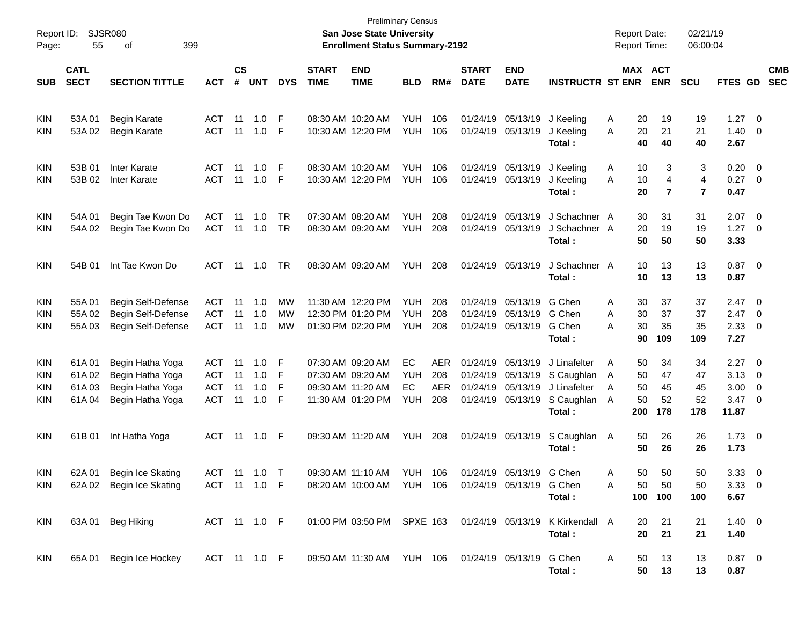| Report ID:<br>Page: | <b>SJSR080</b><br>55                                              | 399                      |              |       |                                      |            | <b>Preliminary Census</b><br><b>San Jose State University</b><br><b>Enrollment Status Summary-2192</b> |                                                                        |                |            |                             |                           | <b>Report Date:</b><br><b>Report Time:</b>                  |         | 02/21/19<br>06:00:04  |            |                |                          |                          |
|---------------------|-------------------------------------------------------------------|--------------------------|--------------|-------|--------------------------------------|------------|--------------------------------------------------------------------------------------------------------|------------------------------------------------------------------------|----------------|------------|-----------------------------|---------------------------|-------------------------------------------------------------|---------|-----------------------|------------|----------------|--------------------------|--------------------------|
| <b>SUB</b>          | <b>CATL</b><br><b>SECT</b><br><b>SECTION TITTLE</b><br><b>ACT</b> |                          |              |       | $\mathbf{c}\mathbf{s}$<br><b>UNT</b> | <b>DYS</b> | <b>START</b><br><b>TIME</b>                                                                            | <b>END</b><br><b>TIME</b>                                              | <b>BLD</b>     | RM#        | <b>START</b><br><b>DATE</b> | <b>END</b><br><b>DATE</b> | <b>INSTRUCTR ST ENR</b>                                     |         | MAX ACT<br><b>ENR</b> | <b>SCU</b> | FTES GD        |                          | <b>CMB</b><br><b>SEC</b> |
|                     |                                                                   |                          |              |       |                                      |            |                                                                                                        |                                                                        |                |            |                             |                           |                                                             |         |                       |            |                |                          |                          |
| <b>KIN</b>          | 53A01                                                             | <b>Begin Karate</b>      | <b>ACT</b>   | 11    | 1.0                                  | F          |                                                                                                        | 08:30 AM 10:20 AM                                                      | <b>YUH</b>     | 106        | 01/24/19                    | 05/13/19                  | J Keeling                                                   | 20<br>Α | 19                    | 19         | 1.27           | $\overline{\phantom{0}}$ |                          |
| <b>KIN</b>          | 53A02                                                             | <b>Begin Karate</b>      | <b>ACT</b>   | 11    | 1.0                                  | F          |                                                                                                        | 10:30 AM 12:20 PM                                                      | <b>YUH</b>     | 106        | 01/24/19                    | 05/13/19                  | J Keeling                                                   | 20<br>Α | 21                    | 21         | 1.40           | 0                        |                          |
|                     |                                                                   |                          |              |       |                                      |            |                                                                                                        |                                                                        |                |            |                             |                           | Total:                                                      | 40      | 40                    | 40         | 2.67           |                          |                          |
| <b>KIN</b>          | 53B 01                                                            | <b>Inter Karate</b>      | <b>ACT</b>   | 11    | 1.0                                  | F          |                                                                                                        | 08:30 AM 10:20 AM                                                      | <b>YUH</b>     | 106        | 01/24/19                    | 05/13/19                  | J Keeling                                                   | 10<br>Α | 3                     | 3          | 0.20           | $\overline{\mathbf{0}}$  |                          |
| <b>KIN</b>          | 53B 02                                                            | <b>Inter Karate</b>      | <b>ACT</b>   | 11    | 1.0                                  | F          |                                                                                                        | 10:30 AM 12:20 PM                                                      | <b>YUH</b>     | 106        | 01/24/19                    | 05/13/19                  | J Keeling                                                   | A<br>10 | 4                     | 4          | 0.27           | $\overline{\phantom{0}}$ |                          |
|                     |                                                                   |                          |              |       |                                      |            |                                                                                                        |                                                                        |                |            |                             |                           | Total:                                                      | 20      | $\overline{7}$        | 7          | 0.47           |                          |                          |
| <b>KIN</b>          | 54A01                                                             | Begin Tae Kwon Do        | <b>ACT</b>   | 11    | 1.0                                  | TR         |                                                                                                        | 07:30 AM 08:20 AM                                                      | <b>YUH</b>     | 208        | 01/24/19                    | 05/13/19                  | J Schachner A                                               | 30      | 31                    | 31         | 2.07           | $\overline{\mathbf{0}}$  |                          |
| <b>KIN</b>          | 54A 02                                                            | Begin Tae Kwon Do        | <b>ACT</b>   | 11    | 1.0                                  | TR         |                                                                                                        | 08:30 AM 09:20 AM                                                      | <b>YUH</b>     | 208        | 01/24/19                    | 05/13/19                  | J Schachner A                                               | 20      | 19                    | 19         | 1.27           | $\overline{\mathbf{0}}$  |                          |
|                     |                                                                   |                          |              |       |                                      |            |                                                                                                        |                                                                        |                |            |                             |                           | Total:                                                      | 50      | 50                    | 50         | 3.33           |                          |                          |
| <b>KIN</b>          | 54B 01                                                            | Int Tae Kwon Do          | ACT          | 11    | 1.0                                  | TR         |                                                                                                        | 08:30 AM 09:20 AM                                                      | <b>YUH</b>     | 208        |                             | 01/24/19 05/13/19         | J Schachner A                                               | 10      | 13                    | 13         | $0.87$ 0       |                          |                          |
|                     |                                                                   |                          |              |       |                                      |            |                                                                                                        |                                                                        |                |            |                             |                           | Total:                                                      | 10      | 13                    | 13         | 0.87           |                          |                          |
| <b>KIN</b>          | 55A01                                                             | Begin Self-Defense       | <b>ACT</b>   | 11    | 1.0                                  | МW         |                                                                                                        | 11:30 AM 12:20 PM                                                      | <b>YUH</b>     | 208        | 01/24/19                    | 05/13/19                  | G Chen                                                      | 30<br>Α | 37                    | 37         | 2.47           | $\overline{\mathbf{0}}$  |                          |
| <b>KIN</b>          | 55A02                                                             | Begin Self-Defense       | ACT          | 11    | 1.0                                  | MW         |                                                                                                        | 12:30 PM 01:20 PM                                                      | <b>YUH</b>     | 208        | 01/24/19                    | 05/13/19                  | G Chen                                                      | 30<br>A | 37                    | 37         | 2.47           | $\overline{\mathbf{0}}$  |                          |
| <b>KIN</b>          | 55A03                                                             | Begin Self-Defense       | <b>ACT</b>   | 11    | 1.0                                  | MW         |                                                                                                        | 01:30 PM 02:20 PM                                                      | <b>YUH</b>     | 208        |                             | 01/24/19 05/13/19         | G Chen                                                      | 30<br>Α | 35                    | 35         | 2.33           | 0                        |                          |
|                     |                                                                   |                          |              |       |                                      |            |                                                                                                        |                                                                        |                |            |                             |                           | Total:                                                      | 90      | 109                   | 109        | 7.27           |                          |                          |
| <b>KIN</b>          | 61A01                                                             | Begin Hatha Yoga         | <b>ACT</b>   | 11    | 1.0                                  | F          |                                                                                                        | 07:30 AM 09:20 AM                                                      | EC             | <b>AER</b> | 01/24/19                    | 05/13/19                  | J Linafelter                                                | 50<br>A | 34                    | 34         | 2.27           | $\overline{\mathbf{0}}$  |                          |
| <b>KIN</b>          | 61A02                                                             | Begin Hatha Yoga         | <b>ACT</b>   | 11    | 1.0                                  | F          |                                                                                                        | 07:30 AM 09:20 AM                                                      | <b>YUH</b>     | 208        | 01/24/19                    | 05/13/19                  | S Caughlan                                                  | 50<br>A | 47                    | 47         | 3.13           | 0                        |                          |
| <b>KIN</b>          | 61A03                                                             | Begin Hatha Yoga         | <b>ACT</b>   | 11    | 1.0                                  | F          |                                                                                                        | 09:30 AM 11:20 AM                                                      | EC             | <b>AER</b> | 01/24/19                    | 05/13/19                  | J Linafelter                                                | 50<br>A | 45                    | 45         | 3.00           | 0                        |                          |
| <b>KIN</b>          | 61A04                                                             | Begin Hatha Yoga         | ACT          | 11    | 1.0                                  | F          |                                                                                                        | 11:30 AM 01:20 PM                                                      | <b>YUH</b>     | 208        |                             | 01/24/19 05/13/19         | S Caughlan                                                  | 50<br>A | 52                    | 52         | 3.47           | $\overline{\mathbf{0}}$  |                          |
|                     |                                                                   |                          |              |       |                                      |            |                                                                                                        |                                                                        |                |            |                             |                           | Total:                                                      | 200     | 178                   | 178        | 11.87          |                          |                          |
| <b>KIN</b>          | 61B 01                                                            | Int Hatha Yoga           | ACT          | $-11$ | 1.0                                  | - F        |                                                                                                        | 09:30 AM 11:20 AM                                                      | <b>YUH</b>     | 208        |                             | 01/24/19 05/13/19         | S Caughlan                                                  | 50<br>A | 26                    | 26         | $1.73 \t 0$    |                          |                          |
|                     |                                                                   |                          |              |       |                                      |            |                                                                                                        |                                                                        |                |            |                             |                           | Total:                                                      | 50      | 26                    | 26         | 1.73           |                          |                          |
| KIN                 |                                                                   | 62A 01 Begin Ice Skating | ACT 11 1.0 T |       |                                      |            | 09:30 AM 11:10 AM                                                                                      |                                                                        | <b>YUH 106</b> |            |                             | 01/24/19 05/13/19 G Chen  |                                                             | 50<br>Α | 50                    | 50         | $3.33 \ 0$     |                          |                          |
| KIN.                |                                                                   | 62A 02 Begin Ice Skating | ACT 11 1.0 F |       |                                      |            |                                                                                                        | 08:20 AM 10:00 AM YUH 106 01/24/19 05/13/19 G Chen                     |                |            |                             |                           |                                                             | 50<br>A | 50                    | 50         | $3.33 \ 0$     |                          |                          |
|                     |                                                                   |                          |              |       |                                      |            |                                                                                                        |                                                                        |                |            |                             |                           | Total:                                                      | 100     | 100                   | 100        | 6.67           |                          |                          |
| KIN                 |                                                                   | 63A 01 Beg Hiking        | ACT 11 1.0 F |       |                                      |            |                                                                                                        |                                                                        |                |            |                             |                           | 01:00 PM 03:50 PM SPXE 163 01/24/19 05/13/19 K Kirkendall A | 20      | 21                    | 21         | $1.40 \quad 0$ |                          |                          |
|                     |                                                                   |                          |              |       |                                      |            |                                                                                                        |                                                                        |                |            |                             |                           | Total:                                                      | 20      | 21                    | 21         | 1.40           |                          |                          |
| KIN                 |                                                                   | 65A 01 Begin Ice Hockey  |              |       |                                      |            |                                                                                                        | ACT 11 1.0 F  09:50 AM 11:30 AM  YUH  106  01/24/19  05/13/19  G  Chen |                |            |                             |                           |                                                             | A<br>50 | 13                    | 13         | $0.87$ 0       |                          |                          |
|                     |                                                                   |                          |              |       |                                      |            |                                                                                                        |                                                                        |                |            |                             |                           | Total:                                                      | 50      | 13                    | 13         | 0.87           |                          |                          |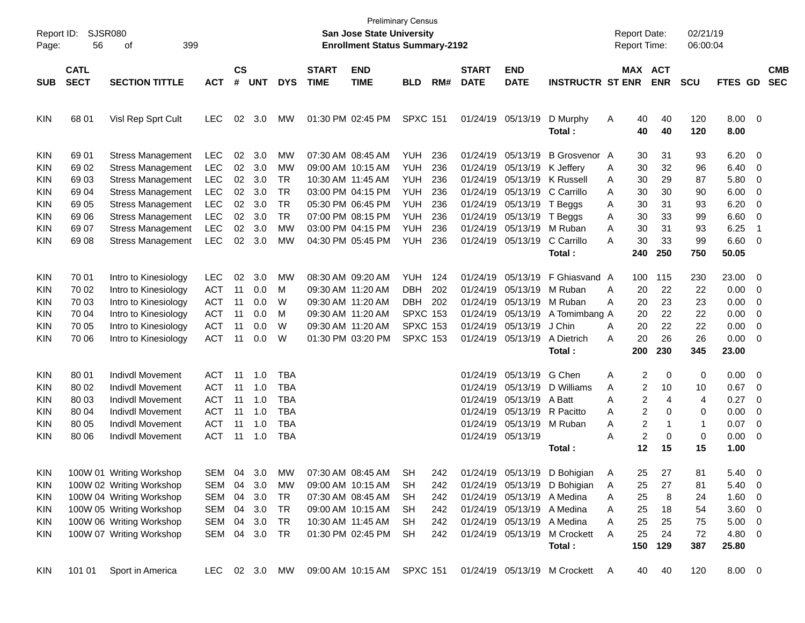| Report ID:<br>Page:                                                       | SJSR080<br>56                                                        | 399                                                                                                                                                                                                                          |                                                                                                              |                                                  |                                                      |                                                                                  | San Jose State University<br><b>Enrollment Status Summary-2192</b> | <b>Preliminary Census</b>                                                                                                                                            |                                                                                                              |                                                      |              |                                                                                                                                                                      | <b>Report Date:</b><br>Report Time:                                                                                                  |                                                                                  | 02/21/19<br>06:00:04                                                                            |                                                     |                                                                                       |                                                    |            |
|---------------------------------------------------------------------------|----------------------------------------------------------------------|------------------------------------------------------------------------------------------------------------------------------------------------------------------------------------------------------------------------------|--------------------------------------------------------------------------------------------------------------|--------------------------------------------------|------------------------------------------------------|----------------------------------------------------------------------------------|--------------------------------------------------------------------|----------------------------------------------------------------------------------------------------------------------------------------------------------------------|--------------------------------------------------------------------------------------------------------------|------------------------------------------------------|--------------|----------------------------------------------------------------------------------------------------------------------------------------------------------------------|--------------------------------------------------------------------------------------------------------------------------------------|----------------------------------------------------------------------------------|-------------------------------------------------------------------------------------------------|-----------------------------------------------------|---------------------------------------------------------------------------------------|----------------------------------------------------|------------|
|                                                                           | <b>CATL</b>                                                          |                                                                                                                                                                                                                              |                                                                                                              | $\mathsf{cs}$                                    |                                                      |                                                                                  | <b>START</b>                                                       | <b>END</b>                                                                                                                                                           |                                                                                                              |                                                      | <b>START</b> | <b>END</b>                                                                                                                                                           |                                                                                                                                      |                                                                                  | MAX ACT                                                                                         |                                                     |                                                                                       |                                                    | <b>CMB</b> |
| <b>SUB</b>                                                                | <b>SECT</b>                                                          | <b>SECTION TITTLE</b>                                                                                                                                                                                                        | <b>ACT</b>                                                                                                   | #                                                | <b>UNT</b>                                           | <b>DYS</b>                                                                       | <b>TIME</b>                                                        | <b>TIME</b>                                                                                                                                                          | <b>BLD</b>                                                                                                   | RM#                                                  | <b>DATE</b>  | <b>DATE</b>                                                                                                                                                          | <b>INSTRUCTR ST ENR</b>                                                                                                              |                                                                                  | <b>ENR</b>                                                                                      | <b>SCU</b>                                          | FTES GD                                                                               |                                                    | <b>SEC</b> |
| KIN                                                                       | 68 01                                                                | Visl Rep Sprt Cult                                                                                                                                                                                                           | <b>LEC</b>                                                                                                   | 02                                               | 3.0                                                  | <b>MW</b>                                                                        |                                                                    | 01:30 PM 02:45 PM                                                                                                                                                    | <b>SPXC 151</b>                                                                                              |                                                      |              | 01/24/19 05/13/19                                                                                                                                                    | D Murphy<br>Total:                                                                                                                   | Α                                                                                | 40<br>40<br>40<br>40                                                                            | 120<br>120                                          | 8.00<br>8.00                                                                          | $\overline{\mathbf{0}}$                            |            |
| KIN<br>KIN<br>KIN<br>KIN<br>KIN<br>KIN<br>KIN<br>KIN                      | 69 01<br>69 02<br>69 03<br>69 04<br>69 05<br>69 06<br>69 07<br>69 08 | <b>Stress Management</b><br><b>Stress Management</b><br><b>Stress Management</b><br><b>Stress Management</b><br><b>Stress Management</b><br><b>Stress Management</b><br><b>Stress Management</b><br><b>Stress Management</b> | <b>LEC</b><br><b>LEC</b><br><b>LEC</b><br><b>LEC</b><br><b>LEC</b><br><b>LEC</b><br><b>LEC</b><br><b>LEC</b> | 02<br>02<br>02<br>02<br>02<br>$02\,$<br>02<br>02 | 3.0<br>3.0<br>3.0<br>3.0<br>3.0<br>3.0<br>3.0<br>3.0 | MW<br>MW<br><b>TR</b><br><b>TR</b><br><b>TR</b><br><b>TR</b><br><b>MW</b><br>MW  |                                                                    | 07:30 AM 08:45 AM<br>09:00 AM 10:15 AM<br>10:30 AM 11:45 AM<br>03:00 PM 04:15 PM<br>05:30 PM 06:45 PM<br>07:00 PM 08:15 PM<br>03:00 PM 04:15 PM<br>04:30 PM 05:45 PM | <b>YUH</b><br><b>YUH</b><br><b>YUH</b><br><b>YUH</b><br><b>YUH</b><br><b>YUH</b><br><b>YUH</b><br><b>YUH</b> | 236<br>236<br>236<br>236<br>236<br>236<br>236<br>236 |              | 01/24/19 05/13/19<br>01/24/19 05/13/19<br>01/24/19 05/13/19<br>01/24/19 05/13/19<br>01/24/19 05/13/19<br>01/24/19 05/13/19<br>01/24/19 05/13/19<br>01/24/19 05/13/19 | <b>B</b> Grosvenor A<br>K Jeffery<br>K Russell<br>C Carrillo<br>T Beggs<br>T Beggs<br>M Ruban<br>C Carrillo<br>Total :               | 30<br>Α<br>30<br>Α<br>30<br>Α<br>30<br>Α<br>30<br>Α<br>30<br>Α<br>30<br>Α<br>240 | 31<br>30<br>32<br>29<br>30<br>31<br>33<br>31<br>33<br>250                                       | 93<br>96<br>87<br>90<br>93<br>99<br>93<br>99<br>750 | 6.20<br>6.40<br>5.80<br>6.00<br>6.20<br>6.60<br>6.25<br>6.60<br>50.05                 | $\overline{0}$<br>0<br>0<br>0<br>0<br>0<br>-1<br>0 |            |
| <b>KIN</b><br>KIN<br>KIN<br>KIN<br>KIN<br>KIN                             | 70 01<br>70 02<br>70 03<br>70 04<br>70 05<br>70 06                   | Intro to Kinesiology<br>Intro to Kinesiology<br>Intro to Kinesiology<br>Intro to Kinesiology<br>Intro to Kinesiology<br>Intro to Kinesiology                                                                                 | <b>LEC</b><br><b>ACT</b><br><b>ACT</b><br><b>ACT</b><br><b>ACT</b><br><b>ACT</b>                             | 02<br>11<br>11<br>11<br>11<br>11                 | 3.0<br>0.0<br>0.0<br>0.0<br>0.0<br>0.0               | MW<br>м<br>W<br>м<br>W<br>W                                                      |                                                                    | 08:30 AM 09:20 AM<br>09:30 AM 11:20 AM<br>09:30 AM 11:20 AM<br>09:30 AM 11:20 AM<br>09:30 AM 11:20 AM<br>01:30 PM 03:20 PM                                           | <b>YUH</b><br><b>DBH</b><br><b>DBH</b><br><b>SPXC 153</b><br><b>SPXC 153</b><br><b>SPXC 153</b>              | 124<br>202<br>202                                    |              | 01/24/19 05/13/19<br>01/24/19 05/13/19<br>01/24/19 05/13/19<br>01/24/19 05/13/19<br>01/24/19 05/13/19<br>01/24/19 05/13/19                                           | F Ghiasvand A<br>M Ruban<br>M Ruban<br>A Tomimbang A<br>J Chin<br>A Dietrich<br>Total :                                              | 100<br>Α<br>20<br>Α<br>20<br>Α<br>Α<br>200                                       | 115<br>20<br>22<br>23<br>22<br>20<br>22<br>20<br>26<br>230                                      | 230<br>22<br>23<br>22<br>22<br>26<br>345            | 23.00<br>0.00<br>0.00<br>0.00<br>0.00<br>0.00<br>23.00                                | $\mathbf 0$<br>0<br>0<br>0<br>0<br>0               |            |
| <b>KIN</b><br>KIN<br>KIN<br>KIN<br>KIN<br>KIN                             | 80 01<br>80 02<br>80 03<br>80 04<br>80 05<br>80 06                   | <b>Indivdl Movement</b><br><b>Indivdl Movement</b><br><b>Indivdl Movement</b><br><b>Indivdl Movement</b><br><b>Indivdl Movement</b><br><b>Indivdl Movement</b>                                                               | <b>ACT</b><br><b>ACT</b><br><b>ACT</b><br><b>ACT</b><br><b>ACT</b><br><b>ACT</b>                             | 11<br>11<br>11<br>11<br>11<br>11                 | 1.0<br>1.0<br>1.0<br>1.0<br>1.0<br>1.0               | <b>TBA</b><br><b>TBA</b><br><b>TBA</b><br><b>TBA</b><br><b>TBA</b><br><b>TBA</b> |                                                                    |                                                                                                                                                                      |                                                                                                              |                                                      |              | 01/24/19 05/13/19<br>01/24/19 05/13/19<br>01/24/19 05/13/19<br>01/24/19 05/13/19<br>01/24/19 05/13/19<br>01/24/19 05/13/19                                           | G Chen<br>D Williams<br>A Batt<br>R Pacitto<br>M Ruban<br>Total :                                                                    | Α<br>Α<br>Α<br>Α<br>Α<br>A                                                       | 2<br>0<br>2<br>10<br>2<br>4<br>$\overline{2}$<br>0<br>$\overline{2}$<br>1<br>2<br>0<br>12<br>15 | 0<br>10<br>4<br>0<br>$\mathbf 1$<br>0<br>15         | 0.00<br>0.67<br>0.27<br>0.00<br>0.07<br>0.00<br>1.00                                  | $\overline{\mathbf{0}}$<br>0<br>0<br>0<br>0<br>0   |            |
| <b>KIN</b><br>KIN<br><b>KIN</b><br><b>KIN</b><br><b>KIN</b><br><b>KIN</b> |                                                                      | 100W 01 Writing Workshop<br>100W 02 Writing Workshop<br>100W 04 Writing Workshop<br>100W 05 Writing Workshop<br>100W 06 Writing Workshop<br>100W 07 Writing Workshop                                                         | SEM<br>SEM 04 3.0<br>SEM<br>SEM<br>SEM<br>SEM 04 3.0 TR                                                      | 04<br>04<br>04                                   | 3.0<br>3.0<br>04 3.0<br>3.0                          | MW<br>МW<br>TR<br>TR<br>TR                                                       |                                                                    | 07:30 AM 08:45 AM<br>09:00 AM 10:15 AM<br>07:30 AM 08:45 AM<br>09:00 AM 10:15 AM<br>10:30 AM 11:45 AM<br>01:30 PM 02:45 PM                                           | <b>SH</b><br>SH<br>SH<br>SH<br>SH<br><b>SH</b>                                                               | 242<br>242<br>242<br>242<br>242<br>242               |              | 01/24/19 05/13/19 A Medina<br>01/24/19 05/13/19 A Medina                                                                                                             | 01/24/19 05/13/19 D Bohigian<br>01/24/19 05/13/19 D Bohigian<br>01/24/19 05/13/19 A Medina<br>01/24/19 05/13/19 M Crockett<br>Total: | A<br>A<br>25<br>25<br>Α<br>25<br>Α<br>25<br>Α<br>25<br>Α<br>150                  | 25<br>27<br>27<br>8<br>18<br>25<br>24<br>129                                                    | 81<br>81<br>24<br>54<br>75<br>72<br>387             | 5.40<br>$5.40 \quad 0$<br>$1.60 \t 0$<br>$3.60 \ 0$<br>$5.00 \t 0$<br>4.80 0<br>25.80 | $\Omega$                                           |            |
| KIN                                                                       | 101 01                                                               | Sport in America                                                                                                                                                                                                             | LEC.                                                                                                         |                                                  |                                                      | 02 3.0 MW                                                                        |                                                                    | 09:00 AM 10:15 AM SPXC 151                                                                                                                                           |                                                                                                              |                                                      |              |                                                                                                                                                                      | 01/24/19 05/13/19 M Crockett A                                                                                                       |                                                                                  | 40<br>40                                                                                        | 120                                                 | 8.00 0                                                                                |                                                    |            |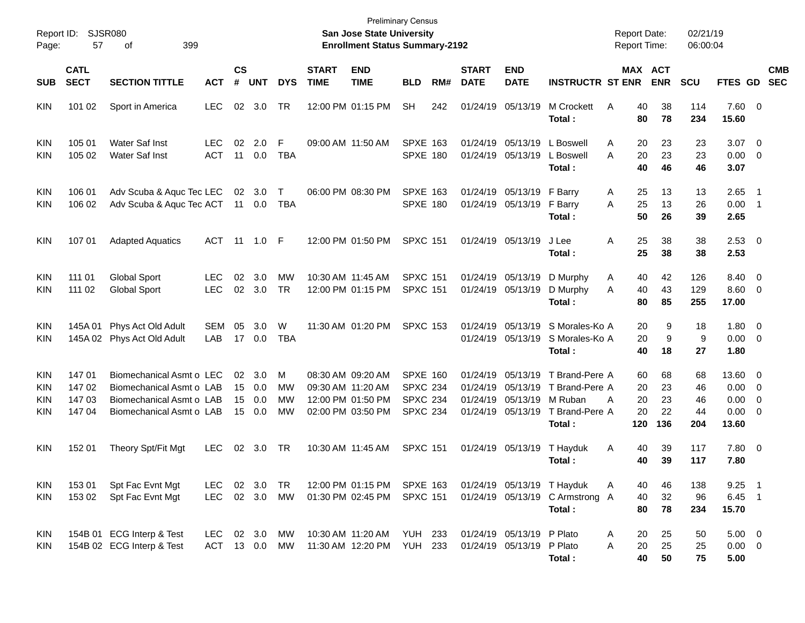| Report ID:<br>Page:                           | 57                                                                | <b>SJSR080</b><br>399<br>of                                                                                  |                          |                      |                          |                                   |                             | <b>Preliminary Census</b><br><b>San Jose State University</b><br><b>Enrollment Status Summary-2192</b> |                                                                          |     |                                        |                                                                         |                                                                         | <b>Report Date:</b><br><b>Report Time:</b> |                             | 02/21/19<br>06:00:04        |                                                        |                                                      |  |
|-----------------------------------------------|-------------------------------------------------------------------|--------------------------------------------------------------------------------------------------------------|--------------------------|----------------------|--------------------------|-----------------------------------|-----------------------------|--------------------------------------------------------------------------------------------------------|--------------------------------------------------------------------------|-----|----------------------------------------|-------------------------------------------------------------------------|-------------------------------------------------------------------------|--------------------------------------------|-----------------------------|-----------------------------|--------------------------------------------------------|------------------------------------------------------|--|
| <b>SUB</b>                                    | <b>CATL</b><br><b>SECT</b><br><b>SECTION TITTLE</b><br><b>ACT</b> |                                                                                                              |                          |                      | <b>UNT</b>               | <b>DYS</b>                        | <b>START</b><br><b>TIME</b> | <b>END</b><br><b>TIME</b>                                                                              | <b>BLD</b>                                                               | RM# | <b>START</b><br><b>DATE</b>            | <b>END</b><br><b>DATE</b>                                               | <b>INSTRUCTR ST ENR</b>                                                 | MAX ACT                                    | <b>ENR</b>                  | SCU                         | FTES GD                                                | <b>CMB</b><br><b>SEC</b>                             |  |
| <b>KIN</b>                                    | 101 02                                                            | Sport in America                                                                                             | <b>LEC</b>               | 02                   | 3.0                      | TR                                |                             | 12:00 PM 01:15 PM                                                                                      | <b>SH</b>                                                                | 242 | 01/24/19 05/13/19                      |                                                                         | <b>M Crockett</b><br>Total:                                             | A<br>40<br>80                              | 38<br>78                    | 114<br>234                  | 7.60 0<br>15.60                                        |                                                      |  |
| <b>KIN</b><br>KIN                             | 105 01<br>105 02                                                  | <b>Water Saf Inst</b><br><b>Water Saf Inst</b>                                                               | LEC.<br><b>ACT</b>       | 02<br>11             | 2.0<br>0.0               | F<br><b>TBA</b>                   | 09:00 AM 11:50 AM           |                                                                                                        | <b>SPXE 163</b><br><b>SPXE 180</b>                                       |     |                                        | 01/24/19 05/13/19<br>01/24/19 05/13/19                                  | L Boswell<br>L Boswell<br>Total :                                       | 20<br>A<br>20<br>A<br>40                   | 23<br>23<br>46              | 23<br>23<br>46              | $3.07$ 0<br>$0.00 \t 0$<br>3.07                        |                                                      |  |
| <b>KIN</b><br>KIN                             | 106 01<br>106 02                                                  | Adv Scuba & Aquc Tec LEC<br>Adv Scuba & Aquc Tec ACT                                                         |                          | 02<br>11             | 3.0<br>0.0               | $\top$<br><b>TBA</b>              |                             | 06:00 PM 08:30 PM                                                                                      | <b>SPXE 163</b><br><b>SPXE 180</b>                                       |     |                                        | 01/24/19 05/13/19<br>01/24/19 05/13/19                                  | F Barry<br>F Barry<br>Total :                                           | 25<br>A<br>25<br>A<br>50                   | 13<br>13<br>26              | 13<br>26<br>39              | 2.65<br>0.00<br>2.65                                   | $\overline{\phantom{0}}$<br>$\overline{\phantom{0}}$ |  |
| KIN                                           | 107 01                                                            | <b>Adapted Aquatics</b>                                                                                      | <b>ACT</b>               |                      |                          | -F                                |                             | 12:00 PM 01:50 PM                                                                                      | <b>SPXC 151</b>                                                          |     | 01/24/19 05/13/19                      |                                                                         | J Lee<br>Total :                                                        | Α<br>25<br>25                              | 38<br>38                    | 38<br>38                    | $2.53$ 0<br>2.53                                       |                                                      |  |
| <b>KIN</b><br>KIN                             | 111 01<br>111 02                                                  | <b>Global Sport</b><br><b>Global Sport</b>                                                                   | <b>LEC</b><br><b>LEC</b> | 02                   | 3.0<br>02 3.0            | <b>MW</b><br><b>TR</b>            |                             | 10:30 AM 11:45 AM<br>12:00 PM 01:15 PM                                                                 | <b>SPXC 151</b><br><b>SPXC 151</b>                                       |     | 01/24/19 05/13/19<br>01/24/19 05/13/19 |                                                                         | D Murphy<br>D Murphy<br>Total:                                          | A<br>40<br>40<br>A<br>80                   | 42<br>43<br>85              | 126<br>129<br>255           | 8.40 0<br>8.60 0<br>17.00                              |                                                      |  |
| <b>KIN</b><br><b>KIN</b>                      | 145A 01                                                           | Phys Act Old Adult<br>145A 02 Phys Act Old Adult                                                             | <b>SEM</b><br>LAB        | 05<br>17             | 3.0<br>0.0               | W<br><b>TBA</b>                   |                             | 11:30 AM 01:20 PM                                                                                      | <b>SPXC 153</b>                                                          |     |                                        | 01/24/19 05/13/19<br>01/24/19 05/13/19                                  | S Morales-Ko A<br>S Morales-Ko A<br>Total :                             | 20<br>20<br>40                             | 9<br>9<br>18                | 18<br>9<br>27               | $1.80 \ 0$<br>$0.00 \t 0$<br>1.80                      |                                                      |  |
| <b>KIN</b><br><b>KIN</b><br><b>KIN</b><br>KIN | 14701<br>14702<br>14703<br>147 04                                 | Biomechanical Asmt o LEC<br>Biomechanical Asmt o LAB<br>Biomechanical Asmt o LAB<br>Biomechanical Asmt o LAB |                          | 02<br>15<br>15<br>15 | 3.0<br>0.0<br>0.0<br>0.0 | М<br><b>MW</b><br>МW<br><b>MW</b> | 09:30 AM 11:20 AM           | 08:30 AM 09:20 AM<br>12:00 PM 01:50 PM<br>02:00 PM 03:50 PM                                            | <b>SPXE 160</b><br><b>SPXC 234</b><br><b>SPXC 234</b><br><b>SPXC 234</b> |     | 01/24/19                               | 01/24/19 05/13/19<br>01/24/19 05/13/19<br>05/13/19<br>01/24/19 05/13/19 | T Brand-Pere A<br>T Brand-Pere A<br>M Ruban<br>T Brand-Pere A<br>Total: | 60<br>20<br>20<br>A<br>20<br>120           | 68<br>23<br>23<br>22<br>136 | 68<br>46<br>46<br>44<br>204 | 13.60 0<br>$0.00 \t 0$<br>0.00<br>$0.00 \t 0$<br>13.60 | $\overline{\phantom{0}}$                             |  |
| <b>KIN</b>                                    | 152 01                                                            | Theory Spt/Fit Mgt                                                                                           | <b>LEC</b>               | 02                   | 3.0                      | TR                                |                             | 10:30 AM 11:45 AM                                                                                      | <b>SPXC 151</b>                                                          |     |                                        | 01/24/19 05/13/19                                                       | T Hayduk<br>Total:                                                      | 40<br>A<br>40                              | 39<br>39                    | 117<br>117                  | 7.80 0<br>7.80                                         |                                                      |  |
| <b>KIN</b><br>KIN                             | 15301<br>153 02                                                   | Spt Fac Evnt Mgt<br>Spt Fac Evnt Mgt                                                                         | LEC.<br><b>LEC</b>       |                      | 02 3.0<br>02 3.0         | TR<br><b>MW</b>                   |                             | 12:00 PM 01:15 PM<br>01:30 PM 02:45 PM                                                                 | SPXE 163<br><b>SPXC 151</b>                                              |     |                                        | 01/24/19 05/13/19                                                       | 01/24/19 05/13/19 T Hayduk<br>C Armstrong A<br>Total:                   | 40<br>A<br>40<br>80                        | 46<br>32<br>78              | 138<br>96<br>234            | $9.25$ 1<br>$6.45$ 1<br>15.70                          |                                                      |  |
| <b>KIN</b><br><b>KIN</b>                      |                                                                   | 154B 01 ECG Interp & Test<br>154B 02 ECG Interp & Test                                                       | LEC 02 3.0<br>ACT 13 0.0 |                      |                          | MW<br>MW                          |                             | 10:30 AM 11:20 AM<br>11:30 AM 12:20 PM                                                                 | <b>YUH 233</b><br><b>YUH 233</b>                                         |     |                                        | 01/24/19 05/13/19 P Plato<br>01/24/19 05/13/19                          | P Plato<br>Total:                                                       | 20<br>A<br>20<br>Α<br>40                   | 25<br>25<br>50              | 50<br>25<br>75              | $5.00 \t 0$<br>$0.00 \t 0$<br>5.00                     |                                                      |  |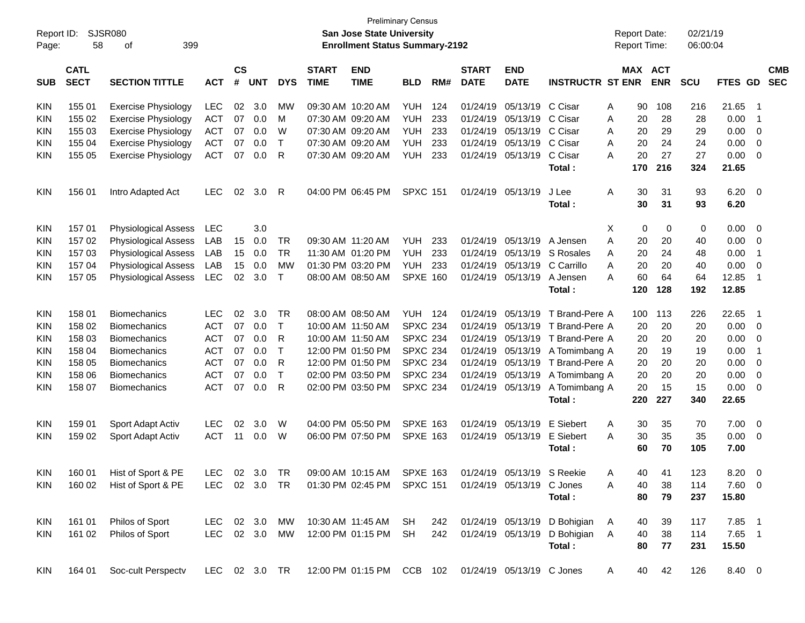| Report ID:<br>Page: | 58                         | <b>SJSR080</b><br>399<br>οf |               |                    |            |              |                             | <b>San Jose State University</b><br><b>Enrollment Status Summary-2192</b> | <b>Preliminary Census</b> |     |                             |                            |                                |              | <b>Report Date:</b><br>Report Time: |            | 02/21/19<br>06:00:04 |              |                          |                          |
|---------------------|----------------------------|-----------------------------|---------------|--------------------|------------|--------------|-----------------------------|---------------------------------------------------------------------------|---------------------------|-----|-----------------------------|----------------------------|--------------------------------|--------------|-------------------------------------|------------|----------------------|--------------|--------------------------|--------------------------|
| <b>SUB</b>          | <b>CATL</b><br><b>SECT</b> | <b>SECTION TITTLE</b>       | <b>ACT</b>    | $\mathsf{cs}$<br># | <b>UNT</b> | <b>DYS</b>   | <b>START</b><br><b>TIME</b> | <b>END</b><br><b>TIME</b>                                                 | <b>BLD</b>                | RM# | <b>START</b><br><b>DATE</b> | <b>END</b><br><b>DATE</b>  | <b>INSTRUCTR ST ENR</b>        |              | <b>MAX ACT</b>                      | <b>ENR</b> | <b>SCU</b>           | FTES GD      |                          | <b>CMB</b><br><b>SEC</b> |
| <b>KIN</b>          | 155 01                     | <b>Exercise Physiology</b>  | <b>LEC</b>    | 02                 | 3.0        | МW           |                             | 09:30 AM 10:20 AM                                                         | <b>YUH</b>                | 124 | 01/24/19                    | 05/13/19                   | C Cisar                        | Α            | 90                                  | 108        | 216                  | 21.65        | - 1                      |                          |
| <b>KIN</b>          | 155 02                     | <b>Exercise Physiology</b>  | <b>ACT</b>    | 07                 | 0.0        | M            |                             | 07:30 AM 09:20 AM                                                         | <b>YUH</b>                | 233 | 01/24/19                    | 05/13/19                   | C Cisar                        | A            | 20                                  | 28         | 28                   | 0.00         | $\overline{1}$           |                          |
| KIN                 | 155 03                     | <b>Exercise Physiology</b>  | <b>ACT</b>    | 07                 | 0.0        | W            |                             | 07:30 AM 09:20 AM                                                         | <b>YUH</b>                | 233 | 01/24/19                    | 05/13/19                   | C Cisar                        | A            | 20                                  | 29         | 29                   | 0.00         | $\overline{\mathbf{0}}$  |                          |
| KIN                 | 155 04                     | <b>Exercise Physiology</b>  | <b>ACT</b>    | 07                 | 0.0        | $\mathsf{T}$ |                             | 07:30 AM 09:20 AM                                                         | <b>YUH</b>                | 233 | 01/24/19                    | 05/13/19                   | C Cisar                        | A            | 20                                  | 24         | 24                   | 0.00         | $\overline{0}$           |                          |
| <b>KIN</b>          | 155 05                     | <b>Exercise Physiology</b>  | <b>ACT</b>    | 07                 | 0.0        | R            |                             | 07:30 AM 09:20 AM                                                         | <b>YUH</b>                | 233 | 01/24/19                    | 05/13/19                   | C Cisar                        | А            | 20                                  | 27         | 27                   | 0.00         | 0                        |                          |
|                     |                            |                             |               |                    |            |              |                             |                                                                           |                           |     |                             |                            | Total:                         |              | 170                                 | 216        | 324                  | 21.65        |                          |                          |
| <b>KIN</b>          | 156 01                     | Intro Adapted Act           | <b>LEC</b>    | 02                 | 3.0        | R            |                             | 04:00 PM 06:45 PM                                                         | <b>SPXC 151</b>           |     | 01/24/19                    | 05/13/19                   | J Lee<br>Total:                | A            | 30<br>30                            | 31<br>31   | 93<br>93             | 6.20<br>6.20 | $\overline{\mathbf{0}}$  |                          |
| <b>KIN</b>          | 157 01                     | <b>Physiological Assess</b> | <b>LEC</b>    |                    | 3.0        |              |                             |                                                                           |                           |     |                             |                            |                                | X            | 0                                   | 0          | 0                    | 0.00         | - 0                      |                          |
| <b>KIN</b>          | 157 02                     | <b>Physiological Assess</b> | LAB           | 15                 | 0.0        | <b>TR</b>    |                             | 09:30 AM 11:20 AM                                                         | <b>YUH</b>                | 233 | 01/24/19                    | 05/13/19                   | A Jensen                       | A            | 20                                  | 20         | 40                   | 0.00         | $\overline{\mathbf{0}}$  |                          |
| <b>KIN</b>          | 157 03                     | <b>Physiological Assess</b> | LAB           | 15                 | 0.0        | <b>TR</b>    |                             | 11:30 AM 01:20 PM                                                         | <b>YUH</b>                | 233 | 01/24/19                    | 05/13/19                   | S Rosales                      | A            | 20                                  | 24         | 48                   | 0.00         | $\overline{1}$           |                          |
| <b>KIN</b>          | 157 04                     | <b>Physiological Assess</b> | LAB           | 15                 | 0.0        | <b>MW</b>    |                             | 01:30 PM 03:20 PM                                                         | <b>YUH</b>                | 233 | 01/24/19                    | 05/13/19                   | C Carrillo                     | A            | 20                                  | 20         | 40                   | 0.00         | - 0                      |                          |
| <b>KIN</b>          | 157 05                     | <b>Physiological Assess</b> | <b>LEC</b>    | 02                 | 3.0        | $\top$       |                             | 08:00 AM 08:50 AM                                                         | <b>SPXE 160</b>           |     | 01/24/19                    | 05/13/19                   | A Jensen                       | A            | 60                                  | 64         | 64                   | 12.85        | $\overline{1}$           |                          |
|                     |                            |                             |               |                    |            |              |                             |                                                                           |                           |     |                             |                            | Total:                         |              | 120                                 | 128        | 192                  | 12.85        |                          |                          |
| <b>KIN</b>          | 158 01                     | <b>Biomechanics</b>         | <b>LEC</b>    | 02                 | 3.0        | <b>TR</b>    |                             | 08:00 AM 08:50 AM                                                         | <b>YUH 124</b>            |     | 01/24/19                    | 05/13/19                   | T Brand-Pere A                 |              | 100                                 | 113        | 226                  | 22.65        | $\overline{\phantom{0}}$ |                          |
| <b>KIN</b>          | 158 02                     | <b>Biomechanics</b>         | <b>ACT</b>    | 07                 | 0.0        | $\top$       |                             | 10:00 AM 11:50 AM                                                         | <b>SPXC 234</b>           |     | 01/24/19                    | 05/13/19                   | T Brand-Pere A                 |              | 20                                  | 20         | 20                   | 0.00         | $\overline{\mathbf{0}}$  |                          |
| <b>KIN</b>          | 158 03                     | <b>Biomechanics</b>         | <b>ACT</b>    | 07                 | 0.0        | R            |                             | 10:00 AM 11:50 AM                                                         | <b>SPXC 234</b>           |     | 01/24/19                    | 05/13/19                   | T Brand-Pere A                 |              | 20                                  | 20         | 20                   | 0.00         | $\overline{0}$           |                          |
| KIN                 | 158 04                     | <b>Biomechanics</b>         | <b>ACT</b>    | 07                 | 0.0        | $\top$       |                             | 12:00 PM 01:50 PM                                                         | <b>SPXC 234</b>           |     | 01/24/19                    | 05/13/19                   | A Tomimbang A                  |              | 20                                  | 19         | 19                   | 0.00         | $\overline{1}$           |                          |
| <b>KIN</b>          | 158 05                     | <b>Biomechanics</b>         | <b>ACT</b>    | 07                 | 0.0        | R            |                             | 12:00 PM 01:50 PM                                                         | <b>SPXC 234</b>           |     | 01/24/19                    | 05/13/19                   | T Brand-Pere A                 |              | 20                                  | 20         | 20                   | 0.00         | $\overline{0}$           |                          |
| KIN                 | 158 06                     | <b>Biomechanics</b>         | <b>ACT</b>    | 07                 | 0.0        | $\top$       |                             | 02:00 PM 03:50 PM                                                         | <b>SPXC 234</b>           |     | 01/24/19                    | 05/13/19                   | A Tomimbang A                  |              | 20                                  | 20         | 20                   | 0.00         | $\overline{0}$           |                          |
| <b>KIN</b>          | 158 07                     | <b>Biomechanics</b>         | <b>ACT</b>    | 07                 | 0.0        | R            |                             | 02:00 PM 03:50 PM                                                         | <b>SPXC 234</b>           |     |                             | 01/24/19 05/13/19          | A Tomimbang A                  |              | 20                                  | 15         | 15                   | 0.00         | 0                        |                          |
|                     |                            |                             |               |                    |            |              |                             |                                                                           |                           |     |                             |                            | Total:                         |              | 220                                 | 227        | 340                  | 22.65        |                          |                          |
| <b>KIN</b>          | 159 01                     | Sport Adapt Activ           | <b>LEC</b>    | 02                 | 3.0        | W            |                             | 04:00 PM 05:50 PM                                                         | <b>SPXE 163</b>           |     | 01/24/19                    | 05/13/19                   | E Siebert                      | A            | 30                                  | 35         | 70                   | 7.00         | $\overline{\mathbf{0}}$  |                          |
| <b>KIN</b>          | 159 02                     | Sport Adapt Activ           | <b>ACT</b>    | 11                 | 0.0        | W            |                             | 06:00 PM 07:50 PM                                                         | <b>SPXE 163</b>           |     |                             | 01/24/19 05/13/19          | E Siebert                      | A            | 30                                  | 35         | 35                   | 0.00         | - 0                      |                          |
|                     |                            |                             |               |                    |            |              |                             |                                                                           |                           |     |                             |                            | Total:                         |              | 60                                  | 70         | 105                  | 7.00         |                          |                          |
| KIN                 | 160 01                     | Hist of Sport & PE          | <b>LEC</b>    |                    |            |              |                             | 02 3.0 TR  09:00 AM  10:15 AM  SPXE  163                                  |                           |     |                             | 01/24/19 05/13/19 S Reekie |                                | A            | 40                                  | 41         | 123                  | 8.20 0       |                          |                          |
| KIN.                | 160 02                     | Hist of Sport & PE          |               |                    |            |              |                             | LEC 02 3.0 TR  01:30 PM 02:45 PM  SPXC 151                                |                           |     |                             | 01/24/19 05/13/19 C Jones  |                                | A            | 40                                  | 38         | 114                  | $7.60$ 0     |                          |                          |
|                     |                            |                             |               |                    |            |              |                             |                                                                           |                           |     |                             |                            | Total:                         |              | 80                                  | 79         | 237                  | 15.80        |                          |                          |
| KIN                 | 161 01                     | Philos of Sport             | LEC 02 3.0 MW |                    |            |              |                             | 10:30 AM 11:45 AM SH                                                      |                           | 242 |                             |                            | 01/24/19 05/13/19 D Bohigian   | <b>A</b>     | 40                                  | 39         | 117                  | 7.85 1       |                          |                          |
| KIN                 | 161 02                     | Philos of Sport             | LEC           |                    |            | 02 3.0 MW    |                             | 12:00 PM 01:15 PM SH                                                      |                           | 242 |                             |                            | 01/24/19 05/13/19 D Bohigian A |              | 40                                  | 38         | 114                  | 7.65 1       |                          |                          |
|                     |                            |                             |               |                    |            |              |                             |                                                                           |                           |     |                             |                            | Total:                         |              | 80                                  | 77         | 231                  | 15.50        |                          |                          |
| KIN.                | 164 01                     | Soc-cult Perspectv          |               |                    |            |              |                             | LEC 02 3.0 TR 12:00 PM 01:15 PM CCB 102 01/24/19 05/13/19 C Jones         |                           |     |                             |                            |                                | $\mathsf{A}$ | 40                                  | 42         | 126                  | 8.40 0       |                          |                          |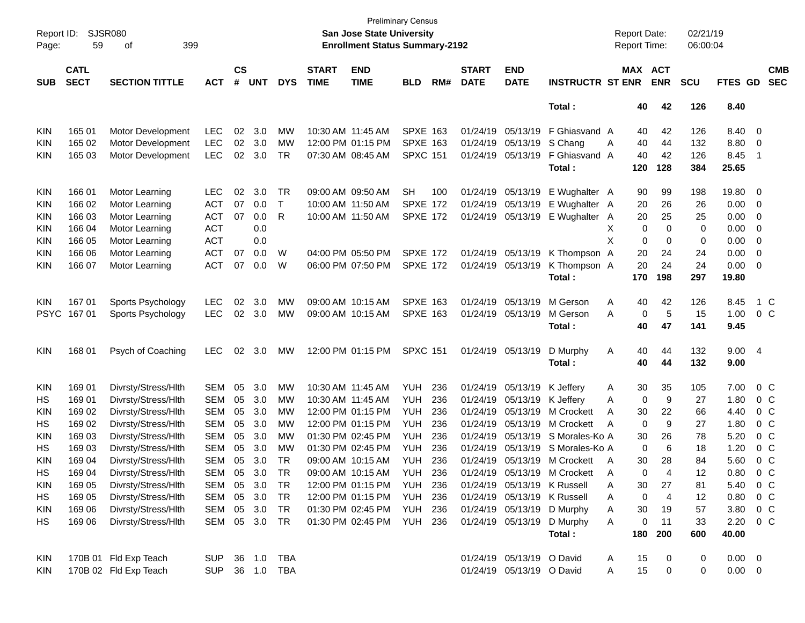| Page:       | <b>SJSR080</b><br>Report ID:<br>399<br>59<br>of     |                          |            |                    |                |              |                             | <b>San Jose State University</b><br><b>Enrollment Status Summary-2192</b> | <b>Preliminary Census</b> |      |                             |                           |                              | <b>Report Date:</b><br><b>Report Time:</b> |                       |             | 02/21/19<br>06:00:04 |                |                         |                          |
|-------------|-----------------------------------------------------|--------------------------|------------|--------------------|----------------|--------------|-----------------------------|---------------------------------------------------------------------------|---------------------------|------|-----------------------------|---------------------------|------------------------------|--------------------------------------------|-----------------------|-------------|----------------------|----------------|-------------------------|--------------------------|
| <b>SUB</b>  | <b>CATL</b><br><b>SECT</b><br><b>SECTION TITTLE</b> |                          | <b>ACT</b> | $\mathsf{cs}$<br># | <b>UNT</b>     | <b>DYS</b>   | <b>START</b><br><b>TIME</b> | <b>END</b><br><b>TIME</b>                                                 | <b>BLD</b>                | RM#  | <b>START</b><br><b>DATE</b> | <b>END</b><br><b>DATE</b> | <b>INSTRUCTR ST ENR</b>      |                                            | MAX ACT<br><b>ENR</b> |             | <b>SCU</b>           | FTES GD        |                         | <b>CMB</b><br><b>SEC</b> |
|             |                                                     |                          |            |                    |                |              |                             |                                                                           |                           |      |                             |                           | Total:                       |                                            | 40                    | 42          | 126                  | 8.40           |                         |                          |
| <b>KIN</b>  | 165 01                                              | Motor Development        | <b>LEC</b> | 02                 | 3.0            | МW           |                             | 10:30 AM 11:45 AM                                                         | <b>SPXE 163</b>           |      | 01/24/19                    |                           | 05/13/19 F Ghiasvand A       |                                            | 40                    | 42          | 126                  | 8.40           | 0                       |                          |
| KIN         | 165 02                                              | <b>Motor Development</b> | <b>LEC</b> | 02 <sub>o</sub>    | 3.0            | <b>MW</b>    |                             | 12:00 PM 01:15 PM                                                         | <b>SPXE 163</b>           |      | 01/24/19                    | 05/13/19 S Chang          |                              | Α                                          | 40                    | 44          | 132                  | 8.80           | 0                       |                          |
| <b>KIN</b>  | 165 03                                              | Motor Development        | <b>LEC</b> | 02                 | 3.0            | TR           |                             | 07:30 AM 08:45 AM                                                         | <b>SPXC 151</b>           |      | 01/24/19                    | 05/13/19                  | F Ghiasvand A                |                                            | 40                    | 42          | 126                  | 8.45           | $\overline{\mathbf{1}}$ |                          |
|             |                                                     |                          |            |                    |                |              |                             |                                                                           |                           |      |                             |                           | Total:                       | 120                                        |                       | 128         | 384                  | 25.65          |                         |                          |
| <b>KIN</b>  | 166 01                                              | Motor Learning           | <b>LEC</b> | 02                 | 3.0            | TR           |                             | 09:00 AM 09:50 AM                                                         | <b>SH</b>                 | 100  | 01/24/19                    | 05/13/19                  | E Wughalter A                |                                            | 90                    | 99          | 198                  | 19.80          | 0                       |                          |
| KIN         | 166 02                                              | Motor Learning           | <b>ACT</b> | 07                 | 0.0            | $\mathsf{T}$ |                             | 10:00 AM 11:50 AM                                                         | <b>SPXE 172</b>           |      | 01/24/19                    | 05/13/19                  | E Wughalter A                |                                            | 20                    | 26          | 26                   | 0.00           | - 0                     |                          |
| KIN         | 166 03                                              | Motor Learning           | <b>ACT</b> | 07                 | 0.0            | R            |                             | 10:00 AM 11:50 AM                                                         | <b>SPXE 172</b>           |      | 01/24/19                    | 05/13/19                  | E Wughalter A                |                                            | 20                    | 25          | 25                   | 0.00           | 0                       |                          |
| KIN         | 166 04                                              | Motor Learning           | <b>ACT</b> |                    | 0.0            |              |                             |                                                                           |                           |      |                             |                           |                              | X                                          | 0                     | $\mathbf 0$ | 0                    | 0.00           | 0                       |                          |
| KIN         | 166 05                                              | Motor Learning           | <b>ACT</b> |                    | 0.0            |              |                             |                                                                           |                           |      |                             |                           |                              | X                                          | 0                     | 0           | 0                    | 0.00           | $\mathbf 0$             |                          |
| KIN         | 166 06                                              | Motor Learning           | <b>ACT</b> | 07                 | 0.0            | W            |                             | 04:00 PM 05:50 PM                                                         | <b>SPXE 172</b>           |      |                             | 01/24/19 05/13/19         | K Thompson A                 |                                            | 20                    | 24          | 24                   | 0.00           | $\mathbf 0$             |                          |
| <b>KIN</b>  | 166 07                                              | Motor Learning           | <b>ACT</b> | 07                 | 0.0            | W            |                             | 06:00 PM 07:50 PM                                                         | <b>SPXE 172</b>           |      | 01/24/19                    | 05/13/19                  | K Thompson A                 |                                            | 20                    | 24          | 24                   | 0.00           | $\mathbf 0$             |                          |
|             |                                                     |                          |            |                    |                |              |                             |                                                                           |                           |      |                             |                           | Total:                       | 170                                        |                       | 198         | 297                  | 19.80          |                         |                          |
| <b>KIN</b>  | 16701                                               | Sports Psychology        | <b>LEC</b> | 02                 | 3.0            | МW           |                             | 09:00 AM 10:15 AM                                                         | <b>SPXE 163</b>           |      | 01/24/19                    | 05/13/19                  | M Gerson                     | Α                                          | 40                    | 42          | 126                  | 8.45           |                         | $1\,C$                   |
| <b>PSYC</b> | 16701                                               | Sports Psychology        | <b>LEC</b> | 02                 | 3.0            | <b>MW</b>    |                             | 09:00 AM 10:15 AM                                                         | <b>SPXE 163</b>           |      | 01/24/19                    | 05/13/19                  | M Gerson                     | A                                          | 0                     | 5           | 15                   | 1.00           | 0 <sup>C</sup>          |                          |
|             |                                                     |                          |            |                    |                |              |                             |                                                                           |                           |      |                             |                           | Total:                       |                                            | 40                    | 47          | 141                  | 9.45           |                         |                          |
| <b>KIN</b>  | 168 01                                              | Psych of Coaching        | <b>LEC</b> | 02                 | 3.0            | <b>MW</b>    |                             | 12:00 PM 01:15 PM                                                         | <b>SPXC 151</b>           |      |                             | 01/24/19 05/13/19         | D Murphy                     | Α                                          | 40                    | 44          | 132                  | 9.004          |                         |                          |
|             |                                                     |                          |            |                    |                |              |                             |                                                                           |                           |      |                             |                           | Total:                       |                                            | 40                    | 44          | 132                  | 9.00           |                         |                          |
| <b>KIN</b>  | 169 01                                              | Divrsty/Stress/Hlth      | <b>SEM</b> | 05                 | 3.0            | <b>MW</b>    |                             | 10:30 AM 11:45 AM                                                         | <b>YUH</b>                | 236  | 01/24/19                    | 05/13/19                  | K Jeffery                    | A                                          | 30                    | 35          | 105                  | 7.00           | 0 <sup>C</sup>          |                          |
| HS          | 169 01                                              | Divrsty/Stress/Hlth      | <b>SEM</b> | 05                 | 3.0            | <b>MW</b>    |                             | 10:30 AM 11:45 AM                                                         | <b>YUH</b>                | 236  | 01/24/19                    | 05/13/19                  | K Jeffery                    | A                                          | 0                     | 9           | 27                   | 1.80           | $0\,C$                  |                          |
| KIN         | 169 02                                              | Divrsty/Stress/Hlth      | <b>SEM</b> | 05                 | 3.0            | MW           |                             | 12:00 PM 01:15 PM                                                         | YUH.                      | 236  | 01/24/19                    | 05/13/19                  | M Crockett                   | A                                          | 30                    | 22          | 66                   | 4.40           | 0 <sup>C</sup>          |                          |
| HS          | 169 02                                              | Divrsty/Stress/Hlth      | <b>SEM</b> | 05                 | 3.0            | MW           |                             | 12:00 PM 01:15 PM                                                         | YUH.                      | 236  | 01/24/19                    | 05/13/19                  | M Crockett                   | A                                          | 0                     | 9           | 27                   | 1.80           | 0 <sup>C</sup>          |                          |
| KIN         | 169 03                                              | Divrsty/Stress/Hlth      | <b>SEM</b> | 05                 | 3.0            | <b>MW</b>    |                             | 01:30 PM 02:45 PM                                                         | YUH.                      | 236  | 01/24/19                    | 05/13/19                  | S Morales-Ko A               |                                            | 30                    | 26          | 78                   | 5.20           | $0\,C$                  |                          |
| HS          | 169 03                                              | Divrsty/Stress/Hlth      | <b>SEM</b> | 05                 | 3.0            | <b>MW</b>    |                             | 01:30 PM 02:45 PM                                                         | <b>YUH</b>                | 236  | 01/24/19                    | 05/13/19                  | S Morales-Ko A               |                                            | 0                     | 6           | 18                   | 1.20           | 0 <sup>C</sup>          |                          |
| <b>KIN</b>  | 169 04                                              | Divrsty/Stress/Hlth      | <b>SEM</b> | 05                 | 3.0            | <b>TR</b>    |                             | 09:00 AM 10:15 AM                                                         | <b>YUH</b>                | 236  | 01/24/19                    | 05/13/19                  | M Crockett                   | A                                          | 30                    | 28          | 84                   | 5.60           | 0 <sup>C</sup>          |                          |
| HS          | 169 04                                              | Divrsty/Stress/Hlth      | SEM        |                    | $05 \quad 3.0$ | <b>TR</b>    |                             | 09:00 AM_10:15 AM_                                                        | YUH                       | 236  |                             |                           | 01/24/19 05/13/19 M Crockett | A                                          | $\Omega$              | 4           | 12                   | 0.80           |                         | $0\,C$                   |
| KIN         | 169 05                                              | Divrsty/Stress/Hlth      | SEM 05 3.0 |                    |                | TR           |                             | 12:00 PM 01:15 PM                                                         | YUH                       | -236 |                             |                           | 01/24/19 05/13/19 K Russell  | A                                          | 30                    | 27          | 81                   | 5.40           | 0 <sup>o</sup>          |                          |
| HS          | 169 05                                              | Divrsty/Stress/Hlth      | SEM        | 05                 | 3.0            | TR           |                             | 12:00 PM 01:15 PM                                                         | YUH                       | 236  |                             |                           | 01/24/19 05/13/19 K Russell  | A                                          | 0                     | 4           | 12                   | 0.80           | $0\,$ C                 |                          |
| <b>KIN</b>  | 169 06                                              | Divrsty/Stress/Hlth      | SEM        | 05                 | 3.0            | TR           |                             | 01:30 PM 02:45 PM                                                         | YUH 236                   |      |                             |                           | 01/24/19 05/13/19 D Murphy   | A                                          | 30                    | 19          | 57                   | 3.80           | $0\,C$                  |                          |
| HS.         | 169 06                                              | Divrsty/Stress/Hlth      | SEM 05 3.0 |                    |                | TR           |                             | 01:30 PM 02:45 PM YUH 236                                                 |                           |      |                             |                           | 01/24/19 05/13/19 D Murphy   | A                                          | 0                     | 11          | 33                   | 2.20           | $0\,C$                  |                          |
|             |                                                     |                          |            |                    |                |              |                             |                                                                           |                           |      |                             |                           | Total:                       | 180                                        |                       | 200         | 600                  | 40.00          |                         |                          |
| KIN         |                                                     | 170B 01 Fld Exp Teach    | <b>SUP</b> |                    | 36 1.0         | TBA          |                             |                                                                           |                           |      |                             | 01/24/19 05/13/19 O David |                              | A                                          | 15                    | 0           | 0                    | $0.00 \quad 0$ |                         |                          |
| <b>KIN</b>  |                                                     | 170B 02 Fld Exp Teach    | <b>SUP</b> |                    | 36 1.0         | TBA          |                             |                                                                           |                           |      |                             | 01/24/19 05/13/19 O David |                              | A                                          | 15                    | 0           | 0                    | $0.00 \t 0$    |                         |                          |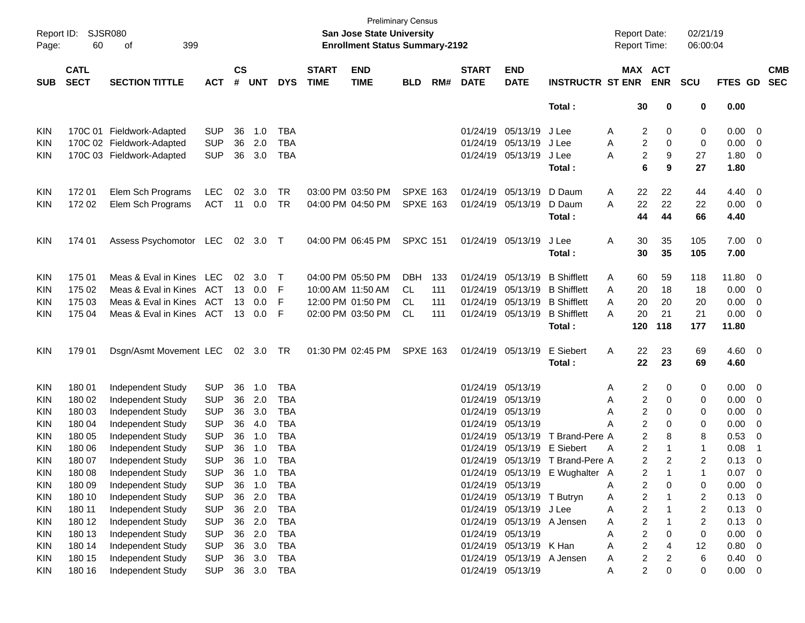| Report ID:<br>Page: | <b>SJSR080</b><br>60       | 399<br>оf                 |            |                    |            |            |                             | <b>Preliminary Census</b><br><b>San Jose State University</b><br><b>Enrollment Status Summary-2192</b> |                 |     |                             |                           |                                  | <b>Report Date:</b><br>Report Time: |                         |                         | 02/21/19<br>06:00:04 |                |                          |                          |
|---------------------|----------------------------|---------------------------|------------|--------------------|------------|------------|-----------------------------|--------------------------------------------------------------------------------------------------------|-----------------|-----|-----------------------------|---------------------------|----------------------------------|-------------------------------------|-------------------------|-------------------------|----------------------|----------------|--------------------------|--------------------------|
| <b>SUB</b>          | <b>CATL</b><br><b>SECT</b> | <b>SECTION TITTLE</b>     | <b>ACT</b> | $\mathsf{cs}$<br># | <b>UNT</b> | <b>DYS</b> | <b>START</b><br><b>TIME</b> | <b>END</b><br><b>TIME</b>                                                                              | <b>BLD</b>      | RM# | <b>START</b><br><b>DATE</b> | <b>END</b><br><b>DATE</b> | <b>INSTRUCTR ST ENR</b>          |                                     |                         | MAX ACT<br><b>ENR</b>   | <b>SCU</b>           | <b>FTES GD</b> |                          | <b>CMB</b><br><b>SEC</b> |
|                     |                            |                           |            |                    |            |            |                             |                                                                                                        |                 |     |                             |                           | Total:                           |                                     | 30                      | 0                       | 0                    | 0.00           |                          |                          |
| <b>KIN</b>          |                            | 170C 01 Fieldwork-Adapted | <b>SUP</b> | 36                 | 1.0        | <b>TBA</b> |                             |                                                                                                        |                 |     | 01/24/19                    | 05/13/19                  | J Lee                            | A                                   | 2                       | 0                       | 0                    | 0.00           | $\overline{\phantom{0}}$ |                          |
| <b>KIN</b>          |                            | 170C 02 Fieldwork-Adapted | <b>SUP</b> | 36                 | 2.0        | <b>TBA</b> |                             |                                                                                                        |                 |     | 01/24/19                    | 05/13/19                  | J Lee                            | A                                   | 2                       | 0                       | 0                    | 0.00           | - 0                      |                          |
| <b>KIN</b>          |                            | 170C 03 Fieldwork-Adapted | <b>SUP</b> | 36                 | 3.0        | <b>TBA</b> |                             |                                                                                                        |                 |     |                             | 01/24/19 05/13/19         | J Lee                            | А                                   | 2                       | 9                       | 27                   | 1.80           | - 0                      |                          |
|                     |                            |                           |            |                    |            |            |                             |                                                                                                        |                 |     |                             |                           | Total:                           |                                     | 6                       | 9                       | 27                   | 1.80           |                          |                          |
| <b>KIN</b>          | 172 01                     | Elem Sch Programs         | <b>LEC</b> | 02                 | 3.0        | <b>TR</b>  |                             | 03:00 PM 03:50 PM                                                                                      | <b>SPXE 163</b> |     | 01/24/19                    | 05/13/19                  | D Daum                           | A                                   | 22                      | 22                      | 44                   | 4.40           | $\overline{\phantom{0}}$ |                          |
| <b>KIN</b>          | 172 02                     | Elem Sch Programs         | <b>ACT</b> | 11                 | 0.0        | <b>TR</b>  |                             | 04:00 PM 04:50 PM                                                                                      | <b>SPXE 163</b> |     | 01/24/19                    | 05/13/19                  | D Daum                           | A                                   | 22                      | 22                      | 22                   | 0.00           | $\overline{\phantom{0}}$ |                          |
|                     |                            |                           |            |                    |            |            |                             |                                                                                                        |                 |     |                             |                           | Total:                           |                                     | 44                      | 44                      | 66                   | 4.40           |                          |                          |
| <b>KIN</b>          | 174 01                     | Assess Psychomotor LEC    |            |                    | 02 3.0 T   |            |                             | 04:00 PM 06:45 PM                                                                                      | <b>SPXC 151</b> |     |                             | 01/24/19 05/13/19         | J Lee                            | Α                                   | 30                      | 35                      | 105                  | $7.00 \t 0$    |                          |                          |
|                     |                            |                           |            |                    |            |            |                             |                                                                                                        |                 |     |                             |                           | Total:                           |                                     | 30                      | 35                      | 105                  | 7.00           |                          |                          |
| <b>KIN</b>          | 175 01                     | Meas & Eval in Kines LEC  |            | 02                 | 3.0        | т          |                             | 04:00 PM 05:50 PM                                                                                      | <b>DBH</b>      | 133 | 01/24/19                    | 05/13/19                  | <b>B</b> Shifflett               | A                                   | 60                      | 59                      | 118                  | 11.80          | - 0                      |                          |
| KIN                 | 175 02                     | Meas & Eval in Kines      | ACT        | 13                 | 0.0        | F          | 10:00 AM 11:50 AM           |                                                                                                        | <b>CL</b>       | 111 | 01/24/19                    | 05/13/19                  | <b>B</b> Shifflett               | A                                   | 20                      | 18                      | 18                   | 0.00           | - 0                      |                          |
| KIN                 | 175 03                     | Meas & Eval in Kines      | ACT        | 13                 | 0.0        | F          |                             | 12:00 PM 01:50 PM                                                                                      | CL.             | 111 | 01/24/19                    | 05/13/19                  | <b>B</b> Shifflett               | A                                   | 20                      | 20                      | 20                   | 0.00           | 0                        |                          |
| <b>KIN</b>          | 175 04                     | Meas & Eval in Kines ACT  |            |                    | 13 0.0     | F          |                             | 02:00 PM 03:50 PM                                                                                      | CL.             | 111 |                             | 01/24/19 05/13/19         | <b>B</b> Shifflett               | A                                   | 20                      | 21                      | 21                   | 0.00           | - 0                      |                          |
|                     |                            |                           |            |                    |            |            |                             |                                                                                                        |                 |     |                             |                           | Total:                           |                                     | 120                     | 118                     | 177                  | 11.80          |                          |                          |
| <b>KIN</b>          | 179 01                     | Dsgn/Asmt Movement LEC    |            |                    | 02 3.0     | TR         |                             | 01:30 PM 02:45 PM                                                                                      | <b>SPXE 163</b> |     |                             | 01/24/19 05/13/19         | E Siebert                        | Α                                   | 22                      | 23                      | 69                   | $4.60$ 0       |                          |                          |
|                     |                            |                           |            |                    |            |            |                             |                                                                                                        |                 |     |                             |                           | Total:                           |                                     | 22                      | 23                      | 69                   | 4.60           |                          |                          |
| <b>KIN</b>          | 180 01                     | Independent Study         | <b>SUP</b> | 36                 | 1.0        | <b>TBA</b> |                             |                                                                                                        |                 |     | 01/24/19                    | 05/13/19                  |                                  | A                                   | 2                       | 0                       | 0                    | 0.00           | $\overline{\phantom{0}}$ |                          |
| <b>KIN</b>          | 180 02                     | Independent Study         | <b>SUP</b> | 36                 | 2.0        | <b>TBA</b> |                             |                                                                                                        |                 |     | 01/24/19                    | 05/13/19                  |                                  | A                                   | 2                       | 0                       | 0                    | 0.00           | 0                        |                          |
| KIN                 | 180 03                     | Independent Study         | <b>SUP</b> | 36                 | 3.0        | <b>TBA</b> |                             |                                                                                                        |                 |     | 01/24/19                    | 05/13/19                  |                                  | A                                   | 2                       | 0                       | 0                    | 0.00           | 0                        |                          |
| <b>KIN</b>          | 180 04                     | Independent Study         | <b>SUP</b> | 36                 | 4.0        | <b>TBA</b> |                             |                                                                                                        |                 |     | 01/24/19                    | 05/13/19                  |                                  | А                                   | 2                       | $\Omega$                | 0                    | 0.00           | 0                        |                          |
| <b>KIN</b>          | 180 05                     | Independent Study         | <b>SUP</b> | 36                 | 1.0        | <b>TBA</b> |                             |                                                                                                        |                 |     | 01/24/19                    | 05/13/19                  | T Brand-Pere A                   |                                     | 2                       | 8                       | 8                    | 0.53           | 0                        |                          |
| KIN                 | 180 06                     | Independent Study         | <b>SUP</b> | 36                 | 1.0        | <b>TBA</b> |                             |                                                                                                        |                 |     | 01/24/19                    | 05/13/19                  | E Siebert                        | A                                   | 2                       | 1                       | $\mathbf{1}$         | 0.08           | -1                       |                          |
| <b>KIN</b>          | 180 07                     | Independent Study         | <b>SUP</b> | 36                 | 1.0        | <b>TBA</b> |                             |                                                                                                        |                 |     |                             |                           | 01/24/19 05/13/19 T Brand-Pere A |                                     | $\overline{2}$          | $\overline{2}$          | 2                    | 0.13           | - 0                      |                          |
| KIN                 | 180 08                     | Independent Study         | <b>SUP</b> | 36                 | 1.0        | <b>TBA</b> |                             |                                                                                                        |                 |     |                             |                           | 01/24/19 05/13/19 E Wughalter    | $\mathsf{A}$                        | 2                       |                         | 1                    | 0.07           | 0                        |                          |
| KIN                 | 180 09                     | Independent Study         | <b>SUP</b> | 36                 | 1.0        | <b>TBA</b> |                             |                                                                                                        |                 |     | 01/24/19                    | 05/13/19                  |                                  | Α                                   | 2                       | 0                       | 0                    | 0.00           | - 0                      |                          |
| KIN                 | 180 10                     | Independent Study         | <b>SUP</b> | 36                 | 2.0        | <b>TBA</b> |                             |                                                                                                        |                 |     | 01/24/19                    | 05/13/19 T Butryn         |                                  | A                                   | $\overline{\mathbf{c}}$ | 1                       | $\overline{c}$       | 0.13           | - 0                      |                          |
| KIN                 | 180 11                     | Independent Study         | <b>SUP</b> | 36                 | 2.0        | <b>TBA</b> |                             |                                                                                                        |                 |     | 01/24/19                    | 05/13/19                  | J Lee                            | Α                                   | $\overline{\mathbf{c}}$ |                         | $\boldsymbol{2}$     | 0.13           | $\overline{\phantom{0}}$ |                          |
| KIN                 | 180 12                     | Independent Study         | <b>SUP</b> | 36                 | 2.0        | <b>TBA</b> |                             |                                                                                                        |                 |     | 01/24/19                    | 05/13/19                  | A Jensen                         | A                                   | $\overline{c}$          | 1                       | $\overline{c}$       | 0.13           | $\overline{\mathbf{0}}$  |                          |
| KIN                 | 180 13                     | Independent Study         | <b>SUP</b> | 36                 | 2.0        | <b>TBA</b> |                             |                                                                                                        |                 |     | 01/24/19                    | 05/13/19                  |                                  | A                                   | $\overline{\mathbf{c}}$ | 0                       | $\pmb{0}$            | 0.00           | $\overline{\mathbf{0}}$  |                          |
| KIN                 | 180 14                     | Independent Study         | <b>SUP</b> | 36                 | 3.0        | <b>TBA</b> |                             |                                                                                                        |                 |     | 01/24/19                    | 05/13/19 K Han            |                                  | Α                                   | $\overline{\mathbf{c}}$ | 4                       | 12                   | 0.80           | $\overline{\mathbf{0}}$  |                          |
| KIN                 | 180 15                     | Independent Study         | <b>SUP</b> | 36                 | 3.0        | <b>TBA</b> |                             |                                                                                                        |                 |     | 01/24/19                    |                           | 05/13/19 A Jensen                | Α                                   | 2                       | $\overline{\mathbf{c}}$ | $\,6$                | 0.40           | $\overline{\mathbf{0}}$  |                          |
| KIN                 | 180 16                     | Independent Study         | <b>SUP</b> |                    | 36 3.0     | <b>TBA</b> |                             |                                                                                                        |                 |     |                             | 01/24/19 05/13/19         |                                  | Α                                   | $\overline{2}$          | 0                       | 0                    | $0.00 \t 0$    |                          |                          |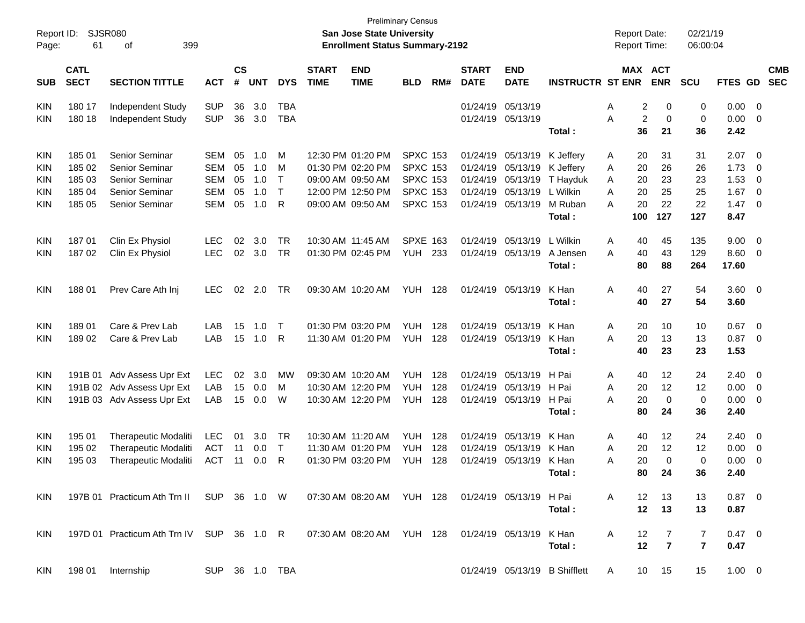| <b>Preliminary Census</b><br><b>SJSR080</b><br>Report ID:<br>San Jose State University<br>399<br>61<br><b>Enrollment Status Summary-2192</b><br>оf<br>Page: |                            |                                                                                             |                |                    |            |              |                             |                           | <b>Report Date:</b><br><b>Report Time:</b> |     | 02/21/19<br>06:00:04        |                             |                               |                             |                       |                |                |                         |                          |
|-------------------------------------------------------------------------------------------------------------------------------------------------------------|----------------------------|---------------------------------------------------------------------------------------------|----------------|--------------------|------------|--------------|-----------------------------|---------------------------|--------------------------------------------|-----|-----------------------------|-----------------------------|-------------------------------|-----------------------------|-----------------------|----------------|----------------|-------------------------|--------------------------|
| <b>SUB</b>                                                                                                                                                  | <b>CATL</b><br><b>SECT</b> | <b>SECTION TITTLE</b>                                                                       | <b>ACT</b>     | $\mathsf{cs}$<br># | <b>UNT</b> | <b>DYS</b>   | <b>START</b><br><b>TIME</b> | <b>END</b><br><b>TIME</b> | <b>BLD</b>                                 | RM# | <b>START</b><br><b>DATE</b> | <b>END</b><br><b>DATE</b>   | <b>INSTRUCTR ST ENR</b>       |                             | MAX ACT<br><b>ENR</b> | <b>SCU</b>     | <b>FTES GD</b> |                         | <b>CMB</b><br><b>SEC</b> |
| <b>KIN</b>                                                                                                                                                  | 180 17                     | Independent Study                                                                           | <b>SUP</b>     | 36                 | 3.0        | TBA          |                             |                           |                                            |     |                             | 01/24/19 05/13/19           |                               | 2<br>Α                      | 0                     | 0              | 0.00           | - 0                     |                          |
| KIN                                                                                                                                                         | 180 18                     | Independent Study                                                                           | <b>SUP</b>     | 36                 | 3.0        | <b>TBA</b>   |                             |                           |                                            |     |                             | 01/24/19 05/13/19           | Total:                        | $\boldsymbol{2}$<br>A<br>36 | 0<br>21               | 0<br>36        | 0.00<br>2.42   | $\overline{0}$          |                          |
| <b>KIN</b>                                                                                                                                                  | 185 01                     | Senior Seminar                                                                              | <b>SEM</b>     | 05                 | 1.0        | M            |                             | 12:30 PM 01:20 PM         | <b>SPXC 153</b>                            |     |                             | 01/24/19 05/13/19 K Jeffery |                               | A<br>20                     | 31                    | 31             | 2.07           | $\overline{0}$          |                          |
| <b>KIN</b>                                                                                                                                                  | 185 02                     | Senior Seminar                                                                              | <b>SEM</b>     | 05                 | 1.0        | M            |                             | 01:30 PM 02:20 PM         | <b>SPXC 153</b>                            |     |                             | 01/24/19 05/13/19           | K Jeffery                     | 20<br>Α                     | 26                    | 26             | 1.73           | 0                       |                          |
| <b>KIN</b>                                                                                                                                                  | 185 03                     | Senior Seminar                                                                              | <b>SEM</b>     | 05                 | 1.0        | $\mathsf{T}$ |                             | 09:00 AM 09:50 AM         | <b>SPXC 153</b>                            |     |                             | 01/24/19 05/13/19           | T Hayduk                      | 20<br>Α                     | 23                    | 23             | 1.53           | 0                       |                          |
| <b>KIN</b>                                                                                                                                                  | 185 04                     | Senior Seminar                                                                              | <b>SEM</b>     | 05                 | 1.0        | $\mathsf{T}$ |                             | 12:00 PM 12:50 PM         | <b>SPXC 153</b>                            |     |                             | 01/24/19 05/13/19           | L Wilkin                      | 20<br>Α                     | 25                    | 25             | 1.67           | $\overline{0}$          |                          |
| <b>KIN</b>                                                                                                                                                  | 185 05                     | Senior Seminar                                                                              | <b>SEM</b>     | 05                 | 1.0        | R            |                             | 09:00 AM 09:50 AM         | <b>SPXC 153</b>                            |     |                             | 01/24/19 05/13/19           | M Ruban                       | 20<br>Α                     | 22                    | 22             | 1.47           | $\overline{0}$          |                          |
|                                                                                                                                                             |                            |                                                                                             |                |                    |            |              |                             |                           |                                            |     |                             |                             | Total:                        | 100                         | 127                   | 127            | 8.47           |                         |                          |
| <b>KIN</b>                                                                                                                                                  | 18701                      | Clin Ex Physiol                                                                             | <b>LEC</b>     | 02                 | 3.0        | TR           |                             | 10:30 AM 11:45 AM         | <b>SPXE 163</b>                            |     |                             | 01/24/19 05/13/19           | L Wilkin                      | Α<br>40                     | 45                    | 135            | 9.00           | $\overline{0}$          |                          |
| <b>KIN</b>                                                                                                                                                  | 18702                      | Clin Ex Physiol                                                                             | <b>LEC</b>     | 02                 | 3.0        | <b>TR</b>    |                             | 01:30 PM 02:45 PM         | YUH                                        | 233 |                             | 01/24/19 05/13/19           | A Jensen                      | 40<br>Α                     | 43                    | 129            | 8.60           | 0                       |                          |
|                                                                                                                                                             |                            |                                                                                             |                |                    |            |              |                             |                           |                                            |     |                             |                             | Total:                        | 80                          | 88                    | 264            | 17.60          |                         |                          |
| <b>KIN</b>                                                                                                                                                  | 18801                      | Prev Care Ath Inj                                                                           | <b>LEC</b>     | 02                 | 2.0        | TR           |                             | 09:30 AM 10:20 AM         | <b>YUH 128</b>                             |     |                             | 01/24/19 05/13/19           | K Han                         | A<br>40                     | 27                    | 54             | 3.60           | $\overline{\mathbf{0}}$ |                          |
|                                                                                                                                                             |                            |                                                                                             |                |                    |            |              |                             |                           |                                            |     |                             |                             | Total :                       | 40                          | 27                    | 54             | 3.60           |                         |                          |
| <b>KIN</b>                                                                                                                                                  | 18901                      | Care & Prev Lab                                                                             | LAB            | 15                 | 1.0        | $\mathsf{T}$ |                             | 01:30 PM 03:20 PM         | YUH                                        | 128 |                             | 01/24/19 05/13/19           | K Han                         | Α<br>20                     | 10                    | 10             | 0.67           | $\overline{0}$          |                          |
| KIN                                                                                                                                                         | 18902                      | Care & Prev Lab                                                                             | LAB            | 15                 | 1.0        | R            |                             | 11:30 AM 01:20 PM         | <b>YUH 128</b>                             |     |                             | 01/24/19 05/13/19           | K Han                         | A<br>20                     | 13                    | 13             | 0.87           | $\overline{0}$          |                          |
|                                                                                                                                                             |                            |                                                                                             |                |                    |            |              |                             |                           |                                            |     |                             |                             | Total:                        | 40                          | 23                    | 23             | 1.53           |                         |                          |
| <b>KIN</b>                                                                                                                                                  |                            | 191B 01 Adv Assess Upr Ext                                                                  | <b>LEC</b>     | 02                 | 3.0        | MW           |                             | 09:30 AM 10:20 AM         | YUH                                        | 128 |                             | 01/24/19 05/13/19           | H Pai                         | 40<br>A                     | $12 \,$               | 24             | 2.40           | $\overline{0}$          |                          |
| <b>KIN</b>                                                                                                                                                  |                            | 191B 02 Adv Assess Upr Ext                                                                  | LAB            | 15                 | 0.0        | M            |                             | 10:30 AM 12:20 PM         | <b>YUH</b>                                 | 128 | 01/24/19                    | 05/13/19                    | H Pai                         | Α<br>20                     | 12                    | 12             | 0.00           | 0                       |                          |
| <b>KIN</b>                                                                                                                                                  |                            | 191B 03 Adv Assess Upr Ext                                                                  | LAB            | 15                 | 0.0        | W            |                             | 10:30 AM 12:20 PM         | <b>YUH 128</b>                             |     |                             | 01/24/19 05/13/19           | H Pai                         | 20<br>Α                     | $\mathbf 0$           | 0              | 0.00           | 0                       |                          |
|                                                                                                                                                             |                            |                                                                                             |                |                    |            |              |                             |                           |                                            |     |                             |                             | Total:                        | 80                          | 24                    | 36             | 2.40           |                         |                          |
| <b>KIN</b>                                                                                                                                                  | 195 01                     | Therapeutic Modaliti                                                                        | <b>LEC</b>     | 01                 | 3.0        | TR           |                             | 10:30 AM 11:20 AM         | YUH                                        | 128 |                             | 01/24/19 05/13/19           | K Han                         | A<br>40                     | 12                    | 24             | 2.40           | 0                       |                          |
| <b>KIN</b>                                                                                                                                                  | 195 02                     | Therapeutic Modaliti                                                                        | <b>ACT</b>     | 11                 | 0.0        | $\mathsf{T}$ |                             | 11:30 AM 01:20 PM         | <b>YUH</b>                                 | 128 | 01/24/19                    | 05/13/19                    | K Han                         | Α<br>20                     | 12                    | 12             | 0.00           | 0                       |                          |
| <b>KIN</b>                                                                                                                                                  | 195 03                     | <b>Therapeutic Modaliti</b>                                                                 | <b>ACT</b>     | 11                 | 0.0        | R            |                             | 01:30 PM 03:20 PM         | <b>YUH 128</b>                             |     |                             | 01/24/19 05/13/19           | K Han                         | 20<br>Α                     | $\Omega$              | 0              | 0.00           | 0                       |                          |
|                                                                                                                                                             |                            |                                                                                             |                |                    |            |              |                             |                           |                                            |     |                             |                             | Total:                        | 80                          | 24                    | 36             | 2.40           |                         |                          |
| KIN.                                                                                                                                                        |                            | 197B 01 Practicum Ath Trn II SUP 36 1.0 W 07:30 AM 08:20 AM YUH 128 01/24/19 05/13/19 H Pai |                |                    |            |              |                             |                           |                                            |     |                             |                             |                               | A<br>12                     | - 13                  | 13             | $0.87 \quad 0$ |                         |                          |
|                                                                                                                                                             |                            |                                                                                             |                |                    |            |              |                             |                           |                                            |     |                             |                             | Total:                        | 12                          | $-13$                 | 13             | 0.87           |                         |                          |
| KIN.                                                                                                                                                        |                            | 197D 01 Practicum Ath Trn IV SUP 36 1.0 R 07:30 AM 08:20 AM YUH 128                         |                |                    |            |              |                             |                           |                                            |     |                             | 01/24/19 05/13/19 K Han     |                               | A<br>12                     | 7                     | 7              | $0.47 \quad 0$ |                         |                          |
|                                                                                                                                                             |                            |                                                                                             |                |                    |            |              |                             |                           |                                            |     |                             |                             | Total:                        | 12                          | $\overline{7}$        | $\overline{7}$ | 0.47           |                         |                          |
| KIN.                                                                                                                                                        |                            | 198 01 Internship                                                                           | SUP 36 1.0 TBA |                    |            |              |                             |                           |                                            |     |                             |                             | 01/24/19 05/13/19 B Shifflett | A                           | 10 15                 | 15             | $1.00 \t 0$    |                         |                          |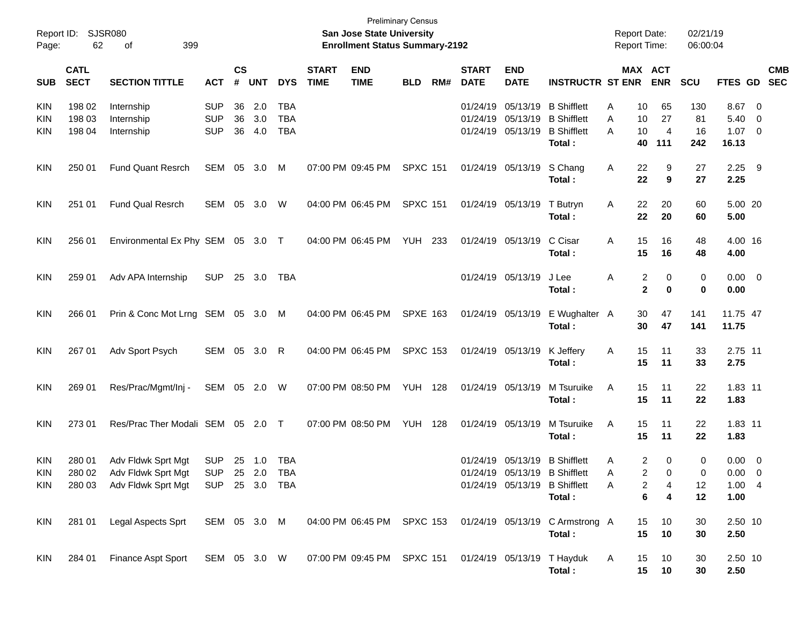| Report ID:<br>Page:              | 62                         | SJSR080<br>399<br>οf                                                                 |                                        |                |                   |                                        |                             | <b>Preliminary Census</b><br>San Jose State University<br><b>Enrollment Status Summary-2192</b> |                 |     |                             |                                                             |                                                                                                           | <b>Report Date:</b><br><b>Report Time:</b> |                                                           | 02/21/19<br>06:00:04      |                                                      |            |
|----------------------------------|----------------------------|--------------------------------------------------------------------------------------|----------------------------------------|----------------|-------------------|----------------------------------------|-----------------------------|-------------------------------------------------------------------------------------------------|-----------------|-----|-----------------------------|-------------------------------------------------------------|-----------------------------------------------------------------------------------------------------------|--------------------------------------------|-----------------------------------------------------------|---------------------------|------------------------------------------------------|------------|
| <b>SUB</b>                       | <b>CATL</b><br><b>SECT</b> | <b>SECTION TITTLE</b>                                                                | <b>ACT</b>                             | <b>CS</b><br># | <b>UNT</b>        | <b>DYS</b>                             | <b>START</b><br><b>TIME</b> | <b>END</b><br><b>TIME</b>                                                                       | <b>BLD</b>      | RM# | <b>START</b><br><b>DATE</b> | <b>END</b><br><b>DATE</b>                                   | <b>INSTRUCTR ST ENR</b>                                                                                   |                                            | MAX ACT<br><b>ENR</b>                                     | <b>SCU</b>                | FTES GD SEC                                          | <b>CMB</b> |
| KIN<br>KIN<br>KIN                | 198 02<br>198 03<br>198 04 | Internship<br>Internship<br>Internship                                               | <b>SUP</b><br><b>SUP</b><br><b>SUP</b> | 36<br>36<br>36 | 2.0<br>3.0<br>4.0 | <b>TBA</b><br><b>TBA</b><br><b>TBA</b> |                             |                                                                                                 |                 |     |                             | 01/24/19 05/13/19<br>01/24/19 05/13/19<br>01/24/19 05/13/19 | <b>B</b> Shifflett<br><b>B</b> Shifflett<br><b>B</b> Shifflett<br>Total:                                  | A<br>A<br>A                                | 10<br>65<br>10<br>27<br>10<br>$\overline{4}$<br>40<br>111 | 130<br>81<br>16<br>242    | 8.67 0<br>$5.40 \ 0$<br>$1.07 \t 0$<br>16.13         |            |
| KIN                              | 250 01                     | <b>Fund Quant Resrch</b>                                                             | SEM 05                                 |                | 3.0               | M                                      |                             | 07:00 PM 09:45 PM                                                                               | <b>SPXC 151</b> |     |                             | 01/24/19 05/13/19                                           | S Chang<br>Total:                                                                                         | A                                          | 9<br>22<br>22<br>9                                        | 27<br>27                  | $2.25$ 9<br>2.25                                     |            |
| KIN                              | 251 01                     | <b>Fund Qual Resrch</b>                                                              | SEM 05                                 |                | 3.0               | W                                      |                             | 04:00 PM 06:45 PM                                                                               | <b>SPXC 151</b> |     |                             | 01/24/19 05/13/19                                           | T Butryn<br>Total:                                                                                        | A                                          | 22<br>20<br>22<br>20                                      | 60<br>60                  | 5.00 20<br>5.00                                      |            |
| KIN                              | 256 01                     | Environmental Ex Phy SEM 05 3.0 T                                                    |                                        |                |                   |                                        |                             | 04:00 PM 06:45 PM                                                                               | <b>YUH 233</b>  |     | 01/24/19 05/13/19           |                                                             | C Cisar<br>Total:                                                                                         | Α                                          | 15<br>16<br>15<br>16                                      | 48<br>48                  | 4.00 16<br>4.00                                      |            |
| KIN                              | 259 01                     | Adv APA Internship                                                                   | <b>SUP</b>                             |                | 25 3.0            | TBA                                    |                             |                                                                                                 |                 |     |                             | 01/24/19 05/13/19                                           | J Lee<br>Total:                                                                                           | Α                                          | 2<br>0<br>$\overline{\mathbf{2}}$<br>0                    | 0<br>0                    | $0.00 \t 0$<br>0.00                                  |            |
| KIN                              | 266 01                     | Prin & Conc Mot Lrng SEM 05 3.0 M                                                    |                                        |                |                   |                                        |                             | 04:00 PM 06:45 PM                                                                               | <b>SPXE 163</b> |     |                             | 01/24/19 05/13/19                                           | E Wughalter A<br>Total:                                                                                   |                                            | 47<br>30<br>30<br>47                                      | 141<br>141                | 11.75 47<br>11.75                                    |            |
| KIN                              | 267 01                     | Adv Sport Psych                                                                      | SEM 05 3.0                             |                |                   | R                                      |                             | 04:00 PM 06:45 PM                                                                               | <b>SPXC 153</b> |     | 01/24/19 05/13/19           |                                                             | K Jeffery<br>Total:                                                                                       | A                                          | 15<br>11<br>15<br>11                                      | 33<br>33                  | 2.75 11<br>2.75                                      |            |
| KIN                              | 269 01                     | Res/Prac/Mgmt/Inj -                                                                  | SEM 05 2.0 W                           |                |                   |                                        |                             | 07:00 PM 08:50 PM                                                                               | <b>YUH 128</b>  |     | 01/24/19 05/13/19           |                                                             | M Tsuruike<br>Total:                                                                                      | A                                          | 15<br>11<br>15<br>11                                      | 22<br>22                  | 1.83 11<br>1.83                                      |            |
| <b>KIN</b>                       | 273 01                     | Res/Prac Ther Modali SEM 05 2.0 T                                                    |                                        |                |                   |                                        |                             | 07:00 PM 08:50 PM                                                                               | <b>YUH 128</b>  |     | 01/24/19 05/13/19           |                                                             | M Tsuruike<br>Total:                                                                                      | A                                          | 15<br>11<br>15<br>11                                      | 22<br>22                  | 1.83 11<br>1.83                                      |            |
| <b>KIN</b><br><b>KIN</b><br>KIN. | 280 01<br>280 02           | Adv Fldwk Sprt Mgt<br>Adv Fldwk Sprt Mgt<br>280 03 Adv Fldwk Sprt Mgt SUP 25 3.0 TBA | <b>SUP</b><br>SUP 25 2.0 TBA           |                | 25 1.0            | <b>TBA</b>                             |                             |                                                                                                 |                 |     |                             |                                                             | 01/24/19 05/13/19 B Shifflett<br>01/24/19 05/13/19 B Shifflett<br>01/24/19 05/13/19 B Shifflett<br>Total: | Α<br>A<br>A                                | 2<br>0<br>2<br>$\Omega$<br>2<br>4<br>6<br>4               | 0<br>$\Omega$<br>12<br>12 | $0.00 \t 0$<br>$0.00 \t 0$<br>$1.00 \quad 4$<br>1.00 |            |
| KIN                              |                            | 281 01 Legal Aspects Sprt SEM 05 3.0 M                                               |                                        |                |                   |                                        |                             |                                                                                                 |                 |     |                             |                                                             | 04:00 PM 06:45 PM SPXC 153 01/24/19 05/13/19 C Armstrong A<br>Total:                                      |                                            | 15<br>10<br>15<br>10                                      | 30<br>30                  | 2.50 10<br>2.50                                      |            |
| KIN                              | 284 01                     | <b>Finance Aspt Sport</b>                                                            | SEM 05 3.0 W                           |                |                   |                                        |                             | 07:00 PM 09:45 PM SPXC 151 01/24/19 05/13/19 T Hayduk                                           |                 |     |                             |                                                             | Total:                                                                                                    | A                                          | 15<br>10<br>15<br>10                                      | 30<br>30                  | 2.50 10<br>2.50                                      |            |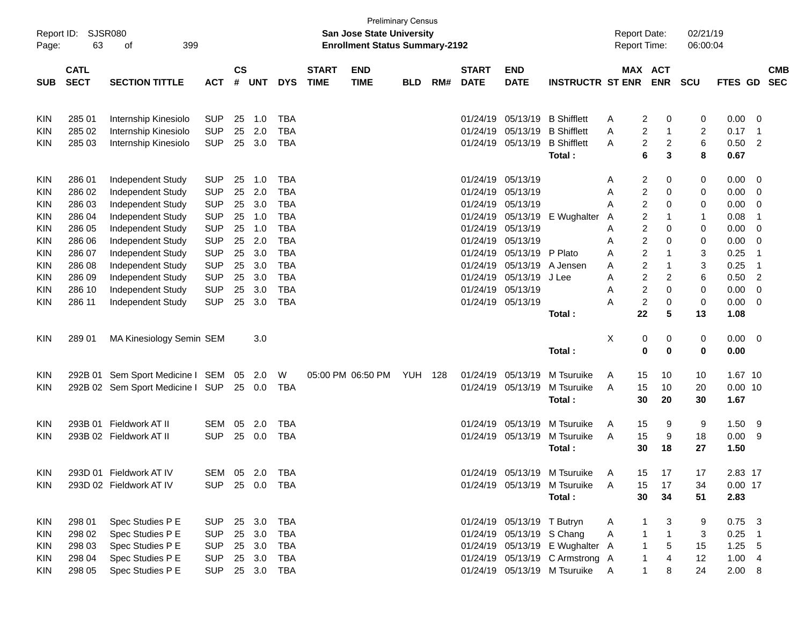| Report ID:<br>Page: | <b>SJSR080</b><br>63 |                                        |                          |               |            |                          | <b>San Jose State University</b><br><b>Enrollment Status Summary-2192</b> | <b>Preliminary Census</b> |                |     |                      |                            | <b>Report Date:</b><br><b>Report Time:</b> |         | 02/21/19<br>06:00:04           |                |                |                         |            |
|---------------------|----------------------|----------------------------------------|--------------------------|---------------|------------|--------------------------|---------------------------------------------------------------------------|---------------------------|----------------|-----|----------------------|----------------------------|--------------------------------------------|---------|--------------------------------|----------------|----------------|-------------------------|------------|
|                     | <b>CATL</b>          |                                        |                          | $\mathsf{cs}$ |            |                          | <b>START</b>                                                              | <b>END</b>                |                |     | <b>START</b>         | <b>END</b>                 |                                            |         | MAX ACT                        |                |                |                         | <b>CMB</b> |
| <b>SUB</b>          | <b>SECT</b>          | <b>SECTION TITTLE</b>                  | <b>ACT</b>               | #             | <b>UNT</b> | <b>DYS</b>               | <b>TIME</b>                                                               | <b>TIME</b>               | <b>BLD</b>     | RM# | <b>DATE</b>          | <b>DATE</b>                | <b>INSTRUCTR ST ENR</b>                    |         | <b>ENR</b>                     | <b>SCU</b>     | <b>FTES GD</b> |                         | <b>SEC</b> |
| KIN                 | 285 01               | Internship Kinesiolo                   | <b>SUP</b>               | 25            | 1.0        | TBA                      |                                                                           |                           |                |     | 01/24/19             | 05/13/19                   | <b>B</b> Shifflett                         | A       | 2<br>0                         | 0              | 0.00           | $\overline{\mathbf{0}}$ |            |
| KIN                 | 285 02               | Internship Kinesiolo                   | <b>SUP</b>               | 25            | 2.0        | <b>TBA</b>               |                                                                           |                           |                |     | 01/24/19             | 05/13/19                   | <b>B</b> Shifflett                         | A       | $\overline{c}$<br>-1           | $\overline{c}$ | 0.17           | -1                      |            |
| KIN                 | 285 03               | Internship Kinesiolo                   | <b>SUP</b>               | 25            | 3.0        | TBA                      |                                                                           |                           |                |     |                      | 01/24/19 05/13/19          | <b>B</b> Shifflett                         | A       | 2<br>2                         | 6              | 0.50           | $\overline{2}$          |            |
|                     |                      |                                        |                          |               |            |                          |                                                                           |                           |                |     |                      |                            | Total:                                     |         | 6<br>3                         | 8              | 0.67           |                         |            |
| <b>KIN</b>          | 286 01               | Independent Study                      | <b>SUP</b>               | 25            | 1.0        | TBA                      |                                                                           |                           |                |     |                      | 01/24/19 05/13/19          |                                            | Α       | $\overline{\mathbf{c}}$<br>0   | 0              | 0.00           | $\overline{\mathbf{0}}$ |            |
| KIN                 | 286 02               | Independent Study                      | <b>SUP</b>               | 25            | 2.0        | <b>TBA</b>               |                                                                           |                           |                |     | 01/24/19             | 05/13/19                   |                                            | A       | $\overline{c}$<br>0            | 0              | 0.00           | - 0                     |            |
| ΚIΝ                 | 286 03               | Independent Study                      | <b>SUP</b>               | 25            | 3.0        | <b>TBA</b>               |                                                                           |                           |                |     | 01/24/19             | 05/13/19                   |                                            | Α       | $\overline{c}$<br>0            | 0              | 0.00           | 0                       |            |
| ΚIΝ                 | 286 04               | Independent Study                      | <b>SUP</b>               | 25            | 1.0        | <b>TBA</b>               |                                                                           |                           |                |     |                      | 01/24/19 05/13/19          | E Wughalter                                | A       | 2<br>-1                        | $\mathbf{1}$   | 0.08           | -1                      |            |
| ΚIΝ                 | 286 05               | Independent Study                      | <b>SUP</b>               | 25            | 1.0        | <b>TBA</b>               |                                                                           |                           |                |     | 01/24/19             | 05/13/19                   |                                            | A       | 2<br>0                         | 0              | 0.00           | 0                       |            |
| ΚIΝ                 | 286 06               | Independent Study                      | <b>SUP</b>               | 25            | 2.0        | <b>TBA</b>               |                                                                           |                           |                |     | 01/24/19             | 05/13/19                   |                                            | A       | $\overline{c}$<br>0            | 0              | 0.00           | $\overline{\mathbf{0}}$ |            |
| ΚIΝ                 | 286 07               | Independent Study                      | <b>SUP</b>               | 25            | 3.0        | <b>TBA</b>               |                                                                           |                           |                |     | 01/24/19<br>01/24/19 | 05/13/19                   | P Plato                                    | A       | $\overline{c}$<br>-1           | 3              | 0.25           | -1                      |            |
| KIN<br>KIN          | 286 08<br>286 09     | Independent Study<br>Independent Study | <b>SUP</b><br><b>SUP</b> | 25<br>25      | 3.0<br>3.0 | <b>TBA</b><br><b>TBA</b> |                                                                           |                           |                |     | 01/24/19             | 05/13/19<br>05/13/19       | A Jensen<br>J Lee                          | A<br>A  | 2<br>-1<br>$\overline{c}$<br>2 | 3<br>$\,6$     | 0.25<br>0.50   | -1<br>$\overline{2}$    |            |
| KIN                 | 286 10               | Independent Study                      | <b>SUP</b>               | 25            | 3.0        | <b>TBA</b>               |                                                                           |                           |                |     | 01/24/19             | 05/13/19                   |                                            | A       | $\overline{c}$<br>0            | 0              | 0.00           | 0                       |            |
| KIN                 | 286 11               | Independent Study                      | <b>SUP</b>               | 25            | 3.0        | <b>TBA</b>               |                                                                           |                           |                |     |                      | 01/24/19 05/13/19          |                                            | A       | $\overline{\mathbf{c}}$<br>0   | 0              | 0.00           | - 0                     |            |
|                     |                      |                                        |                          |               |            |                          |                                                                           |                           |                |     |                      |                            | Total:                                     | 22      | 5                              | 13             | 1.08           |                         |            |
| KIN                 | 289 01               | MA Kinesiology Semin SEM               |                          |               | 3.0        |                          |                                                                           |                           |                |     |                      |                            |                                            | Χ       | 0<br>0                         | 0              | $0.00 \t 0$    |                         |            |
|                     |                      |                                        |                          |               |            |                          |                                                                           |                           |                |     |                      |                            | Total:                                     |         | 0<br>$\mathbf 0$               | 0              | 0.00           |                         |            |
| <b>KIN</b>          | 292B 01              | Sem Sport Medicine I SEM               |                          | 05            | 2.0        | W                        |                                                                           | 05:00 PM 06:50 PM         | <b>YUH 128</b> |     | 01/24/19             | 05/13/19                   | M Tsuruike                                 | 15<br>A | 10                             | 10             | 1.67 10        |                         |            |
| KIN                 |                      | 292B 02 Sem Sport Medicine I SUP       |                          |               | 25 0.0     | TBA                      |                                                                           |                           |                |     |                      | 01/24/19 05/13/19          | M Tsuruike                                 | A<br>15 | 10                             | 20             | $0.00$ 10      |                         |            |
|                     |                      |                                        |                          |               |            |                          |                                                                           |                           |                |     |                      |                            | Total:                                     | 30      | 20                             | 30             | 1.67           |                         |            |
| <b>KIN</b>          | 293B 01              | Fieldwork AT II                        | <b>SEM</b>               | 05            | 2.0        | <b>TBA</b>               |                                                                           |                           |                |     | 01/24/19             | 05/13/19                   | M Tsuruike                                 | 15<br>A | 9                              | 9              | 1.50           | - 9                     |            |
| KIN                 |                      | 293B 02 Fieldwork AT II                | <b>SUP</b>               | 25            | 0.0        | TBA                      |                                                                           |                           |                |     |                      | 01/24/19 05/13/19          | M Tsuruike                                 | 15<br>A | 9                              | 18             | 0.00           | 9                       |            |
|                     |                      |                                        |                          |               |            |                          |                                                                           |                           |                |     |                      |                            | Total :                                    | 30      | 18                             | 27             | 1.50           |                         |            |
| KIN                 |                      | 293D 01 Fieldwork AT IV                | SEM 05 2.0 TBA           |               |            |                          |                                                                           |                           |                |     |                      |                            | 01/24/19 05/13/19 M Tsuruike               | A       | 15<br>17                       | 17             | 2.83 17        |                         |            |
| KIN                 |                      | 293D 02 Fieldwork AT IV                | SUP 25 0.0 TBA           |               |            |                          |                                                                           |                           |                |     |                      |                            | 01/24/19 05/13/19 M Tsuruike               | A       | 17<br>15                       | 34             | $0.00$ 17      |                         |            |
|                     |                      |                                        |                          |               |            |                          |                                                                           |                           |                |     |                      |                            | Total:                                     |         | 30<br>34                       | 51             | 2.83           |                         |            |
| KIN                 | 298 01               | Spec Studies P E                       | <b>SUP</b>               |               | 25 3.0     | TBA                      |                                                                           |                           |                |     |                      | 01/24/19 05/13/19 T Butryn |                                            | A       | 3                              | 9              | $0.75$ 3       |                         |            |
| <b>KIN</b>          | 298 02               | Spec Studies P E                       | <b>SUP</b>               |               | 25 3.0     | TBA                      |                                                                           |                           |                |     |                      | 01/24/19 05/13/19 S Chang  |                                            | A       | $\mathbf{1}$<br>$\overline{1}$ | 3              | $0.25$ 1       |                         |            |
| <b>KIN</b>          | 298 03               | Spec Studies P E                       | <b>SUP</b>               |               | 25 3.0     | TBA                      |                                                                           |                           |                |     |                      |                            | 01/24/19 05/13/19 E Wughalter A            |         | $\mathbf{1}$<br>5              | 15             | $1.25$ 5       |                         |            |
| <b>KIN</b>          | 298 04               | Spec Studies P E                       | SUP                      |               | 25 3.0     | TBA                      |                                                                           |                           |                |     |                      |                            | 01/24/19 05/13/19 C Armstrong A            |         | 4<br>1                         | 12             | 1.004          |                         |            |
| KIN.                | 298 05               | Spec Studies P E                       | <b>SUP</b>               |               | 25 3.0 TBA |                          |                                                                           |                           |                |     |                      |                            | 01/24/19 05/13/19 M Tsuruike               | A       | 8<br>1                         | 24             | 2.00 8         |                         |            |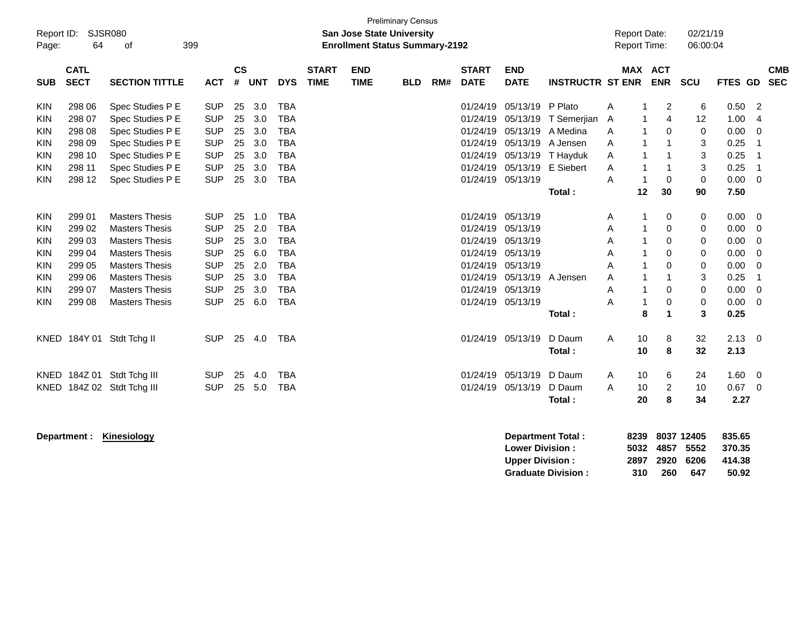| <b>Preliminary Census</b><br>SJSR080<br><b>San Jose State University</b><br><b>Report Date:</b><br>Report ID:<br>Report Time:<br>64<br>399<br><b>Enrollment Status Summary-2192</b><br>οf<br>Page: |                            |                       |            |                    |            |            |                             |                           |            |     |                             |                           | 02/21/19<br>06:00:04    |   |                               |             |         |                          |
|----------------------------------------------------------------------------------------------------------------------------------------------------------------------------------------------------|----------------------------|-----------------------|------------|--------------------|------------|------------|-----------------------------|---------------------------|------------|-----|-----------------------------|---------------------------|-------------------------|---|-------------------------------|-------------|---------|--------------------------|
| <b>SUB</b>                                                                                                                                                                                         | <b>CATL</b><br><b>SECT</b> | <b>SECTION TITTLE</b> | <b>ACT</b> | $\mathsf{cs}$<br># | <b>UNT</b> | <b>DYS</b> | <b>START</b><br><b>TIME</b> | <b>END</b><br><b>TIME</b> | <b>BLD</b> | RM# | <b>START</b><br><b>DATE</b> | <b>END</b><br><b>DATE</b> | <b>INSTRUCTR ST ENR</b> |   | MAX ACT<br><b>ENR</b>         | SCU         | FTES GD | <b>CMB</b><br><b>SEC</b> |
| <b>KIN</b>                                                                                                                                                                                         | 298 06                     | Spec Studies P E      | <b>SUP</b> | 25                 | 3.0        | <b>TBA</b> |                             |                           |            |     | 01/24/19                    | 05/13/19 P Plato          |                         | A | 2                             | 6           | 0.50    | $\overline{2}$           |
| KIN                                                                                                                                                                                                | 298 07                     | Spec Studies P E      | <b>SUP</b> | 25                 | 3.0        | <b>TBA</b> |                             |                           |            |     | 01/24/19                    | 05/13/19                  | T Semerjian             | Α | 4<br>1                        | 12          | 1.00    | 4                        |
| KIN                                                                                                                                                                                                | 298 08                     | Spec Studies P E      | <b>SUP</b> | 25                 | 3.0        | <b>TBA</b> |                             |                           |            |     | 01/24/19                    | 05/13/19                  | A Medina                | A | 1<br>0                        | $\mathbf 0$ | 0.00    | 0                        |
| KIN                                                                                                                                                                                                | 298 09                     | Spec Studies P E      | <b>SUP</b> | 25                 | 3.0        | <b>TBA</b> |                             |                           |            |     | 01/24/19                    | 05/13/19                  | A Jensen                | A | 1<br>1                        | 3           | 0.25    |                          |
| KIN                                                                                                                                                                                                | 298 10                     | Spec Studies P E      | <b>SUP</b> | 25                 | 3.0        | <b>TBA</b> |                             |                           |            |     | 01/24/19                    | 05/13/19                  | T Hayduk                | Α | $\mathbf{1}$<br>$\mathbf{1}$  | 3           | 0.25    |                          |
| KIN                                                                                                                                                                                                | 298 11                     | Spec Studies P E      | <b>SUP</b> | 25                 | 3.0        | <b>TBA</b> |                             |                           |            |     | 01/24/19                    | 05/13/19                  | E Siebert               | A | $\overline{1}$<br>$\mathbf 1$ | 3           | 0.25    | -1                       |
| <b>KIN</b>                                                                                                                                                                                         | 298 12                     | Spec Studies P E      | <b>SUP</b> | 25                 | 3.0        | <b>TBA</b> |                             |                           |            |     | 01/24/19                    | 05/13/19                  |                         | A | $\overline{1}$<br>$\mathbf 0$ | $\mathbf 0$ | 0.00    | $\Omega$                 |
|                                                                                                                                                                                                    |                            |                       |            |                    |            |            |                             |                           |            |     |                             |                           | Total:                  |   | 30<br>12                      | 90          | 7.50    |                          |
| <b>KIN</b>                                                                                                                                                                                         | 299 01                     | <b>Masters Thesis</b> | <b>SUP</b> | 25                 | 1.0        | <b>TBA</b> |                             |                           |            |     | 01/24/19 05/13/19           |                           |                         | A | 0<br>-1                       | 0           | 0.00    | - 0                      |
| KIN                                                                                                                                                                                                | 299 02                     | <b>Masters Thesis</b> | <b>SUP</b> | 25                 | 2.0        | <b>TBA</b> |                             |                           |            |     | 01/24/19                    | 05/13/19                  |                         | A | 0<br>1                        | 0           | 0.00    | 0                        |
| KIN                                                                                                                                                                                                | 299 03                     | <b>Masters Thesis</b> | <b>SUP</b> | 25                 | 3.0        | <b>TBA</b> |                             |                           |            |     | 01/24/19                    | 05/13/19                  |                         | A | 0                             | 0           | 0.00    | 0                        |
| KIN                                                                                                                                                                                                | 299 04                     | <b>Masters Thesis</b> | <b>SUP</b> | 25                 | 6.0        | <b>TBA</b> |                             |                           |            |     | 01/24/19                    | 05/13/19                  |                         | Α | 0<br>1                        | 0           | 0.00    | 0                        |
| <b>KIN</b>                                                                                                                                                                                         | 299 05                     | <b>Masters Thesis</b> | <b>SUP</b> | 25                 | 2.0        | <b>TBA</b> |                             |                           |            |     | 01/24/19                    | 05/13/19                  |                         | A | $\overline{1}$<br>$\Omega$    | 0           | 0.00    | $\Omega$                 |
| KIN                                                                                                                                                                                                | 299 06                     | <b>Masters Thesis</b> | <b>SUP</b> | 25                 | 3.0        | <b>TBA</b> |                             |                           |            |     | 01/24/19                    | 05/13/19                  | A Jensen                | A | 1<br>-1                       | 3           | 0.25    | 1                        |
| KIN                                                                                                                                                                                                | 299 07                     | <b>Masters Thesis</b> | <b>SUP</b> | 25                 | 3.0        | <b>TBA</b> |                             |                           |            |     | 01/24/19                    | 05/13/19                  |                         | Α | 0<br>1                        | 0           | 0.00    | 0                        |
| KIN                                                                                                                                                                                                | 299 08                     | <b>Masters Thesis</b> | <b>SUP</b> | 25                 | 6.0        | <b>TBA</b> |                             |                           |            |     | 01/24/19 05/13/19           |                           |                         | A | 0<br>$\mathbf{1}$             | $\pmb{0}$   | 0.00    | $\Omega$                 |
|                                                                                                                                                                                                    |                            |                       |            |                    |            |            |                             |                           |            |     |                             |                           | Total:                  |   | 8<br>1                        | 3           | 0.25    |                          |
| KNED                                                                                                                                                                                               |                            | 184Y 01 Stdt Tchg II  | <b>SUP</b> | 25                 | 4.0        | <b>TBA</b> |                             |                           |            |     |                             | 01/24/19 05/13/19         | D Daum                  | A | 10<br>8                       | 32          | 2.13    | 0                        |
|                                                                                                                                                                                                    |                            |                       |            |                    |            |            |                             |                           |            |     |                             |                           | Total:                  |   | 10<br>8                       | 32          | 2.13    |                          |
| KNED                                                                                                                                                                                               | 184Z 01                    | Stdt Tchg III         | <b>SUP</b> | 25                 | 4.0        | <b>TBA</b> |                             |                           |            |     | 01/24/19                    | 05/13/19                  | D Daum                  | A | 10<br>6                       | 24          | 1.60    | 0                        |
| <b>KNED</b>                                                                                                                                                                                        |                            | 184Z 02 Stdt Tchg III | <b>SUP</b> | 25                 | 5.0        | <b>TBA</b> |                             |                           |            |     | 01/24/19                    | 05/13/19                  | D Daum                  | A | $\overline{c}$<br>10          | 10          | 0.67    | - 0                      |
|                                                                                                                                                                                                    |                            |                       |            |                    |            |            |                             |                           |            |     |                             |                           | Total:                  |   | 20<br>8                       | 34          | 2.27    |                          |
|                                                                                                                                                                                                    |                            |                       |            |                    |            |            |                             |                           |            |     |                             |                           |                         |   |                               |             |         |                          |

**Department : Kinesiology 635.65 Department Total : 8239 8037 12405 835.65 Lower Division : 5032 4857 5552 370.35 Upper Division : 2897 2920 6206 414.38 Graduate Division : 310 260 647 50.92**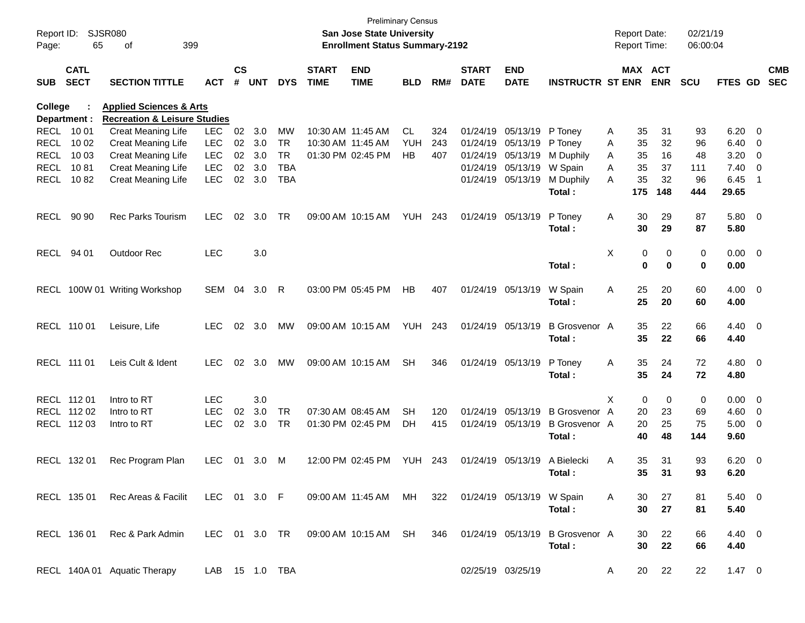| Report ID:<br>Page: | 65                         | SJSR080<br>399<br>0f                         |                |                    |            |            |                             | <b>San Jose State University</b><br><b>Enrollment Status Summary-2192</b> | <b>Preliminary Census</b> |     |                             |                               |                         |   | <b>Report Date:</b><br>Report Time: |             | 02/21/19<br>06:00:04 |                |                          |                          |
|---------------------|----------------------------|----------------------------------------------|----------------|--------------------|------------|------------|-----------------------------|---------------------------------------------------------------------------|---------------------------|-----|-----------------------------|-------------------------------|-------------------------|---|-------------------------------------|-------------|----------------------|----------------|--------------------------|--------------------------|
|                     |                            |                                              |                |                    |            |            |                             |                                                                           |                           |     |                             |                               |                         |   |                                     |             |                      |                |                          |                          |
| <b>SUB</b>          | <b>CATL</b><br><b>SECT</b> | <b>SECTION TITTLE</b>                        | <b>ACT</b>     | $\mathsf{cs}$<br># | <b>UNT</b> | <b>DYS</b> | <b>START</b><br><b>TIME</b> | <b>END</b><br><b>TIME</b>                                                 | <b>BLD</b>                | RM# | <b>START</b><br><b>DATE</b> | <b>END</b><br><b>DATE</b>     | <b>INSTRUCTR ST ENR</b> |   | <b>MAX ACT</b>                      | <b>ENR</b>  | <b>SCU</b>           | <b>FTES GD</b> |                          | <b>CMB</b><br><b>SEC</b> |
| College             |                            | <b>Applied Sciences &amp; Arts</b>           |                |                    |            |            |                             |                                                                           |                           |     |                             |                               |                         |   |                                     |             |                      |                |                          |                          |
|                     | Department :               | <b>Recreation &amp; Leisure Studies</b>      |                |                    |            |            |                             |                                                                           |                           |     |                             |                               |                         |   |                                     |             |                      |                |                          |                          |
| <b>RECL</b>         | 10 01                      | Creat Meaning Life                           | <b>LEC</b>     | 02                 | 3.0        | MW         |                             | 10:30 AM 11:45 AM                                                         | CL                        | 324 | 01/24/19                    | 05/13/19                      | P Toney                 | Α | 35                                  | 31          | 93                   | 6.20           | - 0                      |                          |
| <b>RECL</b>         | 10 02                      | <b>Creat Meaning Life</b>                    | <b>LEC</b>     | 02                 | 3.0        | <b>TR</b>  |                             | 10:30 AM 11:45 AM                                                         | YUH                       | 243 | 01/24/19                    | 05/13/19                      | P Toney                 | Α | 35                                  | 32          | 96                   | 6.40           | 0                        |                          |
| <b>RECL</b>         | 10 03                      | Creat Meaning Life                           | <b>LEC</b>     | 02                 | 3.0        | <b>TR</b>  |                             | 01:30 PM 02:45 PM                                                         | HB                        | 407 | 01/24/19                    | 05/13/19                      | M Duphily               | Α | 35                                  | 16          | 48                   | 3.20           | 0                        |                          |
| <b>RECL</b>         | 1081                       | <b>Creat Meaning Life</b>                    | LEC            | 02                 | 3.0        | <b>TBA</b> |                             |                                                                           |                           |     | 01/24/19                    | 05/13/19                      | W Spain                 | A | 35                                  | 37          | 111                  | 7.40           | 0                        |                          |
| <b>RECL</b>         | 1082                       | <b>Creat Meaning Life</b>                    | <b>LEC</b>     | 02                 | 3.0        | <b>TBA</b> |                             |                                                                           |                           |     | 01/24/19                    | 05/13/19                      | M Duphily               | A | 35                                  | 32          | 96                   | 6.45           | -1                       |                          |
|                     |                            |                                              |                |                    |            |            |                             |                                                                           |                           |     |                             |                               | Total:                  |   | 175                                 | 148         | 444                  | 29.65          |                          |                          |
| <b>RECL</b>         | 90 90                      | <b>Rec Parks Tourism</b>                     | <b>LEC</b>     | 02                 | 3.0        | TR         |                             | 09:00 AM 10:15 AM                                                         | YUH                       | 243 | 01/24/19                    | 05/13/19                      | P Toney                 | A | 30                                  | 29          | 87                   | 5.80           | $\overline{\mathbf{0}}$  |                          |
|                     |                            |                                              |                |                    |            |            |                             |                                                                           |                           |     |                             |                               | Total:                  |   | 30                                  | 29          | 87                   | 5.80           |                          |                          |
| <b>RECL</b>         | 94 01                      | <b>Outdoor Rec</b>                           | <b>LEC</b>     |                    | 3.0        |            |                             |                                                                           |                           |     |                             |                               |                         | X | 0                                   | 0           | 0                    | 0.00           | $\overline{\phantom{0}}$ |                          |
|                     |                            |                                              |                |                    |            |            |                             |                                                                           |                           |     |                             |                               | Total:                  |   | $\mathbf 0$                         | $\mathbf 0$ | 0                    | 0.00           |                          |                          |
| <b>RECL</b>         |                            | 100W 01 Writing Workshop                     | SEM            | 04                 | 3.0        | R          |                             | 03:00 PM 05:45 PM                                                         | HB                        | 407 |                             | 01/24/19 05/13/19             | W Spain                 | Α | 25                                  | 20          | 60                   | 4.00           | $\overline{\phantom{0}}$ |                          |
|                     |                            |                                              |                |                    |            |            |                             |                                                                           |                           |     |                             |                               | Total:                  |   | 25                                  | 20          | 60                   | 4.00           |                          |                          |
|                     | RECL 110 01                | Leisure, Life                                | <b>LEC</b>     | 02                 | 3.0        | MW         |                             | 09:00 AM 10:15 AM                                                         | YUH                       | 243 |                             | 01/24/19 05/13/19             | <b>B</b> Grosvenor A    |   | 35                                  | 22          | 66                   | 4.40           | $\overline{\mathbf{0}}$  |                          |
|                     |                            |                                              |                |                    |            |            |                             |                                                                           |                           |     |                             |                               | Total:                  |   | 35                                  | 22          | 66                   | 4.40           |                          |                          |
|                     | RECL 111 01                | Leis Cult & Ident                            | <b>LEC</b>     | 02                 | 3.0        | MW         |                             | 09:00 AM 10:15 AM                                                         | <b>SH</b>                 | 346 |                             | 01/24/19 05/13/19             | P Toney                 | A | 35                                  | 24          | 72                   | 4.80           | $\overline{\phantom{0}}$ |                          |
|                     |                            |                                              |                |                    |            |            |                             |                                                                           |                           |     |                             |                               | Total:                  |   | 35                                  | 24          | 72                   | 4.80           |                          |                          |
|                     | RECL 112 01                | Intro to RT                                  | <b>LEC</b>     |                    | 3.0        |            |                             |                                                                           |                           |     |                             |                               |                         | X | 0                                   | 0           | 0                    | 0.00           | $\overline{\mathbf{0}}$  |                          |
|                     | RECL 112 02                | Intro to RT                                  | <b>LEC</b>     | 02                 | 3.0        | <b>TR</b>  |                             | 07:30 AM 08:45 AM                                                         | <b>SH</b>                 | 120 | 01/24/19                    | 05/13/19                      | <b>B</b> Grosvenor A    |   | 20                                  | 23          | 69                   | 4.60           | $\overline{0}$           |                          |
|                     | RECL 112 03                | Intro to RT                                  | <b>LEC</b>     | 02                 | 3.0        | <b>TR</b>  |                             | 01:30 PM 02:45 PM                                                         | DH                        | 415 |                             | 01/24/19 05/13/19             | <b>B</b> Grosvenor A    |   | 20                                  | 25          | 75                   | 5.00           | $\overline{\mathbf{0}}$  |                          |
|                     |                            |                                              |                |                    |            |            |                             |                                                                           |                           |     |                             |                               | Total:                  |   | 40                                  | 48          | 144                  | 9.60           |                          |                          |
|                     | RECL 132 01                | Rec Program Plan                             | <b>LEC</b>     | 01                 | 3.0        | M          |                             | 12:00 PM 02:45 PM                                                         | YUH                       | 243 | 01/24/19                    | 05/13/19                      | A Bielecki              | A | 35                                  | 31          | 93                   | 6.20           | $\overline{\mathbf{0}}$  |                          |
|                     |                            |                                              |                |                    |            |            |                             |                                                                           |                           |     |                             |                               | Total:                  |   | 35                                  | 31          | 93                   | 6.20           |                          |                          |
|                     |                            | RECL 135 01 Rec Areas & Facilit LEC 01 3.0 F |                |                    |            |            |                             | 09:00 AM_11:45 AM  MH                                                     |                           |     |                             | 322 01/24/19 05/13/19 W Spain |                         | A | 30                                  | 27          | 81                   | $5.40 \ 0$     |                          |                          |
|                     |                            |                                              |                |                    |            |            |                             |                                                                           |                           |     |                             |                               | Total:                  |   | 30                                  | 27          | 81                   | 5.40           |                          |                          |
|                     |                            | RECL 136 01 Rec & Park Admin                 |                |                    |            |            |                             | LEC 01 3.0 TR 09:00 AM 10:15 AM SH                                        |                           | 346 |                             | 01/24/19 05/13/19             | <b>B</b> Grosvenor A    |   | 30                                  | 22          | 66                   | 4.40 0         |                          |                          |
|                     |                            |                                              |                |                    |            |            |                             |                                                                           |                           |     |                             |                               | Total:                  |   | 30                                  | 22          | 66                   | 4.40           |                          |                          |
|                     |                            | RECL 140A 01 Aquatic Therapy                 | LAB 15 1.0 TBA |                    |            |            |                             |                                                                           |                           |     |                             | 02/25/19 03/25/19             |                         | A | 20                                  | 22          | 22                   | $1.47 \t 0$    |                          |                          |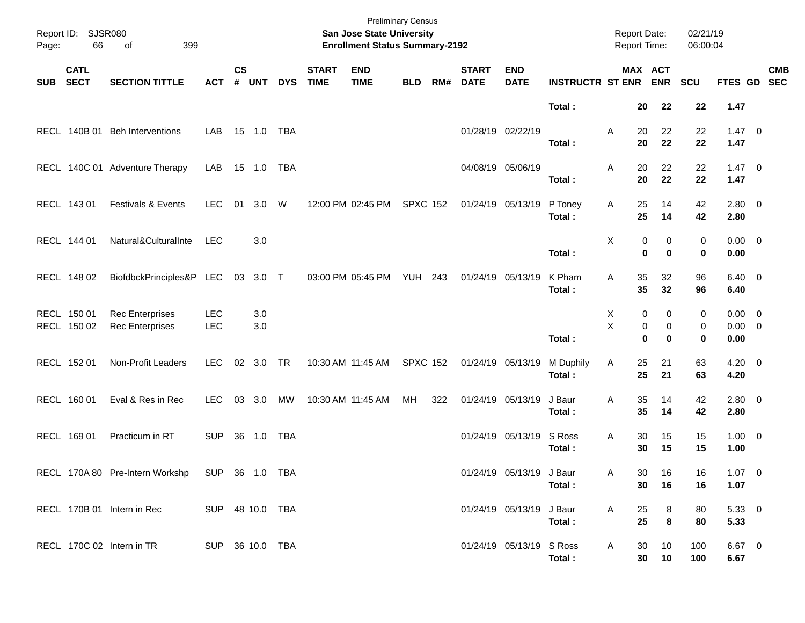| Page:      | Report ID: SJSR080<br>66   | of<br>399                                        |                          |                |            |            |                             | <b>Preliminary Census</b><br>San Jose State University<br><b>Enrollment Status Summary-2192</b> |                 |     |                             |                           |                         | <b>Report Date:</b><br>Report Time: |                                             | 02/21/19<br>06:00:04 |                                    |            |
|------------|----------------------------|--------------------------------------------------|--------------------------|----------------|------------|------------|-----------------------------|-------------------------------------------------------------------------------------------------|-----------------|-----|-----------------------------|---------------------------|-------------------------|-------------------------------------|---------------------------------------------|----------------------|------------------------------------|------------|
| <b>SUB</b> | <b>CATL</b><br><b>SECT</b> | <b>SECTION TITTLE</b>                            | <b>ACT</b>               | <b>CS</b><br># | <b>UNT</b> | <b>DYS</b> | <b>START</b><br><b>TIME</b> | <b>END</b><br><b>TIME</b>                                                                       | <b>BLD</b>      | RM# | <b>START</b><br><b>DATE</b> | <b>END</b><br><b>DATE</b> | <b>INSTRUCTR ST ENR</b> |                                     | MAX ACT<br><b>ENR</b>                       | SCU                  | FTES GD SEC                        | <b>CMB</b> |
|            |                            |                                                  |                          |                |            |            |                             |                                                                                                 |                 |     |                             |                           | Total:                  |                                     | 20<br>22                                    | 22                   | 1.47                               |            |
|            |                            | RECL 140B 01 Beh Interventions                   | LAB                      |                | 15 1.0 TBA |            |                             |                                                                                                 |                 |     |                             | 01/28/19 02/22/19         | Total:                  | A                                   | 22<br>20<br>20<br>22                        | 22<br>22             | $1.47 \quad 0$<br>1.47             |            |
|            |                            | RECL 140C 01 Adventure Therapy                   | LAB                      |                |            |            |                             |                                                                                                 |                 |     |                             | 04/08/19 05/06/19         | Total:                  | A                                   | 20<br>22<br>20<br>22                        | 22<br>22             | $1.47 \quad 0$<br>1.47             |            |
|            | RECL 143 01                | <b>Festivals &amp; Events</b>                    | <b>LEC</b>               | 01             | 3.0 W      |            |                             | 12:00 PM 02:45 PM                                                                               | <b>SPXC 152</b> |     | 01/24/19 05/13/19           |                           | P Toney<br>Total:       | Α                                   | 25<br>14<br>25<br>14                        | 42<br>42             | $2.80 \t 0$<br>2.80                |            |
|            | RECL 144 01                | Natural&CulturalInte                             | <b>LEC</b>               |                | 3.0        |            |                             |                                                                                                 |                 |     |                             |                           | Total:                  | Χ                                   | 0<br>0<br>$\mathbf 0$<br>$\bf{0}$           | 0<br>0               | $0.00 \t 0$<br>0.00                |            |
|            | RECL 148 02                | BiofdbckPrinciples&P LEC 03 3.0 T                |                          |                |            |            |                             | 03:00 PM 05:45 PM                                                                               | <b>YUH 243</b>  |     | 01/24/19 05/13/19           |                           | K Pham<br>Total:        | A                                   | 35<br>32<br>35<br>32                        | 96<br>96             | $6.40 \quad 0$<br>6.40             |            |
|            | RECL 150 01<br>RECL 150 02 | <b>Rec Enterprises</b><br><b>Rec Enterprises</b> | <b>LEC</b><br><b>LEC</b> |                | 3.0<br>3.0 |            |                             |                                                                                                 |                 |     |                             |                           | Total:                  | Χ<br>X                              | 0<br>0<br>0<br>0<br>$\mathbf 0$<br>$\bf{0}$ | 0<br>0<br>0          | $0.00 \t 0$<br>$0.00 \t 0$<br>0.00 |            |
|            | RECL 152 01                | Non-Profit Leaders                               | <b>LEC</b>               |                | 02 3.0 TR  |            |                             | 10:30 AM 11:45 AM                                                                               | <b>SPXC 152</b> |     | 01/24/19 05/13/19           |                           | M Duphily<br>Total:     | Α                                   | 25<br>21<br>25<br>21                        | 63<br>63             | $4.20 \ 0$<br>4.20                 |            |
|            | RECL 160 01                | Eval & Res in Rec                                | <b>LEC</b>               |                | 03 3.0     | MW         |                             | 10:30 AM 11:45 AM                                                                               | MH              | 322 |                             | 01/24/19 05/13/19         | J Baur<br>Total:        | Α                                   | 35<br>14<br>35<br>14                        | 42<br>42             | $2.80 \t 0$<br>2.80                |            |
|            | RECL 169 01                | Practicum in RT                                  | <b>SUP</b>               |                | 36 1.0     | TBA        |                             |                                                                                                 |                 |     |                             | 01/24/19 05/13/19         | S Ross<br>Total:        | Α                                   | 30<br>15<br>30<br>15                        | 15<br>15             | $1.00 \t 0$<br>1.00                |            |
|            |                            | RECL 170A 80 Pre-Intern Workshp                  | SUP 36 1.0 TBA           |                |            |            |                             |                                                                                                 |                 |     |                             | 01/24/19 05/13/19 J Baur  | Total:                  | Α                                   | $30\,$<br>$16$<br>16<br>30                  | 16<br>16             | $1.07 \t 0$<br>1.07                |            |
|            |                            | RECL 170B 01 Intern in Rec                       | SUP 48 10.0 TBA          |                |            |            |                             |                                                                                                 |                 |     |                             | 01/24/19 05/13/19 J Baur  | Total:                  | A                                   | 25<br>8<br>25<br>$\bf8$                     | 80<br>80             | 5.3300<br>5.33                     |            |
|            |                            | RECL 170C 02 Intern in TR                        | SUP 36 10.0 TBA          |                |            |            |                             |                                                                                                 |                 |     |                             | 01/24/19 05/13/19 S Ross  | Total:                  | A                                   | 30<br>10<br>10<br>30                        | 100<br>100           | 6.67 0<br>6.67                     |            |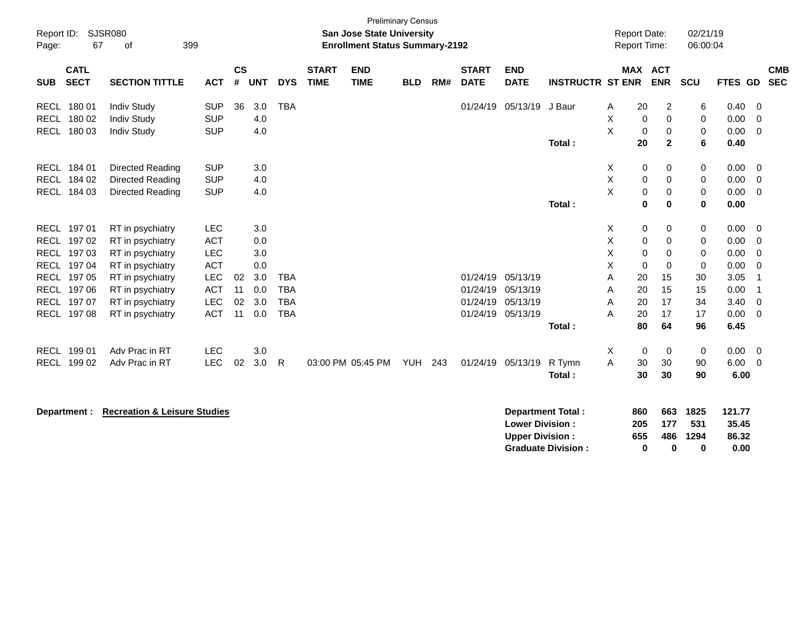| Report ID:<br>Page: | <b>Preliminary Census</b><br>SJSR080<br>San Jose State University<br>67<br>399<br><b>Enrollment Status Summary-2192</b><br>of |                                         |            |                    |            |            |                             |                           |            | <b>Report Date:</b><br>Report Time: |                             |                                                  | 02/21/19<br>06:00:04                                  |   |                        |                        |                                 |                                  |                |                          |
|---------------------|-------------------------------------------------------------------------------------------------------------------------------|-----------------------------------------|------------|--------------------|------------|------------|-----------------------------|---------------------------|------------|-------------------------------------|-----------------------------|--------------------------------------------------|-------------------------------------------------------|---|------------------------|------------------------|---------------------------------|----------------------------------|----------------|--------------------------|
| <b>SUB</b>          | <b>CATL</b><br><b>SECT</b>                                                                                                    | <b>SECTION TITTLE</b>                   | <b>ACT</b> | $\mathsf{cs}$<br># | <b>UNT</b> | <b>DYS</b> | <b>START</b><br><b>TIME</b> | <b>END</b><br><b>TIME</b> | <b>BLD</b> | RM#                                 | <b>START</b><br><b>DATE</b> | <b>END</b><br><b>DATE</b>                        | <b>INSTRUCTR ST ENR</b>                               |   |                        | MAX ACT<br><b>ENR</b>  | SCU                             | FTES GD                          |                | <b>CMB</b><br><b>SEC</b> |
|                     | RECL 180 01                                                                                                                   | <b>Indiv Study</b>                      | <b>SUP</b> | 36                 | 3.0        | <b>TBA</b> |                             |                           |            |                                     | 01/24/19                    | 05/13/19 J Baur                                  |                                                       | Α | 20                     | 2                      | 6                               | 0.40                             | $\overline{0}$ |                          |
| <b>RECL</b>         | 180 02                                                                                                                        | <b>Indiv Study</b>                      | <b>SUP</b> |                    | 4.0        |            |                             |                           |            |                                     |                             |                                                  |                                                       | X | $\mathbf 0$            | $\mathbf 0$            | 0                               | 0.00                             | 0              |                          |
| RECL                | 180 03                                                                                                                        | <b>Indiv Study</b>                      | <b>SUP</b> |                    | 4.0        |            |                             |                           |            |                                     |                             |                                                  |                                                       | X | $\mathbf 0$            | 0                      | 0                               | 0.00                             | $\mathbf 0$    |                          |
|                     |                                                                                                                               |                                         |            |                    |            |            |                             |                           |            |                                     |                             |                                                  | Total:                                                |   | 20                     | $\mathbf{2}$           | 6                               | 0.40                             |                |                          |
|                     | RECL 184 01                                                                                                                   | Directed Reading                        | <b>SUP</b> |                    | 3.0        |            |                             |                           |            |                                     |                             |                                                  |                                                       | X | 0                      | 0                      | 0                               | 0.00                             | - 0            |                          |
| <b>RECL</b>         | 184 02                                                                                                                        | Directed Reading                        | <b>SUP</b> |                    | 4.0        |            |                             |                           |            |                                     |                             |                                                  |                                                       | Χ | 0                      | $\mathbf 0$            | 0                               | 0.00                             | $\mathbf 0$    |                          |
|                     | RECL 184 03                                                                                                                   | Directed Reading                        | <b>SUP</b> |                    | 4.0        |            |                             |                           |            |                                     |                             |                                                  |                                                       | X | $\pmb{0}$              | $\mathbf 0$            | 0                               | 0.00                             | $\overline{0}$ |                          |
|                     |                                                                                                                               |                                         |            |                    |            |            |                             |                           |            |                                     |                             |                                                  | Total:                                                |   | $\mathbf 0$            | $\mathbf 0$            | $\mathbf 0$                     | 0.00                             |                |                          |
| RECL                | 19701                                                                                                                         | RT in psychiatry                        | <b>LEC</b> |                    | 3.0        |            |                             |                           |            |                                     |                             |                                                  |                                                       | X | 0                      | 0                      | 0                               | 0.00                             | - 0            |                          |
|                     | RECL 197 02                                                                                                                   | RT in psychiatry                        | <b>ACT</b> |                    | 0.0        |            |                             |                           |            |                                     |                             |                                                  |                                                       | X | 0                      | $\mathbf 0$            | 0                               | 0.00                             | $\Omega$       |                          |
|                     | RECL 197 03                                                                                                                   | RT in psychiatry                        | LEC        |                    | 3.0        |            |                             |                           |            |                                     |                             |                                                  |                                                       | X | $\mathbf 0$            | $\mathbf 0$            | 0                               | 0.00                             | $\Omega$       |                          |
|                     | RECL 197 04                                                                                                                   | RT in psychiatry                        | <b>ACT</b> |                    | 0.0        |            |                             |                           |            |                                     |                             |                                                  |                                                       | X | $\mathbf 0$            | $\mathbf 0$            | $\mathbf 0$                     | 0.00                             | $\Omega$       |                          |
|                     | RECL 197 05                                                                                                                   | RT in psychiatry                        | <b>LEC</b> | 02                 | 3.0        | <b>TBA</b> |                             |                           |            |                                     | 01/24/19                    | 05/13/19                                         |                                                       | A | 20                     | 15                     | 30                              | 3.05                             | -1             |                          |
|                     | RECL 197 06                                                                                                                   | RT in psychiatry                        | <b>ACT</b> | 11                 | 0.0        | <b>TBA</b> |                             |                           |            |                                     | 01/24/19                    | 05/13/19                                         |                                                       | A | 20                     | 15                     | 15                              | 0.00                             | $\overline{1}$ |                          |
|                     | RECL 197 07                                                                                                                   | RT in psychiatry                        | <b>LEC</b> | 02                 | 3.0        | <b>TBA</b> |                             |                           |            |                                     | 01/24/19                    | 05/13/19                                         |                                                       | A | 20                     | 17                     | 34                              | 3.40                             | 0              |                          |
|                     | RECL 197 08                                                                                                                   | RT in psychiatry                        | <b>ACT</b> | 11                 | 0.0        | <b>TBA</b> |                             |                           |            |                                     | 01/24/19                    | 05/13/19                                         |                                                       | A | 20                     | 17                     | 17                              | 0.00                             | $\overline{0}$ |                          |
|                     |                                                                                                                               |                                         |            |                    |            |            |                             |                           |            |                                     |                             |                                                  | Total:                                                |   | 80                     | 64                     | 96                              | 6.45                             |                |                          |
| <b>RECL</b>         | 199 01                                                                                                                        | Adv Prac in RT                          | <b>LEC</b> |                    | 3.0        |            |                             |                           |            |                                     |                             |                                                  |                                                       | X | $\mathbf 0$            | 0                      | 0                               | 0.00                             | $\overline{0}$ |                          |
| <b>RECL</b>         | 199 02                                                                                                                        | Adv Prac in RT                          | <b>LEC</b> | 02                 | 3.0        | R          |                             | 03:00 PM 05:45 PM         | YUH        | 243                                 | 01/24/19                    | 05/13/19                                         | R Tymn                                                | A | 30                     | 30                     | 90                              | 6.00                             | - 0            |                          |
|                     |                                                                                                                               |                                         |            |                    |            |            |                             |                           |            |                                     |                             |                                                  | Total:                                                |   | 30                     | 30                     | 90                              | 6.00                             |                |                          |
|                     | Department :                                                                                                                  | <b>Recreation &amp; Leisure Studies</b> |            |                    |            |            |                             |                           |            |                                     |                             | <b>Lower Division:</b><br><b>Upper Division:</b> | <b>Department Total:</b><br><b>Graduate Division:</b> |   | 860<br>205<br>655<br>0 | 663<br>177<br>486<br>0 | 1825<br>531<br>1294<br>$\bf{0}$ | 121.77<br>35.45<br>86.32<br>0.00 |                |                          |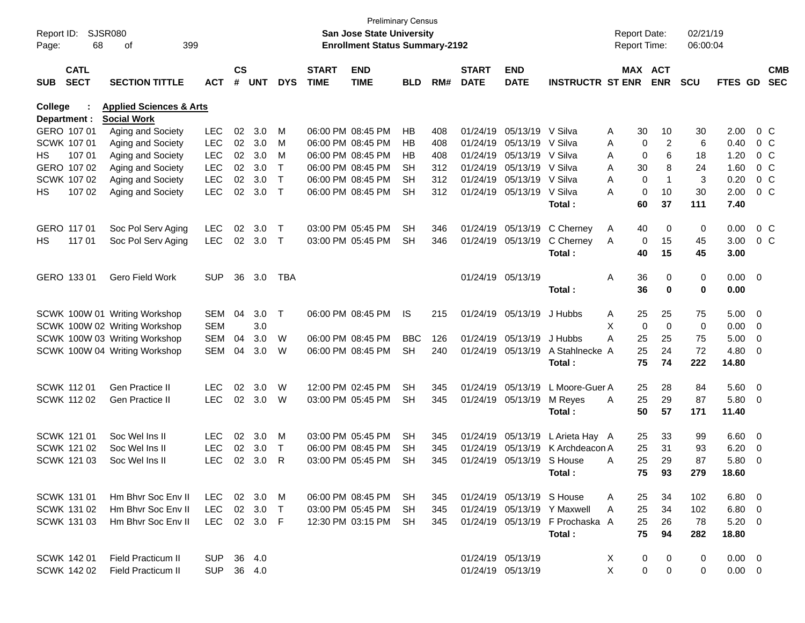| Report ID:<br>Page: | 68                         | SJSR080<br>399<br>οf               |            |                    |            |              |                             | <b>Preliminary Census</b><br>San Jose State University<br><b>Enrollment Status Summary-2192</b> |            |     |                             |                           |                                 | <b>Report Date:</b><br><b>Report Time:</b> |                            | 02/21/19<br>06:00:04 |               |                          |                          |
|---------------------|----------------------------|------------------------------------|------------|--------------------|------------|--------------|-----------------------------|-------------------------------------------------------------------------------------------------|------------|-----|-----------------------------|---------------------------|---------------------------------|--------------------------------------------|----------------------------|----------------------|---------------|--------------------------|--------------------------|
| <b>SUB</b>          | <b>CATL</b><br><b>SECT</b> | <b>SECTION TITTLE</b>              | <b>ACT</b> | $\mathsf{cs}$<br># | <b>UNT</b> | <b>DYS</b>   | <b>START</b><br><b>TIME</b> | <b>END</b><br><b>TIME</b>                                                                       | <b>BLD</b> | RM# | <b>START</b><br><b>DATE</b> | <b>END</b><br><b>DATE</b> | <b>INSTRUCTR ST ENR</b>         |                                            | MAX ACT<br><b>ENR</b>      | <b>SCU</b>           | FTES GD       |                          | <b>CMB</b><br><b>SEC</b> |
| College             |                            | <b>Applied Sciences &amp; Arts</b> |            |                    |            |              |                             |                                                                                                 |            |     |                             |                           |                                 |                                            |                            |                      |               |                          |                          |
|                     | Department :               | <b>Social Work</b>                 |            |                    |            |              |                             |                                                                                                 |            |     |                             |                           |                                 |                                            |                            |                      |               |                          |                          |
|                     | GERO 107 01                | Aging and Society                  | <b>LEC</b> | 02                 | 3.0        | M            |                             | 06:00 PM 08:45 PM                                                                               | HВ         | 408 |                             | 01/24/19 05/13/19 V Silva |                                 | A<br>30                                    | 10                         | 30                   | 2.00          |                          | 0 C                      |
|                     | SCWK 107 01                | Aging and Society                  | <b>LEC</b> | 02                 | 3.0        | M            |                             | 06:00 PM 08:45 PM                                                                               | HВ         | 408 |                             | 01/24/19 05/13/19 V Silva |                                 | Α                                          | $\overline{c}$<br>0        | 6                    | 0.40          |                          | 0 <sup>o</sup>           |
| HS.                 | 107 01                     | Aging and Society                  | <b>LEC</b> | 02                 | 3.0        | M            |                             | 06:00 PM 08:45 PM                                                                               | HВ         | 408 |                             | 01/24/19 05/13/19 V Silva |                                 | A                                          | 6<br>0                     | 18                   | 1.20          |                          | 0 <sup>o</sup>           |
|                     | GERO 107 02                | Aging and Society                  | <b>LEC</b> | 02                 | 3.0        | $\mathsf{T}$ |                             | 06:00 PM 08:45 PM                                                                               | SН         | 312 |                             | 01/24/19 05/13/19 V Silva |                                 | 30<br>A                                    | 8                          | 24                   | 1.60          |                          | 0 <sup>o</sup>           |
|                     | SCWK 107 02                | Aging and Society                  | <b>LEC</b> | 02                 | 3.0        | $\mathsf{T}$ |                             | 06:00 PM 08:45 PM                                                                               | SН         | 312 |                             | 01/24/19 05/13/19 V Silva |                                 | A                                          | $\mathbf 0$<br>-1          | 3                    | 0.20          |                          | 0 <sup>o</sup>           |
| НS                  | 107 02                     | Aging and Society                  | <b>LEC</b> | 02                 | 3.0        | $\mathsf{T}$ |                             | 06:00 PM 08:45 PM                                                                               | SН         | 312 |                             | 01/24/19 05/13/19 V Silva |                                 | Α                                          | 0<br>10                    | 30                   | 2.00          |                          | 0 <sup>o</sup>           |
|                     |                            |                                    |            |                    |            |              |                             |                                                                                                 |            |     |                             |                           | Total:                          | 60                                         | 37                         | 111                  | 7.40          |                          |                          |
|                     | GERO 117 01                | Soc Pol Serv Aging                 | <b>LEC</b> | 02                 | 3.0        | $\top$       |                             | 03:00 PM 05:45 PM                                                                               | <b>SH</b>  | 346 |                             | 01/24/19 05/13/19         | C Cherney                       | 40<br>A                                    | 0                          | 0                    | 0.00          |                          | 0 <sup>o</sup>           |
| НS                  | 117 01                     | Soc Pol Serv Aging                 | <b>LEC</b> | 02                 | 3.0        | $\top$       |                             | 03:00 PM 05:45 PM                                                                               | SН         | 346 |                             | 01/24/19 05/13/19         | C Cherney                       | A                                          | 0<br>15                    | 45                   | 3.00          |                          | 0 <sup>o</sup>           |
|                     |                            |                                    |            |                    |            |              |                             |                                                                                                 |            |     |                             |                           | Total:                          | 40                                         | 15                         | 45                   | 3.00          |                          |                          |
|                     | GERO 133 01                | Gero Field Work                    | <b>SUP</b> | 36                 | 3.0        | <b>TBA</b>   |                             |                                                                                                 |            |     |                             | 01/24/19 05/13/19         |                                 | 36<br>Α                                    | 0                          | 0                    | $0.00 \t 0$   |                          |                          |
|                     |                            |                                    |            |                    |            |              |                             |                                                                                                 |            |     |                             |                           | Total:                          | 36                                         | $\mathbf 0$                | 0                    | 0.00          |                          |                          |
|                     |                            | SCWK 100W 01 Writing Workshop      | <b>SEM</b> | 04                 | 3.0        | Τ            |                             | 06:00 PM 08:45 PM                                                                               | IS.        | 215 |                             | 01/24/19 05/13/19         | J Hubbs                         | 25<br>A                                    | 25                         | 75                   | $5.00 \t 0$   |                          |                          |
|                     |                            | SCWK 100W 02 Writing Workshop      | <b>SEM</b> |                    | 3.0        |              |                             |                                                                                                 |            |     |                             |                           |                                 | X                                          | $\mathbf 0$<br>$\mathbf 0$ | 0                    | $0.00 \t 0$   |                          |                          |
|                     |                            | SCWK 100W 03 Writing Workshop      | <b>SEM</b> | 04                 | 3.0        | W            |                             | 06:00 PM 08:45 PM                                                                               | <b>BBC</b> | 126 |                             | 01/24/19 05/13/19         | J Hubbs                         | 25<br>A                                    | 25                         | 75                   | 5.00          | $\overline{\phantom{0}}$ |                          |
|                     |                            | SCWK 100W 04 Writing Workshop      | <b>SEM</b> | 04                 | 3.0        | W            |                             | 06:00 PM 08:45 PM                                                                               | <b>SH</b>  | 240 |                             | 01/24/19 05/13/19         | A Stahlnecke A                  | 25                                         | 24                         | 72                   | $4.80$ 0      |                          |                          |
|                     |                            |                                    |            |                    |            |              |                             |                                                                                                 |            |     |                             |                           | Total:                          | 75                                         | 74                         | 222                  | 14.80         |                          |                          |
|                     | <b>SCWK 11201</b>          | <b>Gen Practice II</b>             | <b>LEC</b> | 02                 | 3.0        | W            |                             | 12:00 PM 02:45 PM                                                                               | <b>SH</b>  | 345 |                             | 01/24/19 05/13/19         | L Moore-Guer A                  | 25                                         | 28                         | 84                   | 5.60 0        |                          |                          |
|                     | <b>SCWK 11202</b>          | <b>Gen Practice II</b>             | <b>LEC</b> |                    | 02 3.0     | W            |                             | 03:00 PM 05:45 PM                                                                               | <b>SH</b>  | 345 |                             | 01/24/19 05/13/19         | M Reyes                         | 25<br>A                                    | 29                         | 87                   | 5.80 0        |                          |                          |
|                     |                            |                                    |            |                    |            |              |                             |                                                                                                 |            |     |                             |                           | Total:                          | 50                                         | 57                         | 171                  | 11.40         |                          |                          |
|                     | <b>SCWK 121 01</b>         | Soc Wel Ins II                     | <b>LEC</b> | 02                 | 3.0        | м            |                             | 03:00 PM 05:45 PM                                                                               | <b>SH</b>  | 345 |                             | 01/24/19 05/13/19         | L Arieta Hay A                  | 25                                         | 33                         | 99                   | $6.60$ 0      |                          |                          |
|                     | <b>SCWK 121 02</b>         | Soc Wel Ins II                     | <b>LEC</b> | 02                 | 3.0        | Τ            |                             | 06:00 PM 08:45 PM                                                                               | SН         | 345 |                             | 01/24/19 05/13/19         | K Archdeacon A                  | 25                                         | 31                         | 93                   | 6.20          | $\overline{\phantom{0}}$ |                          |
|                     | SCWK 121 03                | Soc Wel Ins II                     | <b>LEC</b> | 02                 | 3.0        | R            |                             | 03:00 PM 05:45 PM                                                                               | SН         | 345 |                             | 01/24/19 05/13/19         | S House                         | 25<br>A                                    | 29                         | 87                   | 5.80          | $\overline{\phantom{0}}$ |                          |
|                     |                            |                                    |            |                    |            |              |                             |                                                                                                 |            |     |                             |                           | Total:                          |                                            | 75<br>93                   | 279                  | 18.60         |                          |                          |
|                     | SCWK 131 01                | Hm Bhvr Soc Env II                 | LEC        |                    | 02 3.0     | M            |                             | 06:00 PM 08:45 PM                                                                               | SH         | 345 |                             | 01/24/19 05/13/19 S House |                                 | A                                          | 25<br>34                   | 102                  | $6.80\quad 0$ |                          |                          |
|                     | SCWK 131 02                | Hm Bhvr Soc Env II                 | <b>LEC</b> |                    | 02 3.0     | $\top$       |                             | 03:00 PM 05:45 PM                                                                               | SH         | 345 |                             |                           | 01/24/19 05/13/19 Y Maxwell     | 25<br>A                                    | 34                         | 102                  | $6.80$ 0      |                          |                          |
|                     | SCWK 131 03                | Hm Bhvr Soc Env II                 | LEC        |                    | 02 3.0 F   |              |                             | 12:30 PM 03:15 PM                                                                               | SH.        | 345 |                             |                           | 01/24/19 05/13/19 F Prochaska A | 25                                         | 26                         | 78                   | $5.20 \ 0$    |                          |                          |
|                     |                            |                                    |            |                    |            |              |                             |                                                                                                 |            |     |                             |                           | Total:                          | 75                                         | 94                         | 282                  | 18.80         |                          |                          |
|                     | SCWK 142 01                | <b>Field Practicum II</b>          | <b>SUP</b> |                    | 36 4.0     |              |                             |                                                                                                 |            |     |                             | 01/24/19 05/13/19         |                                 | X.                                         | 0<br>0                     | 0                    | $0.00 \t 0$   |                          |                          |
|                     | <b>SCWK 142 02</b>         | Field Practicum II                 | <b>SUP</b> |                    | 36 4.0     |              |                             |                                                                                                 |            |     |                             | 01/24/19 05/13/19         |                                 | X                                          | 0<br>0                     | 0                    | $0.00 \t 0$   |                          |                          |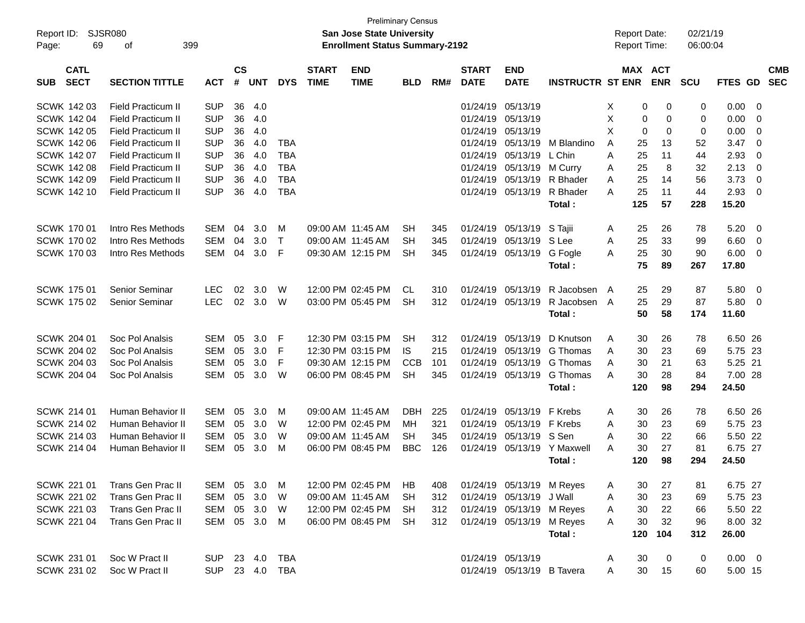| <b>CS</b><br><b>MAX ACT</b><br><b>CATL</b><br><b>START</b><br><b>END</b><br><b>START</b><br><b>END</b><br><b>CMB</b><br><b>SECT</b><br>#<br><b>DYS</b><br><b>TIME</b><br><b>DATE</b><br><b>ENR</b><br><b>SECTION TITTLE</b><br><b>ACT</b><br><b>UNT</b><br><b>TIME</b><br>RM#<br><b>DATE</b><br><b>INSTRUCTR ST ENR</b><br><b>SCU</b><br>FTES GD<br><b>SEC</b><br><b>SUB</b><br><b>BLD</b><br>SCWK 142 03<br><b>SUP</b><br>36<br>05/13/19<br>0.00<br><b>Field Practicum II</b><br>4.0<br>01/24/19<br>Х<br>0<br>0<br>0<br>$\Omega$<br><b>SUP</b><br>36<br>X<br><b>SCWK 14204</b><br><b>Field Practicum II</b><br>4.0<br>05/13/19<br>01/24/19<br>0<br>0<br>0<br>0.00<br>$\Omega$<br><b>SUP</b><br>36<br>05/13/19<br>X<br>SCWK 142 05<br>Field Practicum II<br>4.0<br>01/24/19<br>0<br>0<br>0<br>0.00<br>0<br><b>SUP</b><br>36<br>4.0<br>SCWK 142 06<br>Field Practicum II<br><b>TBA</b><br>01/24/19<br>05/13/19 M Blandino<br>A<br>25<br>13<br>52<br>3.47<br>$\Omega$<br><b>SUP</b><br>36<br>4.0<br><b>TBA</b><br>05/13/19<br>L Chin<br>25<br>11<br>44<br>2.93<br>SCWK 142 07<br>Field Practicum II<br>01/24/19<br>A<br>0<br><b>SUP</b><br>25<br>8<br>36<br><b>TBA</b><br>2.13<br>SCWK 142 08<br>Field Practicum II<br>4.0<br>01/24/19<br>05/13/19<br>M Curry<br>A<br>32<br>0<br><b>SUP</b><br>3.73<br>36<br><b>TBA</b><br>25<br>56<br>SCWK 142 09<br>Field Practicum II<br>4.0<br>01/24/19<br>05/13/19<br>R Bhader<br>A<br>14<br>$\Omega$<br><b>SUP</b><br>36<br><b>TBA</b><br>05/13/19<br>R Bhader<br>25<br>11<br>44<br>2.93<br>SCWK 142 10<br>Field Practicum II<br>4.0<br>01/24/19<br>A<br>$\Omega$<br>57<br>125<br>15.20<br>Total:<br>228<br><b>SCWK 17001</b><br><b>SEM</b><br><b>SH</b><br>5.20<br>Intro Res Methods<br>04<br>3.0<br>м<br>09:00 AM 11:45 AM<br>345<br>01/24/19<br>05/13/19<br>S Tajii<br>25<br>26<br>78<br>- 0<br>A<br>04<br>3.0<br>$\mathsf{T}$<br>SH<br>S Lee<br>25<br>33<br>6.60<br>SCWK 170 02<br>Intro Res Methods<br><b>SEM</b><br>09:00 AM 11:45 AM<br>345<br>01/24/19<br>05/13/19<br>A<br>99<br>- 0<br>25<br><b>SEM</b><br>04<br>3.0<br>F<br><b>SH</b><br>G Fogle<br>30<br>90<br>6.00<br><b>SCWK 17003</b><br>Intro Res Methods<br>09:30 AM 12:15 PM<br>345<br>01/24/19<br>05/13/19<br>A<br>- 0<br>75<br>89<br>267<br>17.80<br>Total:<br>Senior Seminar<br><b>SCWK 17501</b><br>02<br>12:00 PM 02:45 PM<br>R Jacobsen<br>LEC<br>3.0<br>W<br>CL.<br>310<br>01/24/19<br>05/13/19<br>25<br>29<br>87<br>5.80<br>- 0<br>A<br>02<br>25<br>Senior Seminar<br><b>LEC</b><br>3.0<br>W<br>03:00 PM 05:45 PM<br><b>SH</b><br>312<br>01/24/19<br>R Jacobsen<br>29<br>87<br>5.80<br><b>SCWK 17502</b><br>05/13/19<br>A<br>- 0<br>50<br>Total:<br>58<br>174<br>11.60<br>SCWK 204 01<br>Soc Pol Analsis<br>05<br>12:30 PM 03:15 PM<br><b>SH</b><br>6.50 26<br><b>SEM</b><br>3.0<br>F<br>312<br>01/24/19<br>05/13/19<br>D Knutson<br>30<br>26<br>78<br>A<br>05<br>3.0<br>F<br>12:30 PM 03:15 PM<br>IS<br>215<br>05/13/19<br>G Thomas<br>30<br>23<br>5.75 23<br>SCWK 204 02<br>Soc Pol Analsis<br><b>SEM</b><br>01/24/19<br>A<br>69<br>F<br>05<br>3.0<br><b>CCB</b><br>G Thomas<br>30<br>21<br>5.25 21<br>SCWK 204 03<br>Soc Pol Analsis<br><b>SEM</b><br>09:30 AM 12:15 PM<br>101<br>01/24/19<br>05/13/19<br>A<br>63<br><b>SEM</b><br>05<br>3.0<br>W<br>06:00 PM 08:45 PM<br><b>SH</b><br>G Thomas<br>30<br>28<br>7.00 28<br><b>SCWK 204 04</b><br>Soc Pol Analsis<br>345<br>01/24/19<br>05/13/19<br>A<br>84<br>120<br>98<br>294<br>24.50<br>Total:<br><b>SCWK 214 01</b><br>Human Behavior II<br><b>SEM</b><br>F Krebs<br>05<br>3.0<br>м<br>09:00 AM 11:45 AM<br><b>DBH</b><br>225<br>01/24/19<br>05/13/19<br>30<br>26<br>78<br>6.50 26<br>A<br>Human Behavior II<br>05<br>3.0<br>12:00 PM 02:45 PM<br>F Krebs<br>5.75 23<br>SCWK 214 02<br><b>SEM</b><br>W<br>MН<br>321<br>01/24/19<br>05/13/19<br>A<br>30<br>23<br>69<br>3.0<br>S Sen<br>5.50 22<br>SCWK 214 03<br>Human Behavior II<br><b>SEM</b><br>05<br>W<br>09:00 AM 11:45 AM<br>SН<br>345<br>01/24/19<br>05/13/19<br>A<br>30<br>22<br>66 |
|----------------------------------------------------------------------------------------------------------------------------------------------------------------------------------------------------------------------------------------------------------------------------------------------------------------------------------------------------------------------------------------------------------------------------------------------------------------------------------------------------------------------------------------------------------------------------------------------------------------------------------------------------------------------------------------------------------------------------------------------------------------------------------------------------------------------------------------------------------------------------------------------------------------------------------------------------------------------------------------------------------------------------------------------------------------------------------------------------------------------------------------------------------------------------------------------------------------------------------------------------------------------------------------------------------------------------------------------------------------------------------------------------------------------------------------------------------------------------------------------------------------------------------------------------------------------------------------------------------------------------------------------------------------------------------------------------------------------------------------------------------------------------------------------------------------------------------------------------------------------------------------------------------------------------------------------------------------------------------------------------------------------------------------------------------------------------------------------------------------------------------------------------------------------------------------------------------------------------------------------------------------------------------------------------------------------------------------------------------------------------------------------------------------------------------------------------------------------------------------------------------------------------------------------------------------------------------------------------------------------------------------------------------------------------------------------------------------------------------------------------------------------------------------------------------------------------------------------------------------------------------------------------------------------------------------------------------------------------------------------------------------------------------------------------------------------------------------------------------------------------------------------------------------------------------------------------------------------------------------------------------------------------------------------------------------------------------------------------------------------------------------------------------------------------------------------------------------------------------------------------------------------------------------------------------------------------------------------------------------------------------------------------------------------------------------------------------------------------------------------------------------------------------------------------------------------------------------------------------------------------------------------------------------------------------------------------------------------------------------------------------------|
|                                                                                                                                                                                                                                                                                                                                                                                                                                                                                                                                                                                                                                                                                                                                                                                                                                                                                                                                                                                                                                                                                                                                                                                                                                                                                                                                                                                                                                                                                                                                                                                                                                                                                                                                                                                                                                                                                                                                                                                                                                                                                                                                                                                                                                                                                                                                                                                                                                                                                                                                                                                                                                                                                                                                                                                                                                                                                                                                                                                                                                                                                                                                                                                                                                                                                                                                                                                                                                                                                                                                                                                                                                                                                                                                                                                                                                                                                                                                                                                                                |
|                                                                                                                                                                                                                                                                                                                                                                                                                                                                                                                                                                                                                                                                                                                                                                                                                                                                                                                                                                                                                                                                                                                                                                                                                                                                                                                                                                                                                                                                                                                                                                                                                                                                                                                                                                                                                                                                                                                                                                                                                                                                                                                                                                                                                                                                                                                                                                                                                                                                                                                                                                                                                                                                                                                                                                                                                                                                                                                                                                                                                                                                                                                                                                                                                                                                                                                                                                                                                                                                                                                                                                                                                                                                                                                                                                                                                                                                                                                                                                                                                |
|                                                                                                                                                                                                                                                                                                                                                                                                                                                                                                                                                                                                                                                                                                                                                                                                                                                                                                                                                                                                                                                                                                                                                                                                                                                                                                                                                                                                                                                                                                                                                                                                                                                                                                                                                                                                                                                                                                                                                                                                                                                                                                                                                                                                                                                                                                                                                                                                                                                                                                                                                                                                                                                                                                                                                                                                                                                                                                                                                                                                                                                                                                                                                                                                                                                                                                                                                                                                                                                                                                                                                                                                                                                                                                                                                                                                                                                                                                                                                                                                                |
|                                                                                                                                                                                                                                                                                                                                                                                                                                                                                                                                                                                                                                                                                                                                                                                                                                                                                                                                                                                                                                                                                                                                                                                                                                                                                                                                                                                                                                                                                                                                                                                                                                                                                                                                                                                                                                                                                                                                                                                                                                                                                                                                                                                                                                                                                                                                                                                                                                                                                                                                                                                                                                                                                                                                                                                                                                                                                                                                                                                                                                                                                                                                                                                                                                                                                                                                                                                                                                                                                                                                                                                                                                                                                                                                                                                                                                                                                                                                                                                                                |
|                                                                                                                                                                                                                                                                                                                                                                                                                                                                                                                                                                                                                                                                                                                                                                                                                                                                                                                                                                                                                                                                                                                                                                                                                                                                                                                                                                                                                                                                                                                                                                                                                                                                                                                                                                                                                                                                                                                                                                                                                                                                                                                                                                                                                                                                                                                                                                                                                                                                                                                                                                                                                                                                                                                                                                                                                                                                                                                                                                                                                                                                                                                                                                                                                                                                                                                                                                                                                                                                                                                                                                                                                                                                                                                                                                                                                                                                                                                                                                                                                |
|                                                                                                                                                                                                                                                                                                                                                                                                                                                                                                                                                                                                                                                                                                                                                                                                                                                                                                                                                                                                                                                                                                                                                                                                                                                                                                                                                                                                                                                                                                                                                                                                                                                                                                                                                                                                                                                                                                                                                                                                                                                                                                                                                                                                                                                                                                                                                                                                                                                                                                                                                                                                                                                                                                                                                                                                                                                                                                                                                                                                                                                                                                                                                                                                                                                                                                                                                                                                                                                                                                                                                                                                                                                                                                                                                                                                                                                                                                                                                                                                                |
|                                                                                                                                                                                                                                                                                                                                                                                                                                                                                                                                                                                                                                                                                                                                                                                                                                                                                                                                                                                                                                                                                                                                                                                                                                                                                                                                                                                                                                                                                                                                                                                                                                                                                                                                                                                                                                                                                                                                                                                                                                                                                                                                                                                                                                                                                                                                                                                                                                                                                                                                                                                                                                                                                                                                                                                                                                                                                                                                                                                                                                                                                                                                                                                                                                                                                                                                                                                                                                                                                                                                                                                                                                                                                                                                                                                                                                                                                                                                                                                                                |
|                                                                                                                                                                                                                                                                                                                                                                                                                                                                                                                                                                                                                                                                                                                                                                                                                                                                                                                                                                                                                                                                                                                                                                                                                                                                                                                                                                                                                                                                                                                                                                                                                                                                                                                                                                                                                                                                                                                                                                                                                                                                                                                                                                                                                                                                                                                                                                                                                                                                                                                                                                                                                                                                                                                                                                                                                                                                                                                                                                                                                                                                                                                                                                                                                                                                                                                                                                                                                                                                                                                                                                                                                                                                                                                                                                                                                                                                                                                                                                                                                |
|                                                                                                                                                                                                                                                                                                                                                                                                                                                                                                                                                                                                                                                                                                                                                                                                                                                                                                                                                                                                                                                                                                                                                                                                                                                                                                                                                                                                                                                                                                                                                                                                                                                                                                                                                                                                                                                                                                                                                                                                                                                                                                                                                                                                                                                                                                                                                                                                                                                                                                                                                                                                                                                                                                                                                                                                                                                                                                                                                                                                                                                                                                                                                                                                                                                                                                                                                                                                                                                                                                                                                                                                                                                                                                                                                                                                                                                                                                                                                                                                                |
|                                                                                                                                                                                                                                                                                                                                                                                                                                                                                                                                                                                                                                                                                                                                                                                                                                                                                                                                                                                                                                                                                                                                                                                                                                                                                                                                                                                                                                                                                                                                                                                                                                                                                                                                                                                                                                                                                                                                                                                                                                                                                                                                                                                                                                                                                                                                                                                                                                                                                                                                                                                                                                                                                                                                                                                                                                                                                                                                                                                                                                                                                                                                                                                                                                                                                                                                                                                                                                                                                                                                                                                                                                                                                                                                                                                                                                                                                                                                                                                                                |
|                                                                                                                                                                                                                                                                                                                                                                                                                                                                                                                                                                                                                                                                                                                                                                                                                                                                                                                                                                                                                                                                                                                                                                                                                                                                                                                                                                                                                                                                                                                                                                                                                                                                                                                                                                                                                                                                                                                                                                                                                                                                                                                                                                                                                                                                                                                                                                                                                                                                                                                                                                                                                                                                                                                                                                                                                                                                                                                                                                                                                                                                                                                                                                                                                                                                                                                                                                                                                                                                                                                                                                                                                                                                                                                                                                                                                                                                                                                                                                                                                |
|                                                                                                                                                                                                                                                                                                                                                                                                                                                                                                                                                                                                                                                                                                                                                                                                                                                                                                                                                                                                                                                                                                                                                                                                                                                                                                                                                                                                                                                                                                                                                                                                                                                                                                                                                                                                                                                                                                                                                                                                                                                                                                                                                                                                                                                                                                                                                                                                                                                                                                                                                                                                                                                                                                                                                                                                                                                                                                                                                                                                                                                                                                                                                                                                                                                                                                                                                                                                                                                                                                                                                                                                                                                                                                                                                                                                                                                                                                                                                                                                                |
|                                                                                                                                                                                                                                                                                                                                                                                                                                                                                                                                                                                                                                                                                                                                                                                                                                                                                                                                                                                                                                                                                                                                                                                                                                                                                                                                                                                                                                                                                                                                                                                                                                                                                                                                                                                                                                                                                                                                                                                                                                                                                                                                                                                                                                                                                                                                                                                                                                                                                                                                                                                                                                                                                                                                                                                                                                                                                                                                                                                                                                                                                                                                                                                                                                                                                                                                                                                                                                                                                                                                                                                                                                                                                                                                                                                                                                                                                                                                                                                                                |
|                                                                                                                                                                                                                                                                                                                                                                                                                                                                                                                                                                                                                                                                                                                                                                                                                                                                                                                                                                                                                                                                                                                                                                                                                                                                                                                                                                                                                                                                                                                                                                                                                                                                                                                                                                                                                                                                                                                                                                                                                                                                                                                                                                                                                                                                                                                                                                                                                                                                                                                                                                                                                                                                                                                                                                                                                                                                                                                                                                                                                                                                                                                                                                                                                                                                                                                                                                                                                                                                                                                                                                                                                                                                                                                                                                                                                                                                                                                                                                                                                |
|                                                                                                                                                                                                                                                                                                                                                                                                                                                                                                                                                                                                                                                                                                                                                                                                                                                                                                                                                                                                                                                                                                                                                                                                                                                                                                                                                                                                                                                                                                                                                                                                                                                                                                                                                                                                                                                                                                                                                                                                                                                                                                                                                                                                                                                                                                                                                                                                                                                                                                                                                                                                                                                                                                                                                                                                                                                                                                                                                                                                                                                                                                                                                                                                                                                                                                                                                                                                                                                                                                                                                                                                                                                                                                                                                                                                                                                                                                                                                                                                                |
|                                                                                                                                                                                                                                                                                                                                                                                                                                                                                                                                                                                                                                                                                                                                                                                                                                                                                                                                                                                                                                                                                                                                                                                                                                                                                                                                                                                                                                                                                                                                                                                                                                                                                                                                                                                                                                                                                                                                                                                                                                                                                                                                                                                                                                                                                                                                                                                                                                                                                                                                                                                                                                                                                                                                                                                                                                                                                                                                                                                                                                                                                                                                                                                                                                                                                                                                                                                                                                                                                                                                                                                                                                                                                                                                                                                                                                                                                                                                                                                                                |
|                                                                                                                                                                                                                                                                                                                                                                                                                                                                                                                                                                                                                                                                                                                                                                                                                                                                                                                                                                                                                                                                                                                                                                                                                                                                                                                                                                                                                                                                                                                                                                                                                                                                                                                                                                                                                                                                                                                                                                                                                                                                                                                                                                                                                                                                                                                                                                                                                                                                                                                                                                                                                                                                                                                                                                                                                                                                                                                                                                                                                                                                                                                                                                                                                                                                                                                                                                                                                                                                                                                                                                                                                                                                                                                                                                                                                                                                                                                                                                                                                |
|                                                                                                                                                                                                                                                                                                                                                                                                                                                                                                                                                                                                                                                                                                                                                                                                                                                                                                                                                                                                                                                                                                                                                                                                                                                                                                                                                                                                                                                                                                                                                                                                                                                                                                                                                                                                                                                                                                                                                                                                                                                                                                                                                                                                                                                                                                                                                                                                                                                                                                                                                                                                                                                                                                                                                                                                                                                                                                                                                                                                                                                                                                                                                                                                                                                                                                                                                                                                                                                                                                                                                                                                                                                                                                                                                                                                                                                                                                                                                                                                                |
|                                                                                                                                                                                                                                                                                                                                                                                                                                                                                                                                                                                                                                                                                                                                                                                                                                                                                                                                                                                                                                                                                                                                                                                                                                                                                                                                                                                                                                                                                                                                                                                                                                                                                                                                                                                                                                                                                                                                                                                                                                                                                                                                                                                                                                                                                                                                                                                                                                                                                                                                                                                                                                                                                                                                                                                                                                                                                                                                                                                                                                                                                                                                                                                                                                                                                                                                                                                                                                                                                                                                                                                                                                                                                                                                                                                                                                                                                                                                                                                                                |
|                                                                                                                                                                                                                                                                                                                                                                                                                                                                                                                                                                                                                                                                                                                                                                                                                                                                                                                                                                                                                                                                                                                                                                                                                                                                                                                                                                                                                                                                                                                                                                                                                                                                                                                                                                                                                                                                                                                                                                                                                                                                                                                                                                                                                                                                                                                                                                                                                                                                                                                                                                                                                                                                                                                                                                                                                                                                                                                                                                                                                                                                                                                                                                                                                                                                                                                                                                                                                                                                                                                                                                                                                                                                                                                                                                                                                                                                                                                                                                                                                |
|                                                                                                                                                                                                                                                                                                                                                                                                                                                                                                                                                                                                                                                                                                                                                                                                                                                                                                                                                                                                                                                                                                                                                                                                                                                                                                                                                                                                                                                                                                                                                                                                                                                                                                                                                                                                                                                                                                                                                                                                                                                                                                                                                                                                                                                                                                                                                                                                                                                                                                                                                                                                                                                                                                                                                                                                                                                                                                                                                                                                                                                                                                                                                                                                                                                                                                                                                                                                                                                                                                                                                                                                                                                                                                                                                                                                                                                                                                                                                                                                                |
|                                                                                                                                                                                                                                                                                                                                                                                                                                                                                                                                                                                                                                                                                                                                                                                                                                                                                                                                                                                                                                                                                                                                                                                                                                                                                                                                                                                                                                                                                                                                                                                                                                                                                                                                                                                                                                                                                                                                                                                                                                                                                                                                                                                                                                                                                                                                                                                                                                                                                                                                                                                                                                                                                                                                                                                                                                                                                                                                                                                                                                                                                                                                                                                                                                                                                                                                                                                                                                                                                                                                                                                                                                                                                                                                                                                                                                                                                                                                                                                                                |
|                                                                                                                                                                                                                                                                                                                                                                                                                                                                                                                                                                                                                                                                                                                                                                                                                                                                                                                                                                                                                                                                                                                                                                                                                                                                                                                                                                                                                                                                                                                                                                                                                                                                                                                                                                                                                                                                                                                                                                                                                                                                                                                                                                                                                                                                                                                                                                                                                                                                                                                                                                                                                                                                                                                                                                                                                                                                                                                                                                                                                                                                                                                                                                                                                                                                                                                                                                                                                                                                                                                                                                                                                                                                                                                                                                                                                                                                                                                                                                                                                |
|                                                                                                                                                                                                                                                                                                                                                                                                                                                                                                                                                                                                                                                                                                                                                                                                                                                                                                                                                                                                                                                                                                                                                                                                                                                                                                                                                                                                                                                                                                                                                                                                                                                                                                                                                                                                                                                                                                                                                                                                                                                                                                                                                                                                                                                                                                                                                                                                                                                                                                                                                                                                                                                                                                                                                                                                                                                                                                                                                                                                                                                                                                                                                                                                                                                                                                                                                                                                                                                                                                                                                                                                                                                                                                                                                                                                                                                                                                                                                                                                                |
|                                                                                                                                                                                                                                                                                                                                                                                                                                                                                                                                                                                                                                                                                                                                                                                                                                                                                                                                                                                                                                                                                                                                                                                                                                                                                                                                                                                                                                                                                                                                                                                                                                                                                                                                                                                                                                                                                                                                                                                                                                                                                                                                                                                                                                                                                                                                                                                                                                                                                                                                                                                                                                                                                                                                                                                                                                                                                                                                                                                                                                                                                                                                                                                                                                                                                                                                                                                                                                                                                                                                                                                                                                                                                                                                                                                                                                                                                                                                                                                                                |
| 27<br>05<br>3.0<br><b>BBC</b><br>126<br>01/24/19<br>30<br>6.75 27<br>SCWK 214 04<br>Human Behavior II<br><b>SEM</b><br>м<br>06:00 PM 08:45 PM<br>05/13/19<br>Y Maxwell<br>A<br>81                                                                                                                                                                                                                                                                                                                                                                                                                                                                                                                                                                                                                                                                                                                                                                                                                                                                                                                                                                                                                                                                                                                                                                                                                                                                                                                                                                                                                                                                                                                                                                                                                                                                                                                                                                                                                                                                                                                                                                                                                                                                                                                                                                                                                                                                                                                                                                                                                                                                                                                                                                                                                                                                                                                                                                                                                                                                                                                                                                                                                                                                                                                                                                                                                                                                                                                                                                                                                                                                                                                                                                                                                                                                                                                                                                                                                              |
| 98<br>294<br>24.50<br>Total:<br>120                                                                                                                                                                                                                                                                                                                                                                                                                                                                                                                                                                                                                                                                                                                                                                                                                                                                                                                                                                                                                                                                                                                                                                                                                                                                                                                                                                                                                                                                                                                                                                                                                                                                                                                                                                                                                                                                                                                                                                                                                                                                                                                                                                                                                                                                                                                                                                                                                                                                                                                                                                                                                                                                                                                                                                                                                                                                                                                                                                                                                                                                                                                                                                                                                                                                                                                                                                                                                                                                                                                                                                                                                                                                                                                                                                                                                                                                                                                                                                            |
| 6.75 27<br>SCWK 221 01<br>Trans Gen Prac II<br>SEM<br>05<br>3.0<br>M<br>12:00 PM 02:45 PM<br>01/24/19 05/13/19 M Reyes<br>HB<br>408<br>30<br>27<br>81<br>A                                                                                                                                                                                                                                                                                                                                                                                                                                                                                                                                                                                                                                                                                                                                                                                                                                                                                                                                                                                                                                                                                                                                                                                                                                                                                                                                                                                                                                                                                                                                                                                                                                                                                                                                                                                                                                                                                                                                                                                                                                                                                                                                                                                                                                                                                                                                                                                                                                                                                                                                                                                                                                                                                                                                                                                                                                                                                                                                                                                                                                                                                                                                                                                                                                                                                                                                                                                                                                                                                                                                                                                                                                                                                                                                                                                                                                                     |
| 05<br>Trans Gen Prac II<br>3.0<br>30<br>23<br>5.75 23<br>SCWK 221 02<br>SEM<br>W<br>09:00 AM 11:45 AM<br><b>SH</b><br>312<br>01/24/19 05/13/19 J Wall<br>Α<br>69                                                                                                                                                                                                                                                                                                                                                                                                                                                                                                                                                                                                                                                                                                                                                                                                                                                                                                                                                                                                                                                                                                                                                                                                                                                                                                                                                                                                                                                                                                                                                                                                                                                                                                                                                                                                                                                                                                                                                                                                                                                                                                                                                                                                                                                                                                                                                                                                                                                                                                                                                                                                                                                                                                                                                                                                                                                                                                                                                                                                                                                                                                                                                                                                                                                                                                                                                                                                                                                                                                                                                                                                                                                                                                                                                                                                                                               |
| SCWK 221 03<br>Trans Gen Prac II<br>05<br>3.0<br>12:00 PM 02:45 PM<br>01/24/19 05/13/19 M Reyes<br>5.50 22<br>SEM<br>W<br>SH<br>312<br>30<br>22<br>66<br>A                                                                                                                                                                                                                                                                                                                                                                                                                                                                                                                                                                                                                                                                                                                                                                                                                                                                                                                                                                                                                                                                                                                                                                                                                                                                                                                                                                                                                                                                                                                                                                                                                                                                                                                                                                                                                                                                                                                                                                                                                                                                                                                                                                                                                                                                                                                                                                                                                                                                                                                                                                                                                                                                                                                                                                                                                                                                                                                                                                                                                                                                                                                                                                                                                                                                                                                                                                                                                                                                                                                                                                                                                                                                                                                                                                                                                                                     |
| <b>SCWK 221 04</b><br>Trans Gen Prac II<br>SEM<br>05 3.0<br>06:00 PM 08:45 PM<br><b>SH</b><br>01/24/19 05/13/19 M Reyes<br>30<br>32<br>8.00 32<br>M<br>312<br>A<br>96                                                                                                                                                                                                                                                                                                                                                                                                                                                                                                                                                                                                                                                                                                                                                                                                                                                                                                                                                                                                                                                                                                                                                                                                                                                                                                                                                                                                                                                                                                                                                                                                                                                                                                                                                                                                                                                                                                                                                                                                                                                                                                                                                                                                                                                                                                                                                                                                                                                                                                                                                                                                                                                                                                                                                                                                                                                                                                                                                                                                                                                                                                                                                                                                                                                                                                                                                                                                                                                                                                                                                                                                                                                                                                                                                                                                                                          |
| 120<br>104<br>312<br>26.00<br>Total:                                                                                                                                                                                                                                                                                                                                                                                                                                                                                                                                                                                                                                                                                                                                                                                                                                                                                                                                                                                                                                                                                                                                                                                                                                                                                                                                                                                                                                                                                                                                                                                                                                                                                                                                                                                                                                                                                                                                                                                                                                                                                                                                                                                                                                                                                                                                                                                                                                                                                                                                                                                                                                                                                                                                                                                                                                                                                                                                                                                                                                                                                                                                                                                                                                                                                                                                                                                                                                                                                                                                                                                                                                                                                                                                                                                                                                                                                                                                                                           |
| SCWK 231 01<br>Soc W Pract II<br><b>TBA</b><br>01/24/19 05/13/19<br>$0.00 \t 0$<br><b>SUP</b><br>23 4.0<br>30<br>0<br>0<br>A                                                                                                                                                                                                                                                                                                                                                                                                                                                                                                                                                                                                                                                                                                                                                                                                                                                                                                                                                                                                                                                                                                                                                                                                                                                                                                                                                                                                                                                                                                                                                                                                                                                                                                                                                                                                                                                                                                                                                                                                                                                                                                                                                                                                                                                                                                                                                                                                                                                                                                                                                                                                                                                                                                                                                                                                                                                                                                                                                                                                                                                                                                                                                                                                                                                                                                                                                                                                                                                                                                                                                                                                                                                                                                                                                                                                                                                                                   |
| SCWK 231 02<br>Soc W Pract II<br><b>SUP</b><br>23 4.0 TBA<br>01/24/19 05/13/19 B Tavera<br>30<br>Α<br>15<br>60<br>5.00 15                                                                                                                                                                                                                                                                                                                                                                                                                                                                                                                                                                                                                                                                                                                                                                                                                                                                                                                                                                                                                                                                                                                                                                                                                                                                                                                                                                                                                                                                                                                                                                                                                                                                                                                                                                                                                                                                                                                                                                                                                                                                                                                                                                                                                                                                                                                                                                                                                                                                                                                                                                                                                                                                                                                                                                                                                                                                                                                                                                                                                                                                                                                                                                                                                                                                                                                                                                                                                                                                                                                                                                                                                                                                                                                                                                                                                                                                                      |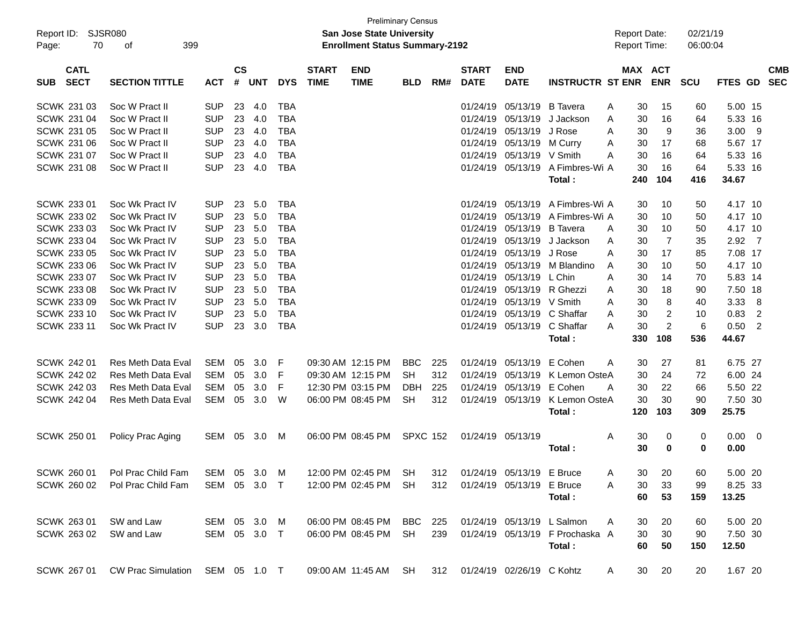|                    | <b>Preliminary Census</b><br><b>SJSR080</b><br>02/21/19<br>Report ID:<br><b>San Jose State University</b><br><b>Report Date:</b><br>70<br><b>Enrollment Status Summary-2192</b><br><b>Report Time:</b><br>06:00:04<br>of<br>399 |                                                                                                |              |                    |            |            |                             |                           |                 |     |                             |                               |                                 |              |         |                |            |                |                |                          |
|--------------------|---------------------------------------------------------------------------------------------------------------------------------------------------------------------------------------------------------------------------------|------------------------------------------------------------------------------------------------|--------------|--------------------|------------|------------|-----------------------------|---------------------------|-----------------|-----|-----------------------------|-------------------------------|---------------------------------|--------------|---------|----------------|------------|----------------|----------------|--------------------------|
| Page:              |                                                                                                                                                                                                                                 |                                                                                                |              |                    |            |            |                             |                           |                 |     |                             |                               |                                 |              |         |                |            |                |                |                          |
| <b>SUB</b>         | <b>CATL</b><br><b>SECT</b>                                                                                                                                                                                                      | <b>SECTION TITTLE</b>                                                                          | <b>ACT</b>   | $\mathsf{cs}$<br># | <b>UNT</b> | <b>DYS</b> | <b>START</b><br><b>TIME</b> | <b>END</b><br><b>TIME</b> | <b>BLD</b>      | RM# | <b>START</b><br><b>DATE</b> | <b>END</b><br><b>DATE</b>     | <b>INSTRUCTR ST ENR</b>         |              | MAX ACT | <b>ENR</b>     | <b>SCU</b> | <b>FTES GD</b> |                | <b>CMB</b><br><b>SEC</b> |
| SCWK 231 03        |                                                                                                                                                                                                                                 | Soc W Pract II                                                                                 | <b>SUP</b>   | 23                 | 4.0        | <b>TBA</b> |                             |                           |                 |     | 01/24/19                    | 05/13/19                      | <b>B</b> Tavera                 | A            | 30      | 15             | 60         | 5.00 15        |                |                          |
| SCWK 231 04        |                                                                                                                                                                                                                                 | Soc W Pract II                                                                                 | <b>SUP</b>   | 23                 | 4.0        | <b>TBA</b> |                             |                           |                 |     | 01/24/19                    | 05/13/19                      | J Jackson                       | Α            | 30      | 16             | 64         | 5.33 16        |                |                          |
| SCWK 231 05        |                                                                                                                                                                                                                                 | Soc W Pract II                                                                                 | <b>SUP</b>   | 23                 | 4.0        | <b>TBA</b> |                             |                           |                 |     | 01/24/19                    | 05/13/19                      | J Rose                          | A            | 30      | 9              | 36         | $3.00$ 9       |                |                          |
| <b>SCWK 231 06</b> |                                                                                                                                                                                                                                 | Soc W Pract II                                                                                 | <b>SUP</b>   | 23                 | 4.0        | <b>TBA</b> |                             |                           |                 |     | 01/24/19                    | 05/13/19                      | M Curry                         | Α            | 30      | 17             | 68         | 5.67 17        |                |                          |
| SCWK 231 07        |                                                                                                                                                                                                                                 | Soc W Pract II                                                                                 | <b>SUP</b>   | 23                 | 4.0        | <b>TBA</b> |                             |                           |                 |     | 01/24/19                    | 05/13/19                      | V Smith                         | A            | 30      | 16             | 64         | 5.33 16        |                |                          |
| <b>SCWK 231 08</b> |                                                                                                                                                                                                                                 | Soc W Pract II                                                                                 | <b>SUP</b>   | 23                 | 4.0        | <b>TBA</b> |                             |                           |                 |     | 01/24/19                    | 05/13/19                      | A Fimbres-Wi A                  |              | 30      | 16             | 64         | 5.33 16        |                |                          |
|                    |                                                                                                                                                                                                                                 |                                                                                                |              |                    |            |            |                             |                           |                 |     |                             |                               | Total:                          |              | 240     | 104            | 416        | 34.67          |                |                          |
| SCWK 233 01        |                                                                                                                                                                                                                                 | Soc Wk Pract IV                                                                                | <b>SUP</b>   | 23                 | 5.0        | <b>TBA</b> |                             |                           |                 |     | 01/24/19                    | 05/13/19                      | A Fimbres-Wi A                  |              | 30      | 10             | 50         | 4.17 10        |                |                          |
| SCWK 233 02        |                                                                                                                                                                                                                                 | Soc Wk Pract IV                                                                                | <b>SUP</b>   | 23                 | 5.0        | <b>TBA</b> |                             |                           |                 |     | 01/24/19                    | 05/13/19                      | A Fimbres-Wi A                  |              | 30      | 10             | 50         | 4.17 10        |                |                          |
| SCWK 233 03        |                                                                                                                                                                                                                                 | Soc Wk Pract IV                                                                                | <b>SUP</b>   | 23                 | 5.0        | <b>TBA</b> |                             |                           |                 |     | 01/24/19                    | 05/13/19                      | <b>B</b> Tavera                 | A            | 30      | 10             | 50         | 4.17 10        |                |                          |
| SCWK 233 04        |                                                                                                                                                                                                                                 | Soc Wk Pract IV                                                                                | <b>SUP</b>   | 23                 | 5.0        | <b>TBA</b> |                             |                           |                 |     | 01/24/19                    | 05/13/19                      | J Jackson                       | Α            | 30      | $\overline{7}$ | 35         | $2.92$ 7       |                |                          |
| SCWK 233 05        |                                                                                                                                                                                                                                 | Soc Wk Pract IV                                                                                | <b>SUP</b>   | 23                 | 5.0        | <b>TBA</b> |                             |                           |                 |     | 01/24/19                    | 05/13/19                      | J Rose                          | A            | 30      | 17             | 85         | 7.08 17        |                |                          |
| <b>SCWK 233 06</b> |                                                                                                                                                                                                                                 | Soc Wk Pract IV                                                                                | <b>SUP</b>   | 23                 | 5.0        | <b>TBA</b> |                             |                           |                 |     | 01/24/19                    | 05/13/19                      | M Blandino                      | Α            | 30      | 10             | 50         | 4.17 10        |                |                          |
| SCWK 233 07        |                                                                                                                                                                                                                                 | Soc Wk Pract IV                                                                                | <b>SUP</b>   | 23                 | 5.0        | <b>TBA</b> |                             |                           |                 |     | 01/24/19                    | 05/13/19                      | L Chin                          | A            | 30      | 14             | 70         | 5.83 14        |                |                          |
| <b>SCWK 233 08</b> |                                                                                                                                                                                                                                 | Soc Wk Pract IV                                                                                | <b>SUP</b>   | 23                 | 5.0        | <b>TBA</b> |                             |                           |                 |     | 01/24/19                    | 05/13/19                      | R Ghezzi                        | Α            | 30      | 18             | 90         | 7.50 18        |                |                          |
| SCWK 233 09        |                                                                                                                                                                                                                                 | Soc Wk Pract IV                                                                                | <b>SUP</b>   | 23                 | 5.0        | <b>TBA</b> |                             |                           |                 |     | 01/24/19                    | 05/13/19                      | V Smith                         | A            | 30      | 8              | 40         | 3.33           | 8              |                          |
| SCWK 233 10        |                                                                                                                                                                                                                                 | Soc Wk Pract IV                                                                                | <b>SUP</b>   | 23                 | 5.0        | <b>TBA</b> |                             |                           |                 |     | 01/24/19                    | 05/13/19                      | C Shaffar                       | A            | 30      | $\overline{2}$ | 10         | 0.83           | $\overline{2}$ |                          |
| SCWK 233 11        |                                                                                                                                                                                                                                 | Soc Wk Pract IV                                                                                | <b>SUP</b>   | 23                 | 3.0        | <b>TBA</b> |                             |                           |                 |     | 01/24/19                    | 05/13/19                      | C Shaffar                       | A            | 30      | $\overline{c}$ | 6          | 0.50           | $\overline{2}$ |                          |
|                    |                                                                                                                                                                                                                                 |                                                                                                |              |                    |            |            |                             |                           |                 |     |                             |                               | Total:                          |              | 330     | 108            | 536        | 44.67          |                |                          |
| SCWK 242 01        |                                                                                                                                                                                                                                 | <b>Res Meth Data Eval</b>                                                                      | SEM          | 05                 | 3.0        | F          |                             | 09:30 AM 12:15 PM         | <b>BBC</b>      | 225 | 01/24/19                    | 05/13/19                      | E Cohen                         | A            | 30      | 27             | 81         | 6.75 27        |                |                          |
| SCWK 242 02        |                                                                                                                                                                                                                                 | <b>Res Meth Data Eval</b>                                                                      | <b>SEM</b>   | 05                 | 3.0        | F          |                             | 09:30 AM 12:15 PM         | <b>SH</b>       | 312 | 01/24/19                    | 05/13/19                      | K Lemon OsteA                   |              | 30      | 24             | 72         | 6.00 24        |                |                          |
| SCWK 242 03        |                                                                                                                                                                                                                                 | Res Meth Data Eval                                                                             | <b>SEM</b>   | 05                 | 3.0        | F          |                             | 12:30 PM 03:15 PM         | <b>DBH</b>      | 225 | 01/24/19                    | 05/13/19                      | E Cohen                         | A            | 30      | 22             | 66         | 5.50 22        |                |                          |
| SCWK 242 04        |                                                                                                                                                                                                                                 | Res Meth Data Eval                                                                             | SEM          | 05                 | 3.0        | W          |                             | 06:00 PM 08:45 PM         | <b>SH</b>       | 312 | 01/24/19                    | 05/13/19                      | K Lemon OsteA                   |              | 30      | 30             | 90         | 7.50 30        |                |                          |
|                    |                                                                                                                                                                                                                                 |                                                                                                |              |                    |            |            |                             |                           |                 |     |                             |                               | Total:                          |              | 120     | 103            | 309        | 25.75          |                |                          |
| SCWK 250 01        |                                                                                                                                                                                                                                 | Policy Prac Aging                                                                              | SEM          |                    | 05 3.0     | M          |                             | 06:00 PM 08:45 PM         | <b>SPXC 152</b> |     |                             | 01/24/19 05/13/19             |                                 | A            | 30      | 0              | 0          | $0.00 \t 0$    |                |                          |
|                    |                                                                                                                                                                                                                                 |                                                                                                |              |                    |            |            |                             |                           |                 |     |                             |                               | Total:                          |              | 30      | 0              | 0          | 0.00           |                |                          |
|                    |                                                                                                                                                                                                                                 | SCWK 260 01 Pol Prac Child Fam SEM 05 3.0 M 12:00 PM 02:45 PM SH 312 01/24/19 05/13/19 E Bruce |              |                    |            |            |                             |                           |                 |     |                             |                               |                                 | $\mathsf{A}$ |         | 30 20          | 60         | 5.00 20        |                |                          |
| SCWK 260 02        |                                                                                                                                                                                                                                 | Pol Prac Child Fam                                                                             | SEM 05 3.0 T |                    |            |            |                             | 12:00 PM 02:45 PM         | -SH             | 312 |                             | 01/24/19 05/13/19 E Bruce     |                                 | A            | 30      | 33             | 99         | 8.25 33        |                |                          |
|                    |                                                                                                                                                                                                                                 |                                                                                                |              |                    |            |            |                             |                           |                 |     |                             |                               | Total:                          |              | 60      | 53             | 159        | 13.25          |                |                          |
| SCWK 263 01        |                                                                                                                                                                                                                                 | SW and Law                                                                                     | SEM 05 3.0 M |                    |            |            |                             | 06:00 PM 08:45 PM         | BBC             | 225 |                             |                               | 01/24/19 05/13/19 L Salmon      | A            | 30      | 20             | 60         | 5.00 20        |                |                          |
| SCWK 263 02        |                                                                                                                                                                                                                                 | SW and Law                                                                                     | SEM 05 3.0 T |                    |            |            |                             | 06:00 PM 08:45 PM SH      |                 | 239 |                             |                               | 01/24/19 05/13/19 F Prochaska A |              | 30      | 30             | 90         | 7.50 30        |                |                          |
|                    |                                                                                                                                                                                                                                 |                                                                                                |              |                    |            |            |                             |                           |                 |     |                             |                               | Total:                          |              | 60      | 50             | 150        | 12.50          |                |                          |
| SCWK 267 01        |                                                                                                                                                                                                                                 | CW Prac Simulation                                                                             | SEM 05 1.0 T |                    |            |            |                             | 09:00 AM 11:45 AM         | SH              |     |                             | 312 01/24/19 02/26/19 C Kohtz |                                 | A            | 30      | 20             | 20         | 1.67 20        |                |                          |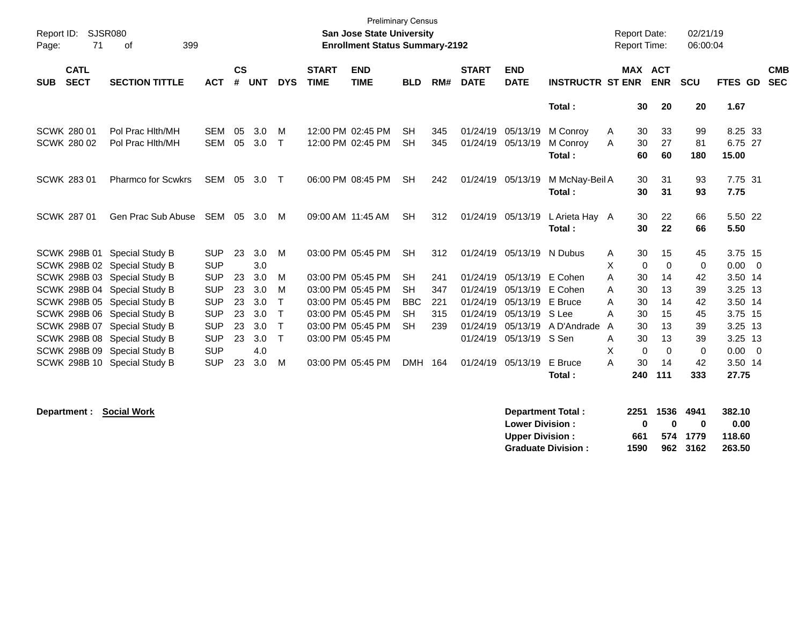| <b>SJSR080</b><br>Report ID:<br>71<br>Page:                  |                           |                          |                    | <b>Preliminary Census</b><br><b>San Jose State University</b><br><b>Enrollment Status Summary-2192</b> |                   |                             |                                        |                         |            | <b>Report Date:</b><br><b>Report Time:</b> |                           |                          | 02/21/19<br>06:00:04 |          |                          |             |                    |                          |
|--------------------------------------------------------------|---------------------------|--------------------------|--------------------|--------------------------------------------------------------------------------------------------------|-------------------|-----------------------------|----------------------------------------|-------------------------|------------|--------------------------------------------|---------------------------|--------------------------|----------------------|----------|--------------------------|-------------|--------------------|--------------------------|
| <b>CATL</b><br><b>SECT</b><br><b>SUB</b>                     | <b>SECTION TITTLE</b>     | <b>ACT</b>               | $\mathsf{cs}$<br># | <b>UNT</b>                                                                                             | <b>DYS</b>        | <b>START</b><br><b>TIME</b> | <b>END</b><br><b>TIME</b>              | <b>BLD</b>              | RM#        | <b>START</b><br><b>DATE</b>                | <b>END</b><br><b>DATE</b> | <b>INSTRUCTR ST ENR</b>  | <b>MAX</b>           |          | <b>ACT</b><br><b>ENR</b> | <b>SCU</b>  | FTES GD            | <b>CMB</b><br><b>SEC</b> |
|                                                              |                           |                          |                    |                                                                                                        |                   |                             |                                        |                         |            |                                            |                           | Total:                   |                      | 30       | 20                       | 20          | 1.67               |                          |
| <b>SCWK 280 01</b>                                           | Pol Prac Hith/MH          | <b>SEM</b><br><b>SEM</b> | 05<br>05           | 3.0<br>3.0                                                                                             | м<br>$\mathsf{T}$ |                             | 12:00 PM 02:45 PM<br>12:00 PM 02:45 PM | <b>SH</b><br><b>SH</b>  | 345        | 01/24/19<br>01/24/19                       | 05/13/19<br>05/13/19      | M Conroy<br>M Conrov     | A                    | 30       | 33<br>27                 | 99<br>81    | 8.25 33<br>6.75 27 |                          |
| SCWK 280 02                                                  | Pol Prac Hith/MH          |                          |                    |                                                                                                        |                   |                             |                                        |                         | 345        |                                            |                           | Total:                   | A                    | 30<br>60 | 60                       | 180         | 15.00              |                          |
| <b>SCWK 28301</b>                                            | <b>Pharmco for Scwkrs</b> | <b>SEM</b>               | - 05               | 3.0                                                                                                    | $\mathsf{T}$      |                             | 06:00 PM 08:45 PM                      | <b>SH</b>               | 242        | 01/24/19                                   | 05/13/19                  | M McNay-Beil A<br>Total: |                      | 30<br>30 | 31<br>31                 | 93          | 7.75 31<br>7.75    |                          |
|                                                              |                           |                          |                    |                                                                                                        |                   |                             |                                        |                         |            |                                            |                           |                          |                      |          |                          | 93          |                    |                          |
| <b>SCWK 287 01</b>                                           | Gen Prac Sub Abuse        | SEM 05                   |                    | 3.0                                                                                                    | М                 |                             | 09:00 AM 11:45 AM                      | <b>SH</b>               | 312        | 01/24/19                                   | 05/13/19                  | L Arieta Hay A<br>Total: |                      | 30<br>30 | 22<br>22                 | 66<br>66    | 5.50 22<br>5.50    |                          |
| SCWK 298B 01 Special Study B                                 |                           | <b>SUP</b>               | 23                 | 3.0                                                                                                    | M                 |                             | 03:00 PM 05:45 PM                      | <b>SH</b>               | 312        | 01/24/19                                   | 05/13/19                  | N Dubus                  | A                    | 30       | 15                       | 45          | 3.75 15            |                          |
| SCWK 298B 02 Special Study B                                 |                           | <b>SUP</b>               |                    | 3.0                                                                                                    |                   |                             |                                        |                         |            |                                            |                           |                          | X                    | $\Omega$ | $\Omega$                 | $\mathbf 0$ | 0.00               | $\overline{\phantom{0}}$ |
| SCWK 298B 03 Special Study B                                 |                           | <b>SUP</b>               | 23                 | 3.0                                                                                                    | м                 |                             | 03:00 PM 05:45 PM                      | <b>SH</b>               | 241        | 01/24/19                                   | 05/13/19                  | E Cohen                  | A                    | 30       | 14                       | 42          | 3.50 14            |                          |
| SCWK 298B 04 Special Study B                                 |                           | <b>SUP</b>               | 23                 | 3.0                                                                                                    | м                 |                             | 03:00 PM 05:45 PM                      | <b>SH</b>               | 347        | 01/24/19                                   | 05/13/19                  | E Cohen                  | A                    | 30       | 13                       | 39          | 3.25 13            |                          |
| SCWK 298B 05 Special Study B                                 |                           | <b>SUP</b><br><b>SUP</b> | 23<br>23           | 3.0                                                                                                    | Т                 |                             | 03:00 PM 05:45 PM<br>03:00 PM 05:45 PM | <b>BBC</b><br><b>SH</b> | 221        | 01/24/19<br>01/24/19                       | 05/13/19                  | E Bruce<br>S Lee         | A                    | 30       | 14                       | 42<br>45    | 3.50 14<br>3.75 15 |                          |
| SCWK 298B 06 Special Study B<br>SCWK 298B 07 Special Study B |                           | <b>SUP</b>               | 23                 | 3.0<br>3.0                                                                                             | Т<br>$\mathsf T$  |                             | 03:00 PM 05:45 PM                      | <b>SH</b>               | 315<br>239 | 01/24/19                                   | 05/13/19<br>05/13/19      | A D'Andrade              | A<br>A               | 30<br>30 | 15<br>13                 | 39          | 3.25 13            |                          |
| SCWK 298B 08 Special Study B                                 |                           | <b>SUP</b>               | 23                 | 3.0                                                                                                    | $\mathsf T$       |                             | 03:00 PM 05:45 PM                      |                         |            | 01/24/19                                   | 05/13/19 S Sen            |                          | A                    | 30       | 13                       | 39          | 3.25 13            |                          |
| SCWK 298B 09 Special Study B                                 |                           | <b>SUP</b>               |                    | 4.0                                                                                                    |                   |                             |                                        |                         |            |                                            |                           |                          | X                    | 0        | $\Omega$                 | $\mathbf 0$ | $0.00 \t 0$        |                          |
| SCWK 298B 10 Special Study B                                 |                           | <b>SUP</b>               | 23                 | 3.0                                                                                                    | M                 |                             | 03:00 PM 05:45 PM                      | <b>DMH</b>              | 164        | 01/24/19                                   | 05/13/19                  | E Bruce                  | A                    | 30       | 14                       | 42          | 3.50 14            |                          |
|                                                              |                           |                          |                    |                                                                                                        |                   |                             |                                        |                         |            |                                            |                           | Total:                   | 240                  |          | 111                      | 333         | 27.75              |                          |

**Department : Social Work** 

| Department Total:         |      | 2251 1536 4941 |          | 382.10 |
|---------------------------|------|----------------|----------|--------|
| <b>Lower Division:</b>    | 0    | n              | 0        | 0.00   |
| <b>Upper Division:</b>    | 661  |                | 574 1779 | 118.60 |
| <b>Graduate Division:</b> | 1590 |                | 962 3162 | 263.50 |